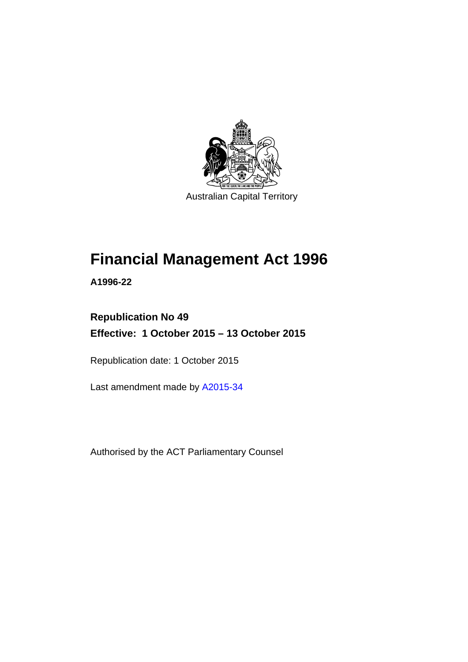

Australian Capital Territory

# **Financial Management Act 1996**

**A1996-22** 

# **Republication No 49 Effective: 1 October 2015 – 13 October 2015**

Republication date: 1 October 2015

Last amendment made by [A2015-34](http://www.legislation.act.gov.au/a/2015-34/default.asp)

Authorised by the ACT Parliamentary Counsel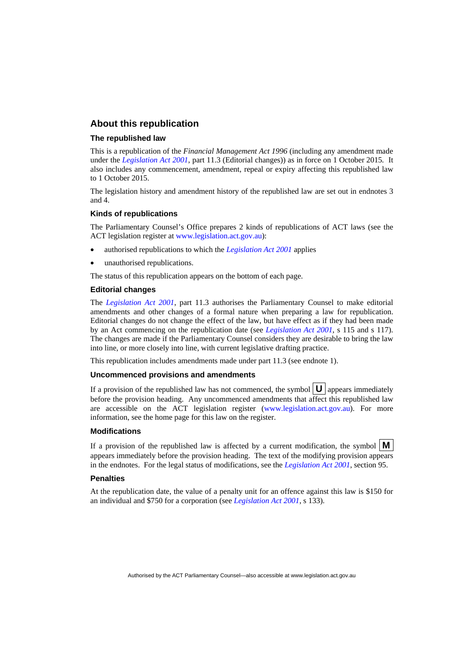### **About this republication**

### **The republished law**

This is a republication of the *Financial Management Act 1996* (including any amendment made under the *[Legislation Act 2001](http://www.legislation.act.gov.au/a/2001-14)*, part 11.3 (Editorial changes)) as in force on 1 October 2015*.* It also includes any commencement, amendment, repeal or expiry affecting this republished law to 1 October 2015.

The legislation history and amendment history of the republished law are set out in endnotes 3 and 4.

### **Kinds of republications**

The Parliamentary Counsel's Office prepares 2 kinds of republications of ACT laws (see the ACT legislation register at [www.legislation.act.gov.au](http://www.legislation.act.gov.au/)):

- authorised republications to which the *[Legislation Act 2001](http://www.legislation.act.gov.au/a/2001-14)* applies
- unauthorised republications.

The status of this republication appears on the bottom of each page.

### **Editorial changes**

The *[Legislation Act 2001](http://www.legislation.act.gov.au/a/2001-14)*, part 11.3 authorises the Parliamentary Counsel to make editorial amendments and other changes of a formal nature when preparing a law for republication. Editorial changes do not change the effect of the law, but have effect as if they had been made by an Act commencing on the republication date (see *[Legislation Act 2001](http://www.legislation.act.gov.au/a/2001-14)*, s 115 and s 117). The changes are made if the Parliamentary Counsel considers they are desirable to bring the law into line, or more closely into line, with current legislative drafting practice.

This republication includes amendments made under part 11.3 (see endnote 1).

### **Uncommenced provisions and amendments**

If a provision of the republished law has not commenced, the symbol  $\mathbf{U}$  appears immediately before the provision heading. Any uncommenced amendments that affect this republished law are accessible on the ACT legislation register [\(www.legislation.act.gov.au\)](http://www.legislation.act.gov.au/). For more information, see the home page for this law on the register.

### **Modifications**

If a provision of the republished law is affected by a current modification, the symbol  $\mathbf{M}$ appears immediately before the provision heading. The text of the modifying provision appears in the endnotes. For the legal status of modifications, see the *[Legislation Act 2001](http://www.legislation.act.gov.au/a/2001-14)*, section 95.

### **Penalties**

At the republication date, the value of a penalty unit for an offence against this law is \$150 for an individual and \$750 for a corporation (see *[Legislation Act 2001](http://www.legislation.act.gov.au/a/2001-14)*, s 133).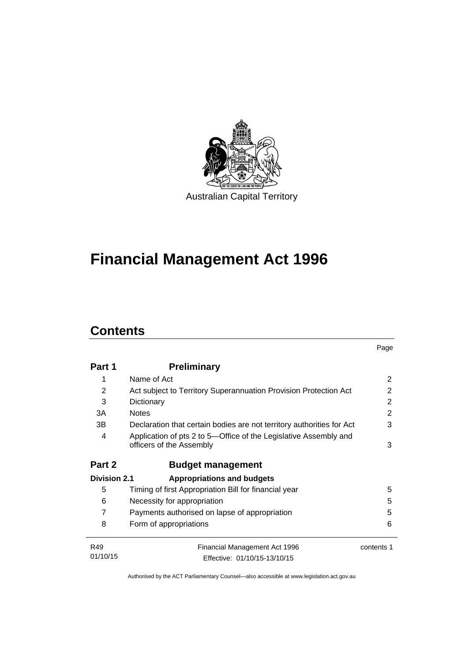

# **Financial Management Act 1996**

# **Contents**

|                     |                                                                                              | Page       |
|---------------------|----------------------------------------------------------------------------------------------|------------|
| Part 1              | <b>Preliminary</b>                                                                           |            |
| 1                   | Name of Act                                                                                  | 2          |
| 2                   | Act subject to Territory Superannuation Provision Protection Act                             | 2          |
| 3                   | Dictionary                                                                                   | 2          |
| 3A                  | <b>Notes</b>                                                                                 | 2          |
| 3B                  | Declaration that certain bodies are not territory authorities for Act                        | 3          |
| 4                   | Application of pts 2 to 5-Office of the Legislative Assembly and<br>officers of the Assembly | 3          |
| Part 2              | <b>Budget management</b>                                                                     |            |
| <b>Division 2.1</b> | <b>Appropriations and budgets</b>                                                            |            |
| 5                   | Timing of first Appropriation Bill for financial year                                        | 5          |
| 6                   | Necessity for appropriation                                                                  | 5          |
| 7                   | Payments authorised on lapse of appropriation                                                | 5          |
| 8                   | Form of appropriations                                                                       | 6          |
| R49                 | Financial Management Act 1996                                                                | contents 1 |
| 01/10/15            | Effective: 01/10/15-13/10/15                                                                 |            |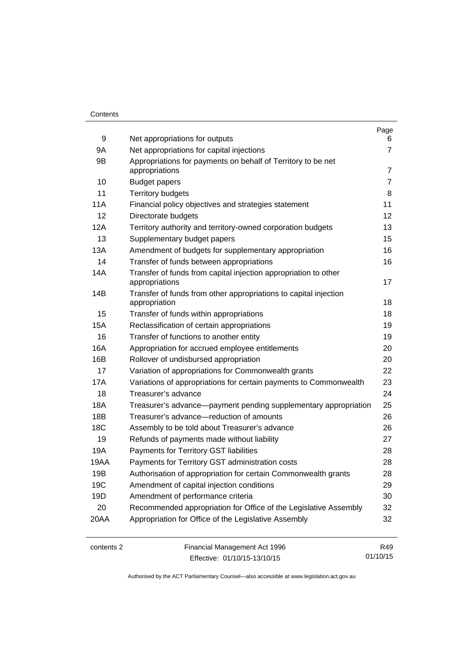### **Contents**

| 9          | Net appropriations for outputs                                                    | Page<br>6      |
|------------|-----------------------------------------------------------------------------------|----------------|
| 9A         | Net appropriations for capital injections                                         | $\overline{7}$ |
| 9B         | Appropriations for payments on behalf of Territory to be net<br>appropriations    | 7              |
| 10         | <b>Budget papers</b>                                                              | $\overline{7}$ |
| 11         | <b>Territory budgets</b>                                                          | 8              |
| 11A        | Financial policy objectives and strategies statement                              | 11             |
| 12         | Directorate budgets                                                               | 12             |
| 12A        | Territory authority and territory-owned corporation budgets                       | 13             |
| 13         | Supplementary budget papers                                                       | 15             |
| 13A        | Amendment of budgets for supplementary appropriation                              | 16             |
| 14         | Transfer of funds between appropriations                                          | 16             |
| 14A        | Transfer of funds from capital injection appropriation to other<br>appropriations | 17             |
| 14B        | Transfer of funds from other appropriations to capital injection<br>appropriation | 18             |
| 15         | Transfer of funds within appropriations                                           | 18             |
| 15A        | Reclassification of certain appropriations                                        | 19             |
| 16         | Transfer of functions to another entity                                           | 19             |
| 16A        | Appropriation for accrued employee entitlements                                   | 20             |
| 16B        | Rollover of undisbursed appropriation                                             | 20             |
| 17         | Variation of appropriations for Commonwealth grants                               | 22             |
| 17A        | Variations of appropriations for certain payments to Commonwealth                 | 23             |
| 18         | Treasurer's advance                                                               | 24             |
| 18A        | Treasurer's advance-payment pending supplementary appropriation                   | 25             |
| 18B        | Treasurer's advance-reduction of amounts                                          | 26             |
| 18C        | Assembly to be told about Treasurer's advance                                     | 26             |
| 19         | Refunds of payments made without liability                                        | 27             |
| 19A        | Payments for Territory GST liabilities                                            | 28             |
| 19AA       | Payments for Territory GST administration costs                                   | 28             |
| 19B        | Authorisation of appropriation for certain Commonwealth grants                    | 28             |
| 19C        | Amendment of capital injection conditions                                         | 29             |
| 19D        | Amendment of performance criteria                                                 | 30             |
| 20         | Recommended appropriation for Office of the Legislative Assembly                  | 32             |
| 20AA       | Appropriation for Office of the Legislative Assembly                              | 32             |
| contents 2 | Financial Management Act 1996                                                     | R49            |

Effective: 01/10/15-13/10/15

Authorised by the ACT Parliamentary Counsel—also accessible at www.legislation.act.gov.au

01/10/15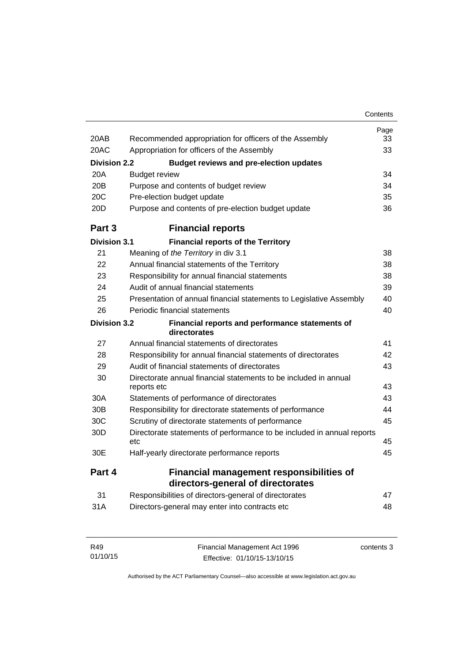|                     |                                                                               | Contents |
|---------------------|-------------------------------------------------------------------------------|----------|
|                     |                                                                               | Page     |
| 20AB                | Recommended appropriation for officers of the Assembly                        | 33       |
| 20AC                | Appropriation for officers of the Assembly                                    | 33       |
| <b>Division 2.2</b> | <b>Budget reviews and pre-election updates</b>                                |          |
| 20A                 | <b>Budget review</b>                                                          | 34       |
| 20B                 | Purpose and contents of budget review                                         | 34       |
| 20 <sub>C</sub>     | Pre-election budget update                                                    | 35       |
| 20D                 | Purpose and contents of pre-election budget update                            | 36       |
| Part 3              | <b>Financial reports</b>                                                      |          |
| <b>Division 3.1</b> | <b>Financial reports of the Territory</b>                                     |          |
| 21                  | Meaning of the Territory in div 3.1                                           | 38       |
| 22                  | Annual financial statements of the Territory                                  | 38       |
| 23                  | Responsibility for annual financial statements                                | 38       |
| 24                  | Audit of annual financial statements                                          | 39       |
| 25                  | Presentation of annual financial statements to Legislative Assembly           | 40       |
| 26                  | Periodic financial statements                                                 | 40       |
| <b>Division 3.2</b> | Financial reports and performance statements of<br>directorates               |          |
| 27                  | Annual financial statements of directorates                                   | 41       |
| 28                  | Responsibility for annual financial statements of directorates                | 42       |
| 29                  | Audit of financial statements of directorates                                 | 43       |
| 30                  | Directorate annual financial statements to be included in annual              |          |
|                     | reports etc                                                                   | 43       |
| 30A                 | Statements of performance of directorates                                     | 43       |
| 30B                 | Responsibility for directorate statements of performance                      | 44       |
| 30C                 | Scrutiny of directorate statements of performance                             | 45       |
| 30 <sub>D</sub>     | Directorate statements of performance to be included in annual reports<br>etc | 45       |
| 30E                 | Half-yearly directorate performance reports                                   | 45       |
| Part 4              | <b>Financial management responsibilities of</b>                               |          |
|                     | directors-general of directorates                                             |          |
| 31                  | Responsibilities of directors-general of directorates                         | 47       |
| 31A                 | Directors-general may enter into contracts etc                                | 48       |

| R49      | Financial Management Act 1996 | contents 3 |
|----------|-------------------------------|------------|
| 01/10/15 | Effective: 01/10/15-13/10/15  |            |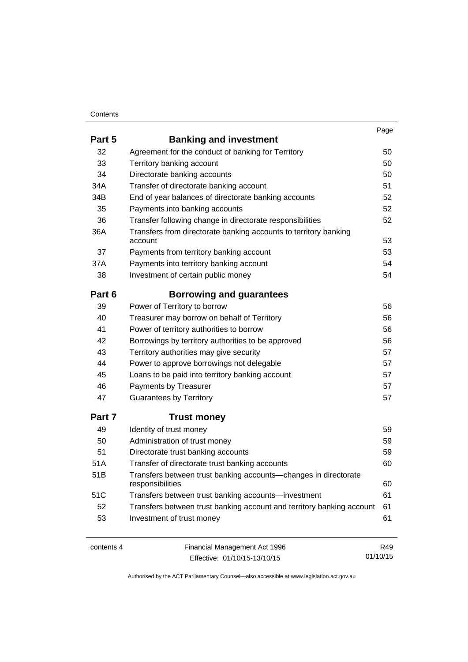### **Contents**

|        |                                                                                     | Page |
|--------|-------------------------------------------------------------------------------------|------|
| Part 5 | <b>Banking and investment</b>                                                       |      |
| 32     | Agreement for the conduct of banking for Territory                                  | 50   |
| 33     | Territory banking account                                                           | 50   |
| 34     | Directorate banking accounts                                                        | 50   |
| 34A    | Transfer of directorate banking account                                             | 51   |
| 34B    | End of year balances of directorate banking accounts                                | 52   |
| 35     | Payments into banking accounts                                                      | 52   |
| 36     | Transfer following change in directorate responsibilities                           | 52   |
| 36A    | Transfers from directorate banking accounts to territory banking<br>account         | 53   |
| 37     | Payments from territory banking account                                             | 53   |
| 37A    | Payments into territory banking account                                             | 54   |
| 38     | Investment of certain public money                                                  | 54   |
| Part 6 | <b>Borrowing and guarantees</b>                                                     |      |
| 39     | Power of Territory to borrow                                                        | 56   |
| 40     | Treasurer may borrow on behalf of Territory                                         | 56   |
| 41     | Power of territory authorities to borrow                                            | 56   |
| 42     | Borrowings by territory authorities to be approved                                  | 56   |
| 43     | Territory authorities may give security                                             | 57   |
| 44     | Power to approve borrowings not delegable                                           | 57   |
| 45     | Loans to be paid into territory banking account                                     | 57   |
| 46     | Payments by Treasurer                                                               | 57   |
| 47     | <b>Guarantees by Territory</b>                                                      | 57   |
| Part 7 | <b>Trust money</b>                                                                  |      |
| 49     | Identity of trust money                                                             | 59   |
| 50     | Administration of trust money                                                       | 59   |
| 51     | Directorate trust banking accounts                                                  | 59   |
| 51A    | Transfer of directorate trust banking accounts                                      | 60   |
| 51B    | Transfers between trust banking accounts-changes in directorate<br>responsibilities | 60   |
| 51C    | Transfers between trust banking accounts—investment                                 | 61   |
| 52     | Transfers between trust banking account and territory banking account               | 61   |
| 53     | Investment of trust money                                                           | 61   |
|        |                                                                                     |      |

contents 4 Financial Management Act 1996 Effective: 01/10/15-13/10/15

R49 01/10/15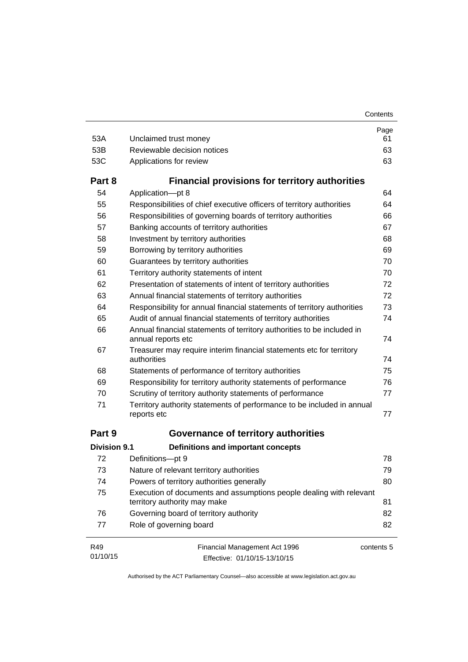| 53A                 | Unclaimed trust money                                                                               | Page<br>61 |
|---------------------|-----------------------------------------------------------------------------------------------------|------------|
| 53B                 | Reviewable decision notices                                                                         | 63         |
| 53C                 | Applications for review                                                                             | 63         |
| Part 8              | <b>Financial provisions for territory authorities</b>                                               |            |
| 54                  | Application-pt 8                                                                                    | 64         |
| 55                  | Responsibilities of chief executive officers of territory authorities                               | 64         |
| 56                  | Responsibilities of governing boards of territory authorities                                       | 66         |
| 57                  | Banking accounts of territory authorities                                                           | 67         |
| 58                  | Investment by territory authorities                                                                 | 68         |
| 59                  | Borrowing by territory authorities                                                                  | 69         |
| 60                  | Guarantees by territory authorities                                                                 | 70         |
| 61                  | Territory authority statements of intent                                                            | 70         |
| 62                  | Presentation of statements of intent of territory authorities                                       | 72         |
| 63                  | Annual financial statements of territory authorities                                                | 72         |
| 64                  | Responsibility for annual financial statements of territory authorities                             | 73         |
| 65                  | Audit of annual financial statements of territory authorities                                       | 74         |
| 66                  | Annual financial statements of territory authorities to be included in<br>annual reports etc        | 74         |
| 67                  | Treasurer may require interim financial statements etc for territory<br>authorities                 | 74         |
| 68                  | Statements of performance of territory authorities                                                  | 75         |
| 69                  | Responsibility for territory authority statements of performance                                    | 76         |
| 70                  | Scrutiny of territory authority statements of performance                                           | 77         |
| 71                  | Territory authority statements of performance to be included in annual<br>reports etc               | 77         |
| Part 9              | Governance of territory authorities                                                                 |            |
| <b>Division 9.1</b> | <b>Definitions and important concepts</b>                                                           |            |
| 72                  | Definitions-pt 9                                                                                    | 78         |
| 73                  | Nature of relevant territory authorities                                                            | 79         |
| 74                  | Powers of territory authorities generally                                                           | 80         |
| 75                  | Execution of documents and assumptions people dealing with relevant<br>territory authority may make | 81         |
| 76                  | Governing board of territory authority                                                              | 82         |
| 77                  | Role of governing board                                                                             | 82         |
| R49                 | Financial Management Act 1996                                                                       | contents 5 |

01/10/15 Effective: 01/10/15-13/10/15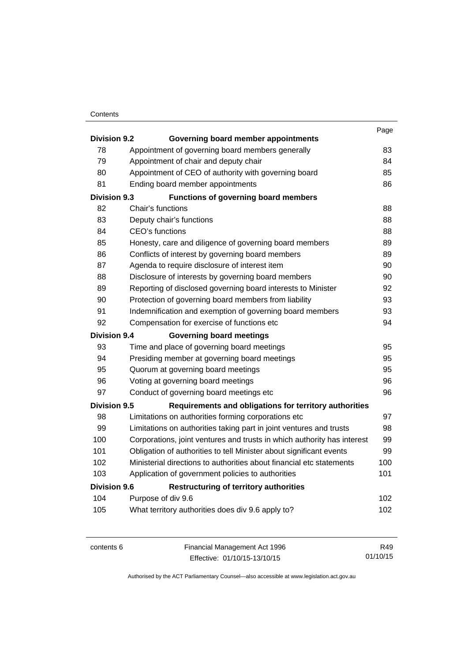### **Contents**

|                     |                                                                         | Page |
|---------------------|-------------------------------------------------------------------------|------|
| <b>Division 9.2</b> | Governing board member appointments                                     |      |
| 78                  | Appointment of governing board members generally                        | 83   |
| 79                  | Appointment of chair and deputy chair                                   | 84   |
| 80                  | Appointment of CEO of authority with governing board                    | 85   |
| 81                  | Ending board member appointments                                        | 86   |
| <b>Division 9.3</b> | <b>Functions of governing board members</b>                             |      |
| 82                  | Chair's functions                                                       | 88   |
| 83                  | Deputy chair's functions                                                | 88   |
| 84                  | CEO's functions                                                         | 88   |
| 85                  | Honesty, care and diligence of governing board members                  | 89   |
| 86                  | Conflicts of interest by governing board members                        | 89   |
| 87                  | Agenda to require disclosure of interest item                           | 90   |
| 88                  | Disclosure of interests by governing board members                      | 90   |
| 89                  | Reporting of disclosed governing board interests to Minister            | 92   |
| 90                  | Protection of governing board members from liability                    | 93   |
| 91                  | Indemnification and exemption of governing board members                | 93   |
| 92                  | Compensation for exercise of functions etc                              | 94   |
| <b>Division 9.4</b> | <b>Governing board meetings</b>                                         |      |
| 93                  | Time and place of governing board meetings                              | 95   |
| 94                  | Presiding member at governing board meetings                            | 95   |
| 95                  | Quorum at governing board meetings                                      | 95   |
| 96                  | Voting at governing board meetings                                      | 96   |
| 97                  | Conduct of governing board meetings etc                                 | 96   |
| <b>Division 9.5</b> | Requirements and obligations for territory authorities                  |      |
| 98                  | Limitations on authorities forming corporations etc                     | 97   |
| 99                  | Limitations on authorities taking part in joint ventures and trusts     | 98   |
| 100                 | Corporations, joint ventures and trusts in which authority has interest | 99   |
| 101                 | Obligation of authorities to tell Minister about significant events     | 99   |
| 102                 | Ministerial directions to authorities about financial etc statements    | 100  |
| 103                 | Application of government policies to authorities                       | 101  |
| <b>Division 9.6</b> | <b>Restructuring of territory authorities</b>                           |      |
| 104                 | Purpose of div 9.6                                                      | 102  |
| 105                 | What territory authorities does div 9.6 apply to?                       | 102  |
|                     |                                                                         |      |

contents 6 Financial Management Act 1996 Effective: 01/10/15-13/10/15

R49 01/10/15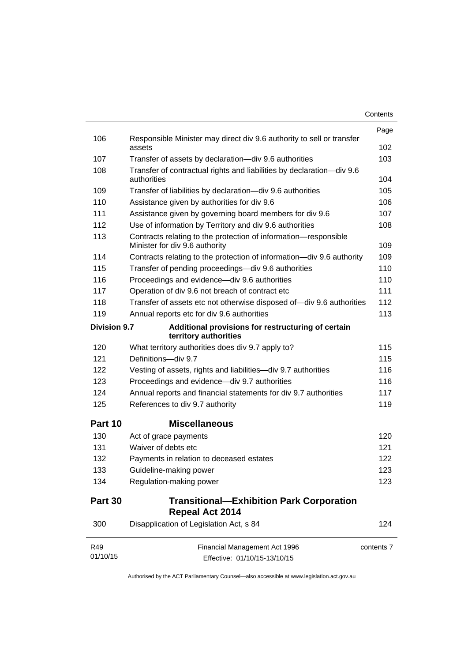| Contents |
|----------|
|----------|

|                     |                                                                                                   | Page       |
|---------------------|---------------------------------------------------------------------------------------------------|------------|
| 106                 | Responsible Minister may direct div 9.6 authority to sell or transfer<br>assets                   | 102        |
| 107                 | Transfer of assets by declaration-div 9.6 authorities                                             | 103        |
| 108                 | Transfer of contractual rights and liabilities by declaration-div 9.6<br>authorities              | 104        |
| 109                 | Transfer of liabilities by declaration-div 9.6 authorities                                        | 105        |
| 110                 | Assistance given by authorities for div 9.6                                                       | 106        |
| 111                 | Assistance given by governing board members for div 9.6                                           | 107        |
| 112                 | Use of information by Territory and div 9.6 authorities                                           | 108        |
| 113                 | Contracts relating to the protection of information-responsible<br>Minister for div 9.6 authority | 109        |
| 114                 | Contracts relating to the protection of information-div 9.6 authority                             | 109        |
| 115                 | Transfer of pending proceedings-div 9.6 authorities                                               | 110        |
| 116                 | Proceedings and evidence-div 9.6 authorities                                                      | 110        |
| 117                 | Operation of div 9.6 not breach of contract etc                                                   | 111        |
| 118                 | Transfer of assets etc not otherwise disposed of-div 9.6 authorities                              | 112        |
| 119                 | Annual reports etc for div 9.6 authorities                                                        | 113        |
| <b>Division 9.7</b> | Additional provisions for restructuring of certain<br>territory authorities                       |            |
| 120                 | What territory authorities does div 9.7 apply to?                                                 | 115        |
| 121                 | Definitions-div 9.7                                                                               | 115        |
| 122                 | Vesting of assets, rights and liabilities-div 9.7 authorities                                     | 116        |
| 123                 | Proceedings and evidence-div 9.7 authorities                                                      | 116        |
| 124                 | Annual reports and financial statements for div 9.7 authorities                                   | 117        |
| 125                 | References to div 9.7 authority                                                                   | 119        |
| Part 10             | <b>Miscellaneous</b>                                                                              |            |
| 130                 | Act of grace payments                                                                             | 120        |
| 131                 | Waiver of debts etc                                                                               | 121        |
| 132                 | Payments in relation to deceased estates                                                          | 122        |
| 133                 | Guideline-making power                                                                            | 123        |
| 134                 | Regulation-making power                                                                           | 123        |
| Part 30             | <b>Transitional-Exhibition Park Corporation</b><br>Repeal Act 2014                                |            |
| 300                 | Disapplication of Legislation Act, s 84                                                           | 124        |
| R49<br>01/10/15     | Financial Management Act 1996<br>Effective: 01/10/15-13/10/15                                     | contents 7 |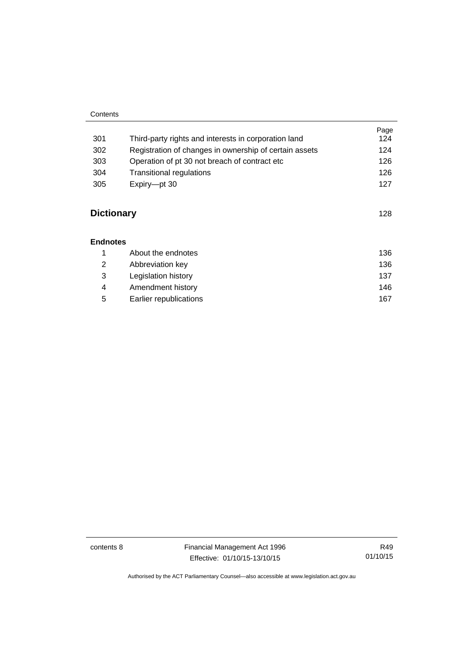### **Contents**

|                   |                                                        | Page<br>124 |
|-------------------|--------------------------------------------------------|-------------|
| 301               | Third-party rights and interests in corporation land   |             |
| 302               | Registration of changes in ownership of certain assets | 124         |
| 303               | Operation of pt 30 not breach of contract etc.         | 126         |
| 304               | <b>Transitional regulations</b>                        | 126         |
| 305               | Expiry-pt 30                                           | 127         |
| <b>Dictionary</b> |                                                        | 128         |

### **[Endnotes](#page-145-0)**

|   | About the endnotes     | 136 |
|---|------------------------|-----|
| 2 | Abbreviation key       | 136 |
| 3 | Legislation history    | 137 |
| 4 | Amendment history      | 146 |
| 5 | Earlier republications | 167 |

contents 8 Financial Management Act 1996 Effective: 01/10/15-13/10/15

R49 01/10/15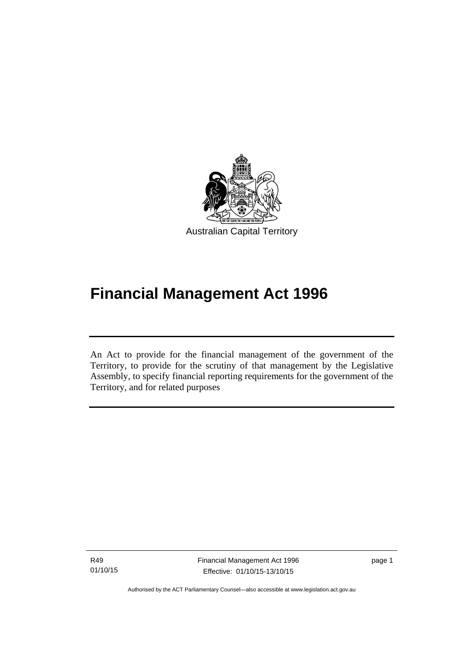

# **Financial Management Act 1996**

An Act to provide for the financial management of the government of the Territory, to provide for the scrutiny of that management by the Legislative Assembly, to specify financial reporting requirements for the government of the Territory, and for related purposes

R49 01/10/15

l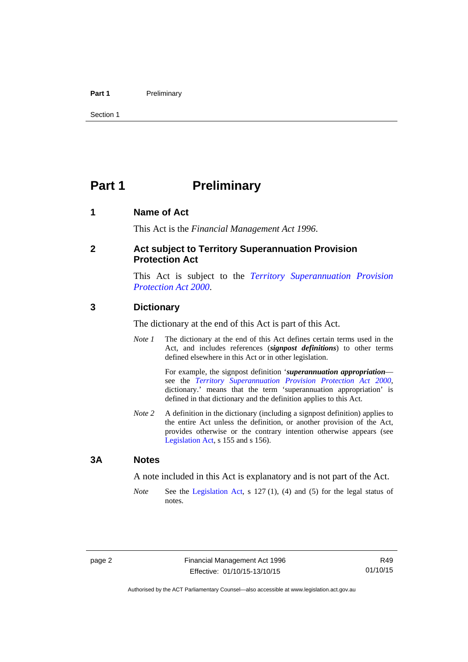### Part 1 **Preliminary**

Section 1

# <span id="page-11-0"></span>**Part 1** Preliminary

### <span id="page-11-1"></span>**1 Name of Act**

This Act is the *Financial Management Act 1996*.

### <span id="page-11-2"></span>**2 Act subject to Territory Superannuation Provision Protection Act**

This Act is subject to the *[Territory Superannuation Provision](http://www.legislation.act.gov.au/a/2000-21)  [Protection Act 2000](http://www.legislation.act.gov.au/a/2000-21)*.

### <span id="page-11-3"></span>**3 Dictionary**

The dictionary at the end of this Act is part of this Act.

*Note 1* The dictionary at the end of this Act defines certain terms used in the Act, and includes references (*signpost definitions*) to other terms defined elsewhere in this Act or in other legislation.

> For example, the signpost definition '*superannuation appropriation* see the *[Territory Superannuation Provision Protection Act 2000](http://www.legislation.act.gov.au/a/2000-21)*, dictionary.' means that the term 'superannuation appropriation' is defined in that dictionary and the definition applies to this Act.

*Note 2* A definition in the dictionary (including a signpost definition) applies to the entire Act unless the definition, or another provision of the Act, provides otherwise or the contrary intention otherwise appears (see [Legislation Act,](http://www.legislation.act.gov.au/a/2001-14) s 155 and s 156).

### <span id="page-11-4"></span>**3A Notes**

A note included in this Act is explanatory and is not part of the Act.

*Note* See the [Legislation Act,](http://www.legislation.act.gov.au/a/2001-14) s 127 (1), (4) and (5) for the legal status of notes.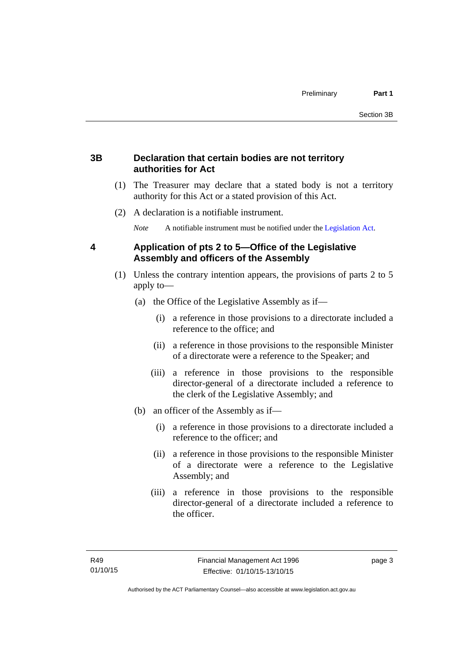# <span id="page-12-0"></span>**3B Declaration that certain bodies are not territory authorities for Act**

- (1) The Treasurer may declare that a stated body is not a territory authority for this Act or a stated provision of this Act.
- (2) A declaration is a notifiable instrument.

*Note* A notifiable instrument must be notified under the [Legislation Act](http://www.legislation.act.gov.au/a/2001-14).

# <span id="page-12-1"></span>**4 Application of pts 2 to 5—Office of the Legislative Assembly and officers of the Assembly**

- (1) Unless the contrary intention appears, the provisions of parts 2 to 5 apply to—
	- (a) the Office of the Legislative Assembly as if—
		- (i) a reference in those provisions to a directorate included a reference to the office; and
		- (ii) a reference in those provisions to the responsible Minister of a directorate were a reference to the Speaker; and
		- (iii) a reference in those provisions to the responsible director-general of a directorate included a reference to the clerk of the Legislative Assembly; and
	- (b) an officer of the Assembly as if—
		- (i) a reference in those provisions to a directorate included a reference to the officer; and
		- (ii) a reference in those provisions to the responsible Minister of a directorate were a reference to the Legislative Assembly; and
		- (iii) a reference in those provisions to the responsible director-general of a directorate included a reference to the officer.

page 3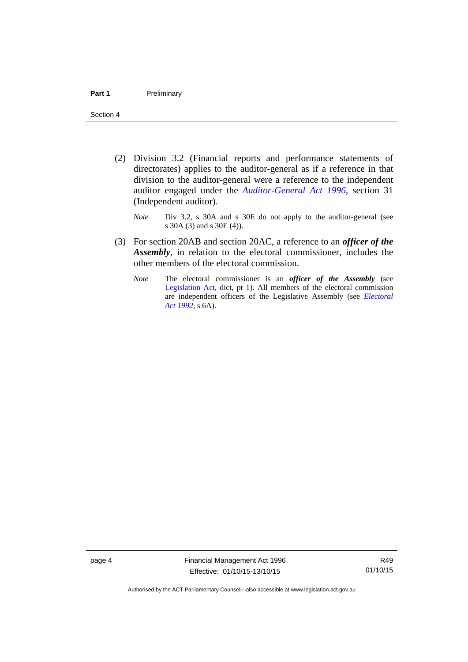- (2) Division 3.2 (Financial reports and performance statements of directorates) applies to the auditor-general as if a reference in that division to the auditor-general were a reference to the independent auditor engaged under the *[Auditor-General Act 1996](http://www.legislation.act.gov.au/a/1996-23)*, section 31 (Independent auditor).
	- *Note* Div 3.2, s 30A and s 30E do not apply to the auditor-general (see s 30A (3) and s 30E (4)).
- (3) For section 20AB and section 20AC, a reference to an *officer of the Assembly*, in relation to the electoral commissioner, includes the other members of the electoral commission.
	- *Note* The electoral commissioner is an *officer of the Assembly* (see [Legislation Act](http://www.legislation.act.gov.au/a/2001-14), dict, pt 1). All members of the electoral commission are independent officers of the Legislative Assembly (see *[Electoral](http://www.legislation.act.gov.au/a/1992-71)  [Act 1992](http://www.legislation.act.gov.au/a/1992-71)*, s 6A).

page 4 Financial Management Act 1996 Effective: 01/10/15-13/10/15

R49 01/10/15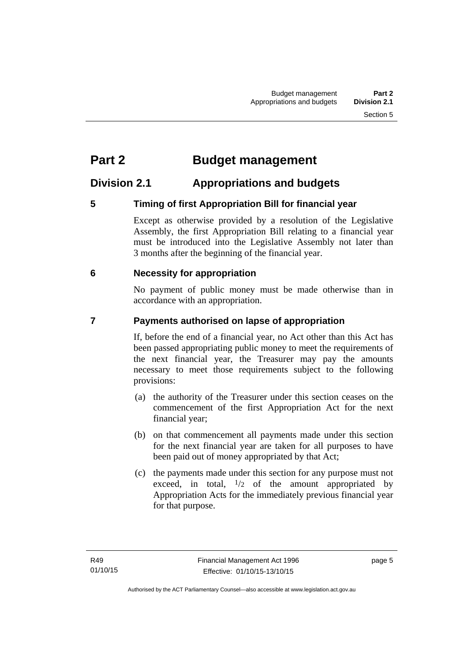# <span id="page-14-0"></span>**Part 2 Budget management**

# <span id="page-14-1"></span>**Division 2.1 Appropriations and budgets**

# <span id="page-14-2"></span>**5 Timing of first Appropriation Bill for financial year**

Except as otherwise provided by a resolution of the Legislative Assembly, the first Appropriation Bill relating to a financial year must be introduced into the Legislative Assembly not later than 3 months after the beginning of the financial year.

# <span id="page-14-3"></span> **6 Necessity for appropriation**

No payment of public money must be made otherwise than in accordance with an appropriation.

# <span id="page-14-4"></span>**7 Payments authorised on lapse of appropriation**

If, before the end of a financial year, no Act other than this Act has been passed appropriating public money to meet the requirements of the next financial year, the Treasurer may pay the amounts necessary to meet those requirements subject to the following provisions:

- (a) the authority of the Treasurer under this section ceases on the commencement of the first Appropriation Act for the next financial year;
- (b) on that commencement all payments made under this section for the next financial year are taken for all purposes to have been paid out of money appropriated by that Act;
- (c) the payments made under this section for any purpose must not exceed, in total,  $\frac{1}{2}$  of the amount appropriated by Appropriation Acts for the immediately previous financial year for that purpose.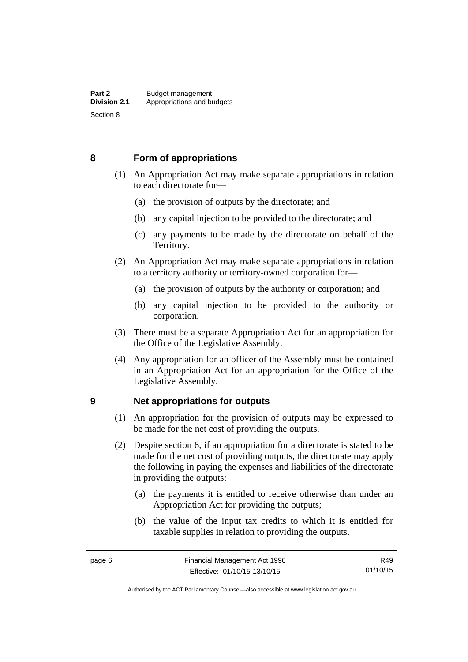### <span id="page-15-0"></span>**8 Form of appropriations**

- (1) An Appropriation Act may make separate appropriations in relation to each directorate for—
	- (a) the provision of outputs by the directorate; and
	- (b) any capital injection to be provided to the directorate; and
	- (c) any payments to be made by the directorate on behalf of the Territory.
- (2) An Appropriation Act may make separate appropriations in relation to a territory authority or territory-owned corporation for—
	- (a) the provision of outputs by the authority or corporation; and
	- (b) any capital injection to be provided to the authority or corporation.
- (3) There must be a separate Appropriation Act for an appropriation for the Office of the Legislative Assembly.
- (4) Any appropriation for an officer of the Assembly must be contained in an Appropriation Act for an appropriation for the Office of the Legislative Assembly.

### <span id="page-15-1"></span>**9 Net appropriations for outputs**

- (1) An appropriation for the provision of outputs may be expressed to be made for the net cost of providing the outputs.
- (2) Despite section 6, if an appropriation for a directorate is stated to be made for the net cost of providing outputs, the directorate may apply the following in paying the expenses and liabilities of the directorate in providing the outputs:
	- (a) the payments it is entitled to receive otherwise than under an Appropriation Act for providing the outputs;
	- (b) the value of the input tax credits to which it is entitled for taxable supplies in relation to providing the outputs.

R49 01/10/15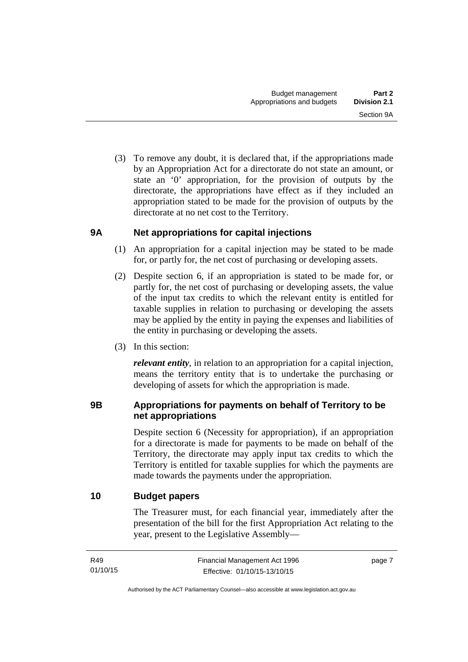(3) To remove any doubt, it is declared that, if the appropriations made by an Appropriation Act for a directorate do not state an amount, or state an '0' appropriation, for the provision of outputs by the directorate, the appropriations have effect as if they included an appropriation stated to be made for the provision of outputs by the directorate at no net cost to the Territory.

# <span id="page-16-0"></span>**9A Net appropriations for capital injections**

- (1) An appropriation for a capital injection may be stated to be made for, or partly for, the net cost of purchasing or developing assets.
- (2) Despite section 6, if an appropriation is stated to be made for, or partly for, the net cost of purchasing or developing assets, the value of the input tax credits to which the relevant entity is entitled for taxable supplies in relation to purchasing or developing the assets may be applied by the entity in paying the expenses and liabilities of the entity in purchasing or developing the assets.
- (3) In this section:

*relevant entity*, in relation to an appropriation for a capital injection, means the territory entity that is to undertake the purchasing or developing of assets for which the appropriation is made.

# <span id="page-16-1"></span>**9B Appropriations for payments on behalf of Territory to be net appropriations**

Despite section 6 (Necessity for appropriation), if an appropriation for a directorate is made for payments to be made on behalf of the Territory, the directorate may apply input tax credits to which the Territory is entitled for taxable supplies for which the payments are made towards the payments under the appropriation.

# <span id="page-16-2"></span>**10 Budget papers**

The Treasurer must, for each financial year, immediately after the presentation of the bill for the first Appropriation Act relating to the year, present to the Legislative Assembly—

page 7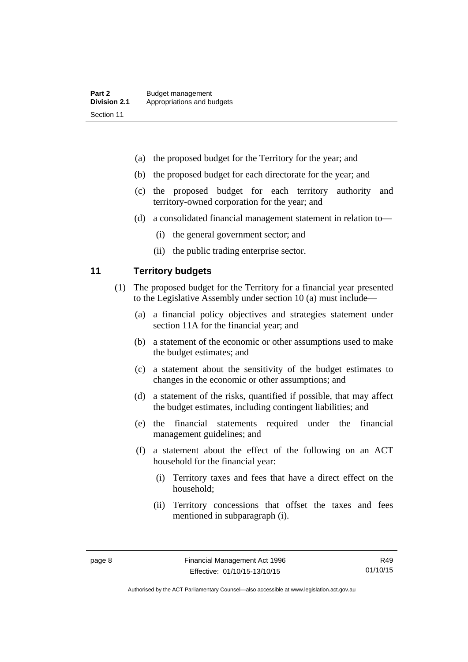- (a) the proposed budget for the Territory for the year; and
- (b) the proposed budget for each directorate for the year; and
- (c) the proposed budget for each territory authority and territory-owned corporation for the year; and
- (d) a consolidated financial management statement in relation to—
	- (i) the general government sector; and
	- (ii) the public trading enterprise sector.

### <span id="page-17-0"></span>**11 Territory budgets**

- (1) The proposed budget for the Territory for a financial year presented to the Legislative Assembly under section 10 (a) must include—
	- (a) a financial policy objectives and strategies statement under section 11A for the financial year; and
	- (b) a statement of the economic or other assumptions used to make the budget estimates; and
	- (c) a statement about the sensitivity of the budget estimates to changes in the economic or other assumptions; and
	- (d) a statement of the risks, quantified if possible, that may affect the budget estimates, including contingent liabilities; and
	- (e) the financial statements required under the financial management guidelines; and
	- (f) a statement about the effect of the following on an ACT household for the financial year:
		- (i) Territory taxes and fees that have a direct effect on the household;
		- (ii) Territory concessions that offset the taxes and fees mentioned in subparagraph (i).

Authorised by the ACT Parliamentary Counsel—also accessible at www.legislation.act.gov.au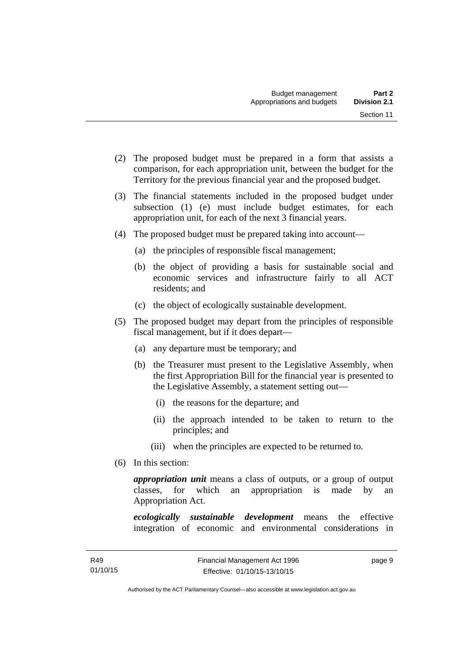- (2) The proposed budget must be prepared in a form that assists a comparison, for each appropriation unit, between the budget for the Territory for the previous financial year and the proposed budget.
- (3) The financial statements included in the proposed budget under subsection (1) (e) must include budget estimates, for each appropriation unit, for each of the next 3 financial years.
- (4) The proposed budget must be prepared taking into account—
	- (a) the principles of responsible fiscal management;
	- (b) the object of providing a basis for sustainable social and economic services and infrastructure fairly to all ACT residents; and
	- (c) the object of ecologically sustainable development.
- (5) The proposed budget may depart from the principles of responsible fiscal management, but if it does depart—
	- (a) any departure must be temporary; and
	- (b) the Treasurer must present to the Legislative Assembly, when the first Appropriation Bill for the financial year is presented to the Legislative Assembly, a statement setting out—
		- (i) the reasons for the departure; and
		- (ii) the approach intended to be taken to return to the principles; and
		- (iii) when the principles are expected to be returned to.
- (6) In this section:

*appropriation unit* means a class of outputs, or a group of output classes, for which an appropriation is made by an Appropriation Act.

*ecologically sustainable development* means the effective integration of economic and environmental considerations in

page 9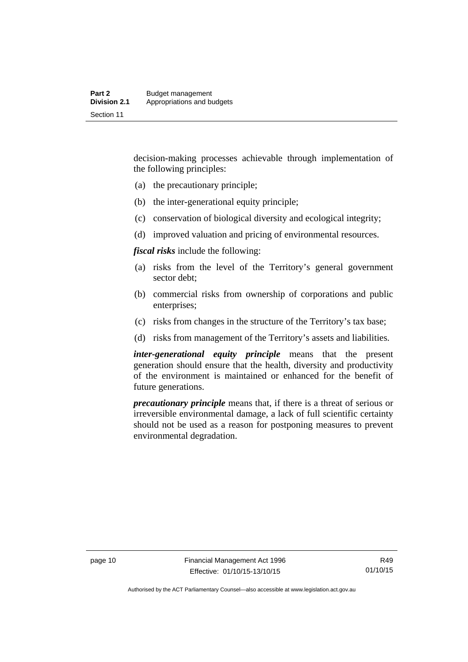decision-making processes achievable through implementation of the following principles:

- (a) the precautionary principle;
- (b) the inter-generational equity principle;
- (c) conservation of biological diversity and ecological integrity;
- (d) improved valuation and pricing of environmental resources.

*fiscal risks* include the following:

- (a) risks from the level of the Territory's general government sector debt;
- (b) commercial risks from ownership of corporations and public enterprises;
- (c) risks from changes in the structure of the Territory's tax base;
- (d) risks from management of the Territory's assets and liabilities.

*inter-generational equity principle* means that the present generation should ensure that the health, diversity and productivity of the environment is maintained or enhanced for the benefit of future generations.

*precautionary principle* means that, if there is a threat of serious or irreversible environmental damage, a lack of full scientific certainty should not be used as a reason for postponing measures to prevent environmental degradation.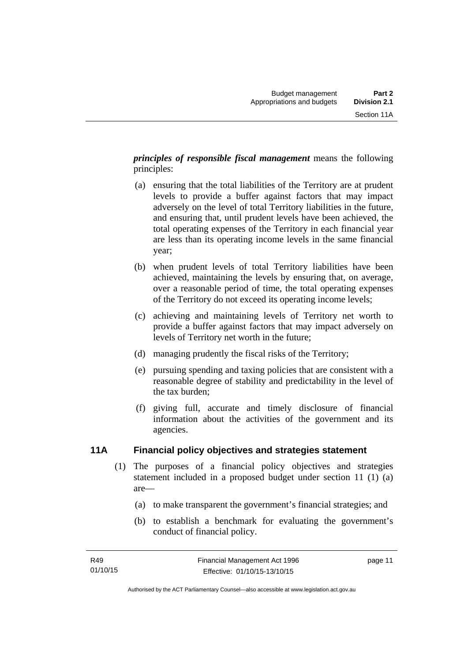*principles of responsible fiscal management* means the following principles:

- (a) ensuring that the total liabilities of the Territory are at prudent levels to provide a buffer against factors that may impact adversely on the level of total Territory liabilities in the future, and ensuring that, until prudent levels have been achieved, the total operating expenses of the Territory in each financial year are less than its operating income levels in the same financial year;
- (b) when prudent levels of total Territory liabilities have been achieved, maintaining the levels by ensuring that, on average, over a reasonable period of time, the total operating expenses of the Territory do not exceed its operating income levels;
- (c) achieving and maintaining levels of Territory net worth to provide a buffer against factors that may impact adversely on levels of Territory net worth in the future;
- (d) managing prudently the fiscal risks of the Territory;
- (e) pursuing spending and taxing policies that are consistent with a reasonable degree of stability and predictability in the level of the tax burden;
- (f) giving full, accurate and timely disclosure of financial information about the activities of the government and its agencies.

# <span id="page-20-0"></span>**11A Financial policy objectives and strategies statement**

- (1) The purposes of a financial policy objectives and strategies statement included in a proposed budget under section 11 (1) (a) are—
	- (a) to make transparent the government's financial strategies; and
	- (b) to establish a benchmark for evaluating the government's conduct of financial policy.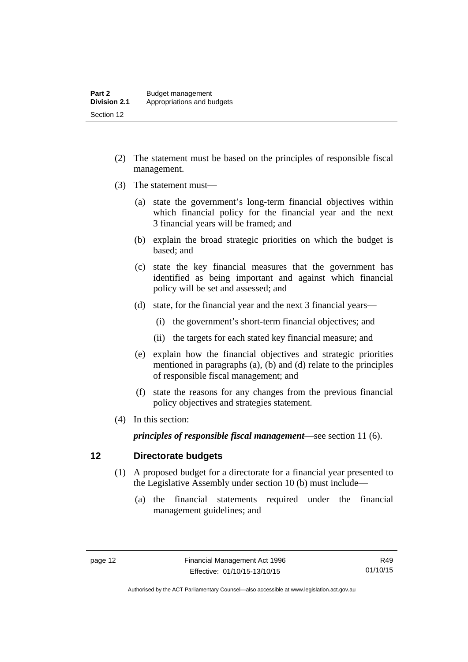- (2) The statement must be based on the principles of responsible fiscal management.
- (3) The statement must—
	- (a) state the government's long-term financial objectives within which financial policy for the financial year and the next 3 financial years will be framed; and
	- (b) explain the broad strategic priorities on which the budget is based; and
	- (c) state the key financial measures that the government has identified as being important and against which financial policy will be set and assessed; and
	- (d) state, for the financial year and the next 3 financial years—
		- (i) the government's short-term financial objectives; and
		- (ii) the targets for each stated key financial measure; and
	- (e) explain how the financial objectives and strategic priorities mentioned in paragraphs (a), (b) and (d) relate to the principles of responsible fiscal management; and
	- (f) state the reasons for any changes from the previous financial policy objectives and strategies statement.
- (4) In this section:

*principles of responsible fiscal management*—see section 11 (6).

### <span id="page-21-0"></span>**12 Directorate budgets**

- (1) A proposed budget for a directorate for a financial year presented to the Legislative Assembly under section 10 (b) must include—
	- (a) the financial statements required under the financial management guidelines; and

R49 01/10/15

Authorised by the ACT Parliamentary Counsel—also accessible at www.legislation.act.gov.au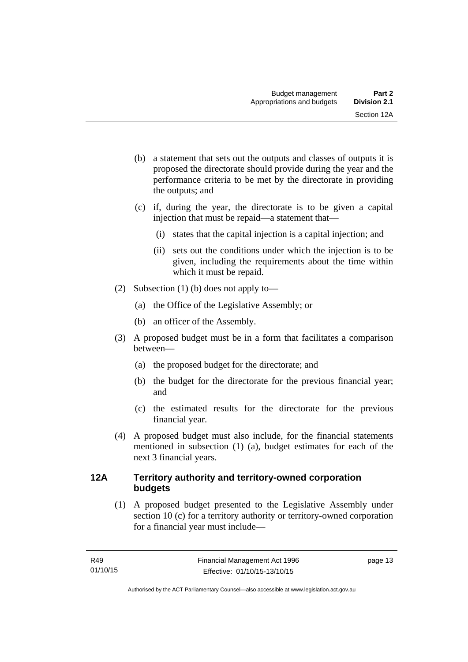- (b) a statement that sets out the outputs and classes of outputs it is proposed the directorate should provide during the year and the performance criteria to be met by the directorate in providing the outputs; and
- (c) if, during the year, the directorate is to be given a capital injection that must be repaid—a statement that—
	- (i) states that the capital injection is a capital injection; and
	- (ii) sets out the conditions under which the injection is to be given, including the requirements about the time within which it must be repaid.
- (2) Subsection (1) (b) does not apply to—
	- (a) the Office of the Legislative Assembly; or
	- (b) an officer of the Assembly.
- (3) A proposed budget must be in a form that facilitates a comparison between—
	- (a) the proposed budget for the directorate; and
	- (b) the budget for the directorate for the previous financial year; and
	- (c) the estimated results for the directorate for the previous financial year.
- (4) A proposed budget must also include, for the financial statements mentioned in subsection (1) (a), budget estimates for each of the next 3 financial years.

# <span id="page-22-0"></span>**12A Territory authority and territory-owned corporation budgets**

(1) A proposed budget presented to the Legislative Assembly under section 10 (c) for a territory authority or territory-owned corporation for a financial year must include—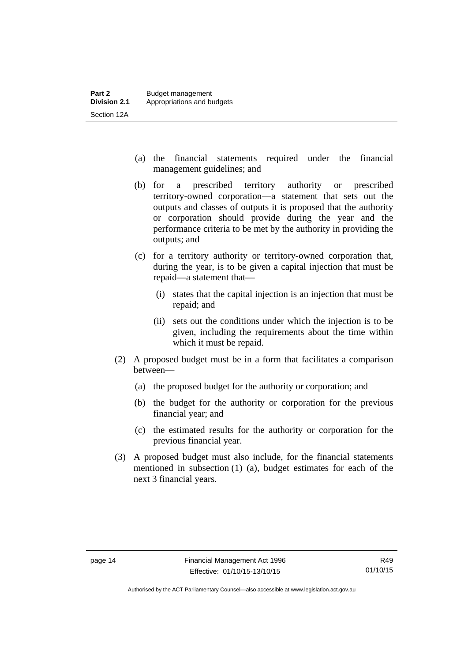- (a) the financial statements required under the financial management guidelines; and
- (b) for a prescribed territory authority or prescribed territory-owned corporation—a statement that sets out the outputs and classes of outputs it is proposed that the authority or corporation should provide during the year and the performance criteria to be met by the authority in providing the outputs; and
- (c) for a territory authority or territory-owned corporation that, during the year, is to be given a capital injection that must be repaid—a statement that—
	- (i) states that the capital injection is an injection that must be repaid; and
	- (ii) sets out the conditions under which the injection is to be given, including the requirements about the time within which it must be repaid.
- (2) A proposed budget must be in a form that facilitates a comparison between—
	- (a) the proposed budget for the authority or corporation; and
	- (b) the budget for the authority or corporation for the previous financial year; and
	- (c) the estimated results for the authority or corporation for the previous financial year.
- (3) A proposed budget must also include, for the financial statements mentioned in subsection (1) (a), budget estimates for each of the next 3 financial years.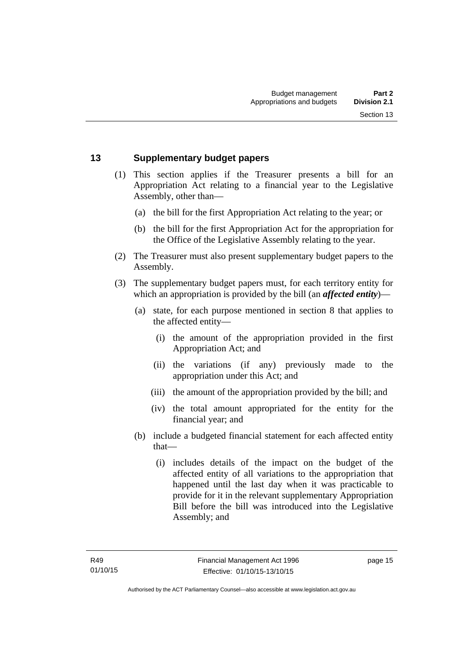### <span id="page-24-0"></span>**13 Supplementary budget papers**

- (1) This section applies if the Treasurer presents a bill for an Appropriation Act relating to a financial year to the Legislative Assembly, other than—
	- (a) the bill for the first Appropriation Act relating to the year; or
	- (b) the bill for the first Appropriation Act for the appropriation for the Office of the Legislative Assembly relating to the year.
- (2) The Treasurer must also present supplementary budget papers to the Assembly.
- (3) The supplementary budget papers must, for each territory entity for which an appropriation is provided by the bill (an *affected entity*)—
	- (a) state, for each purpose mentioned in section 8 that applies to the affected entity—
		- (i) the amount of the appropriation provided in the first Appropriation Act; and
		- (ii) the variations (if any) previously made to the appropriation under this Act; and
		- (iii) the amount of the appropriation provided by the bill; and
		- (iv) the total amount appropriated for the entity for the financial year; and
	- (b) include a budgeted financial statement for each affected entity that—
		- (i) includes details of the impact on the budget of the affected entity of all variations to the appropriation that happened until the last day when it was practicable to provide for it in the relevant supplementary Appropriation Bill before the bill was introduced into the Legislative Assembly; and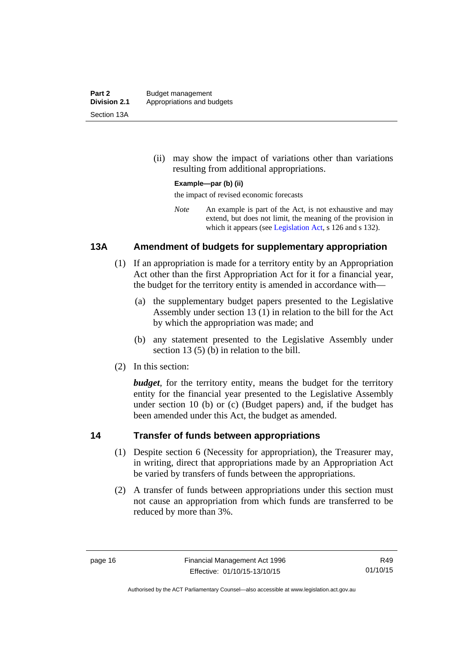(ii) may show the impact of variations other than variations resulting from additional appropriations.

### **Example—par (b) (ii)**

the impact of revised economic forecasts

*Note* An example is part of the Act, is not exhaustive and may extend, but does not limit, the meaning of the provision in which it appears (see [Legislation Act,](http://www.legislation.act.gov.au/a/2001-14) s 126 and s 132).

### <span id="page-25-0"></span>**13A Amendment of budgets for supplementary appropriation**

- (1) If an appropriation is made for a territory entity by an Appropriation Act other than the first Appropriation Act for it for a financial year, the budget for the territory entity is amended in accordance with—
	- (a) the supplementary budget papers presented to the Legislative Assembly under section 13 (1) in relation to the bill for the Act by which the appropriation was made; and
	- (b) any statement presented to the Legislative Assembly under section 13 (5) (b) in relation to the bill.
- (2) In this section:

*budget*, for the territory entity, means the budget for the territory entity for the financial year presented to the Legislative Assembly under section 10 (b) or (c) (Budget papers) and, if the budget has been amended under this Act, the budget as amended.

### <span id="page-25-1"></span>**14 Transfer of funds between appropriations**

- (1) Despite section 6 (Necessity for appropriation), the Treasurer may, in writing, direct that appropriations made by an Appropriation Act be varied by transfers of funds between the appropriations.
- (2) A transfer of funds between appropriations under this section must not cause an appropriation from which funds are transferred to be reduced by more than 3%.

R49 01/10/15

Authorised by the ACT Parliamentary Counsel—also accessible at www.legislation.act.gov.au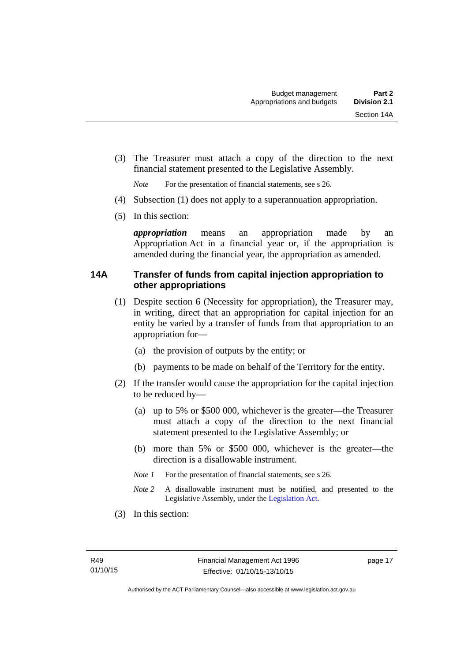(3) The Treasurer must attach a copy of the direction to the next financial statement presented to the Legislative Assembly.

*Note* For the presentation of financial statements, see s 26.

- (4) Subsection (1) does not apply to a superannuation appropriation.
- (5) In this section:

*appropriation* means an appropriation made by an Appropriation Act in a financial year or, if the appropriation is amended during the financial year, the appropriation as amended.

### <span id="page-26-0"></span>**14A Transfer of funds from capital injection appropriation to other appropriations**

- (1) Despite section 6 (Necessity for appropriation), the Treasurer may, in writing, direct that an appropriation for capital injection for an entity be varied by a transfer of funds from that appropriation to an appropriation for—
	- (a) the provision of outputs by the entity; or
	- (b) payments to be made on behalf of the Territory for the entity.
- (2) If the transfer would cause the appropriation for the capital injection to be reduced by—
	- (a) up to 5% or \$500 000, whichever is the greater—the Treasurer must attach a copy of the direction to the next financial statement presented to the Legislative Assembly; or
	- (b) more than 5% or \$500 000, whichever is the greater—the direction is a disallowable instrument.
	- *Note 1* For the presentation of financial statements, see s 26.
	- *Note 2* A disallowable instrument must be notified, and presented to the Legislative Assembly, under the [Legislation Act.](http://www.legislation.act.gov.au/a/2001-14)
- (3) In this section: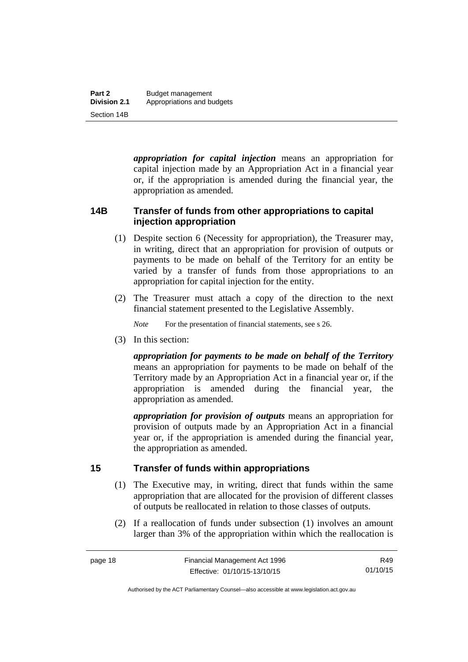*appropriation for capital injection* means an appropriation for capital injection made by an Appropriation Act in a financial year or, if the appropriation is amended during the financial year, the appropriation as amended.

# <span id="page-27-0"></span>**14B Transfer of funds from other appropriations to capital injection appropriation**

- (1) Despite section 6 (Necessity for appropriation), the Treasurer may, in writing, direct that an appropriation for provision of outputs or payments to be made on behalf of the Territory for an entity be varied by a transfer of funds from those appropriations to an appropriation for capital injection for the entity.
- (2) The Treasurer must attach a copy of the direction to the next financial statement presented to the Legislative Assembly.

*Note* For the presentation of financial statements, see s 26.

(3) In this section:

*appropriation for payments to be made on behalf of the Territory* means an appropriation for payments to be made on behalf of the Territory made by an Appropriation Act in a financial year or, if the appropriation is amended during the financial year, the appropriation as amended.

*appropriation for provision of outputs* means an appropriation for provision of outputs made by an Appropriation Act in a financial year or, if the appropriation is amended during the financial year, the appropriation as amended.

# <span id="page-27-1"></span>**15 Transfer of funds within appropriations**

- (1) The Executive may, in writing, direct that funds within the same appropriation that are allocated for the provision of different classes of outputs be reallocated in relation to those classes of outputs.
- (2) If a reallocation of funds under subsection (1) involves an amount larger than 3% of the appropriation within which the reallocation is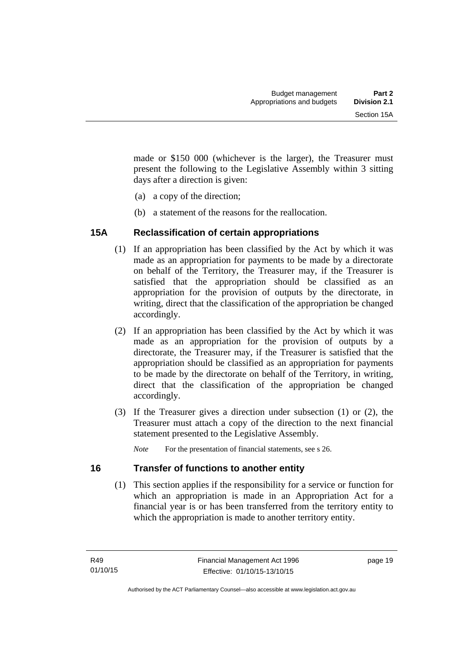made or \$150 000 (whichever is the larger), the Treasurer must present the following to the Legislative Assembly within 3 sitting days after a direction is given:

- (a) a copy of the direction;
- (b) a statement of the reasons for the reallocation.

# <span id="page-28-0"></span>**15A Reclassification of certain appropriations**

- (1) If an appropriation has been classified by the Act by which it was made as an appropriation for payments to be made by a directorate on behalf of the Territory, the Treasurer may, if the Treasurer is satisfied that the appropriation should be classified as an appropriation for the provision of outputs by the directorate, in writing, direct that the classification of the appropriation be changed accordingly.
- (2) If an appropriation has been classified by the Act by which it was made as an appropriation for the provision of outputs by a directorate, the Treasurer may, if the Treasurer is satisfied that the appropriation should be classified as an appropriation for payments to be made by the directorate on behalf of the Territory, in writing, direct that the classification of the appropriation be changed accordingly.
- (3) If the Treasurer gives a direction under subsection (1) or (2), the Treasurer must attach a copy of the direction to the next financial statement presented to the Legislative Assembly.

*Note* For the presentation of financial statements, see s 26.

# <span id="page-28-1"></span>**16 Transfer of functions to another entity**

 (1) This section applies if the responsibility for a service or function for which an appropriation is made in an Appropriation Act for a financial year is or has been transferred from the territory entity to which the appropriation is made to another territory entity.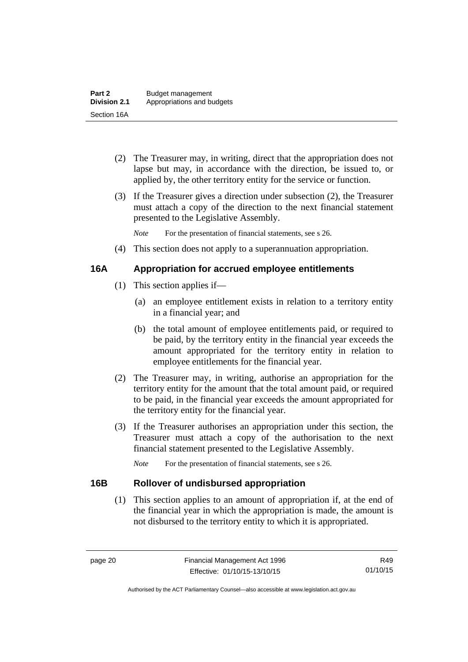- (2) The Treasurer may, in writing, direct that the appropriation does not lapse but may, in accordance with the direction, be issued to, or applied by, the other territory entity for the service or function.
- (3) If the Treasurer gives a direction under subsection (2), the Treasurer must attach a copy of the direction to the next financial statement presented to the Legislative Assembly.

*Note* For the presentation of financial statements, see s 26.

(4) This section does not apply to a superannuation appropriation.

# <span id="page-29-0"></span>**16A Appropriation for accrued employee entitlements**

- (1) This section applies if—
	- (a) an employee entitlement exists in relation to a territory entity in a financial year; and
	- (b) the total amount of employee entitlements paid, or required to be paid, by the territory entity in the financial year exceeds the amount appropriated for the territory entity in relation to employee entitlements for the financial year.
- (2) The Treasurer may, in writing, authorise an appropriation for the territory entity for the amount that the total amount paid, or required to be paid, in the financial year exceeds the amount appropriated for the territory entity for the financial year.
- (3) If the Treasurer authorises an appropriation under this section, the Treasurer must attach a copy of the authorisation to the next financial statement presented to the Legislative Assembly.

*Note* For the presentation of financial statements, see s 26.

# <span id="page-29-1"></span>**16B Rollover of undisbursed appropriation**

 (1) This section applies to an amount of appropriation if, at the end of the financial year in which the appropriation is made, the amount is not disbursed to the territory entity to which it is appropriated.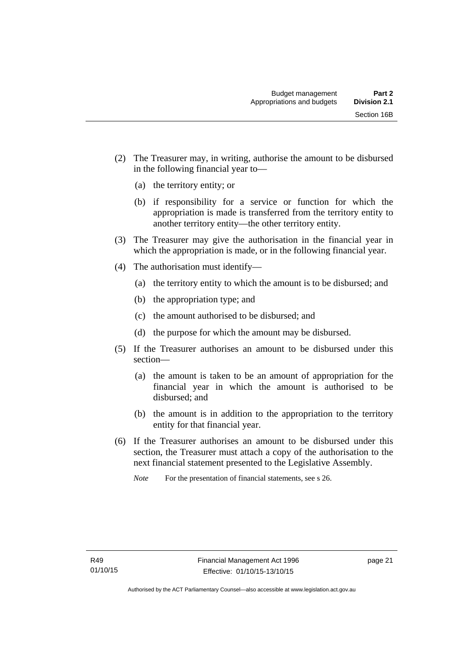- (2) The Treasurer may, in writing, authorise the amount to be disbursed in the following financial year to—
	- (a) the territory entity; or
	- (b) if responsibility for a service or function for which the appropriation is made is transferred from the territory entity to another territory entity—the other territory entity.
- (3) The Treasurer may give the authorisation in the financial year in which the appropriation is made, or in the following financial year.
- (4) The authorisation must identify—
	- (a) the territory entity to which the amount is to be disbursed; and
	- (b) the appropriation type; and
	- (c) the amount authorised to be disbursed; and
	- (d) the purpose for which the amount may be disbursed.
- (5) If the Treasurer authorises an amount to be disbursed under this section—
	- (a) the amount is taken to be an amount of appropriation for the financial year in which the amount is authorised to be disbursed; and
	- (b) the amount is in addition to the appropriation to the territory entity for that financial year.
- (6) If the Treasurer authorises an amount to be disbursed under this section, the Treasurer must attach a copy of the authorisation to the next financial statement presented to the Legislative Assembly.

*Note* For the presentation of financial statements, see s 26.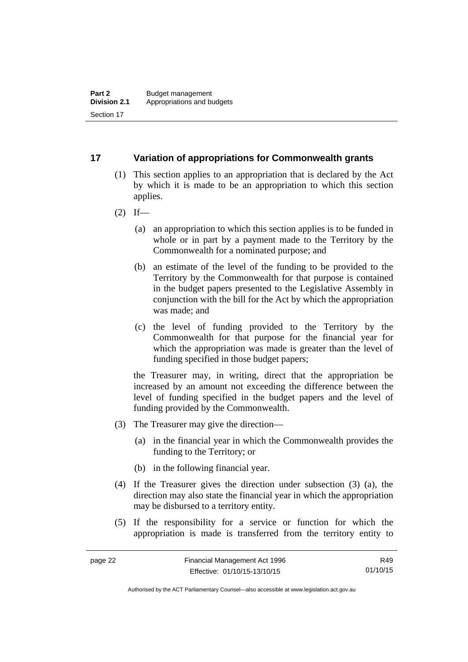### <span id="page-31-0"></span>**17 Variation of appropriations for Commonwealth grants**

- (1) This section applies to an appropriation that is declared by the Act by which it is made to be an appropriation to which this section applies.
- $(2)$  If—
	- (a) an appropriation to which this section applies is to be funded in whole or in part by a payment made to the Territory by the Commonwealth for a nominated purpose; and
	- (b) an estimate of the level of the funding to be provided to the Territory by the Commonwealth for that purpose is contained in the budget papers presented to the Legislative Assembly in conjunction with the bill for the Act by which the appropriation was made; and
	- (c) the level of funding provided to the Territory by the Commonwealth for that purpose for the financial year for which the appropriation was made is greater than the level of funding specified in those budget papers;

the Treasurer may, in writing, direct that the appropriation be increased by an amount not exceeding the difference between the level of funding specified in the budget papers and the level of funding provided by the Commonwealth.

- (3) The Treasurer may give the direction—
	- (a) in the financial year in which the Commonwealth provides the funding to the Territory; or
	- (b) in the following financial year.
- (4) If the Treasurer gives the direction under subsection (3) (a), the direction may also state the financial year in which the appropriation may be disbursed to a territory entity.
- (5) If the responsibility for a service or function for which the appropriation is made is transferred from the territory entity to

R49 01/10/15

Authorised by the ACT Parliamentary Counsel—also accessible at www.legislation.act.gov.au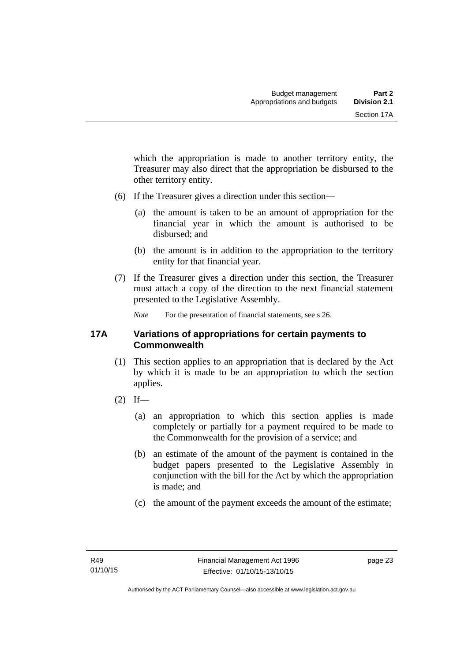which the appropriation is made to another territory entity, the Treasurer may also direct that the appropriation be disbursed to the other territory entity.

- (6) If the Treasurer gives a direction under this section—
	- (a) the amount is taken to be an amount of appropriation for the financial year in which the amount is authorised to be disbursed; and
	- (b) the amount is in addition to the appropriation to the territory entity for that financial year.
- (7) If the Treasurer gives a direction under this section, the Treasurer must attach a copy of the direction to the next financial statement presented to the Legislative Assembly.

*Note* For the presentation of financial statements, see s 26.

### <span id="page-32-0"></span>**17A Variations of appropriations for certain payments to Commonwealth**

- (1) This section applies to an appropriation that is declared by the Act by which it is made to be an appropriation to which the section applies.
- $(2)$  If—
	- (a) an appropriation to which this section applies is made completely or partially for a payment required to be made to the Commonwealth for the provision of a service; and
	- (b) an estimate of the amount of the payment is contained in the budget papers presented to the Legislative Assembly in conjunction with the bill for the Act by which the appropriation is made; and
	- (c) the amount of the payment exceeds the amount of the estimate;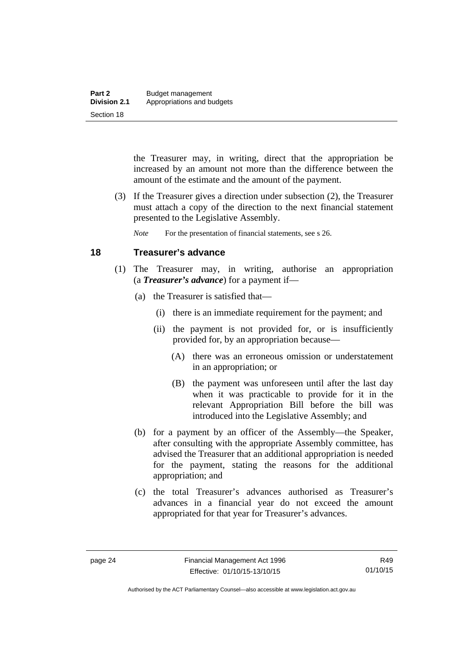the Treasurer may, in writing, direct that the appropriation be increased by an amount not more than the difference between the amount of the estimate and the amount of the payment.

 (3) If the Treasurer gives a direction under subsection (2), the Treasurer must attach a copy of the direction to the next financial statement presented to the Legislative Assembly.

*Note* For the presentation of financial statements, see s 26.

# <span id="page-33-0"></span>**18 Treasurer's advance**

- (1) The Treasurer may, in writing, authorise an appropriation (a *Treasurer's advance*) for a payment if—
	- (a) the Treasurer is satisfied that—
		- (i) there is an immediate requirement for the payment; and
		- (ii) the payment is not provided for, or is insufficiently provided for, by an appropriation because—
			- (A) there was an erroneous omission or understatement in an appropriation; or
			- (B) the payment was unforeseen until after the last day when it was practicable to provide for it in the relevant Appropriation Bill before the bill was introduced into the Legislative Assembly; and
	- (b) for a payment by an officer of the Assembly—the Speaker, after consulting with the appropriate Assembly committee, has advised the Treasurer that an additional appropriation is needed for the payment, stating the reasons for the additional appropriation; and
	- (c) the total Treasurer's advances authorised as Treasurer's advances in a financial year do not exceed the amount appropriated for that year for Treasurer's advances.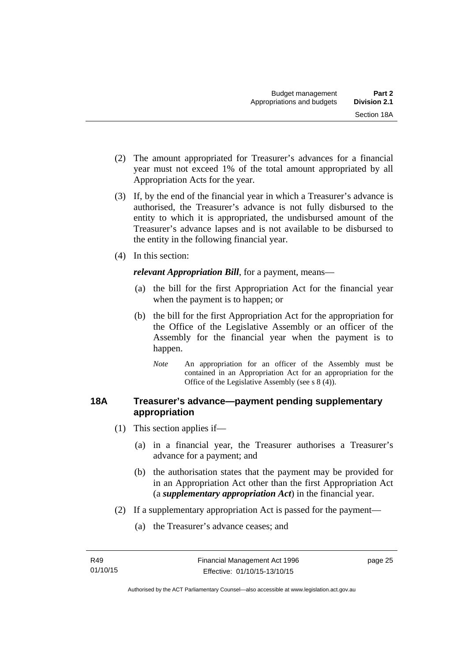- (2) The amount appropriated for Treasurer's advances for a financial year must not exceed 1% of the total amount appropriated by all Appropriation Acts for the year.
- (3) If, by the end of the financial year in which a Treasurer's advance is authorised, the Treasurer's advance is not fully disbursed to the entity to which it is appropriated, the undisbursed amount of the Treasurer's advance lapses and is not available to be disbursed to the entity in the following financial year.
- (4) In this section:

*relevant Appropriation Bill*, for a payment, means—

- (a) the bill for the first Appropriation Act for the financial year when the payment is to happen; or
- (b) the bill for the first Appropriation Act for the appropriation for the Office of the Legislative Assembly or an officer of the Assembly for the financial year when the payment is to happen.
	- *Note* An appropriation for an officer of the Assembly must be contained in an Appropriation Act for an appropriation for the Office of the Legislative Assembly (see s 8 (4)).

# <span id="page-34-0"></span>**18A Treasurer's advance—payment pending supplementary appropriation**

- (1) This section applies if—
	- (a) in a financial year, the Treasurer authorises a Treasurer's advance for a payment; and
	- (b) the authorisation states that the payment may be provided for in an Appropriation Act other than the first Appropriation Act (a *supplementary appropriation Act*) in the financial year.
- (2) If a supplementary appropriation Act is passed for the payment—
	- (a) the Treasurer's advance ceases; and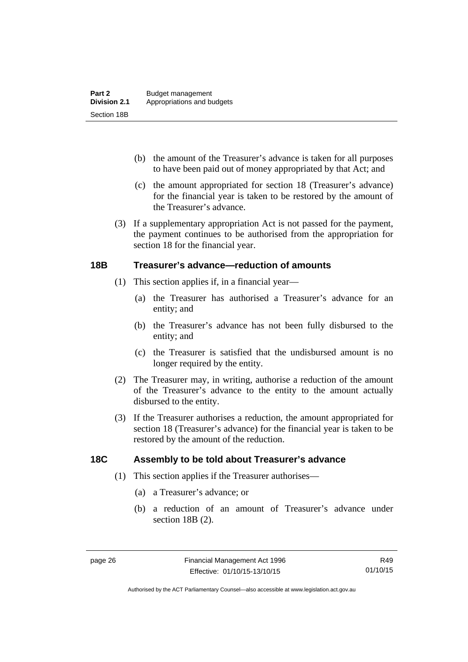- (b) the amount of the Treasurer's advance is taken for all purposes to have been paid out of money appropriated by that Act; and
- (c) the amount appropriated for section 18 (Treasurer's advance) for the financial year is taken to be restored by the amount of the Treasurer's advance.
- (3) If a supplementary appropriation Act is not passed for the payment, the payment continues to be authorised from the appropriation for section 18 for the financial year.

### <span id="page-35-0"></span>**18B Treasurer's advance—reduction of amounts**

- (1) This section applies if, in a financial year—
	- (a) the Treasurer has authorised a Treasurer's advance for an entity; and
	- (b) the Treasurer's advance has not been fully disbursed to the entity; and
	- (c) the Treasurer is satisfied that the undisbursed amount is no longer required by the entity.
- (2) The Treasurer may, in writing, authorise a reduction of the amount of the Treasurer's advance to the entity to the amount actually disbursed to the entity.
- (3) If the Treasurer authorises a reduction, the amount appropriated for section 18 (Treasurer's advance) for the financial year is taken to be restored by the amount of the reduction.

# <span id="page-35-1"></span>**18C Assembly to be told about Treasurer's advance**

- (1) This section applies if the Treasurer authorises—
	- (a) a Treasurer's advance; or
	- (b) a reduction of an amount of Treasurer's advance under section 18B (2).

Authorised by the ACT Parliamentary Counsel—also accessible at www.legislation.act.gov.au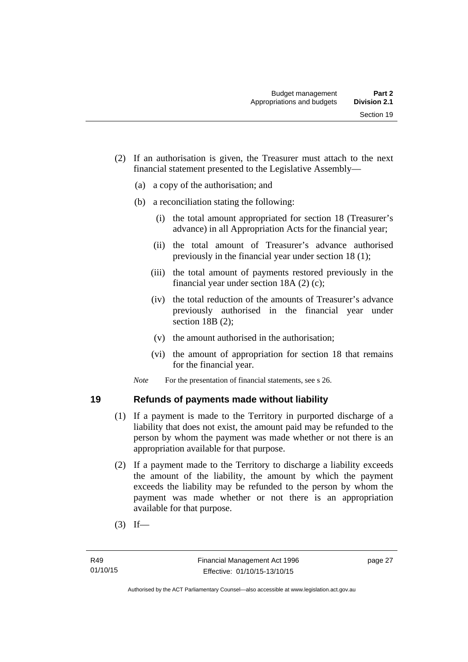- (2) If an authorisation is given, the Treasurer must attach to the next financial statement presented to the Legislative Assembly—
	- (a) a copy of the authorisation; and
	- (b) a reconciliation stating the following:
		- (i) the total amount appropriated for section 18 (Treasurer's advance) in all Appropriation Acts for the financial year;
		- (ii) the total amount of Treasurer's advance authorised previously in the financial year under section 18 (1);
		- (iii) the total amount of payments restored previously in the financial year under section 18A (2) (c);
		- (iv) the total reduction of the amounts of Treasurer's advance previously authorised in the financial year under section 18B (2);
		- (v) the amount authorised in the authorisation;
		- (vi) the amount of appropriation for section 18 that remains for the financial year.

*Note* For the presentation of financial statements, see s 26.

# **19 Refunds of payments made without liability**

- (1) If a payment is made to the Territory in purported discharge of a liability that does not exist, the amount paid may be refunded to the person by whom the payment was made whether or not there is an appropriation available for that purpose.
- (2) If a payment made to the Territory to discharge a liability exceeds the amount of the liability, the amount by which the payment exceeds the liability may be refunded to the person by whom the payment was made whether or not there is an appropriation available for that purpose.
- $(3)$  If—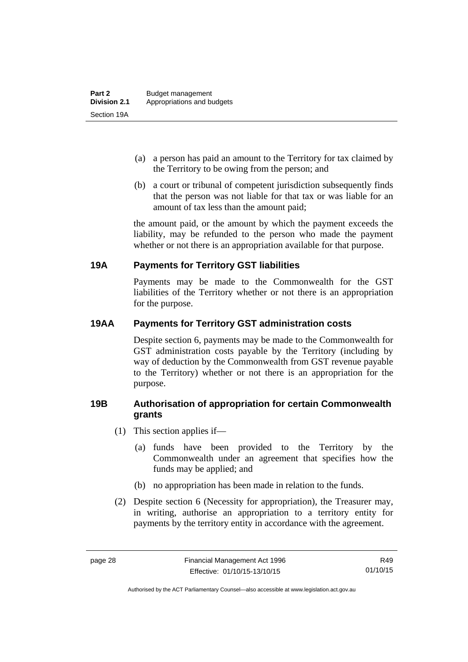- (a) a person has paid an amount to the Territory for tax claimed by the Territory to be owing from the person; and
- (b) a court or tribunal of competent jurisdiction subsequently finds that the person was not liable for that tax or was liable for an amount of tax less than the amount paid;

the amount paid, or the amount by which the payment exceeds the liability, may be refunded to the person who made the payment whether or not there is an appropriation available for that purpose.

# **19A Payments for Territory GST liabilities**

Payments may be made to the Commonwealth for the GST liabilities of the Territory whether or not there is an appropriation for the purpose.

# **19AA Payments for Territory GST administration costs**

Despite section 6, payments may be made to the Commonwealth for GST administration costs payable by the Territory (including by way of deduction by the Commonwealth from GST revenue payable to the Territory) whether or not there is an appropriation for the purpose.

# **19B Authorisation of appropriation for certain Commonwealth grants**

- (1) This section applies if—
	- (a) funds have been provided to the Territory by the Commonwealth under an agreement that specifies how the funds may be applied; and
	- (b) no appropriation has been made in relation to the funds.
- (2) Despite section 6 (Necessity for appropriation), the Treasurer may, in writing, authorise an appropriation to a territory entity for payments by the territory entity in accordance with the agreement.

R49 01/10/15

Authorised by the ACT Parliamentary Counsel—also accessible at www.legislation.act.gov.au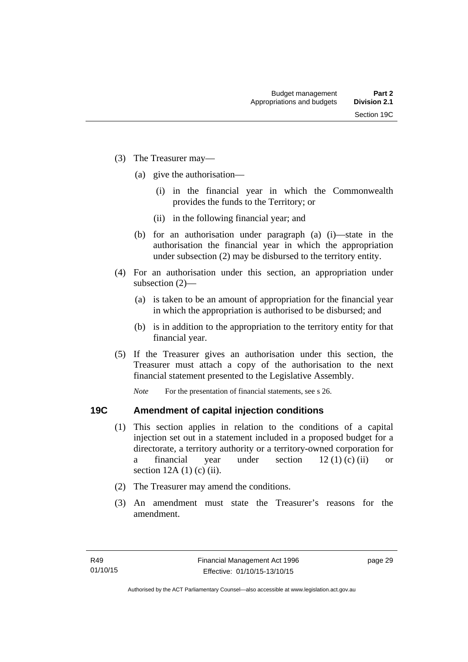- (3) The Treasurer may—
	- (a) give the authorisation—
		- (i) in the financial year in which the Commonwealth provides the funds to the Territory; or
		- (ii) in the following financial year; and
	- (b) for an authorisation under paragraph (a) (i)—state in the authorisation the financial year in which the appropriation under subsection (2) may be disbursed to the territory entity.
- (4) For an authorisation under this section, an appropriation under subsection (2)—
	- (a) is taken to be an amount of appropriation for the financial year in which the appropriation is authorised to be disbursed; and
	- (b) is in addition to the appropriation to the territory entity for that financial year.
- (5) If the Treasurer gives an authorisation under this section, the Treasurer must attach a copy of the authorisation to the next financial statement presented to the Legislative Assembly.

*Note* For the presentation of financial statements, see s 26.

## **19C Amendment of capital injection conditions**

- (1) This section applies in relation to the conditions of a capital injection set out in a statement included in a proposed budget for a directorate, a territory authority or a territory-owned corporation for a financial year under section  $12 (1) (c) (ii)$  or section  $12A(1)$  (c) (ii).
- (2) The Treasurer may amend the conditions.
- (3) An amendment must state the Treasurer's reasons for the amendment.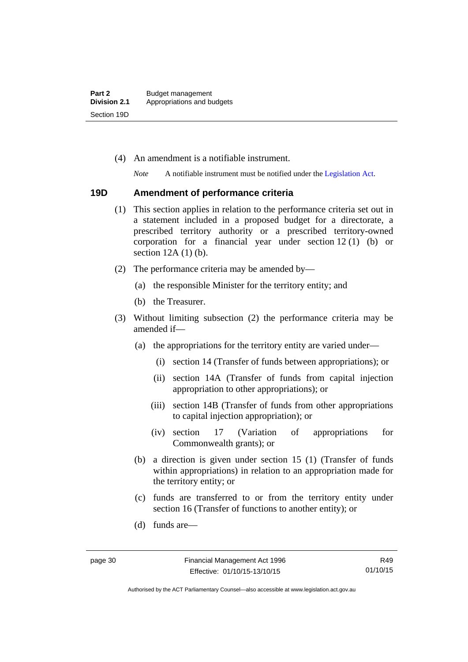(4) An amendment is a notifiable instrument.

*Note* A notifiable instrument must be notified under the [Legislation Act](http://www.legislation.act.gov.au/a/2001-14).

#### **19D Amendment of performance criteria**

- (1) This section applies in relation to the performance criteria set out in a statement included in a proposed budget for a directorate, a prescribed territory authority or a prescribed territory-owned corporation for a financial year under section 12 (1) (b) or section 12A (1) (b).
- (2) The performance criteria may be amended by—
	- (a) the responsible Minister for the territory entity; and
	- (b) the Treasurer.
- (3) Without limiting subsection (2) the performance criteria may be amended if—
	- (a) the appropriations for the territory entity are varied under—
		- (i) section 14 (Transfer of funds between appropriations); or
		- (ii) section 14A (Transfer of funds from capital injection appropriation to other appropriations); or
		- (iii) section 14B (Transfer of funds from other appropriations to capital injection appropriation); or
		- (iv) section 17 (Variation of appropriations for Commonwealth grants); or
	- (b) a direction is given under section 15 (1) (Transfer of funds within appropriations) in relation to an appropriation made for the territory entity; or
	- (c) funds are transferred to or from the territory entity under section 16 (Transfer of functions to another entity); or
	- (d) funds are—

R49 01/10/15

Authorised by the ACT Parliamentary Counsel—also accessible at www.legislation.act.gov.au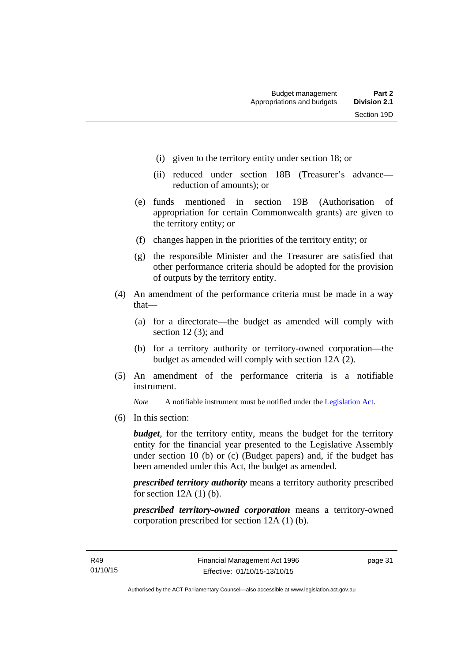- (i) given to the territory entity under section 18; or
- (ii) reduced under section 18B (Treasurer's advance reduction of amounts); or
- (e) funds mentioned in section 19B (Authorisation of appropriation for certain Commonwealth grants) are given to the territory entity; or
- (f) changes happen in the priorities of the territory entity; or
- (g) the responsible Minister and the Treasurer are satisfied that other performance criteria should be adopted for the provision of outputs by the territory entity.
- (4) An amendment of the performance criteria must be made in a way that—
	- (a) for a directorate—the budget as amended will comply with section 12 (3); and
	- (b) for a territory authority or territory-owned corporation—the budget as amended will comply with section 12A (2).
- (5) An amendment of the performance criteria is a notifiable instrument.

*Note* A notifiable instrument must be notified under the [Legislation Act](http://www.legislation.act.gov.au/a/2001-14).

(6) In this section:

*budget*, for the territory entity, means the budget for the territory entity for the financial year presented to the Legislative Assembly under section 10 (b) or (c) (Budget papers) and, if the budget has been amended under this Act, the budget as amended.

*prescribed territory authority* means a territory authority prescribed for section  $12A(1)$  (b).

*prescribed territory-owned corporation* means a territory-owned corporation prescribed for section 12A (1) (b).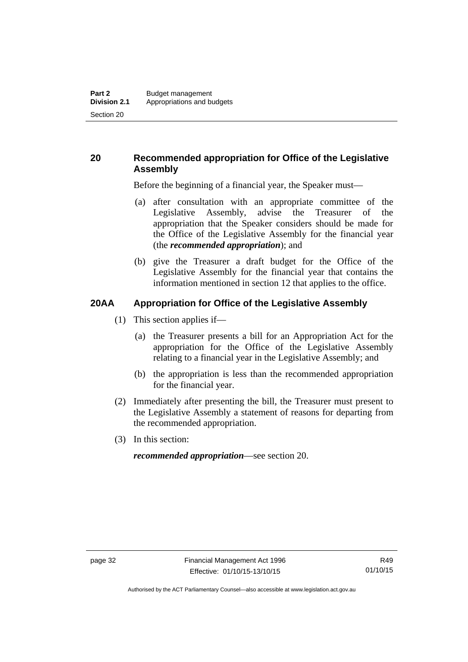# **20 Recommended appropriation for Office of the Legislative Assembly**

Before the beginning of a financial year, the Speaker must—

- (a) after consultation with an appropriate committee of the Legislative Assembly, advise the Treasurer of the appropriation that the Speaker considers should be made for the Office of the Legislative Assembly for the financial year (the *recommended appropriation*); and
- (b) give the Treasurer a draft budget for the Office of the Legislative Assembly for the financial year that contains the information mentioned in section 12 that applies to the office.

# **20AA Appropriation for Office of the Legislative Assembly**

- (1) This section applies if—
	- (a) the Treasurer presents a bill for an Appropriation Act for the appropriation for the Office of the Legislative Assembly relating to a financial year in the Legislative Assembly; and
	- (b) the appropriation is less than the recommended appropriation for the financial year.
- (2) Immediately after presenting the bill, the Treasurer must present to the Legislative Assembly a statement of reasons for departing from the recommended appropriation.
- (3) In this section:

*recommended appropriation*—see section 20.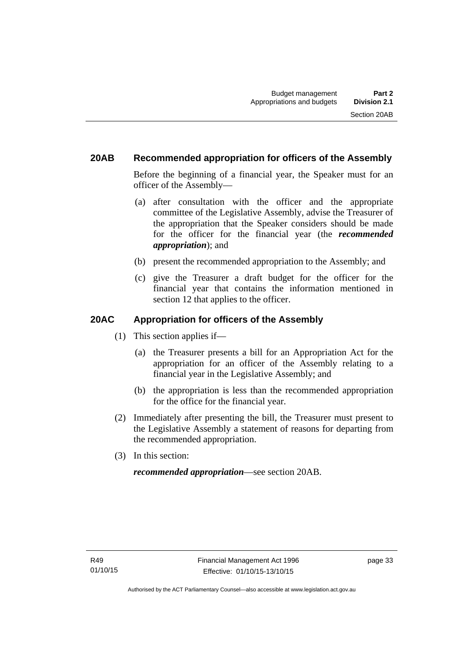# **20AB Recommended appropriation for officers of the Assembly**

Before the beginning of a financial year, the Speaker must for an officer of the Assembly—

- (a) after consultation with the officer and the appropriate committee of the Legislative Assembly, advise the Treasurer of the appropriation that the Speaker considers should be made for the officer for the financial year (the *recommended appropriation*); and
- (b) present the recommended appropriation to the Assembly; and
- (c) give the Treasurer a draft budget for the officer for the financial year that contains the information mentioned in section 12 that applies to the officer.

# **20AC Appropriation for officers of the Assembly**

- (1) This section applies if—
	- (a) the Treasurer presents a bill for an Appropriation Act for the appropriation for an officer of the Assembly relating to a financial year in the Legislative Assembly; and
	- (b) the appropriation is less than the recommended appropriation for the office for the financial year.
- (2) Immediately after presenting the bill, the Treasurer must present to the Legislative Assembly a statement of reasons for departing from the recommended appropriation.
- (3) In this section:

*recommended appropriation*—see section 20AB.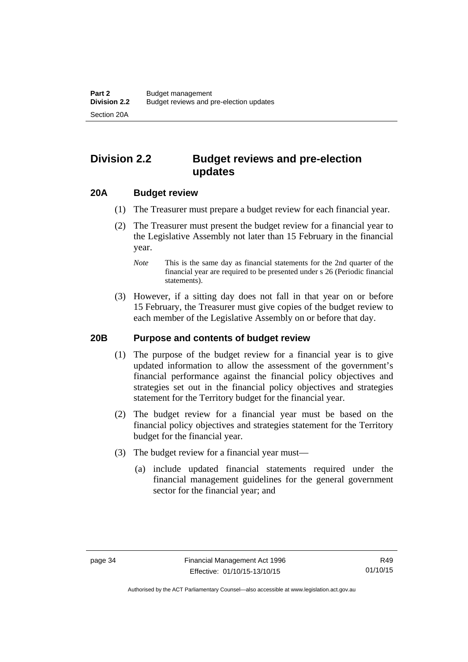# **Division 2.2 Budget reviews and pre-election updates**

### **20A Budget review**

- (1) The Treasurer must prepare a budget review for each financial year.
- (2) The Treasurer must present the budget review for a financial year to the Legislative Assembly not later than 15 February in the financial year.
	- *Note* This is the same day as financial statements for the 2nd quarter of the financial year are required to be presented under s 26 (Periodic financial statements).
- (3) However, if a sitting day does not fall in that year on or before 15 February, the Treasurer must give copies of the budget review to each member of the Legislative Assembly on or before that day.

#### **20B Purpose and contents of budget review**

- (1) The purpose of the budget review for a financial year is to give updated information to allow the assessment of the government's financial performance against the financial policy objectives and strategies set out in the financial policy objectives and strategies statement for the Territory budget for the financial year.
- (2) The budget review for a financial year must be based on the financial policy objectives and strategies statement for the Territory budget for the financial year.
- (3) The budget review for a financial year must—
	- (a) include updated financial statements required under the financial management guidelines for the general government sector for the financial year; and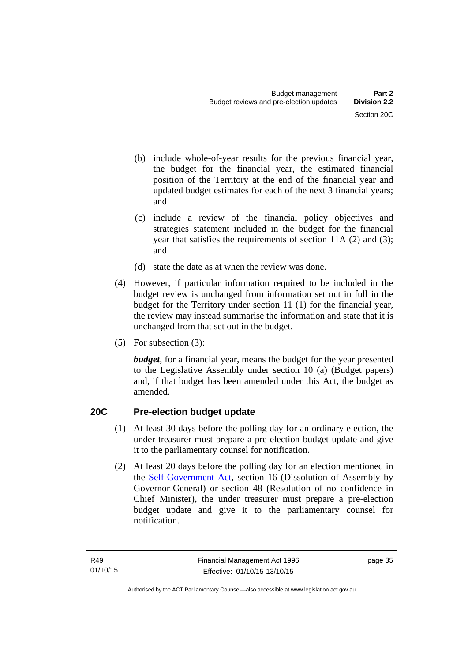- (b) include whole-of-year results for the previous financial year, the budget for the financial year, the estimated financial position of the Territory at the end of the financial year and updated budget estimates for each of the next 3 financial years; and
- (c) include a review of the financial policy objectives and strategies statement included in the budget for the financial year that satisfies the requirements of section 11A (2) and (3); and
- (d) state the date as at when the review was done.
- (4) However, if particular information required to be included in the budget review is unchanged from information set out in full in the budget for the Territory under section 11 (1) for the financial year, the review may instead summarise the information and state that it is unchanged from that set out in the budget.
- (5) For subsection (3):

*budget*, for a financial year, means the budget for the year presented to the Legislative Assembly under section 10 (a) (Budget papers) and, if that budget has been amended under this Act, the budget as amended.

# **20C Pre-election budget update**

- (1) At least 30 days before the polling day for an ordinary election, the under treasurer must prepare a pre-election budget update and give it to the parliamentary counsel for notification.
- (2) At least 20 days before the polling day for an election mentioned in the [Self-Government Act,](http://www.comlaw.gov.au/Series/C2004A03699) section 16 (Dissolution of Assembly by Governor-General) or section 48 (Resolution of no confidence in Chief Minister), the under treasurer must prepare a pre-election budget update and give it to the parliamentary counsel for notification.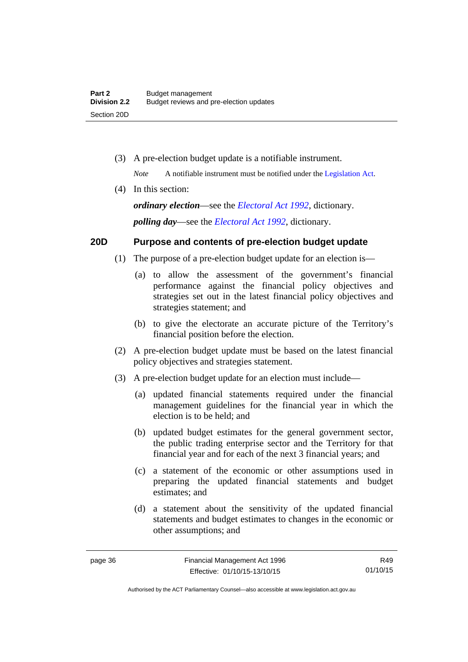(3) A pre-election budget update is a notifiable instrument.

*Note* A notifiable instrument must be notified under the [Legislation Act](http://www.legislation.act.gov.au/a/2001-14).

(4) In this section:

*ordinary election*—see the *[Electoral Act 1992](http://www.legislation.act.gov.au/a/1992-71)*, dictionary. *polling day*—see the *[Electoral Act 1992](http://www.legislation.act.gov.au/a/1992-71)*, dictionary.

# **20D Purpose and contents of pre-election budget update**

- (1) The purpose of a pre-election budget update for an election is—
	- (a) to allow the assessment of the government's financial performance against the financial policy objectives and strategies set out in the latest financial policy objectives and strategies statement; and
	- (b) to give the electorate an accurate picture of the Territory's financial position before the election.
- (2) A pre-election budget update must be based on the latest financial policy objectives and strategies statement.
- (3) A pre-election budget update for an election must include—
	- (a) updated financial statements required under the financial management guidelines for the financial year in which the election is to be held; and
	- (b) updated budget estimates for the general government sector, the public trading enterprise sector and the Territory for that financial year and for each of the next 3 financial years; and
	- (c) a statement of the economic or other assumptions used in preparing the updated financial statements and budget estimates; and
	- (d) a statement about the sensitivity of the updated financial statements and budget estimates to changes in the economic or other assumptions; and

R49 01/10/15

Authorised by the ACT Parliamentary Counsel—also accessible at www.legislation.act.gov.au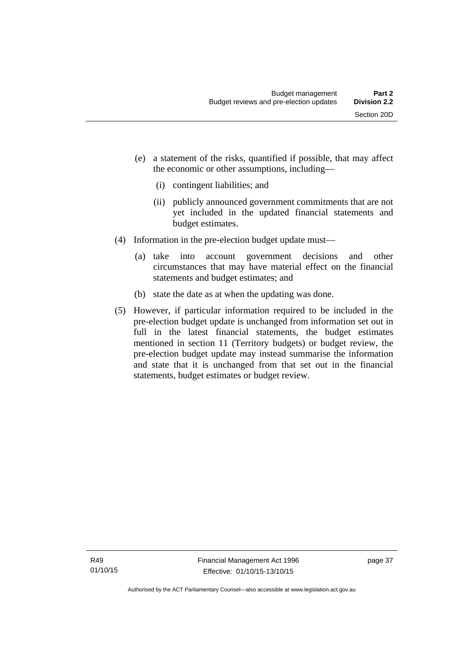- (e) a statement of the risks, quantified if possible, that may affect the economic or other assumptions, including—
	- (i) contingent liabilities; and
	- (ii) publicly announced government commitments that are not yet included in the updated financial statements and budget estimates.
- (4) Information in the pre-election budget update must—
	- (a) take into account government decisions and other circumstances that may have material effect on the financial statements and budget estimates; and
	- (b) state the date as at when the updating was done.
- (5) However, if particular information required to be included in the pre-election budget update is unchanged from information set out in full in the latest financial statements, the budget estimates mentioned in section 11 (Territory budgets) or budget review, the pre-election budget update may instead summarise the information and state that it is unchanged from that set out in the financial statements, budget estimates or budget review.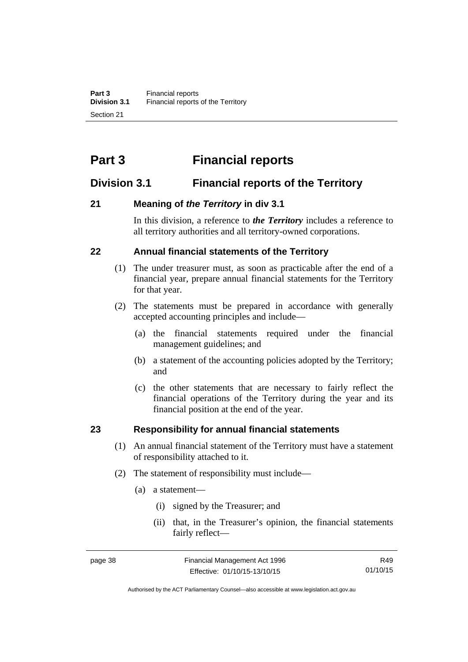# **Part 3 Financial reports**

# **Division 3.1 Financial reports of the Territory**

# **21 Meaning of** *the Territory* **in div 3.1**

In this division, a reference to *the Territory* includes a reference to all territory authorities and all territory-owned corporations.

# **22 Annual financial statements of the Territory**

- (1) The under treasurer must, as soon as practicable after the end of a financial year, prepare annual financial statements for the Territory for that year.
- (2) The statements must be prepared in accordance with generally accepted accounting principles and include—
	- (a) the financial statements required under the financial management guidelines; and
	- (b) a statement of the accounting policies adopted by the Territory; and
	- (c) the other statements that are necessary to fairly reflect the financial operations of the Territory during the year and its financial position at the end of the year.

### **23 Responsibility for annual financial statements**

- (1) An annual financial statement of the Territory must have a statement of responsibility attached to it.
- (2) The statement of responsibility must include—
	- (a) a statement—
		- (i) signed by the Treasurer; and
		- (ii) that, in the Treasurer's opinion, the financial statements fairly reflect—

R49 01/10/15

Authorised by the ACT Parliamentary Counsel—also accessible at www.legislation.act.gov.au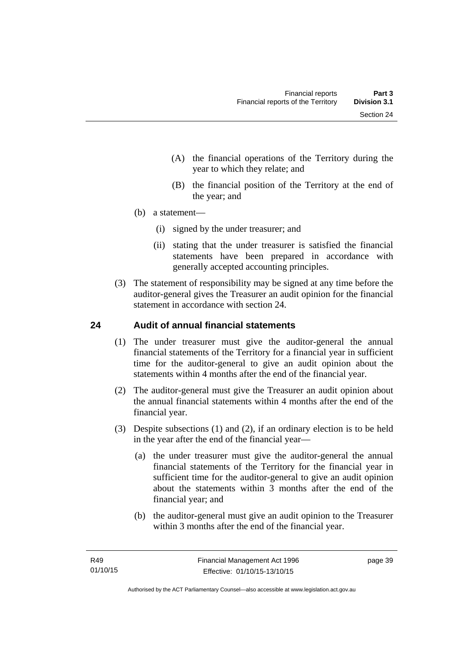- (A) the financial operations of the Territory during the year to which they relate; and
- (B) the financial position of the Territory at the end of the year; and
- (b) a statement—
	- (i) signed by the under treasurer; and
	- (ii) stating that the under treasurer is satisfied the financial statements have been prepared in accordance with generally accepted accounting principles.
- (3) The statement of responsibility may be signed at any time before the auditor-general gives the Treasurer an audit opinion for the financial statement in accordance with section 24.

# **24 Audit of annual financial statements**

- (1) The under treasurer must give the auditor-general the annual financial statements of the Territory for a financial year in sufficient time for the auditor-general to give an audit opinion about the statements within 4 months after the end of the financial year.
- (2) The auditor-general must give the Treasurer an audit opinion about the annual financial statements within 4 months after the end of the financial year.
- (3) Despite subsections (1) and (2), if an ordinary election is to be held in the year after the end of the financial year—
	- (a) the under treasurer must give the auditor-general the annual financial statements of the Territory for the financial year in sufficient time for the auditor-general to give an audit opinion about the statements within 3 months after the end of the financial year; and
	- (b) the auditor-general must give an audit opinion to the Treasurer within 3 months after the end of the financial year.

page 39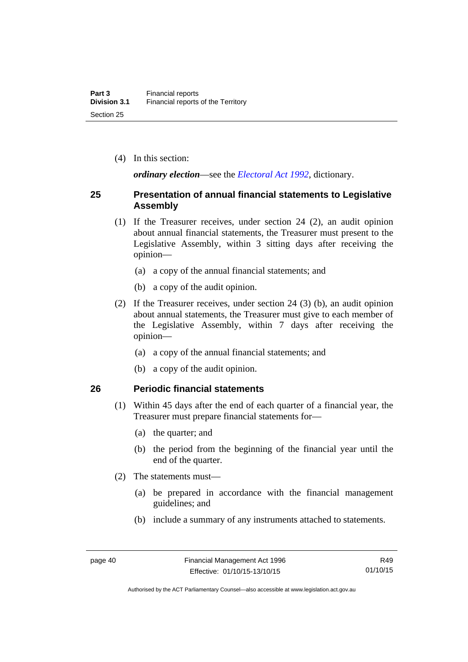(4) In this section:

*ordinary election*—see the *[Electoral Act 1992](http://www.legislation.act.gov.au/a/1992-71)*, dictionary.

## **25 Presentation of annual financial statements to Legislative Assembly**

- (1) If the Treasurer receives, under section 24 (2), an audit opinion about annual financial statements, the Treasurer must present to the Legislative Assembly, within 3 sitting days after receiving the opinion—
	- (a) a copy of the annual financial statements; and
	- (b) a copy of the audit opinion.
- (2) If the Treasurer receives, under section 24 (3) (b), an audit opinion about annual statements, the Treasurer must give to each member of the Legislative Assembly, within 7 days after receiving the opinion—
	- (a) a copy of the annual financial statements; and
	- (b) a copy of the audit opinion.

### **26 Periodic financial statements**

- (1) Within 45 days after the end of each quarter of a financial year, the Treasurer must prepare financial statements for—
	- (a) the quarter; and
	- (b) the period from the beginning of the financial year until the end of the quarter.
- (2) The statements must—
	- (a) be prepared in accordance with the financial management guidelines; and
	- (b) include a summary of any instruments attached to statements.

Authorised by the ACT Parliamentary Counsel—also accessible at www.legislation.act.gov.au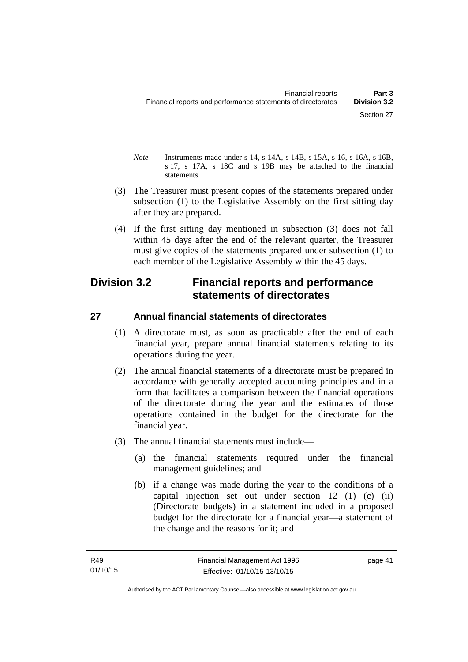- *Note* Instruments made under s 14, s 14A, s 14B, s 15A, s 16, s 16A, s 16B, s 17, s 17A, s 18C and s 19B may be attached to the financial statements.
- (3) The Treasurer must present copies of the statements prepared under subsection (1) to the Legislative Assembly on the first sitting day after they are prepared.
- (4) If the first sitting day mentioned in subsection (3) does not fall within 45 days after the end of the relevant quarter, the Treasurer must give copies of the statements prepared under subsection (1) to each member of the Legislative Assembly within the 45 days.

# **Division 3.2 Financial reports and performance statements of directorates**

# **27 Annual financial statements of directorates**

- (1) A directorate must, as soon as practicable after the end of each financial year, prepare annual financial statements relating to its operations during the year.
- (2) The annual financial statements of a directorate must be prepared in accordance with generally accepted accounting principles and in a form that facilitates a comparison between the financial operations of the directorate during the year and the estimates of those operations contained in the budget for the directorate for the financial year.
- (3) The annual financial statements must include—
	- (a) the financial statements required under the financial management guidelines; and
	- (b) if a change was made during the year to the conditions of a capital injection set out under section 12 (1) (c) (ii) (Directorate budgets) in a statement included in a proposed budget for the directorate for a financial year—a statement of the change and the reasons for it; and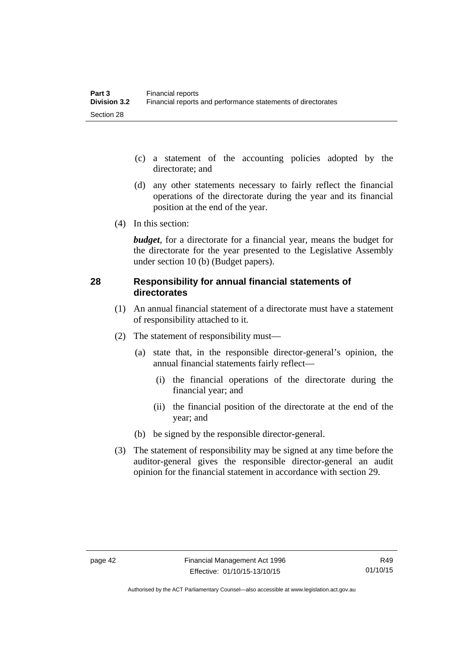- (c) a statement of the accounting policies adopted by the directorate; and
- (d) any other statements necessary to fairly reflect the financial operations of the directorate during the year and its financial position at the end of the year.
- (4) In this section:

*budget*, for a directorate for a financial year, means the budget for the directorate for the year presented to the Legislative Assembly under section 10 (b) (Budget papers).

# **28 Responsibility for annual financial statements of directorates**

- (1) An annual financial statement of a directorate must have a statement of responsibility attached to it.
- (2) The statement of responsibility must—
	- (a) state that, in the responsible director-general's opinion, the annual financial statements fairly reflect—
		- (i) the financial operations of the directorate during the financial year; and
		- (ii) the financial position of the directorate at the end of the year; and
	- (b) be signed by the responsible director-general.
- (3) The statement of responsibility may be signed at any time before the auditor-general gives the responsible director-general an audit opinion for the financial statement in accordance with section 29.

Authorised by the ACT Parliamentary Counsel—also accessible at www.legislation.act.gov.au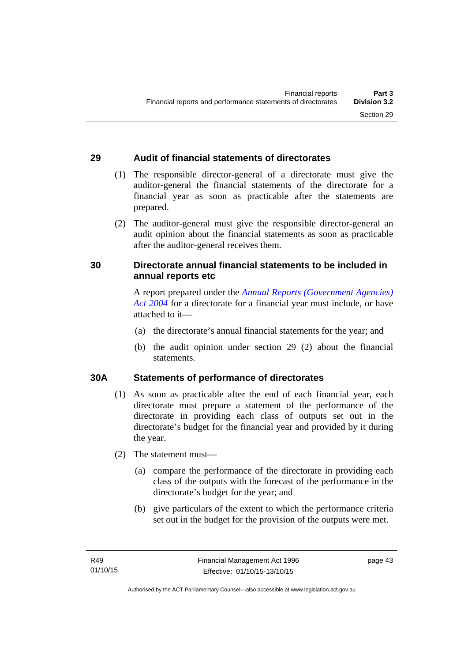# **29 Audit of financial statements of directorates**

- (1) The responsible director-general of a directorate must give the auditor-general the financial statements of the directorate for a financial year as soon as practicable after the statements are prepared.
- (2) The auditor-general must give the responsible director-general an audit opinion about the financial statements as soon as practicable after the auditor-general receives them.

# **30 Directorate annual financial statements to be included in annual reports etc**

A report prepared under the *[Annual Reports \(Government Agencies\)](http://www.legislation.act.gov.au/a/2004-8)  [Act 2004](http://www.legislation.act.gov.au/a/2004-8)* for a directorate for a financial year must include, or have attached to it—

- (a) the directorate's annual financial statements for the year; and
- (b) the audit opinion under section 29 (2) about the financial statements.

### **30A Statements of performance of directorates**

- (1) As soon as practicable after the end of each financial year, each directorate must prepare a statement of the performance of the directorate in providing each class of outputs set out in the directorate's budget for the financial year and provided by it during the year.
- (2) The statement must—
	- (a) compare the performance of the directorate in providing each class of the outputs with the forecast of the performance in the directorate's budget for the year; and
	- (b) give particulars of the extent to which the performance criteria set out in the budget for the provision of the outputs were met.

page 43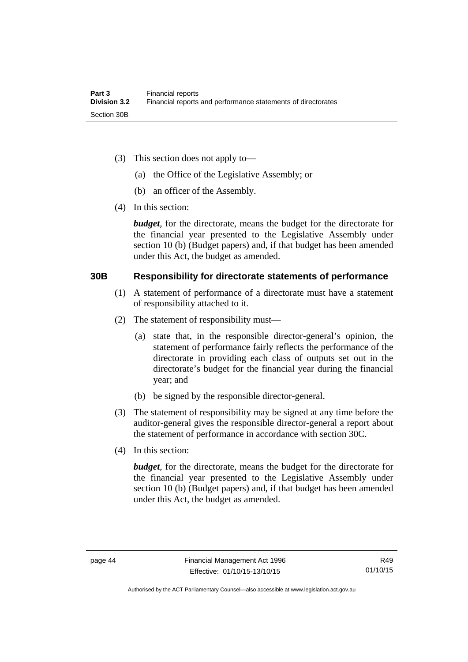- (3) This section does not apply to—
	- (a) the Office of the Legislative Assembly; or
	- (b) an officer of the Assembly.
- (4) In this section:

*budget*, for the directorate, means the budget for the directorate for the financial year presented to the Legislative Assembly under section 10 (b) (Budget papers) and, if that budget has been amended under this Act, the budget as amended.

### **30B Responsibility for directorate statements of performance**

- (1) A statement of performance of a directorate must have a statement of responsibility attached to it.
- (2) The statement of responsibility must—
	- (a) state that, in the responsible director-general's opinion, the statement of performance fairly reflects the performance of the directorate in providing each class of outputs set out in the directorate's budget for the financial year during the financial year; and
	- (b) be signed by the responsible director-general.
- (3) The statement of responsibility may be signed at any time before the auditor-general gives the responsible director-general a report about the statement of performance in accordance with section 30C.
- (4) In this section:

*budget*, for the directorate, means the budget for the directorate for the financial year presented to the Legislative Assembly under section 10 (b) (Budget papers) and, if that budget has been amended under this Act, the budget as amended.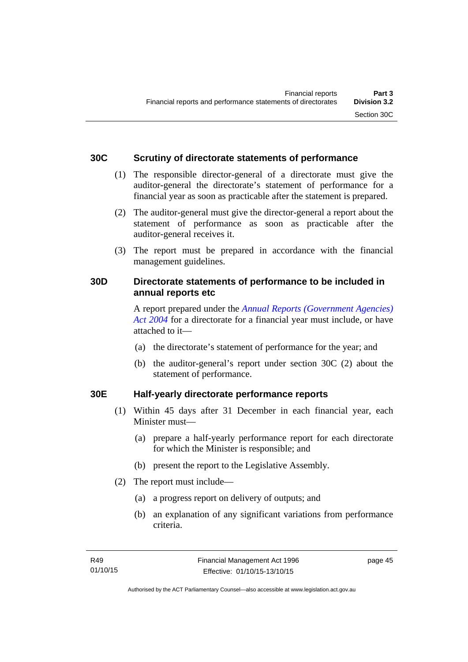## **30C Scrutiny of directorate statements of performance**

- (1) The responsible director-general of a directorate must give the auditor-general the directorate's statement of performance for a financial year as soon as practicable after the statement is prepared.
- (2) The auditor-general must give the director-general a report about the statement of performance as soon as practicable after the auditor-general receives it.
- (3) The report must be prepared in accordance with the financial management guidelines.

# **30D Directorate statements of performance to be included in annual reports etc**

A report prepared under the *[Annual Reports \(Government Agencies\)](http://www.legislation.act.gov.au/a/2004-8)  [Act 2004](http://www.legislation.act.gov.au/a/2004-8)* for a directorate for a financial year must include, or have attached to it—

- (a) the directorate's statement of performance for the year; and
- (b) the auditor-general's report under section 30C (2) about the statement of performance.

# **30E Half-yearly directorate performance reports**

- (1) Within 45 days after 31 December in each financial year, each Minister must—
	- (a) prepare a half-yearly performance report for each directorate for which the Minister is responsible; and
	- (b) present the report to the Legislative Assembly.
- (2) The report must include—
	- (a) a progress report on delivery of outputs; and
	- (b) an explanation of any significant variations from performance criteria.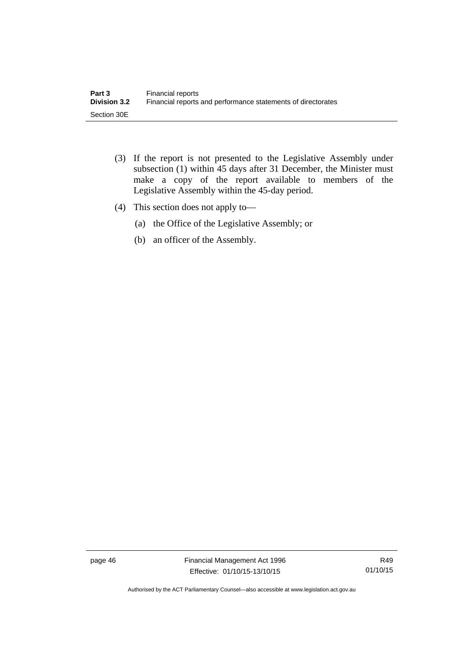- (3) If the report is not presented to the Legislative Assembly under subsection (1) within 45 days after 31 December, the Minister must make a copy of the report available to members of the Legislative Assembly within the 45-day period.
- (4) This section does not apply to—
	- (a) the Office of the Legislative Assembly; or
	- (b) an officer of the Assembly.

page 46 Financial Management Act 1996 Effective: 01/10/15-13/10/15

R49 01/10/15

Authorised by the ACT Parliamentary Counsel—also accessible at www.legislation.act.gov.au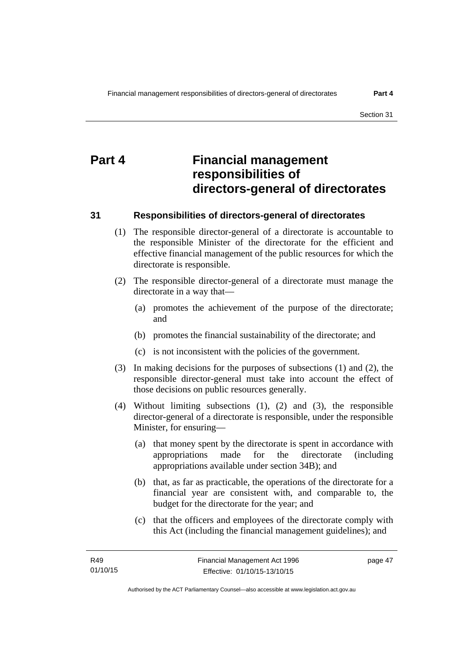# **Part 4 Financial management responsibilities of directors-general of directorates**

### **31 Responsibilities of directors-general of directorates**

- (1) The responsible director-general of a directorate is accountable to the responsible Minister of the directorate for the efficient and effective financial management of the public resources for which the directorate is responsible.
- (2) The responsible director-general of a directorate must manage the directorate in a way that—
	- (a) promotes the achievement of the purpose of the directorate; and
	- (b) promotes the financial sustainability of the directorate; and
	- (c) is not inconsistent with the policies of the government.
- (3) In making decisions for the purposes of subsections (1) and (2), the responsible director-general must take into account the effect of those decisions on public resources generally.
- (4) Without limiting subsections (1), (2) and (3), the responsible director-general of a directorate is responsible, under the responsible Minister, for ensuring—
	- (a) that money spent by the directorate is spent in accordance with appropriations made for the directorate (including appropriations available under section 34B); and
	- (b) that, as far as practicable, the operations of the directorate for a financial year are consistent with, and comparable to, the budget for the directorate for the year; and
	- (c) that the officers and employees of the directorate comply with this Act (including the financial management guidelines); and

page 47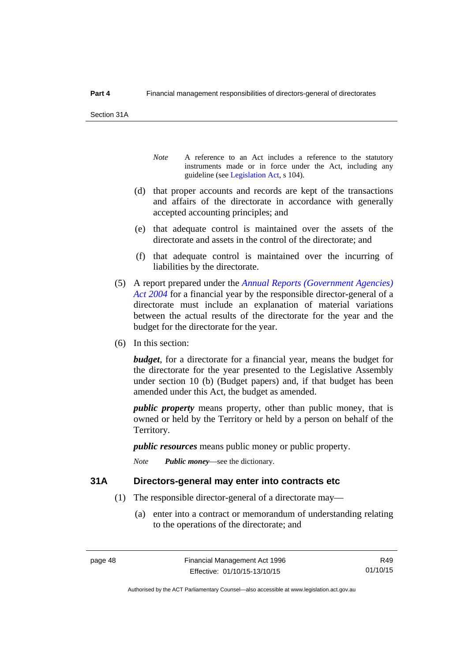Section 31A

- *Note* A reference to an Act includes a reference to the statutory instruments made or in force under the Act, including any guideline (see [Legislation Act](http://www.legislation.act.gov.au/a/2001-14), s 104).
- (d) that proper accounts and records are kept of the transactions and affairs of the directorate in accordance with generally accepted accounting principles; and
- (e) that adequate control is maintained over the assets of the directorate and assets in the control of the directorate; and
- (f) that adequate control is maintained over the incurring of liabilities by the directorate.
- (5) A report prepared under the *[Annual Reports \(Government Agencies\)](http://www.legislation.act.gov.au/a/2004-8)  [Act 2004](http://www.legislation.act.gov.au/a/2004-8)* for a financial year by the responsible director-general of a directorate must include an explanation of material variations between the actual results of the directorate for the year and the budget for the directorate for the year.
- (6) In this section:

*budget*, for a directorate for a financial year, means the budget for the directorate for the year presented to the Legislative Assembly under section 10 (b) (Budget papers) and, if that budget has been amended under this Act, the budget as amended.

*public property* means property, other than public money, that is owned or held by the Territory or held by a person on behalf of the Territory.

*public resources* means public money or public property.

*Note Public money*—see the dictionary.

#### **31A Directors-general may enter into contracts etc**

- (1) The responsible director-general of a directorate may—
	- (a) enter into a contract or memorandum of understanding relating to the operations of the directorate; and

R49 01/10/15

Authorised by the ACT Parliamentary Counsel—also accessible at www.legislation.act.gov.au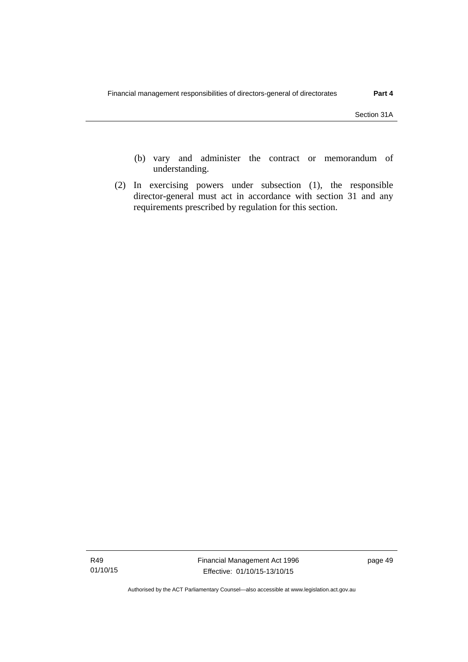- (b) vary and administer the contract or memorandum of understanding.
- (2) In exercising powers under subsection (1), the responsible director-general must act in accordance with section 31 and any requirements prescribed by regulation for this section.

Authorised by the ACT Parliamentary Counsel—also accessible at www.legislation.act.gov.au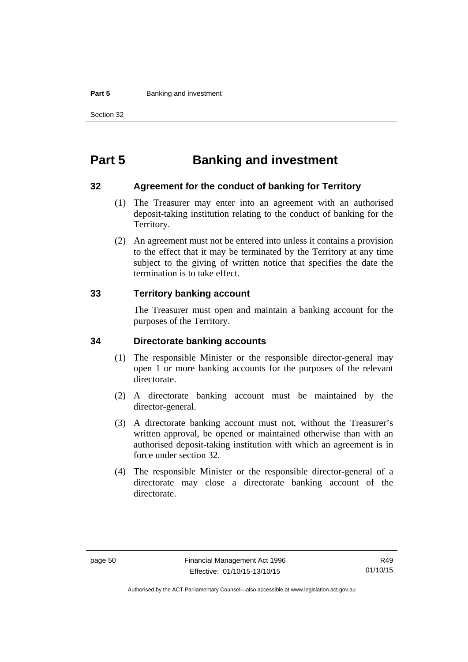#### **Part 5 Banking and investment**

Section 32

# **Part 5 Banking and investment**

#### **32 Agreement for the conduct of banking for Territory**

- (1) The Treasurer may enter into an agreement with an authorised deposit-taking institution relating to the conduct of banking for the Territory.
- (2) An agreement must not be entered into unless it contains a provision to the effect that it may be terminated by the Territory at any time subject to the giving of written notice that specifies the date the termination is to take effect.

### **33 Territory banking account**

The Treasurer must open and maintain a banking account for the purposes of the Territory.

### **34 Directorate banking accounts**

- (1) The responsible Minister or the responsible director-general may open 1 or more banking accounts for the purposes of the relevant directorate.
- (2) A directorate banking account must be maintained by the director-general.
- (3) A directorate banking account must not, without the Treasurer's written approval, be opened or maintained otherwise than with an authorised deposit-taking institution with which an agreement is in force under section 32.
- (4) The responsible Minister or the responsible director-general of a directorate may close a directorate banking account of the directorate.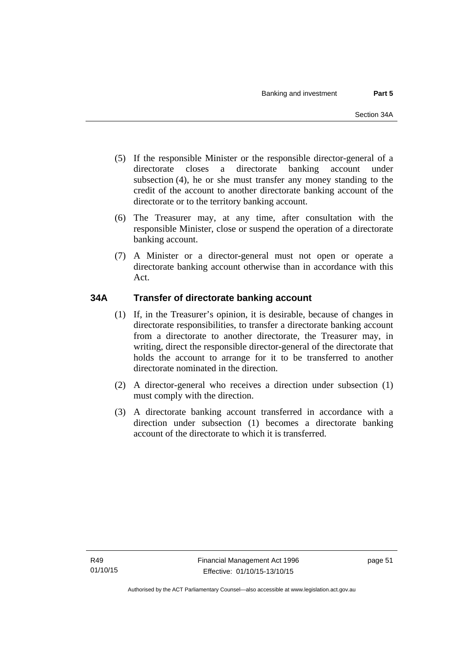- (5) If the responsible Minister or the responsible director-general of a directorate closes a directorate banking account under subsection (4), he or she must transfer any money standing to the credit of the account to another directorate banking account of the directorate or to the territory banking account.
- (6) The Treasurer may, at any time, after consultation with the responsible Minister, close or suspend the operation of a directorate banking account.
- (7) A Minister or a director-general must not open or operate a directorate banking account otherwise than in accordance with this Act.

# **34A Transfer of directorate banking account**

- (1) If, in the Treasurer's opinion, it is desirable, because of changes in directorate responsibilities, to transfer a directorate banking account from a directorate to another directorate, the Treasurer may, in writing, direct the responsible director-general of the directorate that holds the account to arrange for it to be transferred to another directorate nominated in the direction.
- (2) A director-general who receives a direction under subsection (1) must comply with the direction.
- (3) A directorate banking account transferred in accordance with a direction under subsection (1) becomes a directorate banking account of the directorate to which it is transferred.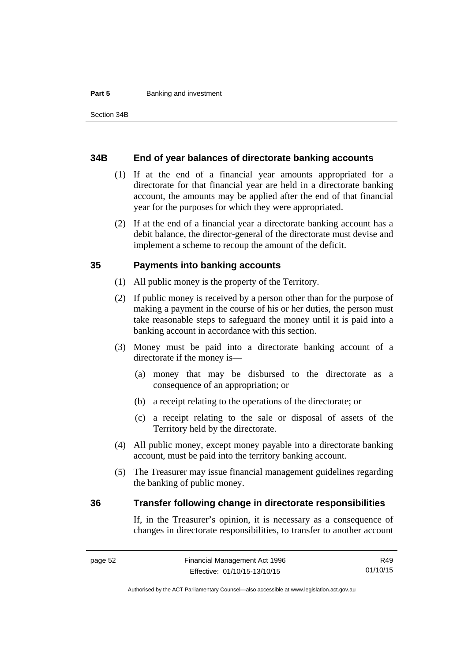#### **Part 5 Banking and investment**

#### **34B End of year balances of directorate banking accounts**

- (1) If at the end of a financial year amounts appropriated for a directorate for that financial year are held in a directorate banking account, the amounts may be applied after the end of that financial year for the purposes for which they were appropriated.
- (2) If at the end of a financial year a directorate banking account has a debit balance, the director-general of the directorate must devise and implement a scheme to recoup the amount of the deficit.

### **35 Payments into banking accounts**

- (1) All public money is the property of the Territory.
- (2) If public money is received by a person other than for the purpose of making a payment in the course of his or her duties, the person must take reasonable steps to safeguard the money until it is paid into a banking account in accordance with this section.
- (3) Money must be paid into a directorate banking account of a directorate if the money is—
	- (a) money that may be disbursed to the directorate as a consequence of an appropriation; or
	- (b) a receipt relating to the operations of the directorate; or
	- (c) a receipt relating to the sale or disposal of assets of the Territory held by the directorate.
- (4) All public money, except money payable into a directorate banking account, must be paid into the territory banking account.
- (5) The Treasurer may issue financial management guidelines regarding the banking of public money.

#### **36 Transfer following change in directorate responsibilities**

If, in the Treasurer's opinion, it is necessary as a consequence of changes in directorate responsibilities, to transfer to another account

R49 01/10/15

Authorised by the ACT Parliamentary Counsel—also accessible at www.legislation.act.gov.au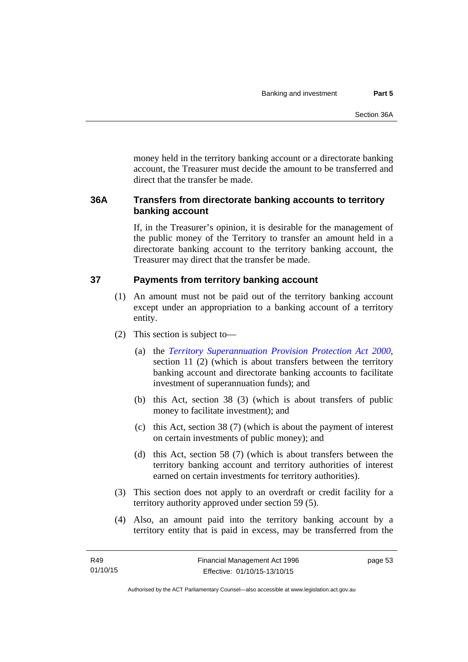money held in the territory banking account or a directorate banking account, the Treasurer must decide the amount to be transferred and direct that the transfer be made.

# **36A Transfers from directorate banking accounts to territory banking account**

If, in the Treasurer's opinion, it is desirable for the management of the public money of the Territory to transfer an amount held in a directorate banking account to the territory banking account, the Treasurer may direct that the transfer be made.

# **37 Payments from territory banking account**

- (1) An amount must not be paid out of the territory banking account except under an appropriation to a banking account of a territory entity.
- (2) This section is subject to—
	- (a) the *[Territory Superannuation Provision Protection Act 2000](http://www.legislation.act.gov.au/a/2000-21)*, section 11 (2) (which is about transfers between the territory banking account and directorate banking accounts to facilitate investment of superannuation funds); and
	- (b) this Act, section 38 (3) (which is about transfers of public money to facilitate investment); and
	- (c) this Act, section 38 (7) (which is about the payment of interest on certain investments of public money); and
	- (d) this Act, section 58 (7) (which is about transfers between the territory banking account and territory authorities of interest earned on certain investments for territory authorities).
- (3) This section does not apply to an overdraft or credit facility for a territory authority approved under section 59 (5).
- (4) Also, an amount paid into the territory banking account by a territory entity that is paid in excess, may be transferred from the

page 53

Authorised by the ACT Parliamentary Counsel—also accessible at www.legislation.act.gov.au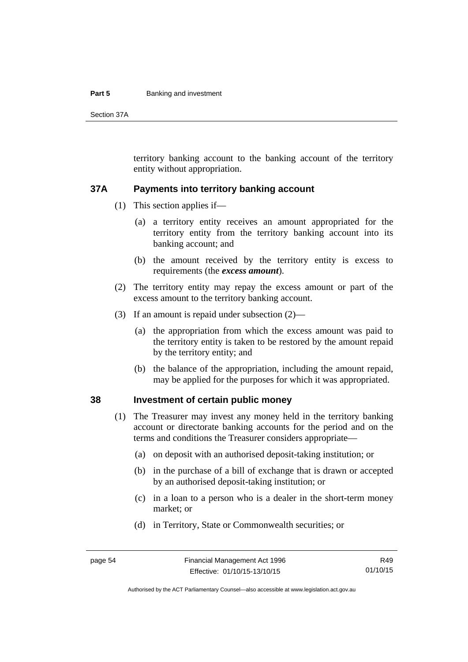#### **Part 5 Banking and investment**

Section 37A

territory banking account to the banking account of the territory entity without appropriation.

#### **37A Payments into territory banking account**

- (1) This section applies if—
	- (a) a territory entity receives an amount appropriated for the territory entity from the territory banking account into its banking account; and
	- (b) the amount received by the territory entity is excess to requirements (the *excess amount*).
- (2) The territory entity may repay the excess amount or part of the excess amount to the territory banking account.
- (3) If an amount is repaid under subsection (2)—
	- (a) the appropriation from which the excess amount was paid to the territory entity is taken to be restored by the amount repaid by the territory entity; and
	- (b) the balance of the appropriation, including the amount repaid, may be applied for the purposes for which it was appropriated.

### **38 Investment of certain public money**

- (1) The Treasurer may invest any money held in the territory banking account or directorate banking accounts for the period and on the terms and conditions the Treasurer considers appropriate—
	- (a) on deposit with an authorised deposit-taking institution; or
	- (b) in the purchase of a bill of exchange that is drawn or accepted by an authorised deposit-taking institution; or
	- (c) in a loan to a person who is a dealer in the short-term money market; or
	- (d) in Territory, State or Commonwealth securities; or

R49 01/10/15

Authorised by the ACT Parliamentary Counsel—also accessible at www.legislation.act.gov.au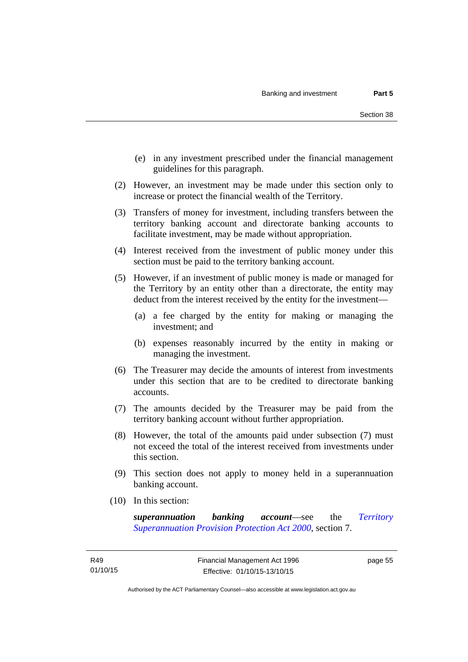- (e) in any investment prescribed under the financial management guidelines for this paragraph.
- (2) However, an investment may be made under this section only to increase or protect the financial wealth of the Territory.
- (3) Transfers of money for investment, including transfers between the territory banking account and directorate banking accounts to facilitate investment, may be made without appropriation.
- (4) Interest received from the investment of public money under this section must be paid to the territory banking account.
- (5) However, if an investment of public money is made or managed for the Territory by an entity other than a directorate, the entity may deduct from the interest received by the entity for the investment—
	- (a) a fee charged by the entity for making or managing the investment; and
	- (b) expenses reasonably incurred by the entity in making or managing the investment.
- (6) The Treasurer may decide the amounts of interest from investments under this section that are to be credited to directorate banking accounts.
- (7) The amounts decided by the Treasurer may be paid from the territory banking account without further appropriation.
- (8) However, the total of the amounts paid under subsection (7) must not exceed the total of the interest received from investments under this section.
- (9) This section does not apply to money held in a superannuation banking account.
- (10) In this section:

*superannuation banking account*—see the *[Territory](http://www.legislation.act.gov.au/a/2000-21)  [Superannuation Provision Protection Act 2000](http://www.legislation.act.gov.au/a/2000-21)*, section 7.

page 55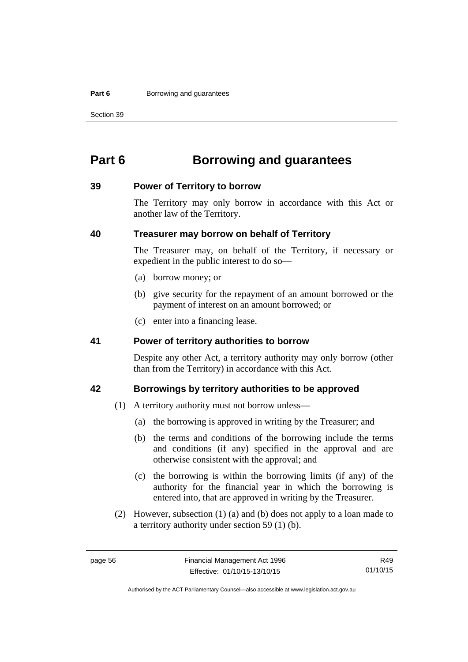#### **Part 6 Borrowing and guarantees**

Section 39

# **Part 6 Borrowing and guarantees**

#### **39 Power of Territory to borrow**

The Territory may only borrow in accordance with this Act or another law of the Territory.

## **40 Treasurer may borrow on behalf of Territory**

The Treasurer may, on behalf of the Territory, if necessary or expedient in the public interest to do so—

- (a) borrow money; or
- (b) give security for the repayment of an amount borrowed or the payment of interest on an amount borrowed; or
- (c) enter into a financing lease.

## **41 Power of territory authorities to borrow**

Despite any other Act, a territory authority may only borrow (other than from the Territory) in accordance with this Act.

### **42 Borrowings by territory authorities to be approved**

- (1) A territory authority must not borrow unless—
	- (a) the borrowing is approved in writing by the Treasurer; and
	- (b) the terms and conditions of the borrowing include the terms and conditions (if any) specified in the approval and are otherwise consistent with the approval; and
	- (c) the borrowing is within the borrowing limits (if any) of the authority for the financial year in which the borrowing is entered into, that are approved in writing by the Treasurer.
- (2) However, subsection (1) (a) and (b) does not apply to a loan made to a territory authority under section 59 (1) (b).

R49 01/10/15

Authorised by the ACT Parliamentary Counsel—also accessible at www.legislation.act.gov.au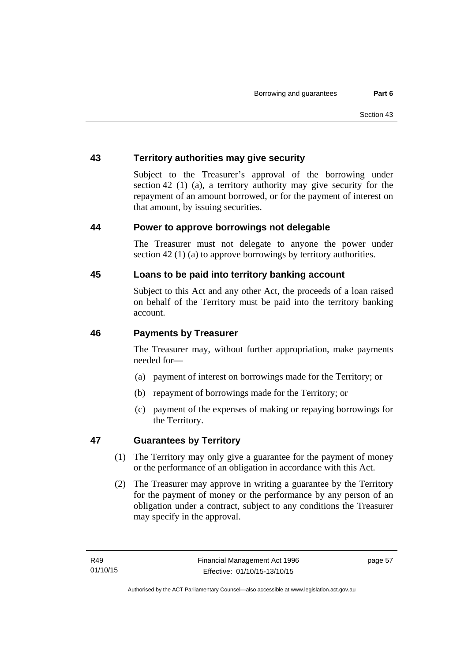# **43 Territory authorities may give security**

Subject to the Treasurer's approval of the borrowing under section 42 (1) (a), a territory authority may give security for the repayment of an amount borrowed, or for the payment of interest on that amount, by issuing securities.

# **44 Power to approve borrowings not delegable**

The Treasurer must not delegate to anyone the power under section 42 (1) (a) to approve borrowings by territory authorities.

# **45 Loans to be paid into territory banking account**

Subject to this Act and any other Act, the proceeds of a loan raised on behalf of the Territory must be paid into the territory banking account.

### **46 Payments by Treasurer**

The Treasurer may, without further appropriation, make payments needed for—

- (a) payment of interest on borrowings made for the Territory; or
- (b) repayment of borrowings made for the Territory; or
- (c) payment of the expenses of making or repaying borrowings for the Territory.

# **47 Guarantees by Territory**

- (1) The Territory may only give a guarantee for the payment of money or the performance of an obligation in accordance with this Act.
- (2) The Treasurer may approve in writing a guarantee by the Territory for the payment of money or the performance by any person of an obligation under a contract, subject to any conditions the Treasurer may specify in the approval.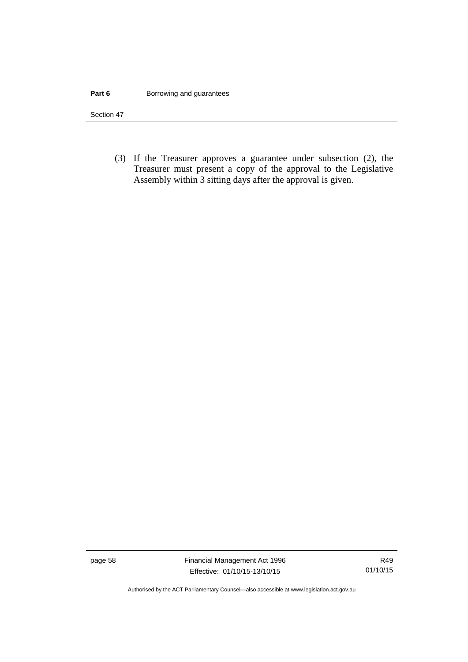#### **Part 6 Borrowing and guarantees**

Section 47

 (3) If the Treasurer approves a guarantee under subsection (2), the Treasurer must present a copy of the approval to the Legislative Assembly within 3 sitting days after the approval is given.

page 58 Financial Management Act 1996 Effective: 01/10/15-13/10/15

R49 01/10/15

Authorised by the ACT Parliamentary Counsel—also accessible at www.legislation.act.gov.au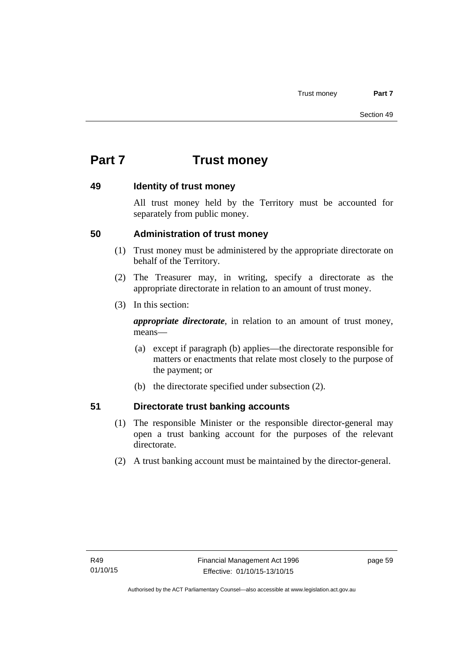# **Part 7 Trust money**

### **49 Identity of trust money**

All trust money held by the Territory must be accounted for separately from public money.

# **50 Administration of trust money**

- (1) Trust money must be administered by the appropriate directorate on behalf of the Territory.
- (2) The Treasurer may, in writing, specify a directorate as the appropriate directorate in relation to an amount of trust money.
- (3) In this section:

*appropriate directorate*, in relation to an amount of trust money, means—

- (a) except if paragraph (b) applies—the directorate responsible for matters or enactments that relate most closely to the purpose of the payment; or
- (b) the directorate specified under subsection (2).

# **51 Directorate trust banking accounts**

- (1) The responsible Minister or the responsible director-general may open a trust banking account for the purposes of the relevant directorate.
- (2) A trust banking account must be maintained by the director-general.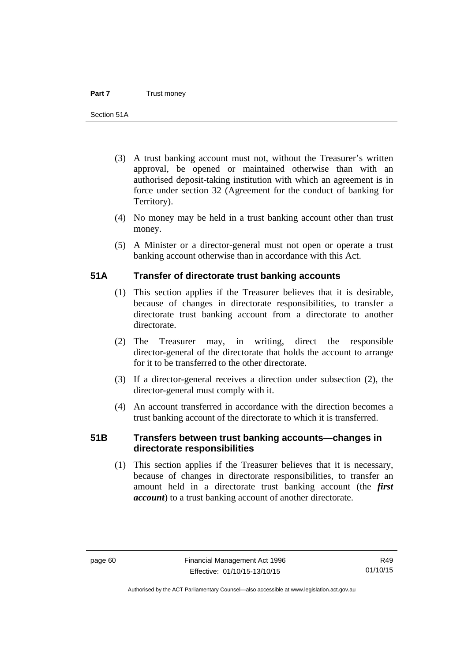- (3) A trust banking account must not, without the Treasurer's written approval, be opened or maintained otherwise than with an authorised deposit-taking institution with which an agreement is in force under section 32 (Agreement for the conduct of banking for Territory).
- (4) No money may be held in a trust banking account other than trust money.
- (5) A Minister or a director-general must not open or operate a trust banking account otherwise than in accordance with this Act.

### **51A Transfer of directorate trust banking accounts**

- (1) This section applies if the Treasurer believes that it is desirable, because of changes in directorate responsibilities, to transfer a directorate trust banking account from a directorate to another directorate.
- (2) The Treasurer may, in writing, direct the responsible director-general of the directorate that holds the account to arrange for it to be transferred to the other directorate.
- (3) If a director-general receives a direction under subsection (2), the director-general must comply with it.
- (4) An account transferred in accordance with the direction becomes a trust banking account of the directorate to which it is transferred.

# **51B Transfers between trust banking accounts—changes in directorate responsibilities**

 (1) This section applies if the Treasurer believes that it is necessary, because of changes in directorate responsibilities, to transfer an amount held in a directorate trust banking account (the *first account*) to a trust banking account of another directorate.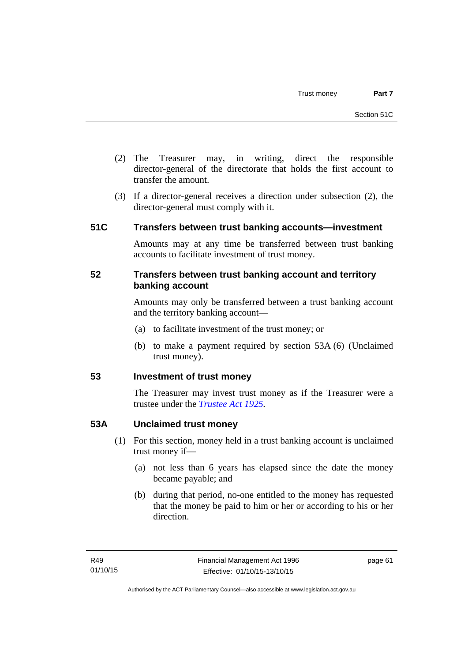- (2) The Treasurer may, in writing, direct the responsible director-general of the directorate that holds the first account to transfer the amount.
- (3) If a director-general receives a direction under subsection (2), the director-general must comply with it.

# **51C Transfers between trust banking accounts—investment**

Amounts may at any time be transferred between trust banking accounts to facilitate investment of trust money.

## **52 Transfers between trust banking account and territory banking account**

Amounts may only be transferred between a trust banking account and the territory banking account—

- (a) to facilitate investment of the trust money; or
- (b) to make a payment required by section 53A (6) (Unclaimed trust money).

# **53 Investment of trust money**

The Treasurer may invest trust money as if the Treasurer were a trustee under the *[Trustee Act 1925](http://www.legislation.act.gov.au/a/1925-14).*

# **53A Unclaimed trust money**

- (1) For this section, money held in a trust banking account is unclaimed trust money if—
	- (a) not less than 6 years has elapsed since the date the money became payable; and
	- (b) during that period, no-one entitled to the money has requested that the money be paid to him or her or according to his or her direction.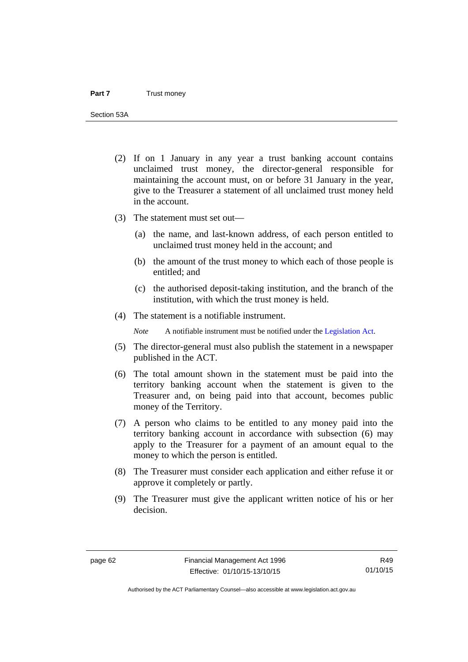Section 53A

- (2) If on 1 January in any year a trust banking account contains unclaimed trust money, the director-general responsible for maintaining the account must, on or before 31 January in the year, give to the Treasurer a statement of all unclaimed trust money held in the account.
- (3) The statement must set out—
	- (a) the name, and last-known address, of each person entitled to unclaimed trust money held in the account; and
	- (b) the amount of the trust money to which each of those people is entitled; and
	- (c) the authorised deposit-taking institution, and the branch of the institution, with which the trust money is held.
- (4) The statement is a notifiable instrument.

*Note* A notifiable instrument must be notified under the [Legislation Act](http://www.legislation.act.gov.au/a/2001-14).

- (5) The director-general must also publish the statement in a newspaper published in the ACT.
- (6) The total amount shown in the statement must be paid into the territory banking account when the statement is given to the Treasurer and, on being paid into that account, becomes public money of the Territory.
- (7) A person who claims to be entitled to any money paid into the territory banking account in accordance with subsection (6) may apply to the Treasurer for a payment of an amount equal to the money to which the person is entitled.
- (8) The Treasurer must consider each application and either refuse it or approve it completely or partly.
- (9) The Treasurer must give the applicant written notice of his or her decision.

R49 01/10/15

Authorised by the ACT Parliamentary Counsel—also accessible at www.legislation.act.gov.au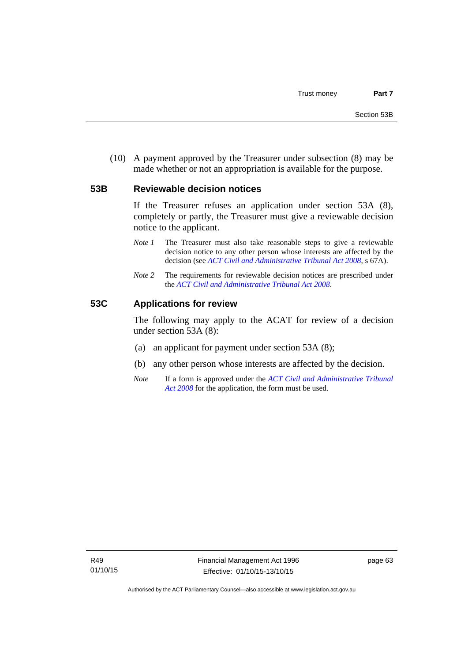(10) A payment approved by the Treasurer under subsection (8) may be made whether or not an appropriation is available for the purpose.

#### **53B Reviewable decision notices**

If the Treasurer refuses an application under section 53A (8), completely or partly, the Treasurer must give a reviewable decision notice to the applicant.

- *Note 1* The Treasurer must also take reasonable steps to give a reviewable decision notice to any other person whose interests are affected by the decision (see *[ACT Civil and Administrative Tribunal Act 2008](http://www.legislation.act.gov.au/a/2008-35)*, s 67A).
- *Note* 2 The requirements for reviewable decision notices are prescribed under the *[ACT Civil and Administrative Tribunal Act 2008](http://www.legislation.act.gov.au/a/2008-35)*.

#### **53C Applications for review**

The following may apply to the ACAT for review of a decision under section 53A (8):

- (a) an applicant for payment under section 53A (8);
- (b) any other person whose interests are affected by the decision.
- *Note* If a form is approved under the *[ACT Civil and Administrative Tribunal](http://www.legislation.act.gov.au/a/2008-35)  [Act 2008](http://www.legislation.act.gov.au/a/2008-35)* for the application, the form must be used.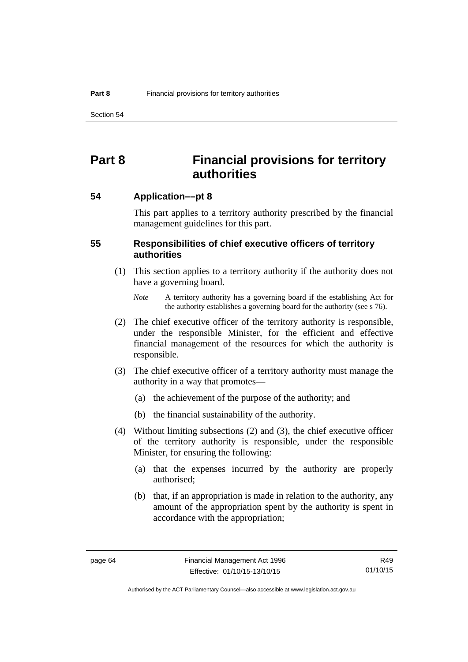Section 54

# **Part 8 Financial provisions for territory authorities**

**54 Application––pt 8** 

This part applies to a territory authority prescribed by the financial management guidelines for this part.

## **55 Responsibilities of chief executive officers of territory authorities**

- (1) This section applies to a territory authority if the authority does not have a governing board.
	- *Note* A territory authority has a governing board if the establishing Act for the authority establishes a governing board for the authority (see s 76).
- (2) The chief executive officer of the territory authority is responsible, under the responsible Minister, for the efficient and effective financial management of the resources for which the authority is responsible.
- (3) The chief executive officer of a territory authority must manage the authority in a way that promotes—
	- (a) the achievement of the purpose of the authority; and
	- (b) the financial sustainability of the authority.
- (4) Without limiting subsections (2) and (3), the chief executive officer of the territory authority is responsible, under the responsible Minister, for ensuring the following:
	- (a) that the expenses incurred by the authority are properly authorised;
	- (b) that, if an appropriation is made in relation to the authority, any amount of the appropriation spent by the authority is spent in accordance with the appropriation;

R49 01/10/15

Authorised by the ACT Parliamentary Counsel—also accessible at www.legislation.act.gov.au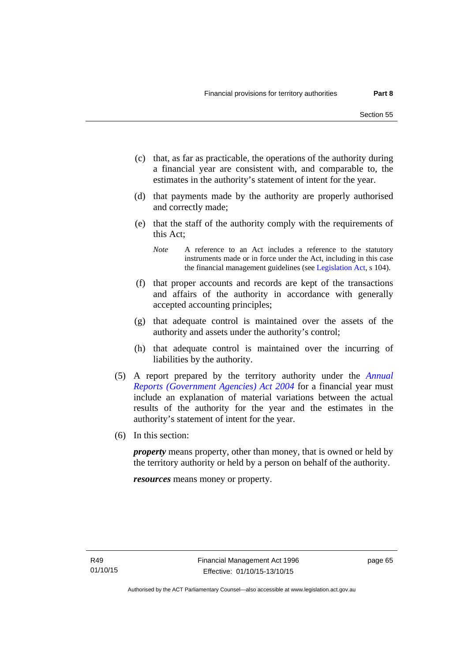- (c) that, as far as practicable, the operations of the authority during a financial year are consistent with, and comparable to, the estimates in the authority's statement of intent for the year.
- (d) that payments made by the authority are properly authorised and correctly made;
- (e) that the staff of the authority comply with the requirements of this Act;
	- *Note* A reference to an Act includes a reference to the statutory instruments made or in force under the Act, including in this case the financial management guidelines (see [Legislation Act,](http://www.legislation.act.gov.au/a/2001-14) s 104).
- (f) that proper accounts and records are kept of the transactions and affairs of the authority in accordance with generally accepted accounting principles;
- (g) that adequate control is maintained over the assets of the authority and assets under the authority's control;
- (h) that adequate control is maintained over the incurring of liabilities by the authority.
- (5) A report prepared by the territory authority under the *[Annual](http://www.legislation.act.gov.au/a/2004-8)  [Reports \(Government Agencies\) Act 2004](http://www.legislation.act.gov.au/a/2004-8)* for a financial year must include an explanation of material variations between the actual results of the authority for the year and the estimates in the authority's statement of intent for the year.
- (6) In this section:

*property* means property, other than money, that is owned or held by the territory authority or held by a person on behalf of the authority.

*resources* means money or property.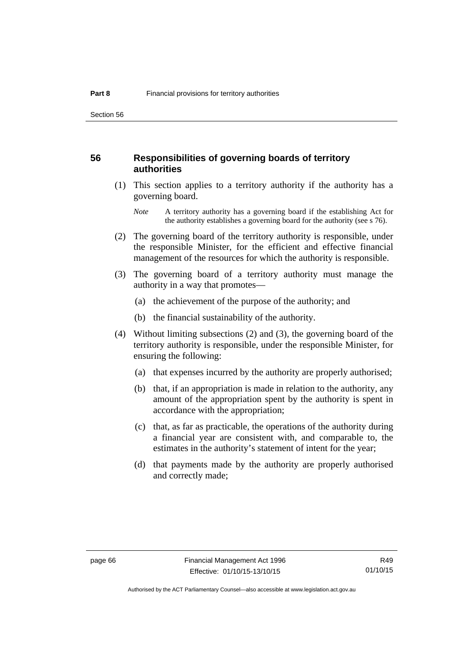#### **56 Responsibilities of governing boards of territory authorities**

 (1) This section applies to a territory authority if the authority has a governing board.

- (2) The governing board of the territory authority is responsible, under the responsible Minister, for the efficient and effective financial management of the resources for which the authority is responsible.
- (3) The governing board of a territory authority must manage the authority in a way that promotes—
	- (a) the achievement of the purpose of the authority; and
	- (b) the financial sustainability of the authority.
- (4) Without limiting subsections (2) and (3), the governing board of the territory authority is responsible, under the responsible Minister, for ensuring the following:
	- (a) that expenses incurred by the authority are properly authorised;
	- (b) that, if an appropriation is made in relation to the authority, any amount of the appropriation spent by the authority is spent in accordance with the appropriation;
	- (c) that, as far as practicable, the operations of the authority during a financial year are consistent with, and comparable to, the estimates in the authority's statement of intent for the year;
	- (d) that payments made by the authority are properly authorised and correctly made;

*Note* A territory authority has a governing board if the establishing Act for the authority establishes a governing board for the authority (see s 76).

R49 01/10/15

Authorised by the ACT Parliamentary Counsel—also accessible at www.legislation.act.gov.au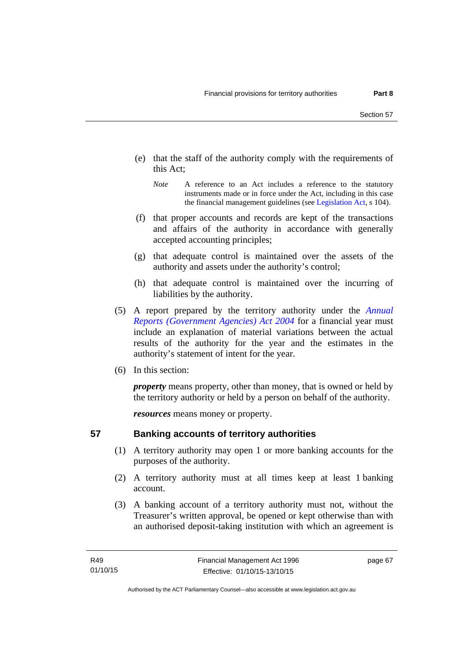- (e) that the staff of the authority comply with the requirements of this Act;
	- *Note* A reference to an Act includes a reference to the statutory instruments made or in force under the Act, including in this case the financial management guidelines (see [Legislation Act,](http://www.legislation.act.gov.au/a/2001-14) s 104).
- (f) that proper accounts and records are kept of the transactions and affairs of the authority in accordance with generally accepted accounting principles;
- (g) that adequate control is maintained over the assets of the authority and assets under the authority's control;
- (h) that adequate control is maintained over the incurring of liabilities by the authority.
- (5) A report prepared by the territory authority under the *[Annual](http://www.legislation.act.gov.au/a/2004-8)  [Reports \(Government Agencies\) Act 2004](http://www.legislation.act.gov.au/a/2004-8)* for a financial year must include an explanation of material variations between the actual results of the authority for the year and the estimates in the authority's statement of intent for the year.
- (6) In this section:

*property* means property, other than money, that is owned or held by the territory authority or held by a person on behalf of the authority.

*resources* means money or property.

# **57 Banking accounts of territory authorities**

- (1) A territory authority may open 1 or more banking accounts for the purposes of the authority.
- (2) A territory authority must at all times keep at least 1 banking account.
- (3) A banking account of a territory authority must not, without the Treasurer's written approval, be opened or kept otherwise than with an authorised deposit-taking institution with which an agreement is

page 67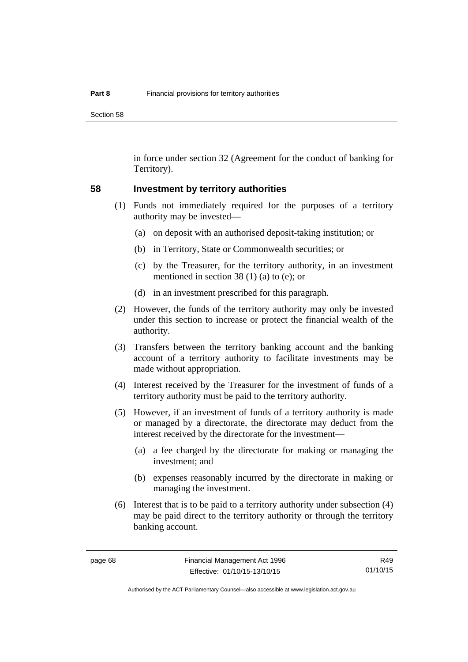Section 58

in force under section 32 (Agreement for the conduct of banking for Territory).

#### **58 Investment by territory authorities**

- (1) Funds not immediately required for the purposes of a territory authority may be invested—
	- (a) on deposit with an authorised deposit-taking institution; or
	- (b) in Territory, State or Commonwealth securities; or
	- (c) by the Treasurer, for the territory authority, in an investment mentioned in section 38 (1) (a) to (e); or
	- (d) in an investment prescribed for this paragraph.
- (2) However, the funds of the territory authority may only be invested under this section to increase or protect the financial wealth of the authority.
- (3) Transfers between the territory banking account and the banking account of a territory authority to facilitate investments may be made without appropriation.
- (4) Interest received by the Treasurer for the investment of funds of a territory authority must be paid to the territory authority.
- (5) However, if an investment of funds of a territory authority is made or managed by a directorate, the directorate may deduct from the interest received by the directorate for the investment—
	- (a) a fee charged by the directorate for making or managing the investment; and
	- (b) expenses reasonably incurred by the directorate in making or managing the investment.
- (6) Interest that is to be paid to a territory authority under subsection (4) may be paid direct to the territory authority or through the territory banking account.

R49 01/10/15

Authorised by the ACT Parliamentary Counsel—also accessible at www.legislation.act.gov.au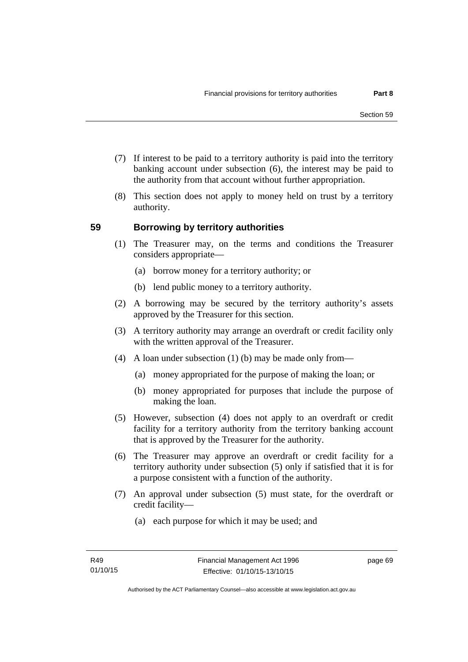- (7) If interest to be paid to a territory authority is paid into the territory banking account under subsection (6), the interest may be paid to the authority from that account without further appropriation.
- (8) This section does not apply to money held on trust by a territory authority.

# **59 Borrowing by territory authorities**

- (1) The Treasurer may, on the terms and conditions the Treasurer considers appropriate—
	- (a) borrow money for a territory authority; or
	- (b) lend public money to a territory authority.
- (2) A borrowing may be secured by the territory authority's assets approved by the Treasurer for this section.
- (3) A territory authority may arrange an overdraft or credit facility only with the written approval of the Treasurer.
- (4) A loan under subsection (1) (b) may be made only from—
	- (a) money appropriated for the purpose of making the loan; or
	- (b) money appropriated for purposes that include the purpose of making the loan.
- (5) However, subsection (4) does not apply to an overdraft or credit facility for a territory authority from the territory banking account that is approved by the Treasurer for the authority.
- (6) The Treasurer may approve an overdraft or credit facility for a territory authority under subsection (5) only if satisfied that it is for a purpose consistent with a function of the authority.
- (7) An approval under subsection (5) must state, for the overdraft or credit facility—
	- (a) each purpose for which it may be used; and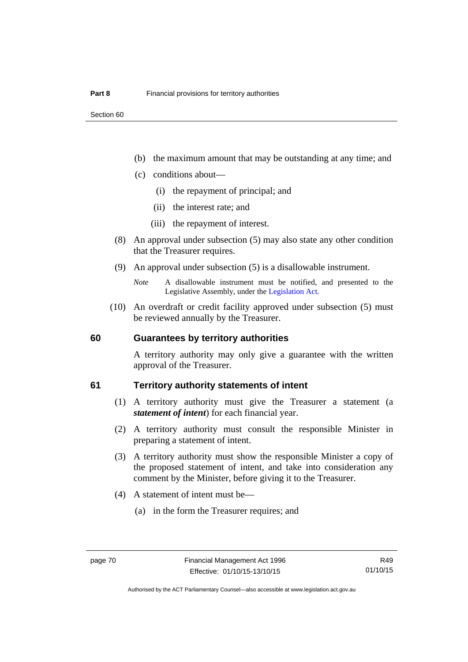- (b) the maximum amount that may be outstanding at any time; and
- (c) conditions about—
	- (i) the repayment of principal; and
	- (ii) the interest rate; and
	- (iii) the repayment of interest.
- (8) An approval under subsection (5) may also state any other condition that the Treasurer requires.
- (9) An approval under subsection (5) is a disallowable instrument.

 (10) An overdraft or credit facility approved under subsection (5) must be reviewed annually by the Treasurer.

#### **60 Guarantees by territory authorities**

A territory authority may only give a guarantee with the written approval of the Treasurer.

#### **61 Territory authority statements of intent**

- (1) A territory authority must give the Treasurer a statement (a *statement of intent*) for each financial year.
- (2) A territory authority must consult the responsible Minister in preparing a statement of intent.
- (3) A territory authority must show the responsible Minister a copy of the proposed statement of intent, and take into consideration any comment by the Minister, before giving it to the Treasurer.
- (4) A statement of intent must be—
	- (a) in the form the Treasurer requires; and

*Note* A disallowable instrument must be notified, and presented to the Legislative Assembly, under the [Legislation Act.](http://www.legislation.act.gov.au/a/2001-14)

Authorised by the ACT Parliamentary Counsel—also accessible at www.legislation.act.gov.au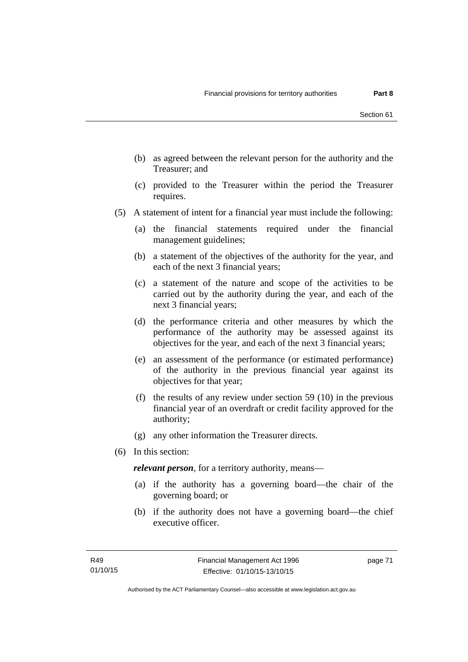- (b) as agreed between the relevant person for the authority and the Treasurer; and
- (c) provided to the Treasurer within the period the Treasurer requires.
- (5) A statement of intent for a financial year must include the following:
	- (a) the financial statements required under the financial management guidelines;
	- (b) a statement of the objectives of the authority for the year, and each of the next 3 financial years;
	- (c) a statement of the nature and scope of the activities to be carried out by the authority during the year, and each of the next 3 financial years;
	- (d) the performance criteria and other measures by which the performance of the authority may be assessed against its objectives for the year, and each of the next 3 financial years;
	- (e) an assessment of the performance (or estimated performance) of the authority in the previous financial year against its objectives for that year;
	- (f) the results of any review under section 59 (10) in the previous financial year of an overdraft or credit facility approved for the authority;
	- (g) any other information the Treasurer directs.
- (6) In this section:

*relevant person*, for a territory authority, means—

- (a) if the authority has a governing board—the chair of the governing board; or
- (b) if the authority does not have a governing board—the chief executive officer.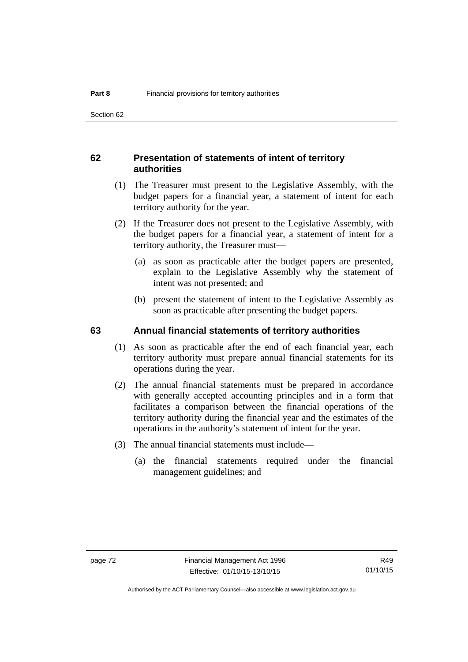# **62 Presentation of statements of intent of territory authorities**

- (1) The Treasurer must present to the Legislative Assembly, with the budget papers for a financial year, a statement of intent for each territory authority for the year.
- (2) If the Treasurer does not present to the Legislative Assembly, with the budget papers for a financial year, a statement of intent for a territory authority, the Treasurer must—
	- (a) as soon as practicable after the budget papers are presented, explain to the Legislative Assembly why the statement of intent was not presented; and
	- (b) present the statement of intent to the Legislative Assembly as soon as practicable after presenting the budget papers.

#### **63 Annual financial statements of territory authorities**

- (1) As soon as practicable after the end of each financial year, each territory authority must prepare annual financial statements for its operations during the year.
- (2) The annual financial statements must be prepared in accordance with generally accepted accounting principles and in a form that facilitates a comparison between the financial operations of the territory authority during the financial year and the estimates of the operations in the authority's statement of intent for the year.
- (3) The annual financial statements must include—
	- (a) the financial statements required under the financial management guidelines; and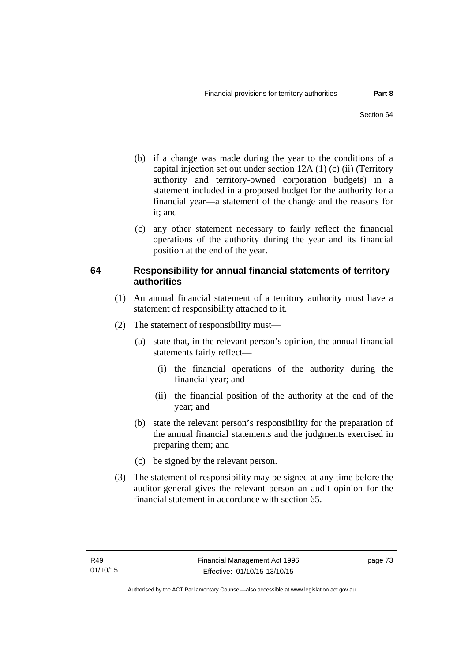- (b) if a change was made during the year to the conditions of a capital injection set out under section 12A (1) (c) (ii) (Territory authority and territory-owned corporation budgets) in a statement included in a proposed budget for the authority for a financial year—a statement of the change and the reasons for it: and
- (c) any other statement necessary to fairly reflect the financial operations of the authority during the year and its financial position at the end of the year.

# **64 Responsibility for annual financial statements of territory authorities**

- (1) An annual financial statement of a territory authority must have a statement of responsibility attached to it.
- (2) The statement of responsibility must—
	- (a) state that, in the relevant person's opinion, the annual financial statements fairly reflect—
		- (i) the financial operations of the authority during the financial year; and
		- (ii) the financial position of the authority at the end of the year; and
	- (b) state the relevant person's responsibility for the preparation of the annual financial statements and the judgments exercised in preparing them; and
	- (c) be signed by the relevant person.
- (3) The statement of responsibility may be signed at any time before the auditor-general gives the relevant person an audit opinion for the financial statement in accordance with section 65.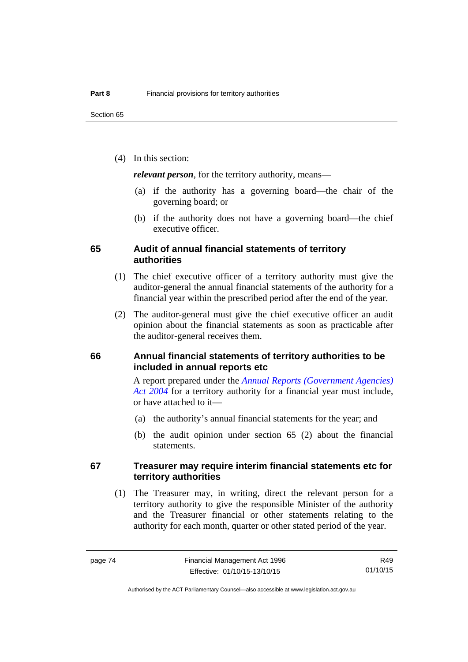(4) In this section:

*relevant person*, for the territory authority, means—

- (a) if the authority has a governing board—the chair of the governing board; or
- (b) if the authority does not have a governing board—the chief executive officer.

#### **65 Audit of annual financial statements of territory authorities**

- (1) The chief executive officer of a territory authority must give the auditor-general the annual financial statements of the authority for a financial year within the prescribed period after the end of the year.
- (2) The auditor-general must give the chief executive officer an audit opinion about the financial statements as soon as practicable after the auditor-general receives them.

### **66 Annual financial statements of territory authorities to be included in annual reports etc**

A report prepared under the *[Annual Reports \(Government Agencies\)](http://www.legislation.act.gov.au/a/2004-8)  [Act 2004](http://www.legislation.act.gov.au/a/2004-8)* for a territory authority for a financial year must include, or have attached to it—

- (a) the authority's annual financial statements for the year; and
- (b) the audit opinion under section 65 (2) about the financial statements.

#### **67 Treasurer may require interim financial statements etc for territory authorities**

 (1) The Treasurer may, in writing, direct the relevant person for a territory authority to give the responsible Minister of the authority and the Treasurer financial or other statements relating to the authority for each month, quarter or other stated period of the year.

R49 01/10/15

Authorised by the ACT Parliamentary Counsel—also accessible at www.legislation.act.gov.au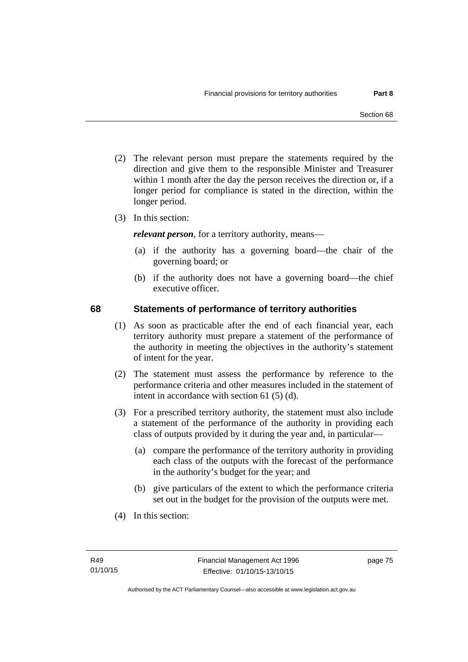- (2) The relevant person must prepare the statements required by the direction and give them to the responsible Minister and Treasurer within 1 month after the day the person receives the direction or, if a longer period for compliance is stated in the direction, within the longer period.
- (3) In this section:

*relevant person*, for a territory authority, means—

- (a) if the authority has a governing board—the chair of the governing board; or
- (b) if the authority does not have a governing board—the chief executive officer.

### **68 Statements of performance of territory authorities**

- (1) As soon as practicable after the end of each financial year, each territory authority must prepare a statement of the performance of the authority in meeting the objectives in the authority's statement of intent for the year.
- (2) The statement must assess the performance by reference to the performance criteria and other measures included in the statement of intent in accordance with section 61 (5) (d).
- (3) For a prescribed territory authority, the statement must also include a statement of the performance of the authority in providing each class of outputs provided by it during the year and, in particular—
	- (a) compare the performance of the territory authority in providing each class of the outputs with the forecast of the performance in the authority's budget for the year; and
	- (b) give particulars of the extent to which the performance criteria set out in the budget for the provision of the outputs were met.
- (4) In this section: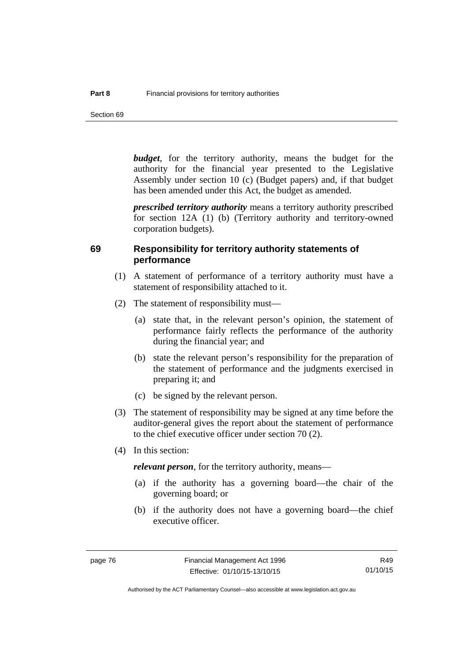Section 69

*budget*, for the territory authority, means the budget for the authority for the financial year presented to the Legislative Assembly under section 10 (c) (Budget papers) and, if that budget has been amended under this Act, the budget as amended.

*prescribed territory authority* means a territory authority prescribed for section 12A (1) (b) (Territory authority and territory-owned corporation budgets).

#### **69 Responsibility for territory authority statements of performance**

- (1) A statement of performance of a territory authority must have a statement of responsibility attached to it.
- (2) The statement of responsibility must—
	- (a) state that, in the relevant person's opinion, the statement of performance fairly reflects the performance of the authority during the financial year; and
	- (b) state the relevant person's responsibility for the preparation of the statement of performance and the judgments exercised in preparing it; and
	- (c) be signed by the relevant person.
- (3) The statement of responsibility may be signed at any time before the auditor-general gives the report about the statement of performance to the chief executive officer under section 70 (2).
- (4) In this section:

*relevant person*, for the territory authority, means—

- (a) if the authority has a governing board—the chair of the governing board; or
- (b) if the authority does not have a governing board—the chief executive officer.

R49 01/10/15

Authorised by the ACT Parliamentary Counsel—also accessible at www.legislation.act.gov.au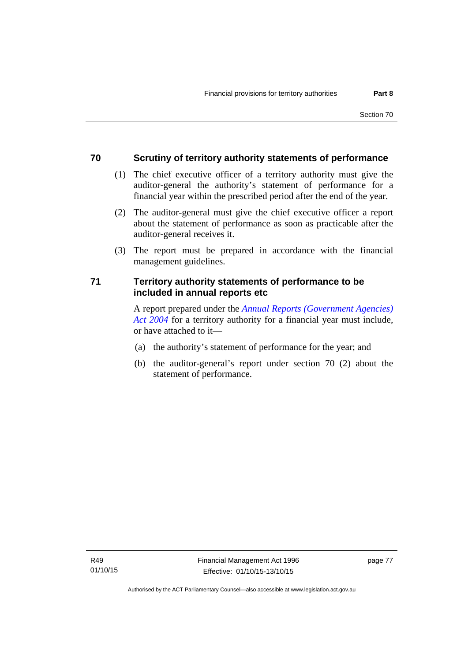# **70 Scrutiny of territory authority statements of performance**

- (1) The chief executive officer of a territory authority must give the auditor-general the authority's statement of performance for a financial year within the prescribed period after the end of the year.
- (2) The auditor-general must give the chief executive officer a report about the statement of performance as soon as practicable after the auditor-general receives it.
- (3) The report must be prepared in accordance with the financial management guidelines.

# **71 Territory authority statements of performance to be included in annual reports etc**

A report prepared under the *[Annual Reports \(Government Agencies\)](http://www.legislation.act.gov.au/a/2004-8)  [Act 2004](http://www.legislation.act.gov.au/a/2004-8)* for a territory authority for a financial year must include, or have attached to it—

- (a) the authority's statement of performance for the year; and
- (b) the auditor-general's report under section 70 (2) about the statement of performance.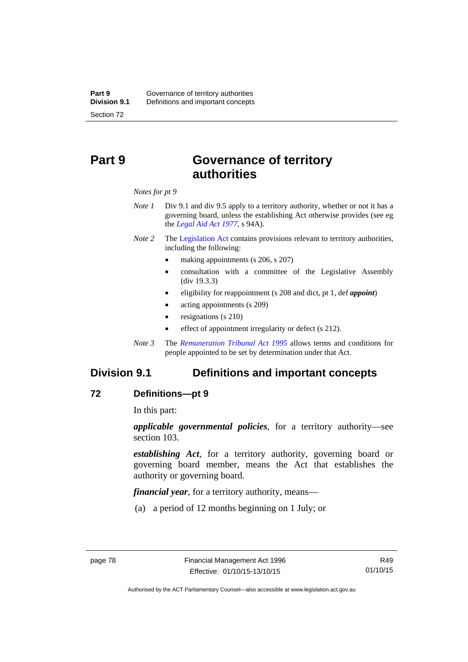# **Part 9 Governance of territory authorities**

*Notes for pt 9* 

- *Note 1* Div 9.1 and div 9.5 apply to a territory authority, whether or not it has a governing board, unless the establishing Act otherwise provides (see eg the *[Legal Aid Act 1977](http://www.legislation.act.gov.au/a/1977-31)*, s 94A).
- *Note 2* The [Legislation Act](http://www.legislation.act.gov.au/a/2001-14) contains provisions relevant to territory authorities, including the following:
	- making appointments (s 206, s 207)
	- consultation with a committee of the Legislative Assembly (div 19.3.3)
	- eligibility for reappointment (s 208 and dict, pt 1, def *appoint*)
	- acting appointments (s 209)
	- resignations (s 210)
	- effect of appointment irregularity or defect (s 212).
- *Note 3* The *[Remuneration Tribunal Act 1995](http://www.legislation.act.gov.au/a/1995-55)* allows terms and conditions for people appointed to be set by determination under that Act.

# **Division 9.1 Definitions and important concepts**

#### **72 Definitions—pt 9**

In this part:

*applicable governmental policies*, for a territory authority—see section 103.

*establishing Act*, for a territory authority, governing board or governing board member, means the Act that establishes the authority or governing board.

*financial year*, for a territory authority, means—

(a) a period of 12 months beginning on 1 July; or

Authorised by the ACT Parliamentary Counsel—also accessible at www.legislation.act.gov.au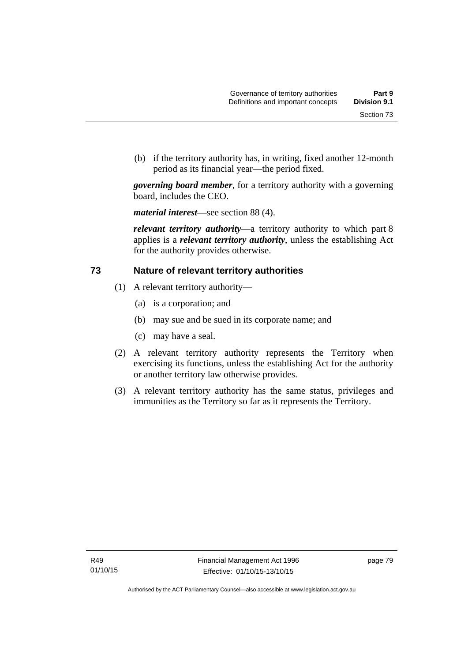(b) if the territory authority has, in writing, fixed another 12-month period as its financial year—the period fixed.

*governing board member*, for a territory authority with a governing board, includes the CEO.

*material interest*—see section 88 (4).

*relevant territory authority*—a territory authority to which part 8 applies is a *relevant territory authority*, unless the establishing Act for the authority provides otherwise.

# **73 Nature of relevant territory authorities**

- (1) A relevant territory authority—
	- (a) is a corporation; and
	- (b) may sue and be sued in its corporate name; and
	- (c) may have a seal.
- (2) A relevant territory authority represents the Territory when exercising its functions, unless the establishing Act for the authority or another territory law otherwise provides.
- (3) A relevant territory authority has the same status, privileges and immunities as the Territory so far as it represents the Territory.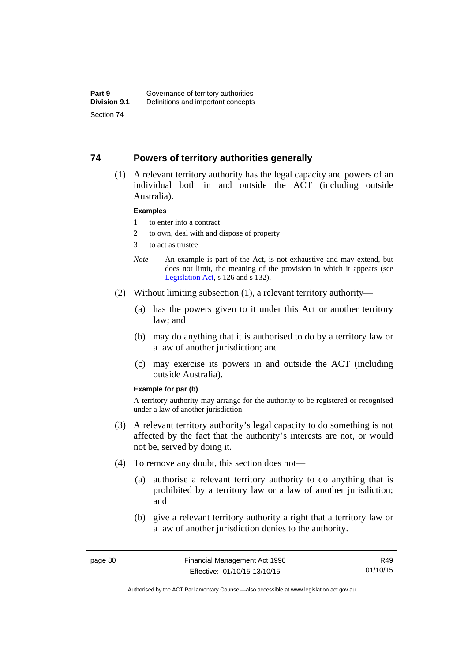## **74 Powers of territory authorities generally**

 (1) A relevant territory authority has the legal capacity and powers of an individual both in and outside the ACT (including outside Australia).

#### **Examples**

- 1 to enter into a contract
- 2 to own, deal with and dispose of property
- 3 to act as trustee
- *Note* An example is part of the Act, is not exhaustive and may extend, but does not limit, the meaning of the provision in which it appears (see [Legislation Act,](http://www.legislation.act.gov.au/a/2001-14) s 126 and s 132).
- (2) Without limiting subsection (1), a relevant territory authority—
	- (a) has the powers given to it under this Act or another territory law; and
	- (b) may do anything that it is authorised to do by a territory law or a law of another jurisdiction; and
	- (c) may exercise its powers in and outside the ACT (including outside Australia).

#### **Example for par (b)**

A territory authority may arrange for the authority to be registered or recognised under a law of another jurisdiction.

- (3) A relevant territory authority's legal capacity to do something is not affected by the fact that the authority's interests are not, or would not be, served by doing it.
- (4) To remove any doubt, this section does not—
	- (a) authorise a relevant territory authority to do anything that is prohibited by a territory law or a law of another jurisdiction; and
	- (b) give a relevant territory authority a right that a territory law or a law of another jurisdiction denies to the authority.

R49 01/10/15

Authorised by the ACT Parliamentary Counsel—also accessible at www.legislation.act.gov.au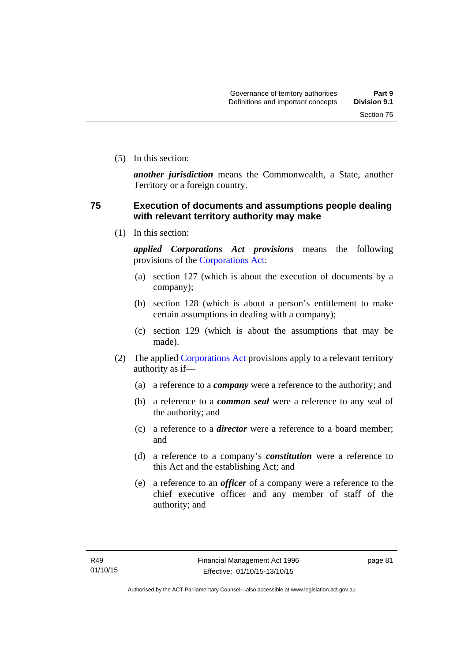(5) In this section:

*another jurisdiction* means the Commonwealth, a State, another Territory or a foreign country.

# **75 Execution of documents and assumptions people dealing with relevant territory authority may make**

(1) In this section:

*applied Corporations Act provisions* means the following provisions of the [Corporations Act:](http://www.comlaw.gov.au/Series/C2004A00818)

- (a) section 127 (which is about the execution of documents by a company);
- (b) section 128 (which is about a person's entitlement to make certain assumptions in dealing with a company);
- (c) section 129 (which is about the assumptions that may be made).
- (2) The applied [Corporations Act](http://www.comlaw.gov.au/Series/C2004A00818) provisions apply to a relevant territory authority as if—
	- (a) a reference to a *company* were a reference to the authority; and
	- (b) a reference to a *common seal* were a reference to any seal of the authority; and
	- (c) a reference to a *director* were a reference to a board member; and
	- (d) a reference to a company's *constitution* were a reference to this Act and the establishing Act; and
	- (e) a reference to an *officer* of a company were a reference to the chief executive officer and any member of staff of the authority; and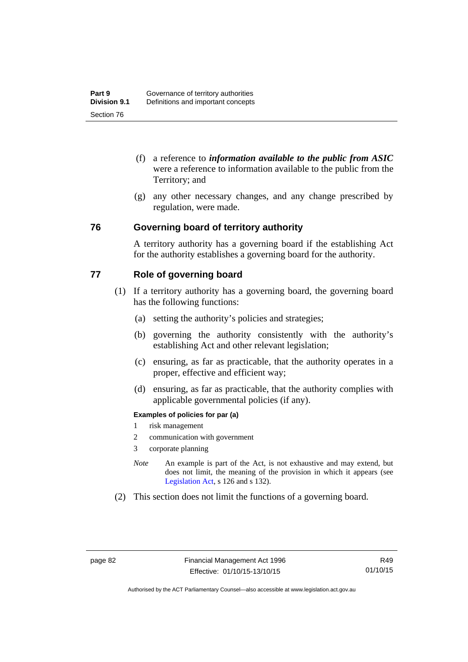- (f) a reference to *information available to the public from ASIC*  were a reference to information available to the public from the Territory; and
- (g) any other necessary changes, and any change prescribed by regulation, were made.

### **76 Governing board of territory authority**

A territory authority has a governing board if the establishing Act for the authority establishes a governing board for the authority.

# **77 Role of governing board**

- (1) If a territory authority has a governing board, the governing board has the following functions:
	- (a) setting the authority's policies and strategies;
	- (b) governing the authority consistently with the authority's establishing Act and other relevant legislation;
	- (c) ensuring, as far as practicable, that the authority operates in a proper, effective and efficient way;
	- (d) ensuring, as far as practicable, that the authority complies with applicable governmental policies (if any).

#### **Examples of policies for par (a)**

- 1 risk management
- 2 communication with government
- 3 corporate planning
- *Note* An example is part of the Act, is not exhaustive and may extend, but does not limit, the meaning of the provision in which it appears (see [Legislation Act,](http://www.legislation.act.gov.au/a/2001-14) s 126 and s 132).
- (2) This section does not limit the functions of a governing board.

R49 01/10/15

Authorised by the ACT Parliamentary Counsel—also accessible at www.legislation.act.gov.au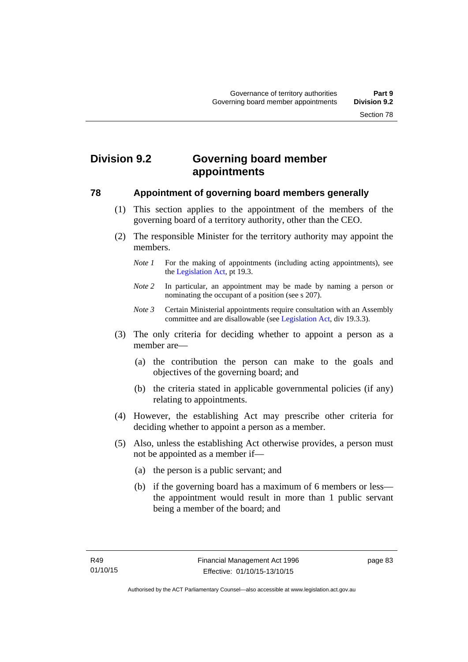# **Division 9.2 Governing board member appointments**

#### **78 Appointment of governing board members generally**

- (1) This section applies to the appointment of the members of the governing board of a territory authority, other than the CEO.
- (2) The responsible Minister for the territory authority may appoint the members.
	- *Note 1* For the making of appointments (including acting appointments), see the [Legislation Act,](http://www.legislation.act.gov.au/a/2001-14) pt 19.3.
	- *Note 2* In particular, an appointment may be made by naming a person or nominating the occupant of a position (see s 207).
	- *Note 3* Certain Ministerial appointments require consultation with an Assembly committee and are disallowable (see [Legislation Act,](http://www.legislation.act.gov.au/a/2001-14) div 19.3.3).
- (3) The only criteria for deciding whether to appoint a person as a member are—
	- (a) the contribution the person can make to the goals and objectives of the governing board; and
	- (b) the criteria stated in applicable governmental policies (if any) relating to appointments.
- (4) However, the establishing Act may prescribe other criteria for deciding whether to appoint a person as a member.
- (5) Also, unless the establishing Act otherwise provides, a person must not be appointed as a member if—
	- (a) the person is a public servant; and
	- (b) if the governing board has a maximum of 6 members or less the appointment would result in more than 1 public servant being a member of the board; and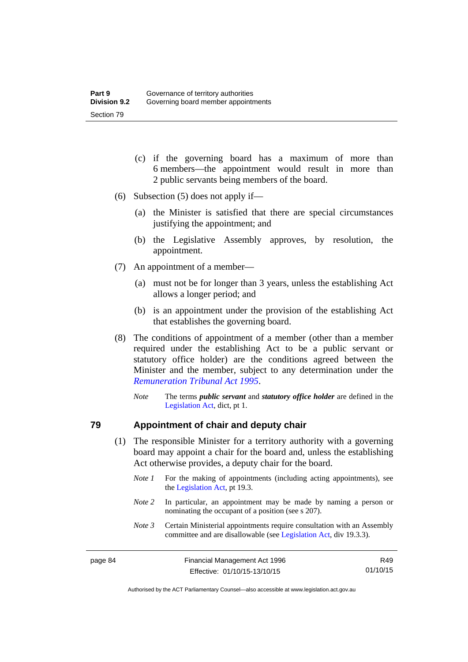- (c) if the governing board has a maximum of more than 6 members—the appointment would result in more than 2 public servants being members of the board.
- (6) Subsection (5) does not apply if—
	- (a) the Minister is satisfied that there are special circumstances justifying the appointment; and
	- (b) the Legislative Assembly approves, by resolution, the appointment.
- (7) An appointment of a member—
	- (a) must not be for longer than 3 years, unless the establishing Act allows a longer period; and
	- (b) is an appointment under the provision of the establishing Act that establishes the governing board.
- (8) The conditions of appointment of a member (other than a member required under the establishing Act to be a public servant or statutory office holder) are the conditions agreed between the Minister and the member, subject to any determination under the *[Remuneration Tribunal Act 1995](http://www.legislation.act.gov.au/a/1995-55)*.
	- *Note* The terms *public servant* and *statutory office holder* are defined in the [Legislation Act,](http://www.legislation.act.gov.au/a/2001-14) dict, pt 1.

#### **79 Appointment of chair and deputy chair**

- (1) The responsible Minister for a territory authority with a governing board may appoint a chair for the board and, unless the establishing Act otherwise provides, a deputy chair for the board.
	- *Note 1* For the making of appointments (including acting appointments), see the [Legislation Act,](http://www.legislation.act.gov.au/a/2001-14) pt 19.3.
	- *Note 2* In particular, an appointment may be made by naming a person or nominating the occupant of a position (see s 207).
	- *Note 3* Certain Ministerial appointments require consultation with an Assembly committee and are disallowable (see [Legislation Act,](http://www.legislation.act.gov.au/a/2001-14) div 19.3.3).

R49 01/10/15

Authorised by the ACT Parliamentary Counsel—also accessible at www.legislation.act.gov.au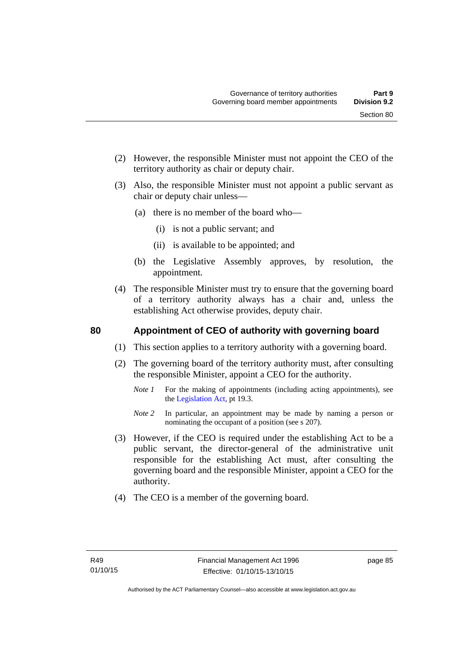- (2) However, the responsible Minister must not appoint the CEO of the territory authority as chair or deputy chair.
- (3) Also, the responsible Minister must not appoint a public servant as chair or deputy chair unless—
	- (a) there is no member of the board who—
		- (i) is not a public servant; and
		- (ii) is available to be appointed; and
	- (b) the Legislative Assembly approves, by resolution, the appointment.
- (4) The responsible Minister must try to ensure that the governing board of a territory authority always has a chair and, unless the establishing Act otherwise provides, deputy chair.

# **80 Appointment of CEO of authority with governing board**

- (1) This section applies to a territory authority with a governing board.
- (2) The governing board of the territory authority must, after consulting the responsible Minister, appoint a CEO for the authority.
	- *Note 1* For the making of appointments (including acting appointments), see the [Legislation Act,](http://www.legislation.act.gov.au/a/2001-14) pt 19.3.
	- *Note* 2 In particular, an appointment may be made by naming a person or nominating the occupant of a position (see s 207).
- (3) However, if the CEO is required under the establishing Act to be a public servant, the director-general of the administrative unit responsible for the establishing Act must, after consulting the governing board and the responsible Minister, appoint a CEO for the authority.
- (4) The CEO is a member of the governing board.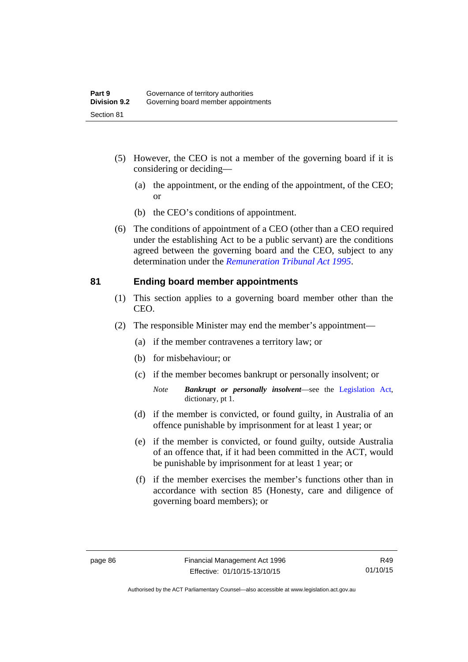- (5) However, the CEO is not a member of the governing board if it is considering or deciding—
	- (a) the appointment, or the ending of the appointment, of the CEO; or
	- (b) the CEO's conditions of appointment.
- (6) The conditions of appointment of a CEO (other than a CEO required under the establishing Act to be a public servant) are the conditions agreed between the governing board and the CEO, subject to any determination under the *[Remuneration Tribunal Act 1995](http://www.legislation.act.gov.au/a/1995-55)*.

### **81 Ending board member appointments**

- (1) This section applies to a governing board member other than the CEO.
- (2) The responsible Minister may end the member's appointment—
	- (a) if the member contravenes a territory law; or
	- (b) for misbehaviour; or
	- (c) if the member becomes bankrupt or personally insolvent; or
		- *Note Bankrupt or personally insolvent*—see the [Legislation Act,](http://www.legislation.act.gov.au/a/2001-14) dictionary, pt 1.
	- (d) if the member is convicted, or found guilty, in Australia of an offence punishable by imprisonment for at least 1 year; or
	- (e) if the member is convicted, or found guilty, outside Australia of an offence that, if it had been committed in the ACT, would be punishable by imprisonment for at least 1 year; or
	- (f) if the member exercises the member's functions other than in accordance with section 85 (Honesty, care and diligence of governing board members); or

Authorised by the ACT Parliamentary Counsel—also accessible at www.legislation.act.gov.au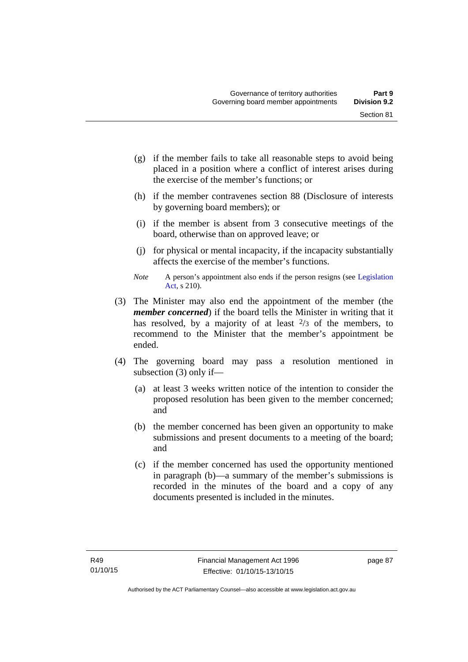- (g) if the member fails to take all reasonable steps to avoid being placed in a position where a conflict of interest arises during the exercise of the member's functions; or
- (h) if the member contravenes section 88 (Disclosure of interests by governing board members); or
- (i) if the member is absent from 3 consecutive meetings of the board, otherwise than on approved leave; or
- (j) for physical or mental incapacity, if the incapacity substantially affects the exercise of the member's functions.
- *Note* A person's appointment also ends if the person resigns (see Legislation [Act](http://www.legislation.act.gov.au/a/2001-14), s 210).
- (3) The Minister may also end the appointment of the member (the *member concerned*) if the board tells the Minister in writing that it has resolved, by a majority of at least  $\frac{2}{3}$  of the members, to recommend to the Minister that the member's appointment be ended.
- (4) The governing board may pass a resolution mentioned in subsection (3) only if—
	- (a) at least 3 weeks written notice of the intention to consider the proposed resolution has been given to the member concerned; and
	- (b) the member concerned has been given an opportunity to make submissions and present documents to a meeting of the board; and
	- (c) if the member concerned has used the opportunity mentioned in paragraph (b)—a summary of the member's submissions is recorded in the minutes of the board and a copy of any documents presented is included in the minutes.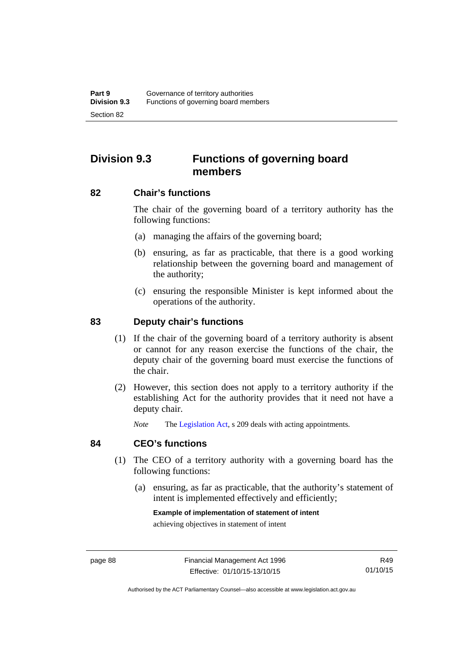# **Division 9.3 Functions of governing board members**

### **82 Chair's functions**

The chair of the governing board of a territory authority has the following functions:

- (a) managing the affairs of the governing board;
- (b) ensuring, as far as practicable, that there is a good working relationship between the governing board and management of the authority;
- (c) ensuring the responsible Minister is kept informed about the operations of the authority.

## **83 Deputy chair's functions**

- (1) If the chair of the governing board of a territory authority is absent or cannot for any reason exercise the functions of the chair, the deputy chair of the governing board must exercise the functions of the chair.
- (2) However, this section does not apply to a territory authority if the establishing Act for the authority provides that it need not have a deputy chair.

*Note* The [Legislation Act,](http://www.legislation.act.gov.au/a/2001-14) s 209 deals with acting appointments.

#### **84 CEO's functions**

- (1) The CEO of a territory authority with a governing board has the following functions:
	- (a) ensuring, as far as practicable, that the authority's statement of intent is implemented effectively and efficiently;

#### **Example of implementation of statement of intent**

achieving objectives in statement of intent

Authorised by the ACT Parliamentary Counsel—also accessible at www.legislation.act.gov.au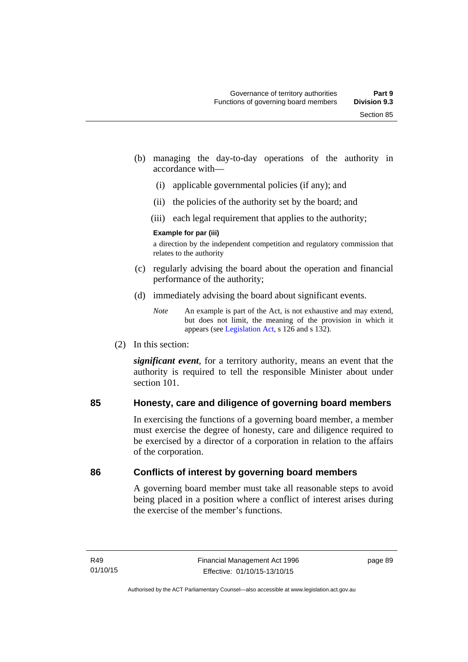- (b) managing the day-to-day operations of the authority in accordance with—
	- (i) applicable governmental policies (if any); and
	- (ii) the policies of the authority set by the board; and
	- (iii) each legal requirement that applies to the authority;

#### **Example for par (iii)**

a direction by the independent competition and regulatory commission that relates to the authority

- (c) regularly advising the board about the operation and financial performance of the authority;
- (d) immediately advising the board about significant events.

(2) In this section:

*significant event*, for a territory authority, means an event that the authority is required to tell the responsible Minister about under section 101

# **85 Honesty, care and diligence of governing board members**

In exercising the functions of a governing board member, a member must exercise the degree of honesty, care and diligence required to be exercised by a director of a corporation in relation to the affairs of the corporation.

# **86 Conflicts of interest by governing board members**

A governing board member must take all reasonable steps to avoid being placed in a position where a conflict of interest arises during the exercise of the member's functions.

*Note* An example is part of the Act, is not exhaustive and may extend, but does not limit, the meaning of the provision in which it appears (see [Legislation Act,](http://www.legislation.act.gov.au/a/2001-14) s 126 and s 132).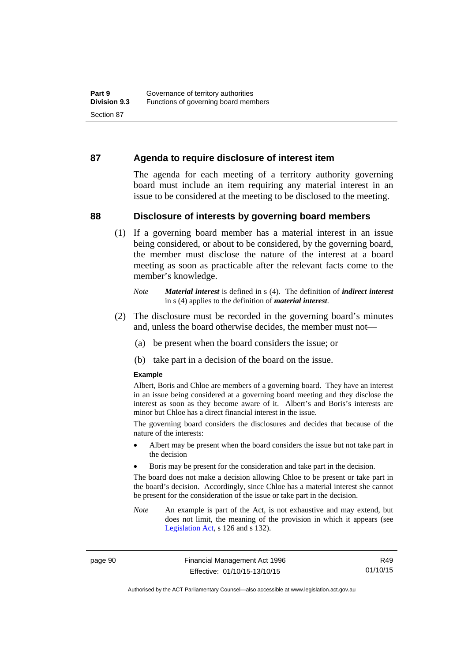### **87 Agenda to require disclosure of interest item**

The agenda for each meeting of a territory authority governing board must include an item requiring any material interest in an issue to be considered at the meeting to be disclosed to the meeting.

#### **88 Disclosure of interests by governing board members**

(1) If a governing board member has a material interest in an issue being considered, or about to be considered, by the governing board, the member must disclose the nature of the interest at a board meeting as soon as practicable after the relevant facts come to the member's knowledge.

- (2) The disclosure must be recorded in the governing board's minutes and, unless the board otherwise decides, the member must not—
	- (a) be present when the board considers the issue; or
	- (b) take part in a decision of the board on the issue.

#### **Example**

Albert, Boris and Chloe are members of a governing board. They have an interest in an issue being considered at a governing board meeting and they disclose the interest as soon as they become aware of it. Albert's and Boris's interests are minor but Chloe has a direct financial interest in the issue.

The governing board considers the disclosures and decides that because of the nature of the interests:

- Albert may be present when the board considers the issue but not take part in the decision
- Boris may be present for the consideration and take part in the decision.

The board does not make a decision allowing Chloe to be present or take part in the board's decision. Accordingly, since Chloe has a material interest she cannot be present for the consideration of the issue or take part in the decision.

*Note* An example is part of the Act, is not exhaustive and may extend, but does not limit, the meaning of the provision in which it appears (see [Legislation Act,](http://www.legislation.act.gov.au/a/2001-14) s 126 and s 132).

page 90 Financial Management Act 1996 Effective: 01/10/15-13/10/15

R49 01/10/15

Authorised by the ACT Parliamentary Counsel—also accessible at www.legislation.act.gov.au

*Note Material interest* is defined in s (4). The definition of *indirect interest* in s (4) applies to the definition of *material interest*.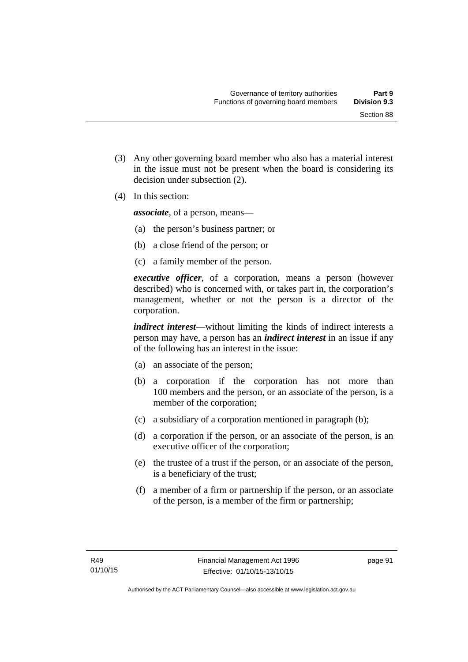(3) Any other governing board member who also has a material interest in the issue must not be present when the board is considering its

(4) In this section:

*associate*, of a person, means—

decision under subsection (2).

- (a) the person's business partner; or
- (b) a close friend of the person; or
- (c) a family member of the person.

*executive officer*, of a corporation, means a person (however described) who is concerned with, or takes part in, the corporation's management, whether or not the person is a director of the corporation.

*indirect interest*—without limiting the kinds of indirect interests a person may have, a person has an *indirect interest* in an issue if any of the following has an interest in the issue:

- (a) an associate of the person;
- (b) a corporation if the corporation has not more than 100 members and the person, or an associate of the person, is a member of the corporation;
- (c) a subsidiary of a corporation mentioned in paragraph (b);
- (d) a corporation if the person, or an associate of the person, is an executive officer of the corporation;
- (e) the trustee of a trust if the person, or an associate of the person, is a beneficiary of the trust;
- (f) a member of a firm or partnership if the person, or an associate of the person, is a member of the firm or partnership;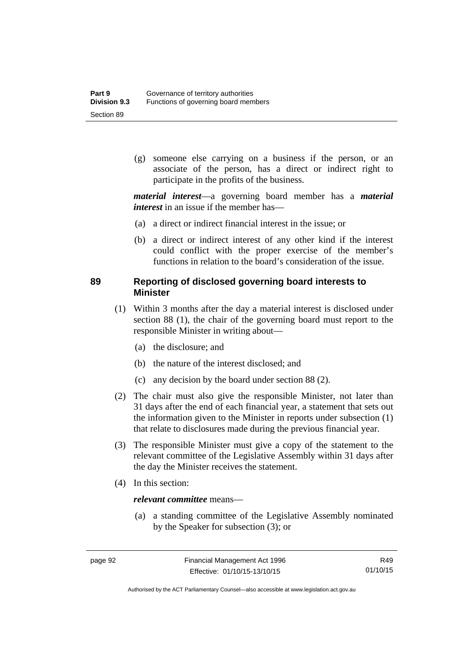(g) someone else carrying on a business if the person, or an associate of the person, has a direct or indirect right to participate in the profits of the business.

*material interest*—a governing board member has a *material interest* in an issue if the member has—

- (a) a direct or indirect financial interest in the issue; or
- (b) a direct or indirect interest of any other kind if the interest could conflict with the proper exercise of the member's functions in relation to the board's consideration of the issue.

# **89 Reporting of disclosed governing board interests to Minister**

- (1) Within 3 months after the day a material interest is disclosed under section 88 (1), the chair of the governing board must report to the responsible Minister in writing about—
	- (a) the disclosure; and
	- (b) the nature of the interest disclosed; and
	- (c) any decision by the board under section 88 (2).
- (2) The chair must also give the responsible Minister, not later than 31 days after the end of each financial year, a statement that sets out the information given to the Minister in reports under subsection (1) that relate to disclosures made during the previous financial year.
- (3) The responsible Minister must give a copy of the statement to the relevant committee of the Legislative Assembly within 31 days after the day the Minister receives the statement.
- (4) In this section:

### *relevant committee* means—

 (a) a standing committee of the Legislative Assembly nominated by the Speaker for subsection (3); or

R49 01/10/15

Authorised by the ACT Parliamentary Counsel—also accessible at www.legislation.act.gov.au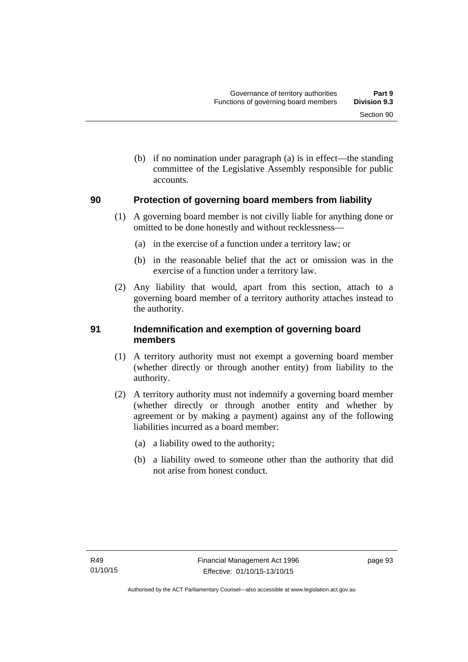(b) if no nomination under paragraph (a) is in effect—the standing committee of the Legislative Assembly responsible for public accounts.

### **90 Protection of governing board members from liability**

- (1) A governing board member is not civilly liable for anything done or omitted to be done honestly and without recklessness—
	- (a) in the exercise of a function under a territory law; or
	- (b) in the reasonable belief that the act or omission was in the exercise of a function under a territory law.
- (2) Any liability that would, apart from this section, attach to a governing board member of a territory authority attaches instead to the authority.

# **91 Indemnification and exemption of governing board members**

- (1) A territory authority must not exempt a governing board member (whether directly or through another entity) from liability to the authority.
- (2) A territory authority must not indemnify a governing board member (whether directly or through another entity and whether by agreement or by making a payment) against any of the following liabilities incurred as a board member:
	- (a) a liability owed to the authority;
	- (b) a liability owed to someone other than the authority that did not arise from honest conduct.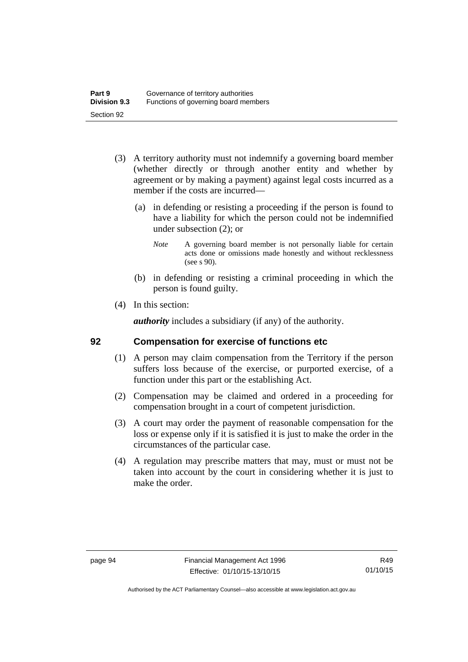- (3) A territory authority must not indemnify a governing board member (whether directly or through another entity and whether by agreement or by making a payment) against legal costs incurred as a member if the costs are incurred—
	- (a) in defending or resisting a proceeding if the person is found to have a liability for which the person could not be indemnified under subsection (2); or
		- *Note* A governing board member is not personally liable for certain acts done or omissions made honestly and without recklessness (see s 90).
	- (b) in defending or resisting a criminal proceeding in which the person is found guilty.
- (4) In this section:

*authority* includes a subsidiary (if any) of the authority.

### **92 Compensation for exercise of functions etc**

- (1) A person may claim compensation from the Territory if the person suffers loss because of the exercise, or purported exercise, of a function under this part or the establishing Act.
- (2) Compensation may be claimed and ordered in a proceeding for compensation brought in a court of competent jurisdiction.
- (3) A court may order the payment of reasonable compensation for the loss or expense only if it is satisfied it is just to make the order in the circumstances of the particular case.
- (4) A regulation may prescribe matters that may, must or must not be taken into account by the court in considering whether it is just to make the order.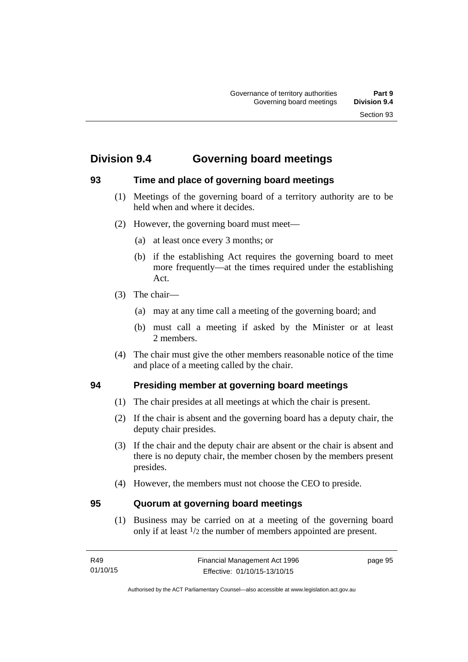# **Division 9.4 Governing board meetings**

# **93 Time and place of governing board meetings**

- (1) Meetings of the governing board of a territory authority are to be held when and where it decides.
- (2) However, the governing board must meet—
	- (a) at least once every 3 months; or
	- (b) if the establishing Act requires the governing board to meet more frequently—at the times required under the establishing Act.
- (3) The chair—
	- (a) may at any time call a meeting of the governing board; and
	- (b) must call a meeting if asked by the Minister or at least 2 members.
- (4) The chair must give the other members reasonable notice of the time and place of a meeting called by the chair.

# **94 Presiding member at governing board meetings**

- (1) The chair presides at all meetings at which the chair is present.
- (2) If the chair is absent and the governing board has a deputy chair, the deputy chair presides.
- (3) If the chair and the deputy chair are absent or the chair is absent and there is no deputy chair, the member chosen by the members present presides.
- (4) However, the members must not choose the CEO to preside.

### **95 Quorum at governing board meetings**

(1) Business may be carried on at a meeting of the governing board only if at least 1/2 the number of members appointed are present.

page 95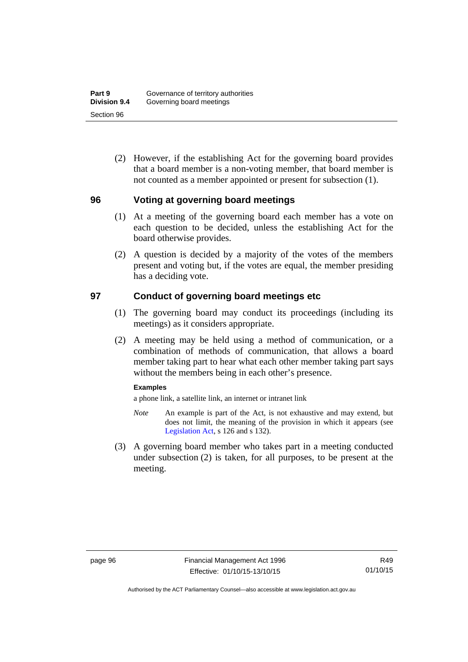(2) However, if the establishing Act for the governing board provides that a board member is a non-voting member, that board member is not counted as a member appointed or present for subsection (1).

### **96 Voting at governing board meetings**

- (1) At a meeting of the governing board each member has a vote on each question to be decided, unless the establishing Act for the board otherwise provides.
- (2) A question is decided by a majority of the votes of the members present and voting but, if the votes are equal, the member presiding has a deciding vote.

### **97 Conduct of governing board meetings etc**

- (1) The governing board may conduct its proceedings (including its meetings) as it considers appropriate.
- (2) A meeting may be held using a method of communication, or a combination of methods of communication, that allows a board member taking part to hear what each other member taking part says without the members being in each other's presence.

#### **Examples**

a phone link, a satellite link, an internet or intranet link

- *Note* An example is part of the Act, is not exhaustive and may extend, but does not limit, the meaning of the provision in which it appears (see [Legislation Act,](http://www.legislation.act.gov.au/a/2001-14) s 126 and s 132).
- (3) A governing board member who takes part in a meeting conducted under subsection (2) is taken, for all purposes, to be present at the meeting.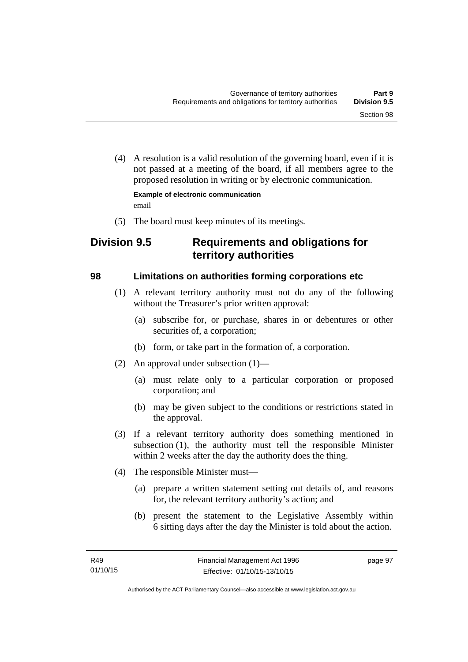(4) A resolution is a valid resolution of the governing board, even if it is not passed at a meeting of the board, if all members agree to the proposed resolution in writing or by electronic communication.

**Example of electronic communication**  email

(5) The board must keep minutes of its meetings.

# **Division 9.5 Requirements and obligations for territory authorities**

# **98 Limitations on authorities forming corporations etc**

- (1) A relevant territory authority must not do any of the following without the Treasurer's prior written approval:
	- (a) subscribe for, or purchase, shares in or debentures or other securities of, a corporation;
	- (b) form, or take part in the formation of, a corporation.
- (2) An approval under subsection (1)—
	- (a) must relate only to a particular corporation or proposed corporation; and
	- (b) may be given subject to the conditions or restrictions stated in the approval.
- (3) If a relevant territory authority does something mentioned in subsection (1), the authority must tell the responsible Minister within 2 weeks after the day the authority does the thing.
- (4) The responsible Minister must—
	- (a) prepare a written statement setting out details of, and reasons for, the relevant territory authority's action; and
	- (b) present the statement to the Legislative Assembly within 6 sitting days after the day the Minister is told about the action.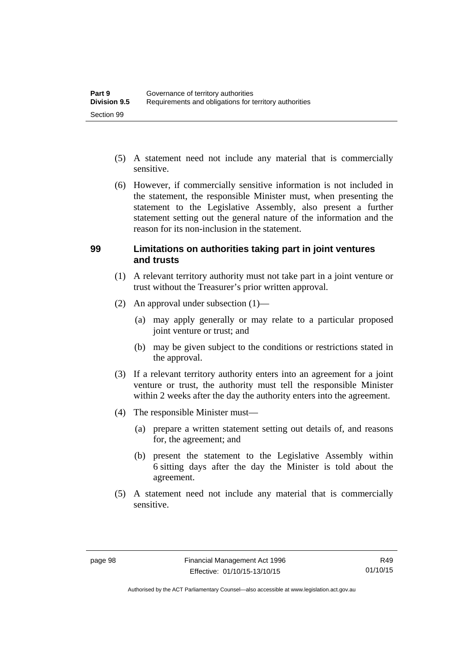- (5) A statement need not include any material that is commercially sensitive.
- (6) However, if commercially sensitive information is not included in the statement, the responsible Minister must, when presenting the statement to the Legislative Assembly, also present a further statement setting out the general nature of the information and the reason for its non-inclusion in the statement.

#### **99 Limitations on authorities taking part in joint ventures and trusts**

- (1) A relevant territory authority must not take part in a joint venture or trust without the Treasurer's prior written approval.
- (2) An approval under subsection (1)—
	- (a) may apply generally or may relate to a particular proposed joint venture or trust; and
	- (b) may be given subject to the conditions or restrictions stated in the approval.
- (3) If a relevant territory authority enters into an agreement for a joint venture or trust, the authority must tell the responsible Minister within 2 weeks after the day the authority enters into the agreement.
- (4) The responsible Minister must—
	- (a) prepare a written statement setting out details of, and reasons for, the agreement; and
	- (b) present the statement to the Legislative Assembly within 6 sitting days after the day the Minister is told about the agreement.
- (5) A statement need not include any material that is commercially sensitive.

Authorised by the ACT Parliamentary Counsel—also accessible at www.legislation.act.gov.au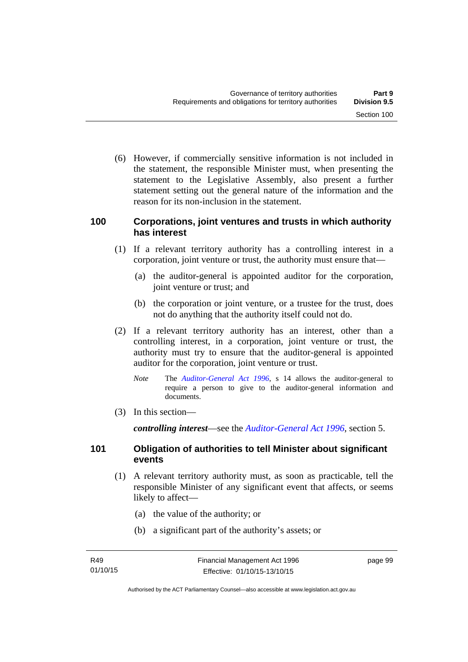(6) However, if commercially sensitive information is not included in the statement, the responsible Minister must, when presenting the statement to the Legislative Assembly, also present a further statement setting out the general nature of the information and the reason for its non-inclusion in the statement.

#### **100 Corporations, joint ventures and trusts in which authority has interest**

- (1) If a relevant territory authority has a controlling interest in a corporation, joint venture or trust, the authority must ensure that—
	- (a) the auditor-general is appointed auditor for the corporation, joint venture or trust; and
	- (b) the corporation or joint venture, or a trustee for the trust, does not do anything that the authority itself could not do.
- (2) If a relevant territory authority has an interest, other than a controlling interest, in a corporation, joint venture or trust, the authority must try to ensure that the auditor-general is appointed auditor for the corporation, joint venture or trust.
	- *Note* The *[Auditor-General Act 1996](http://www.legislation.act.gov.au/a/1996-23)*, s 14 allows the auditor-general to require a person to give to the auditor-general information and documents.
- (3) In this section—

*controlling interest*—see the *[Auditor-General Act 1996](http://www.legislation.act.gov.au/a/1996-23)*, section 5.

### **101 Obligation of authorities to tell Minister about significant events**

- (1) A relevant territory authority must, as soon as practicable, tell the responsible Minister of any significant event that affects, or seems likely to affect—
	- (a) the value of the authority; or
	- (b) a significant part of the authority's assets; or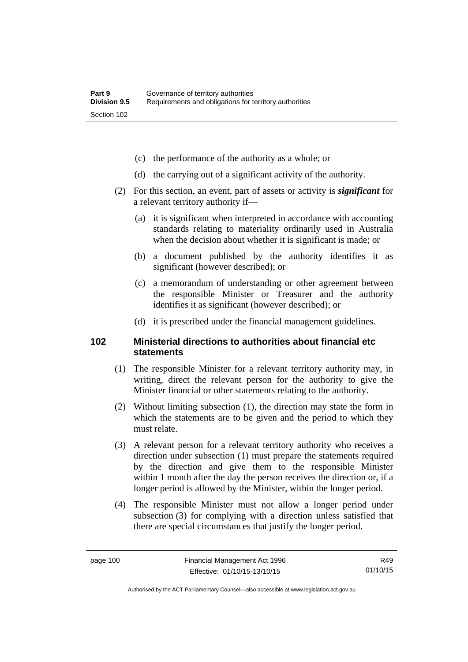- (c) the performance of the authority as a whole; or
- (d) the carrying out of a significant activity of the authority.
- (2) For this section, an event, part of assets or activity is *significant* for a relevant territory authority if—
	- (a) it is significant when interpreted in accordance with accounting standards relating to materiality ordinarily used in Australia when the decision about whether it is significant is made; or
	- (b) a document published by the authority identifies it as significant (however described); or
	- (c) a memorandum of understanding or other agreement between the responsible Minister or Treasurer and the authority identifies it as significant (however described); or
	- (d) it is prescribed under the financial management guidelines.

### **102 Ministerial directions to authorities about financial etc statements**

- (1) The responsible Minister for a relevant territory authority may, in writing, direct the relevant person for the authority to give the Minister financial or other statements relating to the authority.
- (2) Without limiting subsection (1), the direction may state the form in which the statements are to be given and the period to which they must relate.
- (3) A relevant person for a relevant territory authority who receives a direction under subsection (1) must prepare the statements required by the direction and give them to the responsible Minister within 1 month after the day the person receives the direction or, if a longer period is allowed by the Minister, within the longer period.
- (4) The responsible Minister must not allow a longer period under subsection (3) for complying with a direction unless satisfied that there are special circumstances that justify the longer period.

R49 01/10/15

Authorised by the ACT Parliamentary Counsel—also accessible at www.legislation.act.gov.au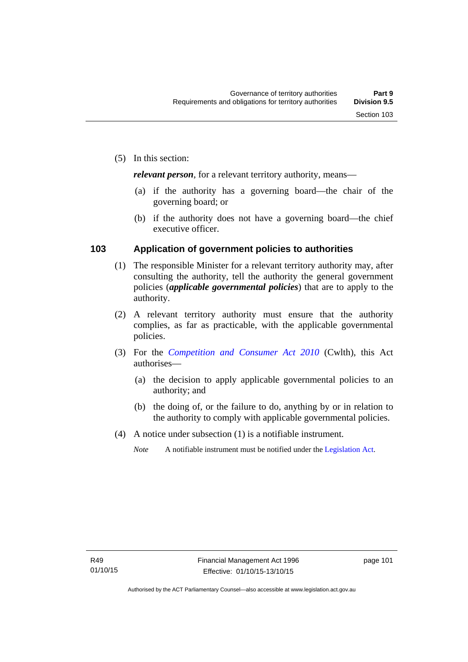*relevant person*, for a relevant territory authority, means—

- (a) if the authority has a governing board—the chair of the governing board; or
- (b) if the authority does not have a governing board—the chief executive officer.

#### **103 Application of government policies to authorities**

- (1) The responsible Minister for a relevant territory authority may, after consulting the authority, tell the authority the general government policies (*applicable governmental policies*) that are to apply to the authority.
- (2) A relevant territory authority must ensure that the authority complies, as far as practicable, with the applicable governmental policies.
- (3) For the *[Competition and Consumer Act 2010](http://www.comlaw.gov.au/Series/C2004A00109)* (Cwlth), this Act authorises—
	- (a) the decision to apply applicable governmental policies to an authority; and
	- (b) the doing of, or the failure to do, anything by or in relation to the authority to comply with applicable governmental policies.
- (4) A notice under subsection (1) is a notifiable instrument.
	- *Note* A notifiable instrument must be notified under the [Legislation Act](http://www.legislation.act.gov.au/a/2001-14).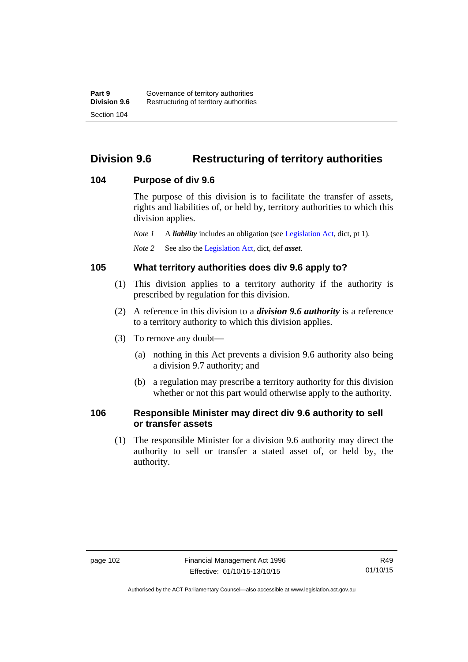## **Division 9.6 Restructuring of territory authorities**

#### **104 Purpose of div 9.6**

The purpose of this division is to facilitate the transfer of assets, rights and liabilities of, or held by, territory authorities to which this division applies.

*Note 1* A *liability* includes an obligation (see [Legislation Act,](http://www.legislation.act.gov.au/a/2001-14) dict, pt 1).

*Note 2* See also the [Legislation Act](http://www.legislation.act.gov.au/a/2001-14), dict, def *asset*.

#### **105 What territory authorities does div 9.6 apply to?**

- (1) This division applies to a territory authority if the authority is prescribed by regulation for this division.
- (2) A reference in this division to a *division 9.6 authority* is a reference to a territory authority to which this division applies.
- (3) To remove any doubt—
	- (a) nothing in this Act prevents a division 9.6 authority also being a division 9.7 authority; and
	- (b) a regulation may prescribe a territory authority for this division whether or not this part would otherwise apply to the authority.

### **106 Responsible Minister may direct div 9.6 authority to sell or transfer assets**

 (1) The responsible Minister for a division 9.6 authority may direct the authority to sell or transfer a stated asset of, or held by, the authority.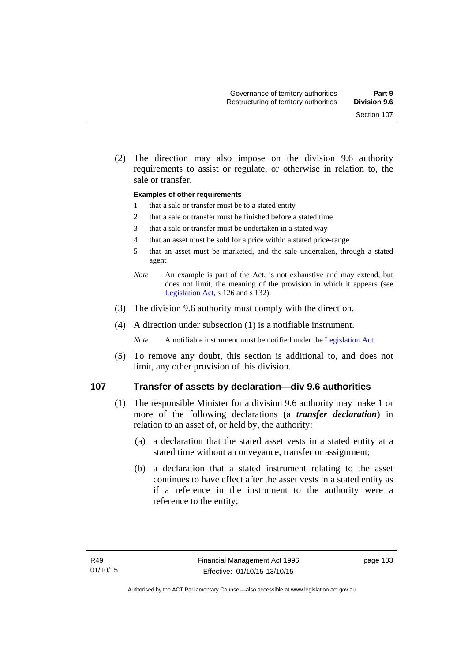(2) The direction may also impose on the division 9.6 authority requirements to assist or regulate, or otherwise in relation to, the sale or transfer.

#### **Examples of other requirements**

- 1 that a sale or transfer must be to a stated entity
- 2 that a sale or transfer must be finished before a stated time
- 3 that a sale or transfer must be undertaken in a stated way
- 4 that an asset must be sold for a price within a stated price-range
- 5 that an asset must be marketed, and the sale undertaken, through a stated agent
- *Note* An example is part of the Act, is not exhaustive and may extend, but does not limit, the meaning of the provision in which it appears (see [Legislation Act,](http://www.legislation.act.gov.au/a/2001-14) s 126 and s 132).
- (3) The division 9.6 authority must comply with the direction.
- (4) A direction under subsection (1) is a notifiable instrument.

*Note* A notifiable instrument must be notified under the [Legislation Act](http://www.legislation.act.gov.au/a/2001-14).

 (5) To remove any doubt, this section is additional to, and does not limit, any other provision of this division.

#### **107 Transfer of assets by declaration—div 9.6 authorities**

- (1) The responsible Minister for a division 9.6 authority may make 1 or more of the following declarations (a *transfer declaration*) in relation to an asset of, or held by, the authority:
	- (a) a declaration that the stated asset vests in a stated entity at a stated time without a conveyance, transfer or assignment;
	- (b) a declaration that a stated instrument relating to the asset continues to have effect after the asset vests in a stated entity as if a reference in the instrument to the authority were a reference to the entity;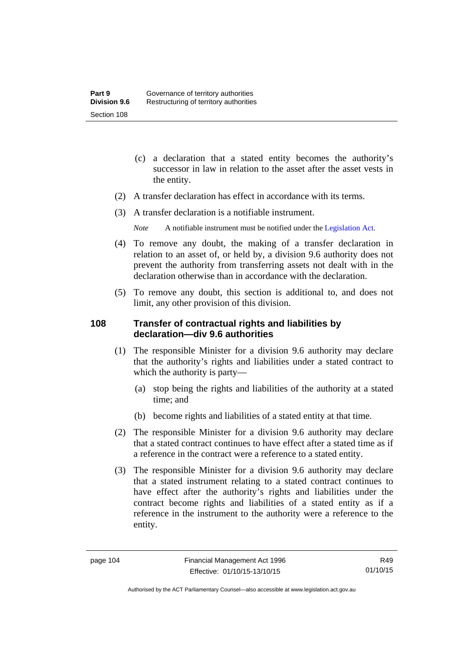- (c) a declaration that a stated entity becomes the authority's successor in law in relation to the asset after the asset vests in the entity.
- (2) A transfer declaration has effect in accordance with its terms.
- (3) A transfer declaration is a notifiable instrument.
	- *Note* A notifiable instrument must be notified under the [Legislation Act](http://www.legislation.act.gov.au/a/2001-14).
- (4) To remove any doubt, the making of a transfer declaration in relation to an asset of, or held by, a division 9.6 authority does not prevent the authority from transferring assets not dealt with in the declaration otherwise than in accordance with the declaration.
- (5) To remove any doubt, this section is additional to, and does not limit, any other provision of this division.

### **108 Transfer of contractual rights and liabilities by declaration—div 9.6 authorities**

- (1) The responsible Minister for a division 9.6 authority may declare that the authority's rights and liabilities under a stated contract to which the authority is party—
	- (a) stop being the rights and liabilities of the authority at a stated time; and
	- (b) become rights and liabilities of a stated entity at that time.
- (2) The responsible Minister for a division 9.6 authority may declare that a stated contract continues to have effect after a stated time as if a reference in the contract were a reference to a stated entity.
- (3) The responsible Minister for a division 9.6 authority may declare that a stated instrument relating to a stated contract continues to have effect after the authority's rights and liabilities under the contract become rights and liabilities of a stated entity as if a reference in the instrument to the authority were a reference to the entity.

R49 01/10/15

Authorised by the ACT Parliamentary Counsel—also accessible at www.legislation.act.gov.au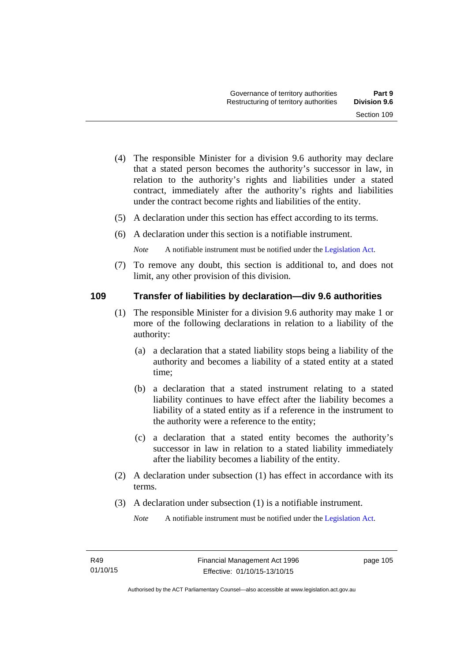- (4) The responsible Minister for a division 9.6 authority may declare that a stated person becomes the authority's successor in law, in relation to the authority's rights and liabilities under a stated contract, immediately after the authority's rights and liabilities under the contract become rights and liabilities of the entity.
- (5) A declaration under this section has effect according to its terms.
- (6) A declaration under this section is a notifiable instrument.

*Note* A notifiable instrument must be notified under the [Legislation Act](http://www.legislation.act.gov.au/a/2001-14).

 (7) To remove any doubt, this section is additional to, and does not limit, any other provision of this division.

#### **109 Transfer of liabilities by declaration—div 9.6 authorities**

- (1) The responsible Minister for a division 9.6 authority may make 1 or more of the following declarations in relation to a liability of the authority:
	- (a) a declaration that a stated liability stops being a liability of the authority and becomes a liability of a stated entity at a stated time;
	- (b) a declaration that a stated instrument relating to a stated liability continues to have effect after the liability becomes a liability of a stated entity as if a reference in the instrument to the authority were a reference to the entity;
	- (c) a declaration that a stated entity becomes the authority's successor in law in relation to a stated liability immediately after the liability becomes a liability of the entity.
- (2) A declaration under subsection (1) has effect in accordance with its terms.
- (3) A declaration under subsection (1) is a notifiable instrument.

*Note* A notifiable instrument must be notified under the [Legislation Act](http://www.legislation.act.gov.au/a/2001-14).

page 105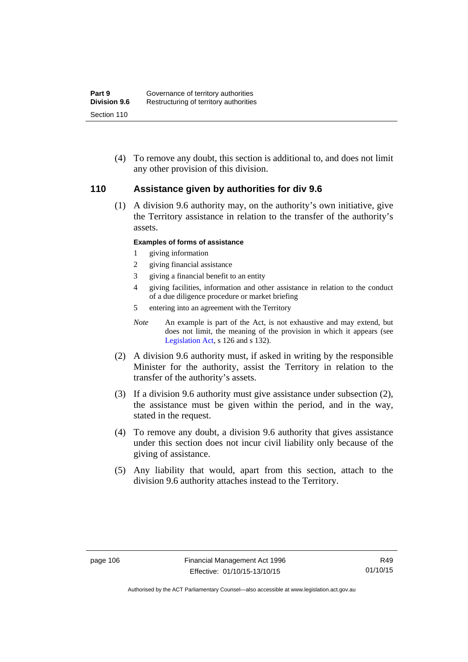(4) To remove any doubt, this section is additional to, and does not limit any other provision of this division.

#### **110 Assistance given by authorities for div 9.6**

(1) A division 9.6 authority may, on the authority's own initiative, give the Territory assistance in relation to the transfer of the authority's assets.

#### **Examples of forms of assistance**

- 1 giving information
- 2 giving financial assistance
- 3 giving a financial benefit to an entity
- 4 giving facilities, information and other assistance in relation to the conduct of a due diligence procedure or market briefing
- 5 entering into an agreement with the Territory
- *Note* An example is part of the Act, is not exhaustive and may extend, but does not limit, the meaning of the provision in which it appears (see [Legislation Act,](http://www.legislation.act.gov.au/a/2001-14) s 126 and s 132).
- (2) A division 9.6 authority must, if asked in writing by the responsible Minister for the authority, assist the Territory in relation to the transfer of the authority's assets.
- (3) If a division 9.6 authority must give assistance under subsection (2), the assistance must be given within the period, and in the way, stated in the request.
- (4) To remove any doubt, a division 9.6 authority that gives assistance under this section does not incur civil liability only because of the giving of assistance.
- (5) Any liability that would, apart from this section, attach to the division 9.6 authority attaches instead to the Territory.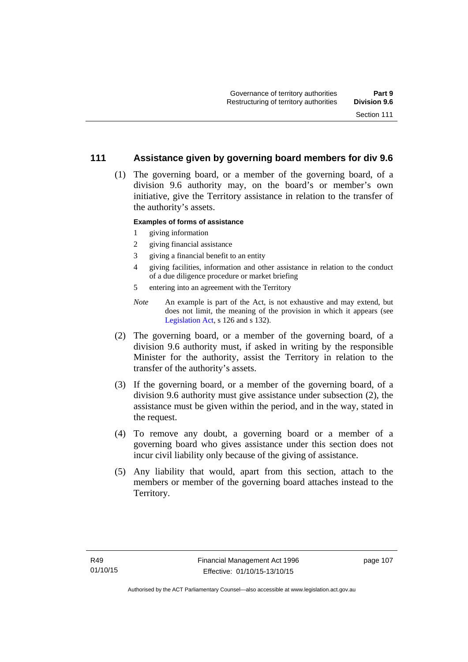### **111 Assistance given by governing board members for div 9.6**

 (1) The governing board, or a member of the governing board, of a division 9.6 authority may, on the board's or member's own initiative, give the Territory assistance in relation to the transfer of the authority's assets.

#### **Examples of forms of assistance**

- 1 giving information
- 2 giving financial assistance
- 3 giving a financial benefit to an entity
- 4 giving facilities, information and other assistance in relation to the conduct of a due diligence procedure or market briefing
- 5 entering into an agreement with the Territory
- *Note* An example is part of the Act, is not exhaustive and may extend, but does not limit, the meaning of the provision in which it appears (see [Legislation Act,](http://www.legislation.act.gov.au/a/2001-14) s 126 and s 132).
- (2) The governing board, or a member of the governing board, of a division 9.6 authority must, if asked in writing by the responsible Minister for the authority, assist the Territory in relation to the transfer of the authority's assets.
- (3) If the governing board, or a member of the governing board, of a division 9.6 authority must give assistance under subsection (2), the assistance must be given within the period, and in the way, stated in the request.
- (4) To remove any doubt, a governing board or a member of a governing board who gives assistance under this section does not incur civil liability only because of the giving of assistance.
- (5) Any liability that would, apart from this section, attach to the members or member of the governing board attaches instead to the Territory.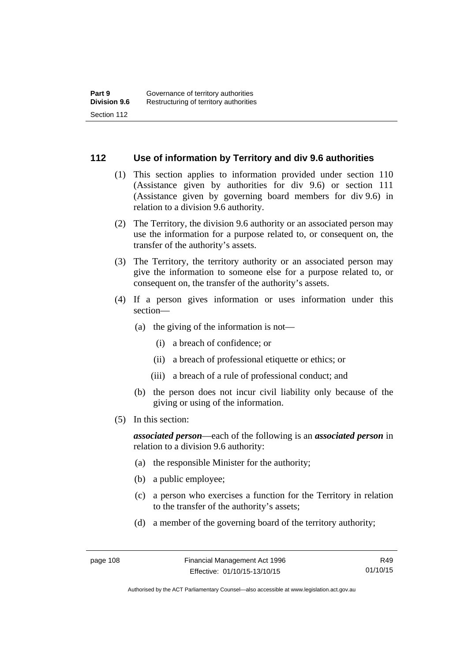#### **112 Use of information by Territory and div 9.6 authorities**

- (1) This section applies to information provided under section 110 (Assistance given by authorities for div 9.6) or section 111 (Assistance given by governing board members for div 9.6) in relation to a division 9.6 authority.
- (2) The Territory, the division 9.6 authority or an associated person may use the information for a purpose related to, or consequent on, the transfer of the authority's assets.
- (3) The Territory, the territory authority or an associated person may give the information to someone else for a purpose related to, or consequent on, the transfer of the authority's assets.
- (4) If a person gives information or uses information under this section—
	- (a) the giving of the information is not—
		- (i) a breach of confidence; or
		- (ii) a breach of professional etiquette or ethics; or
		- (iii) a breach of a rule of professional conduct; and
	- (b) the person does not incur civil liability only because of the giving or using of the information.
- (5) In this section:

*associated person*—each of the following is an *associated person* in relation to a division 9.6 authority:

- (a) the responsible Minister for the authority;
- (b) a public employee;
- (c) a person who exercises a function for the Territory in relation to the transfer of the authority's assets;
- (d) a member of the governing board of the territory authority;

R49 01/10/15

Authorised by the ACT Parliamentary Counsel—also accessible at www.legislation.act.gov.au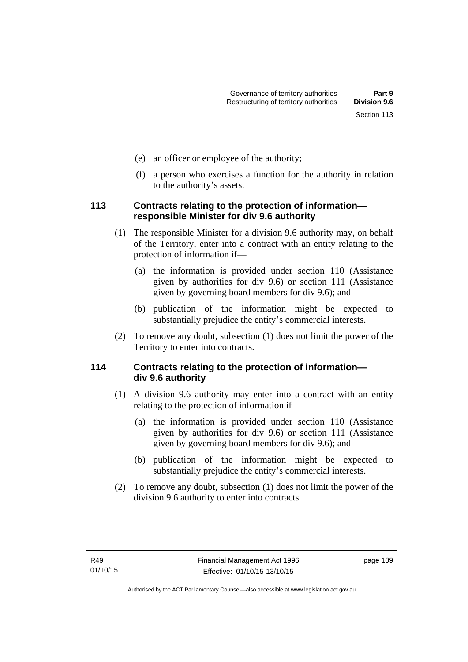- (e) an officer or employee of the authority;
- (f) a person who exercises a function for the authority in relation to the authority's assets.

### **113 Contracts relating to the protection of information responsible Minister for div 9.6 authority**

- (1) The responsible Minister for a division 9.6 authority may, on behalf of the Territory, enter into a contract with an entity relating to the protection of information if—
	- (a) the information is provided under section 110 (Assistance given by authorities for div 9.6) or section 111 (Assistance given by governing board members for div 9.6); and
	- (b) publication of the information might be expected to substantially prejudice the entity's commercial interests.
- (2) To remove any doubt, subsection (1) does not limit the power of the Territory to enter into contracts.

### **114 Contracts relating to the protection of information div 9.6 authority**

- (1) A division 9.6 authority may enter into a contract with an entity relating to the protection of information if—
	- (a) the information is provided under section 110 (Assistance given by authorities for div 9.6) or section 111 (Assistance given by governing board members for div 9.6); and
	- (b) publication of the information might be expected to substantially prejudice the entity's commercial interests.
- (2) To remove any doubt, subsection (1) does not limit the power of the division 9.6 authority to enter into contracts.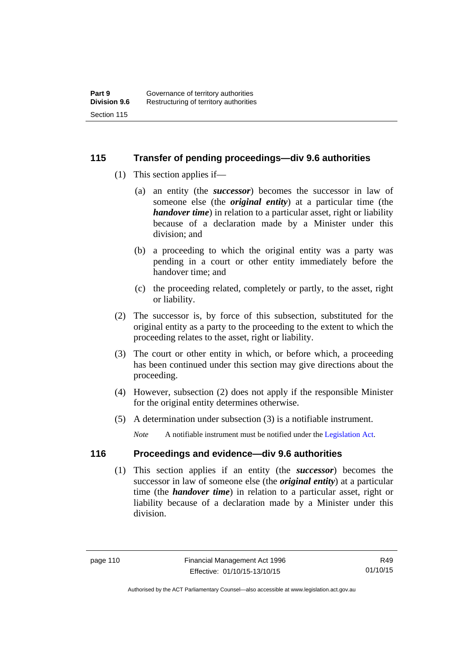### **115 Transfer of pending proceedings—div 9.6 authorities**

- (1) This section applies if—
	- (a) an entity (the *successor*) becomes the successor in law of someone else (the *original entity*) at a particular time (the *handover time*) in relation to a particular asset, right or liability because of a declaration made by a Minister under this division; and
	- (b) a proceeding to which the original entity was a party was pending in a court or other entity immediately before the handover time; and
	- (c) the proceeding related, completely or partly, to the asset, right or liability.
- (2) The successor is, by force of this subsection, substituted for the original entity as a party to the proceeding to the extent to which the proceeding relates to the asset, right or liability.
- (3) The court or other entity in which, or before which, a proceeding has been continued under this section may give directions about the proceeding.
- (4) However, subsection (2) does not apply if the responsible Minister for the original entity determines otherwise.
- (5) A determination under subsection (3) is a notifiable instrument.

*Note* A notifiable instrument must be notified under the [Legislation Act](http://www.legislation.act.gov.au/a/2001-14).

### **116 Proceedings and evidence—div 9.6 authorities**

 (1) This section applies if an entity (the *successor*) becomes the successor in law of someone else (the *original entity*) at a particular time (the *handover time*) in relation to a particular asset, right or liability because of a declaration made by a Minister under this division.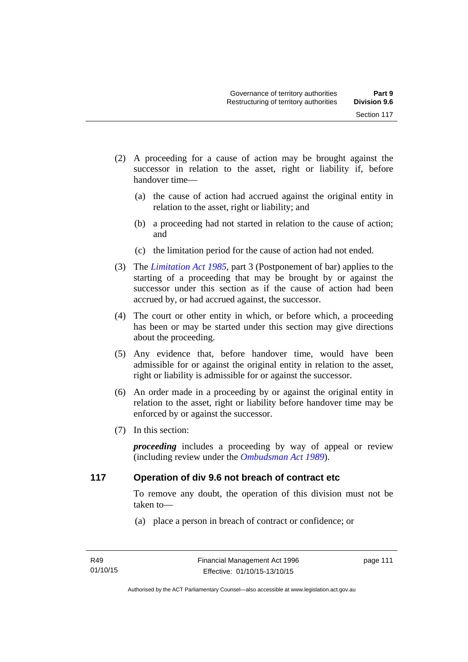- (2) A proceeding for a cause of action may be brought against the successor in relation to the asset, right or liability if, before handover time—
	- (a) the cause of action had accrued against the original entity in relation to the asset, right or liability; and
	- (b) a proceeding had not started in relation to the cause of action; and
	- (c) the limitation period for the cause of action had not ended.
- (3) The *[Limitation Act 1985](http://www.legislation.act.gov.au/a/1985-66),* part 3 (Postponement of bar) applies to the starting of a proceeding that may be brought by or against the successor under this section as if the cause of action had been accrued by, or had accrued against, the successor.
- (4) The court or other entity in which, or before which, a proceeding has been or may be started under this section may give directions about the proceeding.
- (5) Any evidence that, before handover time, would have been admissible for or against the original entity in relation to the asset, right or liability is admissible for or against the successor.
- (6) An order made in a proceeding by or against the original entity in relation to the asset, right or liability before handover time may be enforced by or against the successor.
- (7) In this section:

*proceeding* includes a proceeding by way of appeal or review (including review under the *[Ombudsman Act 1989](http://www.legislation.act.gov.au/a/alt_a1989-45co)*).

#### **117 Operation of div 9.6 not breach of contract etc**

To remove any doubt, the operation of this division must not be taken to—

(a) place a person in breach of contract or confidence; or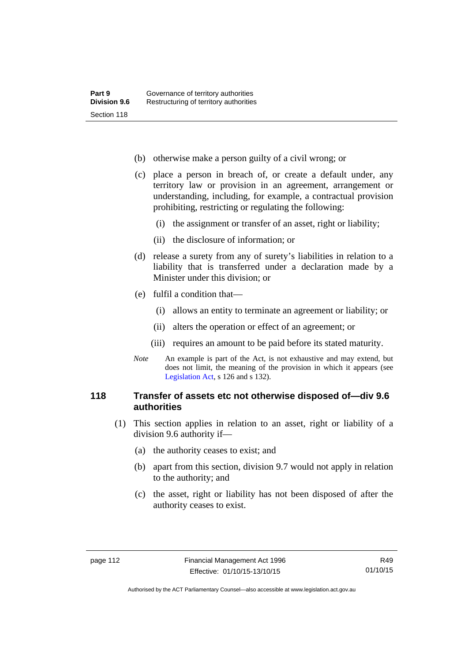- (b) otherwise make a person guilty of a civil wrong; or
- (c) place a person in breach of, or create a default under, any territory law or provision in an agreement, arrangement or understanding, including, for example, a contractual provision prohibiting, restricting or regulating the following:
	- (i) the assignment or transfer of an asset, right or liability;
	- (ii) the disclosure of information; or
- (d) release a surety from any of surety's liabilities in relation to a liability that is transferred under a declaration made by a Minister under this division; or
- (e) fulfil a condition that—
	- (i) allows an entity to terminate an agreement or liability; or
	- (ii) alters the operation or effect of an agreement; or
	- (iii) requires an amount to be paid before its stated maturity.
- *Note* An example is part of the Act, is not exhaustive and may extend, but does not limit, the meaning of the provision in which it appears (see [Legislation Act,](http://www.legislation.act.gov.au/a/2001-14) s 126 and s 132).

### **118 Transfer of assets etc not otherwise disposed of—div 9.6 authorities**

- (1) This section applies in relation to an asset, right or liability of a division 9.6 authority if—
	- (a) the authority ceases to exist; and
	- (b) apart from this section, division 9.7 would not apply in relation to the authority; and
	- (c) the asset, right or liability has not been disposed of after the authority ceases to exist.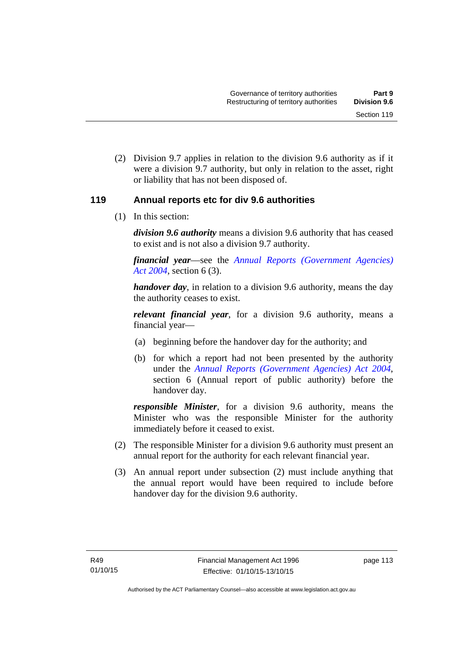(2) Division 9.7 applies in relation to the division 9.6 authority as if it were a division 9.7 authority, but only in relation to the asset, right or liability that has not been disposed of.

### **119 Annual reports etc for div 9.6 authorities**

(1) In this section:

*division 9.6 authority* means a division 9.6 authority that has ceased to exist and is not also a division 9.7 authority.

*financial year*––see the *[Annual Reports \(Government Agencies\)](http://www.legislation.act.gov.au/a/2004-8)  [Act 2004](http://www.legislation.act.gov.au/a/2004-8)*, section 6 (3).

*handover day*, in relation to a division 9.6 authority, means the day the authority ceases to exist.

*relevant financial year*, for a division 9.6 authority, means a financial year—

- (a) beginning before the handover day for the authority; and
- (b) for which a report had not been presented by the authority under the *[Annual Reports \(Government Agencies\) Act 2004](http://www.legislation.act.gov.au/a/2004-8)*, section 6 (Annual report of public authority) before the handover day.

*responsible Minister*, for a division 9.6 authority, means the Minister who was the responsible Minister for the authority immediately before it ceased to exist.

- (2) The responsible Minister for a division 9.6 authority must present an annual report for the authority for each relevant financial year.
- (3) An annual report under subsection (2) must include anything that the annual report would have been required to include before handover day for the division 9.6 authority.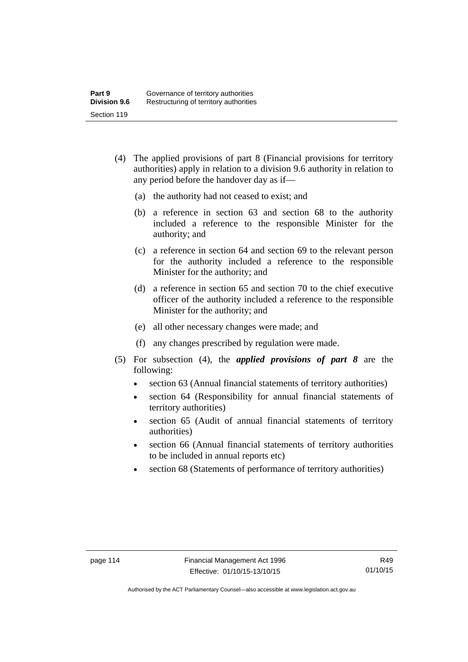- (4) The applied provisions of part 8 (Financial provisions for territory authorities) apply in relation to a division 9.6 authority in relation to any period before the handover day as if—
	- (a) the authority had not ceased to exist; and
	- (b) a reference in section 63 and section 68 to the authority included a reference to the responsible Minister for the authority; and
	- (c) a reference in section 64 and section 69 to the relevant person for the authority included a reference to the responsible Minister for the authority; and
	- (d) a reference in section 65 and section 70 to the chief executive officer of the authority included a reference to the responsible Minister for the authority; and
	- (e) all other necessary changes were made; and
	- (f) any changes prescribed by regulation were made.
- (5) For subsection (4), the *applied provisions of part 8* are the following:
	- section 63 (Annual financial statements of territory authorities)
	- section 64 (Responsibility for annual financial statements of territory authorities)
	- section 65 (Audit of annual financial statements of territory authorities)
	- section 66 (Annual financial statements of territory authorities to be included in annual reports etc)
	- section 68 (Statements of performance of territory authorities)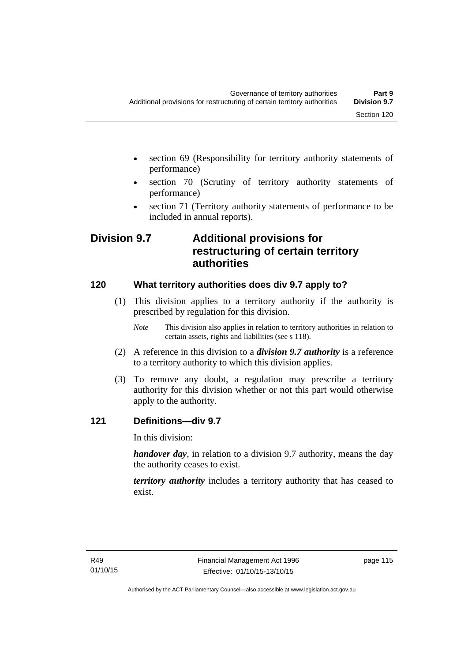- section 69 (Responsibility for territory authority statements of performance)
- section 70 (Scrutiny of territory authority statements of performance)
- section 71 (Territory authority statements of performance to be included in annual reports).

## **Division 9.7 Additional provisions for restructuring of certain territory authorities**

### **120 What territory authorities does div 9.7 apply to?**

- (1) This division applies to a territory authority if the authority is prescribed by regulation for this division.
	- *Note* This division also applies in relation to territory authorities in relation to certain assets, rights and liabilities (see s 118).
- (2) A reference in this division to a *division 9.7 authority* is a reference to a territory authority to which this division applies.
- (3) To remove any doubt, a regulation may prescribe a territory authority for this division whether or not this part would otherwise apply to the authority.

### **121 Definitions—div 9.7**

In this division:

*handover day*, in relation to a division 9.7 authority, means the day the authority ceases to exist.

*territory authority* includes a territory authority that has ceased to exist.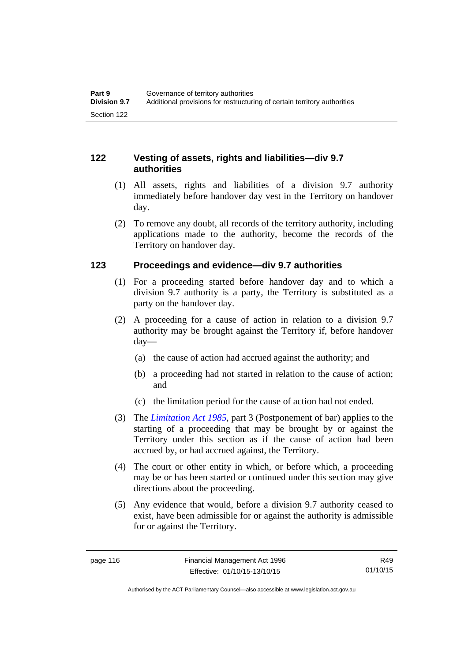### **122 Vesting of assets, rights and liabilities—div 9.7 authorities**

- (1) All assets, rights and liabilities of a division 9.7 authority immediately before handover day vest in the Territory on handover day.
- (2) To remove any doubt, all records of the territory authority, including applications made to the authority, become the records of the Territory on handover day.

### **123 Proceedings and evidence—div 9.7 authorities**

- (1) For a proceeding started before handover day and to which a division 9.7 authority is a party, the Territory is substituted as a party on the handover day.
- (2) A proceeding for a cause of action in relation to a division 9.7 authority may be brought against the Territory if, before handover day—
	- (a) the cause of action had accrued against the authority; and
	- (b) a proceeding had not started in relation to the cause of action; and
	- (c) the limitation period for the cause of action had not ended.
- (3) The *[Limitation Act 1985](http://www.legislation.act.gov.au/a/1985-66),* part 3 (Postponement of bar) applies to the starting of a proceeding that may be brought by or against the Territory under this section as if the cause of action had been accrued by, or had accrued against, the Territory.
- (4) The court or other entity in which, or before which, a proceeding may be or has been started or continued under this section may give directions about the proceeding.
- (5) Any evidence that would, before a division 9.7 authority ceased to exist, have been admissible for or against the authority is admissible for or against the Territory.

R49 01/10/15

Authorised by the ACT Parliamentary Counsel—also accessible at www.legislation.act.gov.au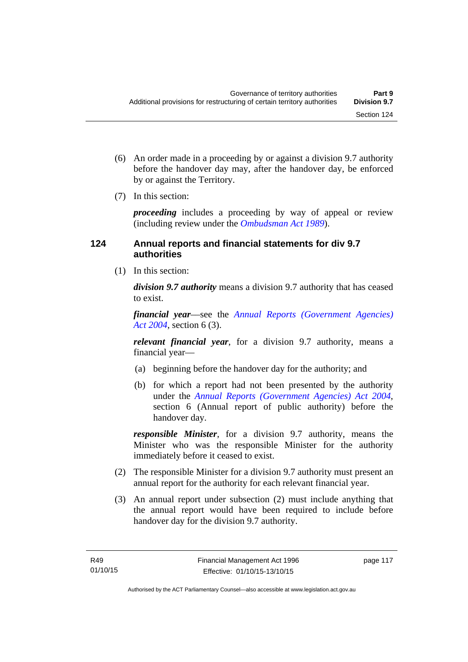- (6) An order made in a proceeding by or against a division 9.7 authority before the handover day may, after the handover day, be enforced by or against the Territory.
- (7) In this section:

*proceeding* includes a proceeding by way of appeal or review (including review under the *[Ombudsman Act 1989](http://www.legislation.act.gov.au/a/alt_a1989-45co)*).

### **124 Annual reports and financial statements for div 9.7 authorities**

(1) In this section:

*division 9.7 authority* means a division 9.7 authority that has ceased to exist.

*financial year*––see the *[Annual Reports \(Government Agencies\)](http://www.legislation.act.gov.au/a/2004-8)  [Act 2004](http://www.legislation.act.gov.au/a/2004-8)*, section 6 (3).

*relevant financial year*, for a division 9.7 authority, means a financial year—

- (a) beginning before the handover day for the authority; and
- (b) for which a report had not been presented by the authority under the *[Annual Reports \(Government Agencies\) Act 2004](http://www.legislation.act.gov.au/a/2004-8)*, section 6 (Annual report of public authority) before the handover day.

*responsible Minister*, for a division 9.7 authority, means the Minister who was the responsible Minister for the authority immediately before it ceased to exist.

- (2) The responsible Minister for a division 9.7 authority must present an annual report for the authority for each relevant financial year.
- (3) An annual report under subsection (2) must include anything that the annual report would have been required to include before handover day for the division 9.7 authority.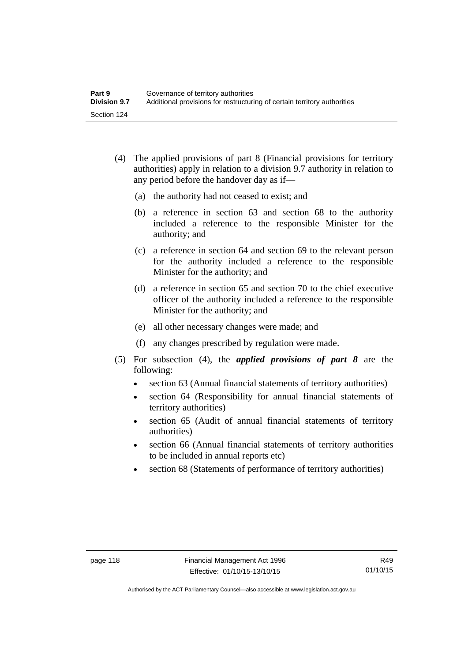- (4) The applied provisions of part 8 (Financial provisions for territory authorities) apply in relation to a division 9.7 authority in relation to any period before the handover day as if—
	- (a) the authority had not ceased to exist; and
	- (b) a reference in section 63 and section 68 to the authority included a reference to the responsible Minister for the authority; and
	- (c) a reference in section 64 and section 69 to the relevant person for the authority included a reference to the responsible Minister for the authority; and
	- (d) a reference in section 65 and section 70 to the chief executive officer of the authority included a reference to the responsible Minister for the authority; and
	- (e) all other necessary changes were made; and
	- (f) any changes prescribed by regulation were made.
- (5) For subsection (4), the *applied provisions of part 8* are the following:
	- section 63 (Annual financial statements of territory authorities)
	- section 64 (Responsibility for annual financial statements of territory authorities)
	- section 65 (Audit of annual financial statements of territory authorities)
	- section 66 (Annual financial statements of territory authorities to be included in annual reports etc)
	- section 68 (Statements of performance of territory authorities)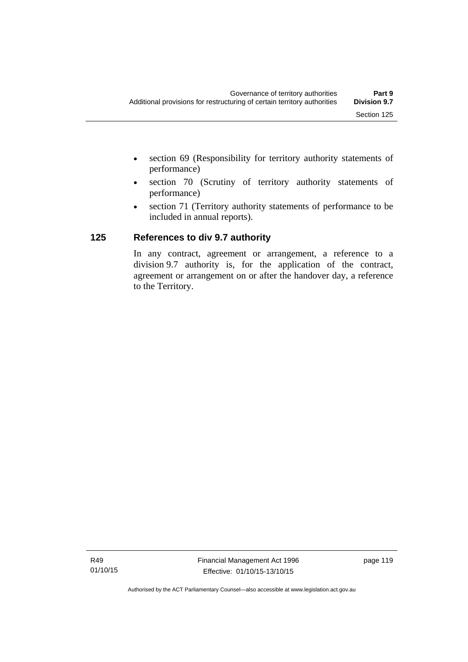- section 69 (Responsibility for territory authority statements of performance)
- section 70 (Scrutiny of territory authority statements of performance)
- section 71 (Territory authority statements of performance to be included in annual reports).

### **125 References to div 9.7 authority**

In any contract, agreement or arrangement, a reference to a division 9.7 authority is, for the application of the contract, agreement or arrangement on or after the handover day, a reference to the Territory.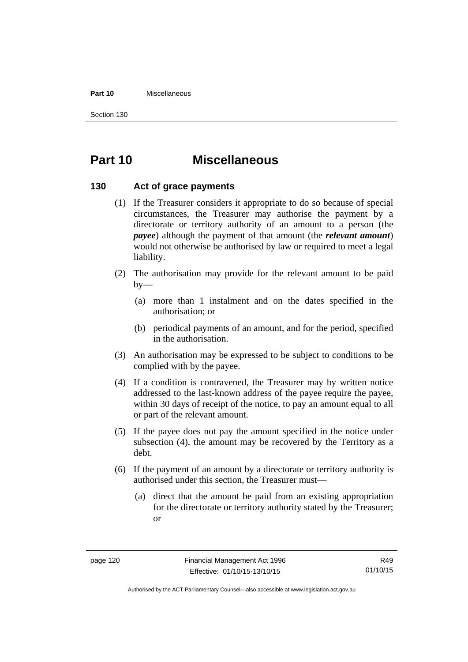#### **Part 10** Miscellaneous

Section 130

## **Part 10 Miscellaneous**

#### **130 Act of grace payments**

- (1) If the Treasurer considers it appropriate to do so because of special circumstances, the Treasurer may authorise the payment by a directorate or territory authority of an amount to a person (the *payee*) although the payment of that amount (the *relevant amount*) would not otherwise be authorised by law or required to meet a legal liability.
- (2) The authorisation may provide for the relevant amount to be paid  $by-$ 
	- (a) more than 1 instalment and on the dates specified in the authorisation; or
	- (b) periodical payments of an amount, and for the period, specified in the authorisation.
- (3) An authorisation may be expressed to be subject to conditions to be complied with by the payee.
- (4) If a condition is contravened, the Treasurer may by written notice addressed to the last-known address of the payee require the payee, within 30 days of receipt of the notice, to pay an amount equal to all or part of the relevant amount.
- (5) If the payee does not pay the amount specified in the notice under subsection (4), the amount may be recovered by the Territory as a debt.
- (6) If the payment of an amount by a directorate or territory authority is authorised under this section, the Treasurer must—
	- (a) direct that the amount be paid from an existing appropriation for the directorate or territory authority stated by the Treasurer; or

Authorised by the ACT Parliamentary Counsel—also accessible at www.legislation.act.gov.au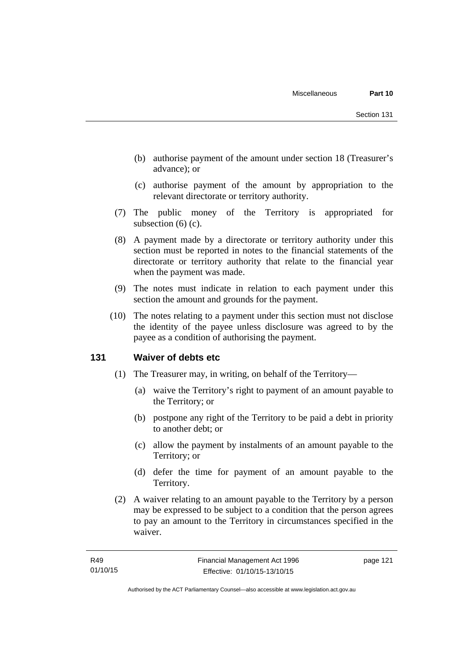- (b) authorise payment of the amount under section 18 (Treasurer's advance); or
- (c) authorise payment of the amount by appropriation to the relevant directorate or territory authority.
- (7) The public money of the Territory is appropriated for subsection (6) (c).
- (8) A payment made by a directorate or territory authority under this section must be reported in notes to the financial statements of the directorate or territory authority that relate to the financial year when the payment was made.
- (9) The notes must indicate in relation to each payment under this section the amount and grounds for the payment.
- (10) The notes relating to a payment under this section must not disclose the identity of the payee unless disclosure was agreed to by the payee as a condition of authorising the payment.

### **131 Waiver of debts etc**

- (1) The Treasurer may, in writing, on behalf of the Territory—
	- (a) waive the Territory's right to payment of an amount payable to the Territory; or
	- (b) postpone any right of the Territory to be paid a debt in priority to another debt; or
	- (c) allow the payment by instalments of an amount payable to the Territory; or
	- (d) defer the time for payment of an amount payable to the Territory.
- (2) A waiver relating to an amount payable to the Territory by a person may be expressed to be subject to a condition that the person agrees to pay an amount to the Territory in circumstances specified in the waiver.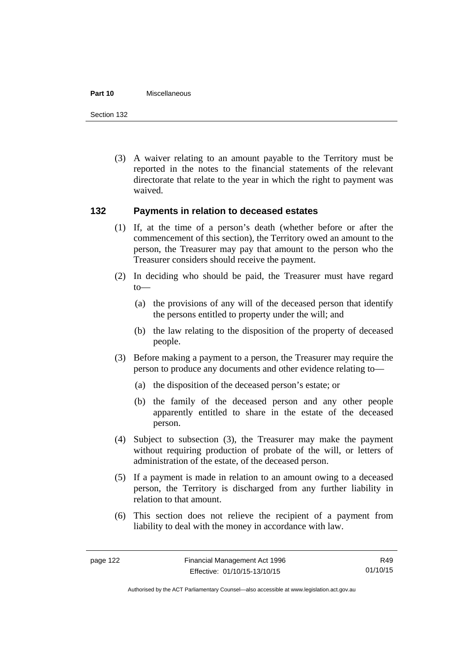#### **Part 10** Miscellaneous

Section 132

 (3) A waiver relating to an amount payable to the Territory must be reported in the notes to the financial statements of the relevant directorate that relate to the year in which the right to payment was waived.

#### **132 Payments in relation to deceased estates**

- (1) If, at the time of a person's death (whether before or after the commencement of this section), the Territory owed an amount to the person, the Treasurer may pay that amount to the person who the Treasurer considers should receive the payment.
- (2) In deciding who should be paid, the Treasurer must have regard to—
	- (a) the provisions of any will of the deceased person that identify the persons entitled to property under the will; and
	- (b) the law relating to the disposition of the property of deceased people.
- (3) Before making a payment to a person, the Treasurer may require the person to produce any documents and other evidence relating to—
	- (a) the disposition of the deceased person's estate; or
	- (b) the family of the deceased person and any other people apparently entitled to share in the estate of the deceased person.
- (4) Subject to subsection (3), the Treasurer may make the payment without requiring production of probate of the will, or letters of administration of the estate, of the deceased person.
- (5) If a payment is made in relation to an amount owing to a deceased person, the Territory is discharged from any further liability in relation to that amount.
- (6) This section does not relieve the recipient of a payment from liability to deal with the money in accordance with law.

R49 01/10/15

Authorised by the ACT Parliamentary Counsel—also accessible at www.legislation.act.gov.au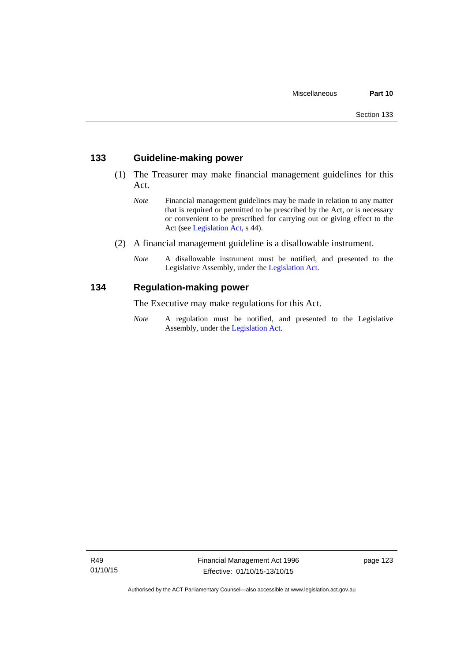#### **133 Guideline-making power**

- (1) The Treasurer may make financial management guidelines for this Act.
	- *Note* Financial management guidelines may be made in relation to any matter that is required or permitted to be prescribed by the Act, or is necessary or convenient to be prescribed for carrying out or giving effect to the Act (see [Legislation Act,](http://www.legislation.act.gov.au/a/2001-14) s 44).
- (2) A financial management guideline is a disallowable instrument.
	- *Note* A disallowable instrument must be notified, and presented to the Legislative Assembly, under the [Legislation Act.](http://www.legislation.act.gov.au/a/2001-14)

#### **134 Regulation-making power**

The Executive may make regulations for this Act.

*Note* A regulation must be notified, and presented to the Legislative Assembly, under the [Legislation Act](http://www.legislation.act.gov.au/a/2001-14).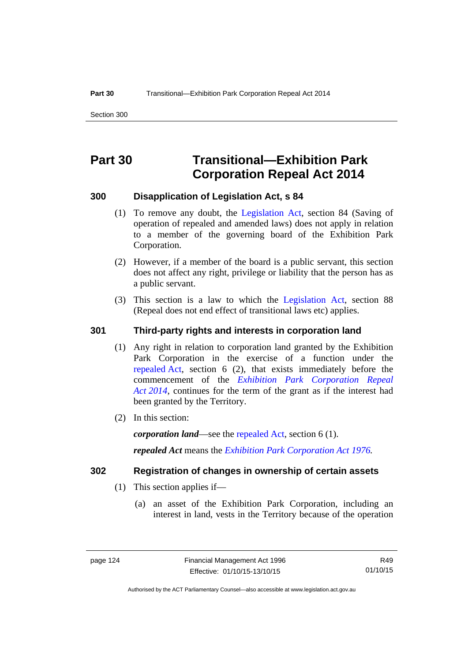## **Part 30 Transitional—Exhibition Park Corporation Repeal Act 2014**

#### **300 Disapplication of Legislation Act, s 84**

- (1) To remove any doubt, the [Legislation Act,](http://www.legislation.act.gov.au/a/2001-14) section 84 (Saving of operation of repealed and amended laws) does not apply in relation to a member of the governing board of the Exhibition Park Corporation.
- (2) However, if a member of the board is a public servant, this section does not affect any right, privilege or liability that the person has as a public servant.
- (3) This section is a law to which the [Legislation Act](http://www.legislation.act.gov.au/a/2001-14), section 88 (Repeal does not end effect of transitional laws etc) applies.

### **301 Third-party rights and interests in corporation land**

- (1) Any right in relation to corporation land granted by the Exhibition Park Corporation in the exercise of a function under the [repealed Act,](http://www.legislation.act.gov.au/a/1976-1/default.asp) section 6 (2), that exists immediately before the commencement of the *[Exhibition Park Corporation Repeal](http://www.legislation.act.gov.au/a/2014-54/default.asp)  [Act 2014](http://www.legislation.act.gov.au/a/2014-54/default.asp)*, continues for the term of the grant as if the interest had been granted by the Territory.
- (2) In this section:

*corporation land*—see the [repealed Act](http://www.legislation.act.gov.au/a/1976-1/default.asp), section 6 (1).

*repealed Act* means the *[Exhibition Park Corporation Act 1976](http://www.legislation.act.gov.au/a/1976-1).*

#### **302 Registration of changes in ownership of certain assets**

- (1) This section applies if—
	- (a) an asset of the Exhibition Park Corporation, including an interest in land, vests in the Territory because of the operation

R49 01/10/15

Authorised by the ACT Parliamentary Counsel—also accessible at www.legislation.act.gov.au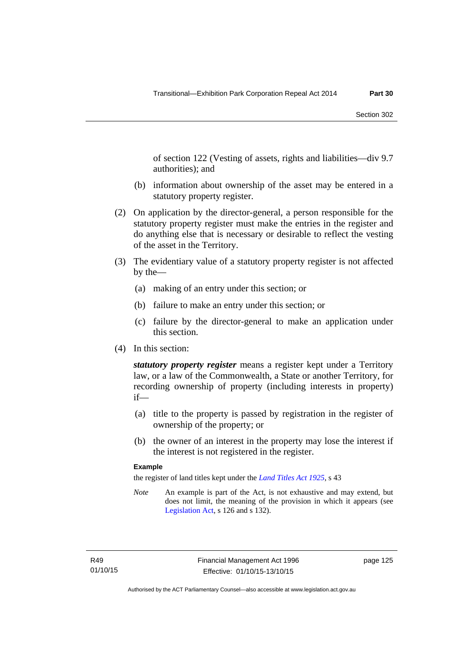of section 122 (Vesting of assets, rights and liabilities—div 9.7 authorities); and

- (b) information about ownership of the asset may be entered in a statutory property register.
- (2) On application by the director-general, a person responsible for the statutory property register must make the entries in the register and do anything else that is necessary or desirable to reflect the vesting of the asset in the Territory.
- (3) The evidentiary value of a statutory property register is not affected by the—
	- (a) making of an entry under this section; or
	- (b) failure to make an entry under this section; or
	- (c) failure by the director-general to make an application under this section.
- (4) In this section:

*statutory property register* means a register kept under a Territory law, or a law of the Commonwealth, a State or another Territory, for recording ownership of property (including interests in property) if—

- (a) title to the property is passed by registration in the register of ownership of the property; or
- (b) the owner of an interest in the property may lose the interest if the interest is not registered in the register.

#### **Example**

the register of land titles kept under the *[Land Titles Act 1925](http://www.legislation.act.gov.au/a/1925-1)*, s 43

*Note* An example is part of the Act, is not exhaustive and may extend, but does not limit, the meaning of the provision in which it appears (see [Legislation Act,](http://www.legislation.act.gov.au/a/2001-14) s 126 and s 132).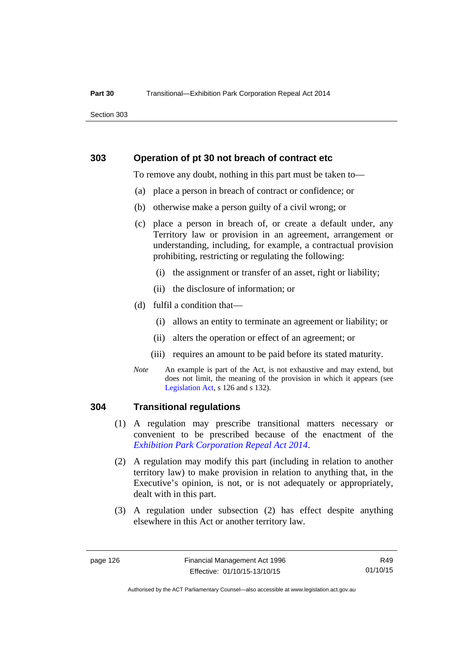Section 303

#### **303 Operation of pt 30 not breach of contract etc**

To remove any doubt, nothing in this part must be taken to—

- (a) place a person in breach of contract or confidence; or
- (b) otherwise make a person guilty of a civil wrong; or
- (c) place a person in breach of, or create a default under, any Territory law or provision in an agreement, arrangement or understanding, including, for example, a contractual provision prohibiting, restricting or regulating the following:
	- (i) the assignment or transfer of an asset, right or liability;
	- (ii) the disclosure of information; or
- (d) fulfil a condition that—
	- (i) allows an entity to terminate an agreement or liability; or
	- (ii) alters the operation or effect of an agreement; or
	- (iii) requires an amount to be paid before its stated maturity.
- *Note* An example is part of the Act, is not exhaustive and may extend, but does not limit, the meaning of the provision in which it appears (see [Legislation Act,](http://www.legislation.act.gov.au/a/2001-14) s 126 and s 132).

### **304 Transitional regulations**

- (1) A regulation may prescribe transitional matters necessary or convenient to be prescribed because of the enactment of the *[Exhibition Park Corporation Repeal Act 2014](http://www.legislation.act.gov.au/a/2014-54/default.asp)*.
- (2) A regulation may modify this part (including in relation to another territory law) to make provision in relation to anything that, in the Executive's opinion, is not, or is not adequately or appropriately, dealt with in this part.
- (3) A regulation under subsection (2) has effect despite anything elsewhere in this Act or another territory law.

R49 01/10/15

Authorised by the ACT Parliamentary Counsel—also accessible at www.legislation.act.gov.au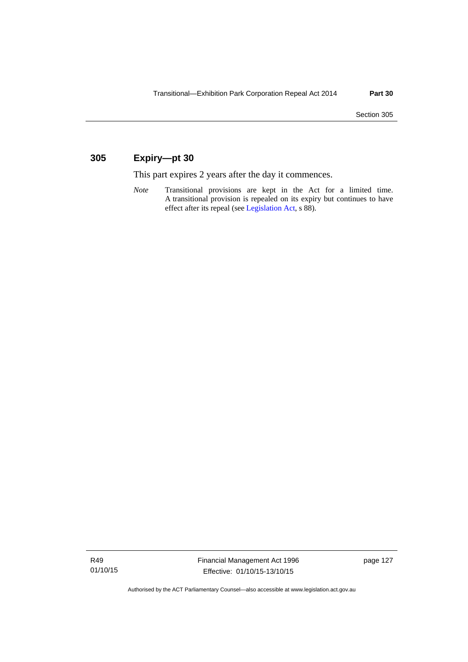### **305 Expiry—pt 30**

This part expires 2 years after the day it commences.

*Note* Transitional provisions are kept in the Act for a limited time. A transitional provision is repealed on its expiry but continues to have effect after its repeal (see [Legislation Act,](http://www.legislation.act.gov.au/a/2001-14) s 88).

R49 01/10/15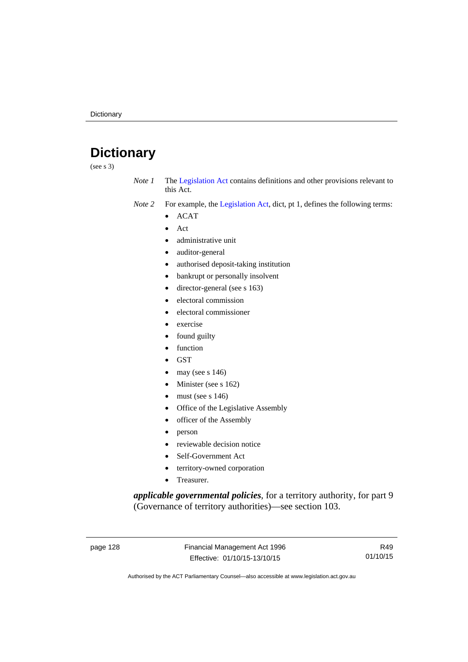# **Dictionary**

(see s 3)

- *Note 1* The [Legislation Act](http://www.legislation.act.gov.au/a/2001-14) contains definitions and other provisions relevant to this Act.
- *Note 2* For example, the [Legislation Act,](http://www.legislation.act.gov.au/a/2001-14) dict, pt 1, defines the following terms:
	- ACAT
	- Act
	- administrative unit
	- auditor-general
	- authorised deposit-taking institution
	- bankrupt or personally insolvent
	- director-general (see s 163)
	- electoral commission
	- electoral commissioner
	- exercise
	- found guilty
	- function
	- **GST**
	- may (see s 146)
	- Minister (see s 162)
	- must (see s 146)
	- Office of the Legislative Assembly
	- officer of the Assembly
	- person
	- reviewable decision notice
	- Self-Government Act
	- territory-owned corporation
	- Treasurer.

*applicable governmental policies*, for a territory authority, for part 9 (Governance of territory authorities)—see section 103.

page 128 Financial Management Act 1996 Effective: 01/10/15-13/10/15

R49 01/10/15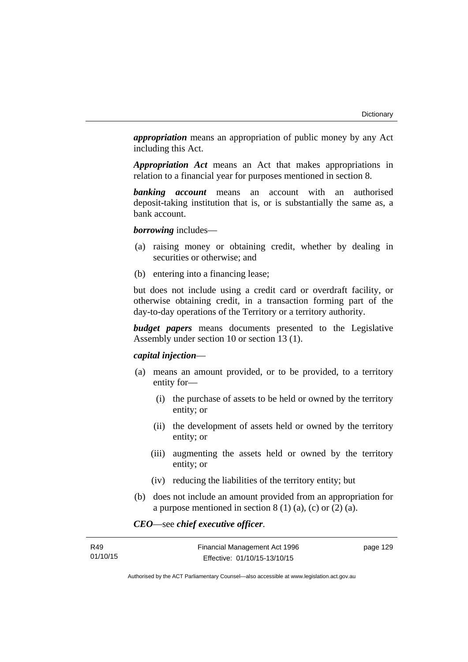*appropriation* means an appropriation of public money by any Act including this Act.

*Appropriation Act* means an Act that makes appropriations in relation to a financial year for purposes mentioned in section 8.

*banking account* means an account with an authorised deposit-taking institution that is, or is substantially the same as, a bank account.

*borrowing* includes—

- (a) raising money or obtaining credit, whether by dealing in securities or otherwise; and
- (b) entering into a financing lease;

but does not include using a credit card or overdraft facility, or otherwise obtaining credit, in a transaction forming part of the day-to-day operations of the Territory or a territory authority.

*budget papers* means documents presented to the Legislative Assembly under section 10 or section 13 (1).

#### *capital injection*—

- (a) means an amount provided, or to be provided, to a territory entity for—
	- (i) the purchase of assets to be held or owned by the territory entity; or
	- (ii) the development of assets held or owned by the territory entity; or
	- (iii) augmenting the assets held or owned by the territory entity; or
	- (iv) reducing the liabilities of the territory entity; but
- (b) does not include an amount provided from an appropriation for a purpose mentioned in section  $8(1)(a)$ , (c) or  $(2)(a)$ .

*CEO*—see *chief executive officer*.

| R49      | Financial Management Act 1996 | page 129 |
|----------|-------------------------------|----------|
| 01/10/15 | Effective: 01/10/15-13/10/15  |          |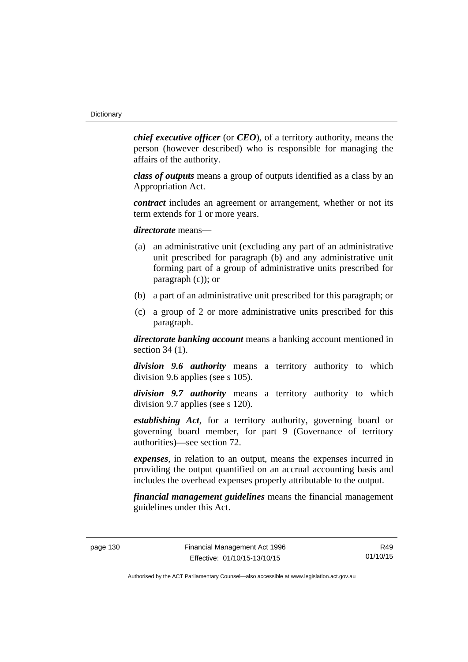*chief executive officer* (or *CEO*), of a territory authority, means the person (however described) who is responsible for managing the affairs of the authority.

*class of outputs* means a group of outputs identified as a class by an Appropriation Act.

*contract* includes an agreement or arrangement, whether or not its term extends for 1 or more years.

*directorate* means––

- (a) an administrative unit (excluding any part of an administrative unit prescribed for paragraph (b) and any administrative unit forming part of a group of administrative units prescribed for paragraph (c)); or
- (b) a part of an administrative unit prescribed for this paragraph; or
- (c) a group of 2 or more administrative units prescribed for this paragraph.

*directorate banking account* means a banking account mentioned in section 34 (1).

*division 9.6 authority* means a territory authority to which division 9.6 applies (see s 105).

*division 9.7 authority* means a territory authority to which division 9.7 applies (see s 120).

*establishing Act*, for a territory authority, governing board or governing board member, for part 9 (Governance of territory authorities)—see section 72.

*expenses*, in relation to an output, means the expenses incurred in providing the output quantified on an accrual accounting basis and includes the overhead expenses properly attributable to the output.

*financial management guidelines* means the financial management guidelines under this Act.

page 130 Financial Management Act 1996 Effective: 01/10/15-13/10/15

R49 01/10/15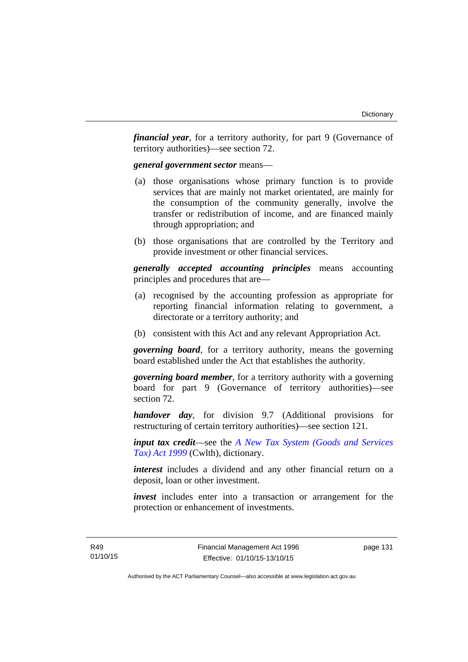*financial year*, for a territory authority, for part 9 (Governance of territory authorities)—see section 72.

#### *general government sector* means—

- (a) those organisations whose primary function is to provide services that are mainly not market orientated, are mainly for the consumption of the community generally, involve the transfer or redistribution of income, and are financed mainly through appropriation; and
- (b) those organisations that are controlled by the Territory and provide investment or other financial services.

*generally accepted accounting principles* means accounting principles and procedures that are—

- (a) recognised by the accounting profession as appropriate for reporting financial information relating to government, a directorate or a territory authority; and
- (b) consistent with this Act and any relevant Appropriation Act.

*governing board*, for a territory authority, means the governing board established under the Act that establishes the authority.

*governing board member*, for a territory authority with a governing board for part 9 (Governance of territory authorities)—see section 72.

*handover day*, for division 9.7 (Additional provisions for restructuring of certain territory authorities)—see section 121.

*input tax credit*—see the *[A New Tax System \(Goods and Services](http://www.comlaw.gov.au/Series/C2004A00446)  [Tax\) Act 1999](http://www.comlaw.gov.au/Series/C2004A00446)* (Cwlth), dictionary.

*interest* includes a dividend and any other financial return on a deposit, loan or other investment.

*invest* includes enter into a transaction or arrangement for the protection or enhancement of investments.

page 131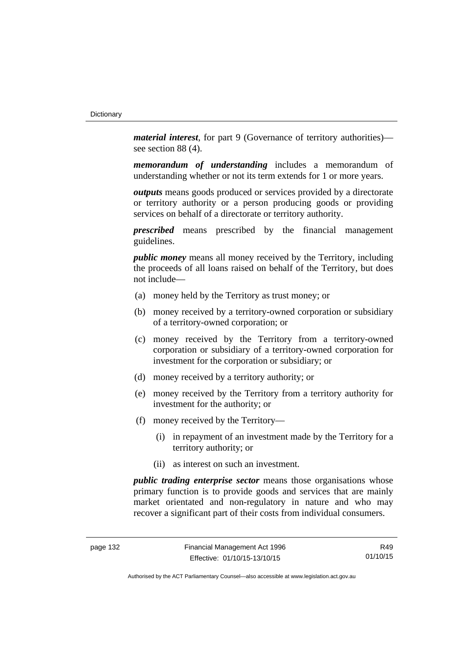*material interest*, for part 9 (Governance of territory authorities) see section 88 (4).

*memorandum of understanding* includes a memorandum of understanding whether or not its term extends for 1 or more years.

*outputs* means goods produced or services provided by a directorate or territory authority or a person producing goods or providing services on behalf of a directorate or territory authority.

*prescribed* means prescribed by the financial management guidelines.

*public money* means all money received by the Territory, including the proceeds of all loans raised on behalf of the Territory, but does not include—

- (a) money held by the Territory as trust money; or
- (b) money received by a territory-owned corporation or subsidiary of a territory-owned corporation; or
- (c) money received by the Territory from a territory-owned corporation or subsidiary of a territory-owned corporation for investment for the corporation or subsidiary; or
- (d) money received by a territory authority; or
- (e) money received by the Territory from a territory authority for investment for the authority; or
- (f) money received by the Territory—
	- (i) in repayment of an investment made by the Territory for a territory authority; or
	- (ii) as interest on such an investment.

*public trading enterprise sector* means those organisations whose primary function is to provide goods and services that are mainly market orientated and non-regulatory in nature and who may recover a significant part of their costs from individual consumers.

R49 01/10/15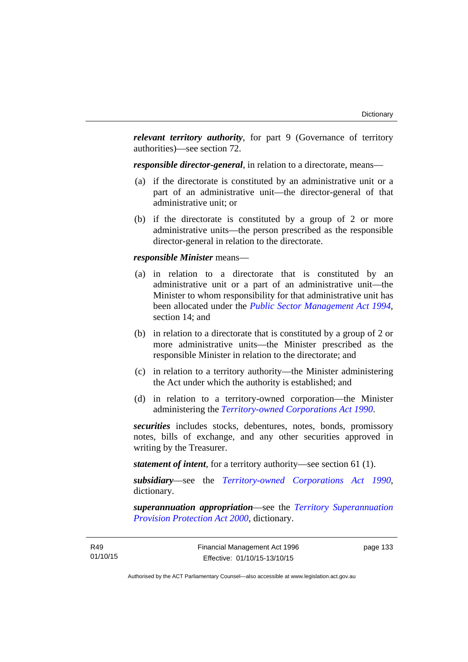*relevant territory authority*, for part 9 (Governance of territory authorities)—see section 72.

*responsible director-general*, in relation to a directorate, means—

- (a) if the directorate is constituted by an administrative unit or a part of an administrative unit—the director-general of that administrative unit; or
- (b) if the directorate is constituted by a group of 2 or more administrative units—the person prescribed as the responsible director-general in relation to the directorate.

#### *responsible Minister* means—

- (a) in relation to a directorate that is constituted by an administrative unit or a part of an administrative unit—the Minister to whom responsibility for that administrative unit has been allocated under the *[Public Sector Management Act 1994](http://www.legislation.act.gov.au/a/1994-37)*, section 14; and
- (b) in relation to a directorate that is constituted by a group of 2 or more administrative units—the Minister prescribed as the responsible Minister in relation to the directorate; and
- (c) in relation to a territory authority—the Minister administering the Act under which the authority is established; and
- (d) in relation to a territory-owned corporation—the Minister administering the *[Territory-owned Corporations Act 1990](http://www.legislation.act.gov.au/a/1990-53)*.

*securities* includes stocks, debentures, notes, bonds, promissory notes, bills of exchange, and any other securities approved in writing by the Treasurer.

*statement of intent*, for a territory authority—see section 61 (1).

*subsidiary*—see the *[Territory-owned Corporations Act 1990](http://www.legislation.act.gov.au/a/1990-53)*, dictionary.

*superannuation appropriation*—see the *[Territory Superannuation](http://www.legislation.act.gov.au/a/2000-21)  [Provision Protection Act 2000](http://www.legislation.act.gov.au/a/2000-21)*, dictionary.

page 133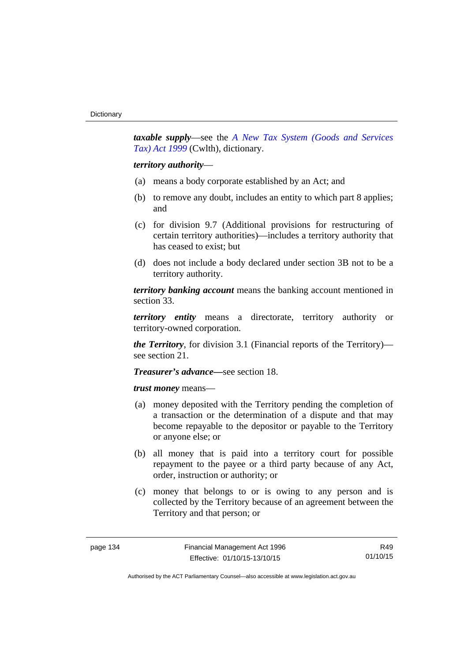*taxable supply*—see the *[A New Tax System \(Goods and Services](http://www.comlaw.gov.au/Series/C2004A00446)  [Tax\) Act 1999](http://www.comlaw.gov.au/Series/C2004A00446)* (Cwlth), dictionary.

#### *territory authority*—

- (a) means a body corporate established by an Act; and
- (b) to remove any doubt, includes an entity to which part 8 applies; and
- (c) for division 9.7 (Additional provisions for restructuring of certain territory authorities)—includes a territory authority that has ceased to exist; but
- (d) does not include a body declared under section 3B not to be a territory authority.

*territory banking account* means the banking account mentioned in section 33.

*territory entity* means a directorate, territory authority or territory-owned corporation.

*the Territory*, for division 3.1 (Financial reports of the Territory) see section 21.

#### *Treasurer's advance—*see section 18.

*trust money* means—

- (a) money deposited with the Territory pending the completion of a transaction or the determination of a dispute and that may become repayable to the depositor or payable to the Territory or anyone else; or
- (b) all money that is paid into a territory court for possible repayment to the payee or a third party because of any Act, order, instruction or authority; or
- (c) money that belongs to or is owing to any person and is collected by the Territory because of an agreement between the Territory and that person; or

R49 01/10/15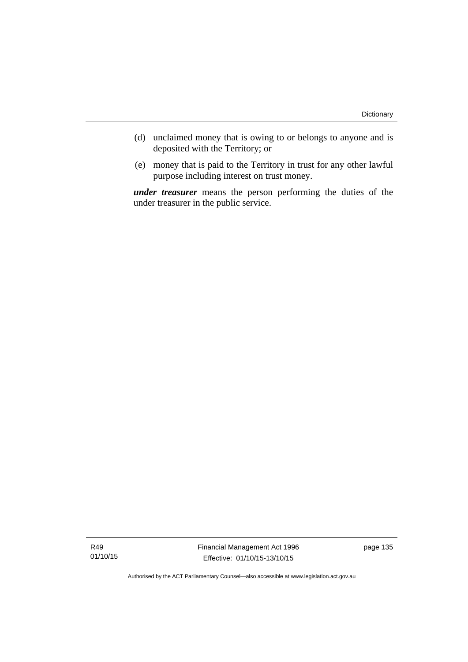- (d) unclaimed money that is owing to or belongs to anyone and is deposited with the Territory; or
- (e) money that is paid to the Territory in trust for any other lawful purpose including interest on trust money.

*under treasurer* means the person performing the duties of the under treasurer in the public service.

R49 01/10/15 Financial Management Act 1996 Effective: 01/10/15-13/10/15

page 135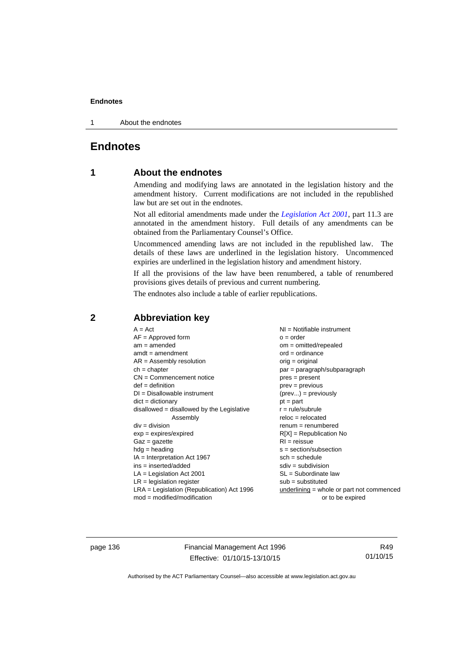1 About the endnotes

# **Endnotes**

# **1 About the endnotes**

Amending and modifying laws are annotated in the legislation history and the amendment history. Current modifications are not included in the republished law but are set out in the endnotes.

Not all editorial amendments made under the *[Legislation Act 2001](http://www.legislation.act.gov.au/a/2001-14)*, part 11.3 are annotated in the amendment history. Full details of any amendments can be obtained from the Parliamentary Counsel's Office.

Uncommenced amending laws are not included in the republished law. The details of these laws are underlined in the legislation history. Uncommenced expiries are underlined in the legislation history and amendment history.

If all the provisions of the law have been renumbered, a table of renumbered provisions gives details of previous and current numbering.

The endnotes also include a table of earlier republications.

| $A = Act$<br>$AF =$ Approved form<br>$am = amended$<br>$amdt = amendment$<br>$AR = Assembly$ resolution<br>$ch = chapter$<br>$CN =$ Commencement notice<br>$def = definition$<br>$DI = Disallowable instrument$<br>$dict = dictionary$<br>disallowed = disallowed by the Legislative<br>Assembly<br>$div = division$<br>$exp = expires/expired$<br>$Gaz = qazette$<br>$hdg =$ heading<br>$IA = Interpretation Act 1967$<br>$ins = inserted/added$<br>$LA =$ Legislation Act 2001<br>$LR =$ legislation register | NI = Notifiable instrument<br>$o = order$<br>$om = omitted/repealed$<br>$ord = ordinance$<br>$orig = original$<br>par = paragraph/subparagraph<br>$pres = present$<br>$prev = previous$<br>$(\text{prev}) = \text{previously}$<br>$pt = part$<br>$r = rule/subrule$<br>$reloc = relocated$<br>$remum = renumbered$<br>$R[X]$ = Republication No<br>$RI = reissue$<br>$s = section/subsection$<br>$sch = schedule$<br>$sdiv = subdivision$<br>$SL = Subordinate$ law<br>$sub =$ substituted |
|-----------------------------------------------------------------------------------------------------------------------------------------------------------------------------------------------------------------------------------------------------------------------------------------------------------------------------------------------------------------------------------------------------------------------------------------------------------------------------------------------------------------|--------------------------------------------------------------------------------------------------------------------------------------------------------------------------------------------------------------------------------------------------------------------------------------------------------------------------------------------------------------------------------------------------------------------------------------------------------------------------------------------|
| $LRA =$ Legislation (Republication) Act 1996                                                                                                                                                                                                                                                                                                                                                                                                                                                                    |                                                                                                                                                                                                                                                                                                                                                                                                                                                                                            |
| $mod = modified/modification$                                                                                                                                                                                                                                                                                                                                                                                                                                                                                   | $underlining = whole or part not commenced$<br>or to be expired                                                                                                                                                                                                                                                                                                                                                                                                                            |

# **2 Abbreviation key**

page 136 Financial Management Act 1996 Effective: 01/10/15-13/10/15

R49 01/10/15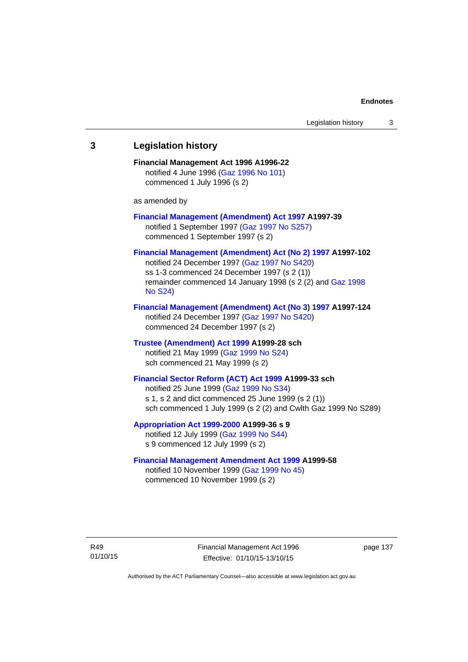# **3 Legislation history Financial Management Act 1996 A1996-22**  notified 4 June 1996 [\(Gaz 1996 No 101\)](http://www.legislation.act.gov.au/gaz/1996-101/default.asp) commenced 1 July 1996 (s 2) as amended by **[Financial Management \(Amendment\) Act 1997](http://www.legislation.act.gov.au/a/1997-39) A1997-39**  notified 1 September 1997 [\(Gaz 1997 No S257\)](http://www.legislation.act.gov.au/gaz/1997-S257/default.asp) commenced 1 September 1997 (s 2) **[Financial Management \(Amendment\) Act \(No 2\) 1997](http://www.legislation.act.gov.au/a/1997-102) A1997-102**  notified 24 December 1997 [\(Gaz 1997 No S420](http://www.legislation.act.gov.au/gaz/1997-S420/default.asp)) ss 1-3 commenced 24 December 1997 (s 2 (1)) remainder commenced 14 January 1998 (s 2 (2) and [Gaz 1998](http://www.legislation.act.gov.au/gaz/1998-S24/default.asp)  [No S24](http://www.legislation.act.gov.au/gaz/1998-S24/default.asp)) **[Financial Management \(Amendment\) Act \(No 3\) 1997](http://www.legislation.act.gov.au/a/1997-124) A1997-124**  notified 24 December 1997 [\(Gaz 1997 No S420](http://www.legislation.act.gov.au/gaz/1997-S420/default.asp)) commenced 24 December 1997 (s 2) **[Trustee \(Amendment\) Act 1999](http://www.legislation.act.gov.au/a/1999-28) A1999-28 sch**  notified 21 May 1999 ([Gaz 1999 No S24](http://www.legislation.act.gov.au/gaz/1999-S24/default.asp)) sch commenced 21 May 1999 (s 2) **[Financial Sector Reform \(ACT\) Act 1999](http://www.legislation.act.gov.au/a/1999-33) A1999-33 sch**  notified 25 June 1999 ([Gaz 1999 No S34](http://www.legislation.act.gov.au/gaz/1999-S34/default.asp)) s 1, s 2 and dict commenced 25 June 1999 (s 2 (1)) sch commenced 1 July 1999 (s 2 (2) and Cwlth Gaz 1999 No S289) **[Appropriation Act 1999-2000](http://www.legislation.act.gov.au/a/1999-36/default.asp) A1999-36 s 9**  notified 12 July 1999 ([Gaz 1999 No S44](http://www.legislation.act.gov.au/gaz/1999-S44/default.asp)) s 9 commenced 12 July 1999 (s 2) **[Financial Management Amendment Act 1999](http://www.legislation.act.gov.au/a/1999-58) A1999-58**  notified 10 November 1999 [\(Gaz 1999 No 45](http://www.legislation.act.gov.au/gaz/1999-45/default.asp))

R49 01/10/15

Financial Management Act 1996 Effective: 01/10/15-13/10/15

page 137

Authorised by the ACT Parliamentary Counsel—also accessible at www.legislation.act.gov.au

commenced 10 November 1999 (s 2)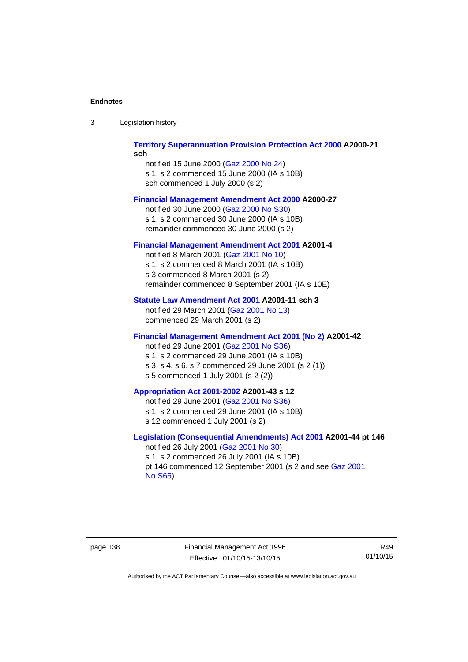| -3 | Legislation history |  |
|----|---------------------|--|
|    |                     |  |

## **[Territory Superannuation Provision Protection Act 2000](http://www.legislation.act.gov.au/a/2000-21) A2000-21 sch**

notified 15 June 2000 ([Gaz 2000 No 24\)](http://www.legislation.act.gov.au/gaz/2000-24/default.asp) s 1, s 2 commenced 15 June 2000 (IA s 10B) sch commenced 1 July 2000 (s 2)

## **[Financial Management Amendment Act 2000](http://www.legislation.act.gov.au/a/2000-27) A2000-27**

notified 30 June 2000 ([Gaz 2000 No S30](http://www.legislation.act.gov.au/gaz/2000-S30/default.asp)) s 1, s 2 commenced 30 June 2000 (IA s 10B) remainder commenced 30 June 2000 (s 2)

## **[Financial Management Amendment Act 2001](http://www.legislation.act.gov.au/a/2001-4) A2001-4**

notified 8 March 2001 [\(Gaz 2001 No 10](http://www.legislation.act.gov.au/gaz/2001-10/default.asp)) s 1, s 2 commenced 8 March 2001 (IA s 10B) s 3 commenced 8 March 2001 (s 2) remainder commenced 8 September 2001 (IA s 10E)

# **[Statute Law Amendment Act 2001](http://www.legislation.act.gov.au/a/2001-11) A2001-11 sch 3**

notified 29 March 2001 ([Gaz 2001 No 13\)](http://www.legislation.act.gov.au/gaz/2001-13/default.asp) commenced 29 March 2001 (s 2)

# **[Financial Management Amendment Act 2001 \(No 2\)](http://www.legislation.act.gov.au/a/2001-42) A2001-42**

notified 29 June 2001 ([Gaz 2001 No S36](http://www.legislation.act.gov.au/gaz/2001-S36/default.asp)) s 1, s 2 commenced 29 June 2001 (IA s 10B) s 3, s 4, s 6, s 7 commenced 29 June 2001 (s 2 (1)) s 5 commenced 1 July 2001 (s 2 (2))

# **[Appropriation Act 2001-2002](http://www.legislation.act.gov.au/a/2001-43/default.asp) A2001-43 s 12**

notified 29 June 2001 ([Gaz 2001 No S36](http://www.legislation.act.gov.au/gaz/2001-S36/default.asp)) s 1, s 2 commenced 29 June 2001 (IA s 10B) s 12 commenced 1 July 2001 (s 2)

# **[Legislation \(Consequential Amendments\) Act 2001](http://www.legislation.act.gov.au/a/2001-44) A2001-44 pt 146**  notified 26 July 2001 ([Gaz 2001 No 30\)](http://www.legislation.act.gov.au/gaz/2001-30/default.asp)

s 1, s 2 commenced 26 July 2001 (IA s 10B) pt 146 commenced 12 September 2001 (s 2 and see [Gaz 2001](http://www.legislation.act.gov.au/gaz/2001-S65/default.asp)  [No S65](http://www.legislation.act.gov.au/gaz/2001-S65/default.asp))

page 138 Financial Management Act 1996 Effective: 01/10/15-13/10/15

R49 01/10/15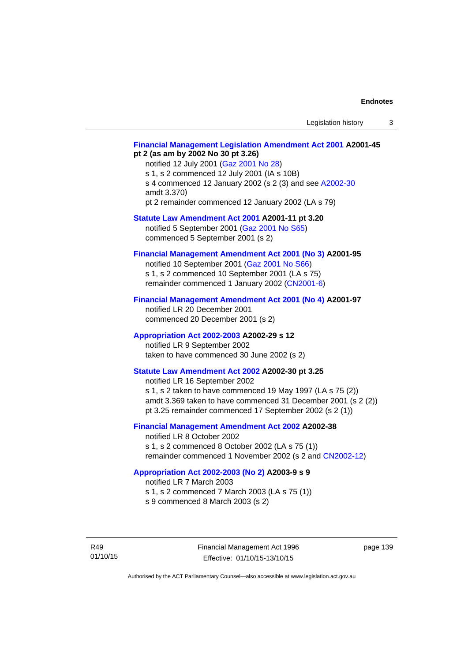# **[Financial Management Legislation Amendment Act 2001](http://www.legislation.act.gov.au/a/2001-45) A2001-45 pt 2 (as am by 2002 No 30 pt 3.26)**

notified 12 July 2001 ([Gaz 2001 No 28\)](http://www.legislation.act.gov.au/gaz/2001-28/default.asp) s 1, s 2 commenced 12 July 2001 (IA s 10B) s 4 commenced 12 January 2002 (s 2 (3) and see [A2002-30](http://www.legislation.act.gov.au/a/2002-30/default.asp) amdt 3.370) pt 2 remainder commenced 12 January 2002 (LA s 79)

**[Statute Law Amendment Act 2001](http://www.legislation.act.gov.au/a/2001-11) A2001-11 pt 3.20** 

notified 5 September 2001 [\(Gaz 2001 No S65\)](http://www.legislation.act.gov.au/gaz/2001-S65/default.asp) commenced 5 September 2001 (s 2)

# **[Financial Management Amendment Act 2001 \(No 3\)](http://www.legislation.act.gov.au/a/2001-95) A2001-95**

notified 10 September 2001 [\(Gaz 2001 No S66\)](http://www.legislation.act.gov.au/gaz/2001-S66/default.asp) s 1, s 2 commenced 10 September 2001 (LA s 75) remainder commenced 1 January 2002 [\(CN2001-6\)](http://www.legislation.act.gov.au/cn/2001-6/default.asp)

# **[Financial Management Amendment Act 2001 \(No 4\)](http://www.legislation.act.gov.au/a/2001-97) A2001-97**

notified LR 20 December 2001 commenced 20 December 2001 (s 2)

## **[Appropriation Act 2002-2003](http://www.legislation.act.gov.au/a/2002-29/default.asp) A2002-29 s 12**

notified LR 9 September 2002 taken to have commenced 30 June 2002 (s 2)

# **[Statute Law Amendment Act 2002](http://www.legislation.act.gov.au/a/2002-30) A2002-30 pt 3.25**

notified LR 16 September 2002 s 1, s 2 taken to have commenced 19 May 1997 (LA s 75 (2)) amdt 3.369 taken to have commenced 31 December 2001 (s 2 (2)) pt 3.25 remainder commenced 17 September 2002 (s 2 (1))

# **[Financial Management Amendment Act 2002](http://www.legislation.act.gov.au/a/2002-38) A2002-38**

notified LR 8 October 2002 s 1, s 2 commenced 8 October 2002 (LA s 75 (1)) remainder commenced 1 November 2002 (s 2 and [CN2002-12](http://www.legislation.act.gov.au/cn/2002-12/default.asp))

## **[Appropriation Act 2002-2003 \(No 2\)](http://www.legislation.act.gov.au/a/2003-9/default.asp) A2003-9 s 9**

notified LR 7 March 2003

s 1, s 2 commenced 7 March 2003 (LA s 75 (1))

s 9 commenced 8 March 2003 (s 2)

R49 01/10/15 page 139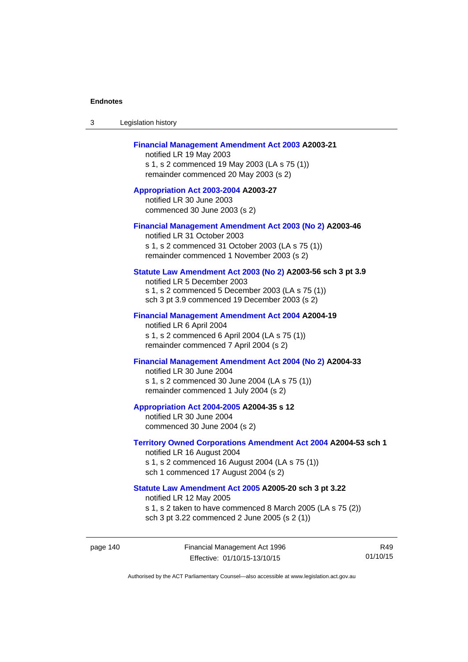| 3 | Legislation history |  |
|---|---------------------|--|
|---|---------------------|--|

## **[Financial Management Amendment Act 2003](http://www.legislation.act.gov.au/a/2003-21) A2003-21**

notified LR 19 May 2003 s 1, s 2 commenced 19 May 2003 (LA s 75 (1)) remainder commenced 20 May 2003 (s 2)

**[Appropriation Act 2003-2004](http://www.legislation.act.gov.au/a/2003-27/default.asp) A2003-27**  notified LR 30 June 2003 commenced 30 June 2003 (s 2)

#### **[Financial Management Amendment Act 2003 \(No 2\)](http://www.legislation.act.gov.au/a/2003-46) A2003-46**

notified LR 31 October 2003 s 1, s 2 commenced 31 October 2003 (LA s 75 (1)) remainder commenced 1 November 2003 (s 2)

# **[Statute Law Amendment Act 2003 \(No 2\)](http://www.legislation.act.gov.au/a/2003-56) A2003-56 sch 3 pt 3.9**

notified LR 5 December 2003 s 1, s 2 commenced 5 December 2003 (LA s 75 (1)) sch 3 pt 3.9 commenced 19 December 2003 (s 2)

#### **[Financial Management Amendment Act 2004](http://www.legislation.act.gov.au/a/2004-19) A2004-19**

notified LR 6 April 2004 s 1, s 2 commenced 6 April 2004 (LA s 75 (1)) remainder commenced 7 April 2004 (s 2)

# **[Financial Management Amendment Act 2004 \(No 2\)](http://www.legislation.act.gov.au/a/2004-33) A2004-33**

notified LR 30 June 2004 s 1, s 2 commenced 30 June 2004 (LA s 75 (1)) remainder commenced 1 July 2004 (s 2)

#### **[Appropriation Act 2004-2005](http://www.legislation.act.gov.au/a/2004-35/default.asp) A2004-35 s 12**

notified LR 30 June 2004 commenced 30 June 2004 (s 2)

#### **[Territory Owned Corporations Amendment Act 2004](http://www.legislation.act.gov.au/a/2004-53) A2004-53 sch 1**  notified LR 16 August 2004

s 1, s 2 commenced 16 August 2004 (LA s 75 (1)) sch 1 commenced 17 August 2004 (s 2)

# **[Statute Law Amendment Act 2005](http://www.legislation.act.gov.au/a/2005-20) A2005-20 sch 3 pt 3.22**

notified LR 12 May 2005

- s 1, s 2 taken to have commenced 8 March 2005 (LA s 75 (2))
- sch 3 pt 3.22 commenced 2 June 2005 (s 2 (1))

page 140 Financial Management Act 1996 Effective: 01/10/15-13/10/15

R49 01/10/15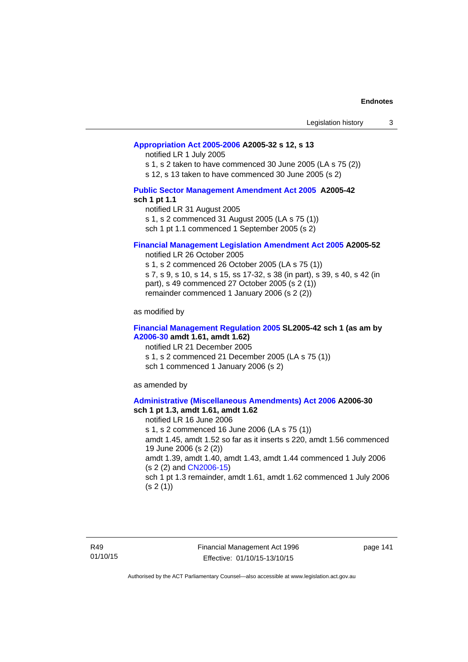## **[Appropriation Act 2005-2006](http://www.legislation.act.gov.au/a/2005-32/default.asp) A2005-32 s 12, s 13**

notified LR 1 July 2005

s 1, s 2 taken to have commenced 30 June 2005 (LA s 75 (2))

s 12, s 13 taken to have commenced 30 June 2005 (s 2)

# **[Public Sector Management Amendment Act 2005](http://www.legislation.act.gov.au/a/2005-42/default.asp) A2005-42 sch 1 pt 1.1**

notified LR 31 August 2005 s 1, s 2 commenced 31 August 2005 (LA s 75 (1)) sch 1 pt 1.1 commenced 1 September 2005 (s 2)

#### **[Financial Management Legislation Amendment Act 2005](http://www.legislation.act.gov.au/a/2005-52) A2005-52**

notified LR 26 October 2005

s 1, s 2 commenced 26 October 2005 (LA s 75 (1)) s 7, s 9, s 10, s 14, s 15, ss 17-32, s 38 (in part), s 39, s 40, s 42 (in part), s 49 commenced 27 October 2005 (s 2 (1)) remainder commenced 1 January 2006 (s 2 (2))

as modified by

## **[Financial Management Regulation 2005](http://www.legislation.act.gov.au/sl/2005-42) SL2005-42 sch 1 (as am by [A2006-30](http://www.legislation.act.gov.au/a/2006-30) amdt 1.61, amdt 1.62)**

notified LR 21 December 2005 s 1, s 2 commenced 21 December 2005 (LA s 75 (1)) sch 1 commenced 1 January 2006 (s 2)

as amended by

#### **[Administrative \(Miscellaneous Amendments\) Act 2006](http://www.legislation.act.gov.au/a/2006-30) A2006-30 sch 1 pt 1.3, amdt 1.61, amdt 1.62**

notified LR 16 June 2006 s 1, s 2 commenced 16 June 2006 (LA s 75 (1)) amdt 1.45, amdt 1.52 so far as it inserts s 220, amdt 1.56 commenced 19 June 2006 (s 2 (2)) amdt 1.39, amdt 1.40, amdt 1.43, amdt 1.44 commenced 1 July 2006 (s 2 (2) and [CN2006-15](http://www.legislation.act.gov.au/cn/2006-15/default.asp)) sch 1 pt 1.3 remainder, amdt 1.61, amdt 1.62 commenced 1 July 2006  $(s 2(1))$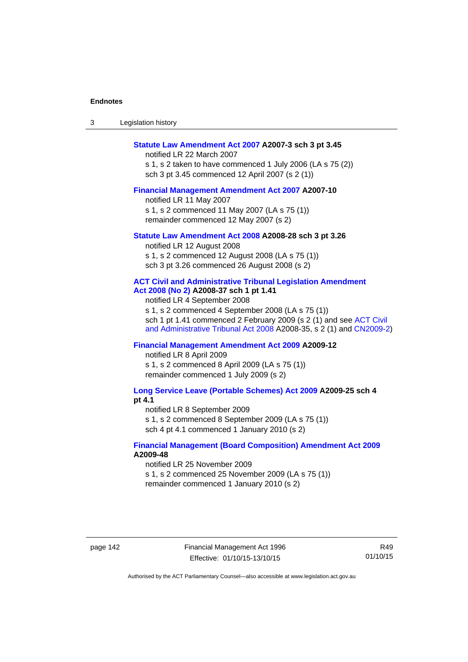| -3 | Legislation history |  |
|----|---------------------|--|
|----|---------------------|--|

### **[Statute Law Amendment Act 2007](http://www.legislation.act.gov.au/a/2007-3) A2007-3 sch 3 pt 3.45**

notified LR 22 March 2007 s 1, s 2 taken to have commenced 1 July 2006 (LA s 75 (2)) sch 3 pt 3.45 commenced 12 April 2007 (s 2 (1))

#### **[Financial Management Amendment Act 2007](http://www.legislation.act.gov.au/a/2007-10) A2007-10**

notified LR 11 May 2007 s 1, s 2 commenced 11 May 2007 (LA s 75 (1)) remainder commenced 12 May 2007 (s 2)

#### **[Statute Law Amendment Act 2008](http://www.legislation.act.gov.au/a/2008-28) A2008-28 sch 3 pt 3.26**

notified LR 12 August 2008 s 1, s 2 commenced 12 August 2008 (LA s 75 (1)) sch 3 pt 3.26 commenced 26 August 2008 (s 2)

# **[ACT Civil and Administrative Tribunal Legislation Amendment](http://www.legislation.act.gov.au/a/2008-37)**

**[Act 2008 \(No 2\)](http://www.legislation.act.gov.au/a/2008-37) A2008-37 sch 1 pt 1.41** 

notified LR 4 September 2008

s 1, s 2 commenced 4 September 2008 (LA s 75 (1)) sch 1 pt 1.41 commenced 2 February 2009 (s 2 (1) and see [ACT Civil](http://www.legislation.act.gov.au/a/2008-35)  [and Administrative Tribunal Act 2008](http://www.legislation.act.gov.au/a/2008-35) A2008-35, s 2 (1) and [CN2009-2](http://www.legislation.act.gov.au/cn/2009-2/default.asp))

# **[Financial Management Amendment Act 2009](http://www.legislation.act.gov.au/a/2009-12) A2009-12**

notified LR 8 April 2009

s 1, s 2 commenced 8 April 2009 (LA s 75 (1)) remainder commenced 1 July 2009 (s 2)

**[Long Service Leave \(Portable Schemes\) Act 2009](http://www.legislation.act.gov.au/a/2009-25) A2009-25 sch 4 pt 4.1** 

notified LR 8 September 2009

s 1, s 2 commenced 8 September 2009 (LA s 75 (1))

sch 4 pt 4.1 commenced 1 January 2010 (s 2)

## **[Financial Management \(Board Composition\) Amendment Act 2009](http://www.legislation.act.gov.au/a/2009-48) A2009-48**

notified LR 25 November 2009

s 1, s 2 commenced 25 November 2009 (LA s 75 (1))

remainder commenced 1 January 2010 (s 2)

page 142 Financial Management Act 1996 Effective: 01/10/15-13/10/15

R49 01/10/15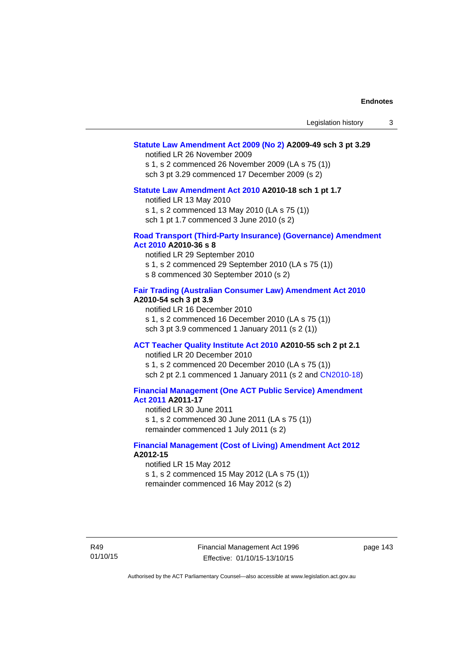### **[Statute Law Amendment Act 2009 \(No 2\)](http://www.legislation.act.gov.au/a/2009-49) A2009-49 sch 3 pt 3.29**

notified LR 26 November 2009

s 1, s 2 commenced 26 November 2009 (LA s 75 (1)) sch 3 pt 3.29 commenced 17 December 2009 (s 2)

#### **[Statute Law Amendment Act 2010](http://www.legislation.act.gov.au/a/2010-18) A2010-18 sch 1 pt 1.7**

notified LR 13 May 2010 s 1, s 2 commenced 13 May 2010 (LA s 75 (1))

sch 1 pt 1.7 commenced 3 June 2010 (s 2)

### **[Road Transport \(Third-Party Insurance\) \(Governance\) Amendment](http://www.legislation.act.gov.au/a/2010-36)  [Act 2010](http://www.legislation.act.gov.au/a/2010-36) A2010-36 s 8**

notified LR 29 September 2010 s 1, s 2 commenced 29 September 2010 (LA s 75 (1)) s 8 commenced 30 September 2010 (s 2)

## **[Fair Trading \(Australian Consumer Law\) Amendment Act 2010](http://www.legislation.act.gov.au/a/2010-54) A2010-54 sch 3 pt 3.9**

notified LR 16 December 2010 s 1, s 2 commenced 16 December 2010 (LA s 75 (1)) sch 3 pt 3.9 commenced 1 January 2011 (s 2 (1))

# **[ACT Teacher Quality Institute Act 2010](http://www.legislation.act.gov.au/a/2010-55) A2010-55 sch 2 pt 2.1**

notified LR 20 December 2010

s 1, s 2 commenced 20 December 2010 (LA s 75 (1)) sch 2 pt 2.1 commenced 1 January 2011 (s 2 and [CN2010-18\)](http://www.legislation.act.gov.au/cn/2010-18/default.asp)

# **[Financial Management \(One ACT Public Service\) Amendment](http://www.legislation.act.gov.au/a/2011-17)  [Act 2011](http://www.legislation.act.gov.au/a/2011-17) A2011-17**

notified LR 30 June 2011 s 1, s 2 commenced 30 June 2011 (LA s 75 (1)) remainder commenced 1 July 2011 (s 2)

## **[Financial Management \(Cost of Living\) Amendment Act 2012](http://www.legislation.act.gov.au/a/2012-15) A2012-15**

notified LR 15 May 2012 s 1, s 2 commenced 15 May 2012 (LA s 75 (1)) remainder commenced 16 May 2012 (s 2)

Financial Management Act 1996 Effective: 01/10/15-13/10/15

page 143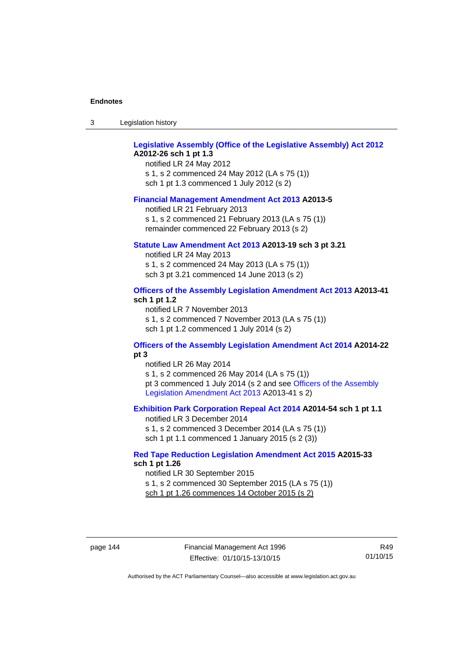| -3 | Legislation history |  |
|----|---------------------|--|
|----|---------------------|--|

# **[Legislative Assembly \(Office of the Legislative Assembly\) Act 2012](http://www.legislation.act.gov.au/a/2012-26) A2012-26 sch 1 pt 1.3**

notified LR 24 May 2012 s 1, s 2 commenced 24 May 2012 (LA s 75 (1)) sch 1 pt 1.3 commenced 1 July 2012 (s 2)

#### **[Financial Management Amendment Act 2013](http://www.legislation.act.gov.au/a/2013-5/default.asp) A2013-5**

notified LR 21 February 2013 s 1, s 2 commenced 21 February 2013 (LA s 75 (1)) remainder commenced 22 February 2013 (s 2)

## **[Statute Law Amendment Act 2013](http://www.legislation.act.gov.au/a/2013-19) A2013-19 sch 3 pt 3.21**

notified LR 24 May 2013 s 1, s 2 commenced 24 May 2013 (LA s 75 (1)) sch 3 pt 3.21 commenced 14 June 2013 (s 2)

## **[Officers of the Assembly Legislation Amendment Act 2013](http://www.legislation.act.gov.au/a/2013-41/default.asp) A2013-41 sch 1 pt 1.2**

notified LR 7 November 2013 s 1, s 2 commenced 7 November 2013 (LA s 75 (1)) sch 1 pt 1.2 commenced 1 July 2014 (s 2)

# **[Officers of the Assembly Legislation Amendment Act 2014](http://www.legislation.act.gov.au/a/2014-22/default.asp) A2014-22 pt 3**

notified LR 26 May 2014 s 1, s 2 commenced 26 May 2014 (LA s 75 (1)) pt 3 commenced 1 July 2014 (s 2 and see [Officers of the Assembly](http://www.legislation.act.gov.au/a/2013-41/default.asp)  [Legislation Amendment Act 2013](http://www.legislation.act.gov.au/a/2013-41/default.asp) A2013-41 s 2)

# **[Exhibition Park Corporation Repeal Act 2014](http://www.legislation.act.gov.au/a/2014-54/default.asp) A2014-54 sch 1 pt 1.1**

notified LR 3 December 2014 s 1, s 2 commenced 3 December 2014 (LA s 75 (1)) sch 1 pt 1.1 commenced 1 January 2015 (s 2 (3))

## **[Red Tape Reduction Legislation Amendment Act 2015](http://www.legislation.act.gov.au/a/2015-33/default.asp) A2015-33 sch 1 pt 1.26**

notified LR 30 September 2015 s 1, s 2 commenced 30 September 2015 (LA s 75 (1)) sch 1 pt 1.26 commences 14 October 2015 (s 2)

page 144 Financial Management Act 1996 Effective: 01/10/15-13/10/15

R49 01/10/15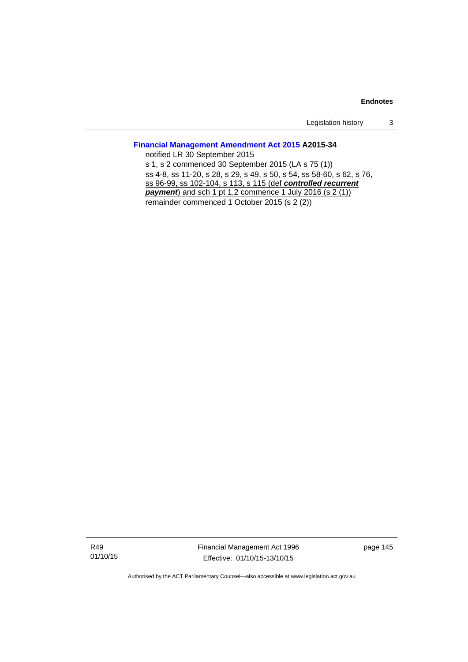Legislation history 3

# **[Financial Management Amendment Act 2015](http://www.legislation.act.gov.au/a/2015-34/default.asp) A2015-34**

notified LR 30 September 2015 s 1, s 2 commenced 30 September 2015 (LA s 75 (1)) ss 4-8, ss 11-20, s 28, s 29, s 49, s 50, s 54, ss 58-60, s 62, s 76, ss 96-99, ss 102-104, s 113, s 115 (def *controlled recurrent payment*) and sch 1 pt 1.2 commence 1 July 2016 (s 2 (1)) remainder commenced 1 October 2015 (s 2 (2))

R49 01/10/15 Financial Management Act 1996 Effective: 01/10/15-13/10/15

page 145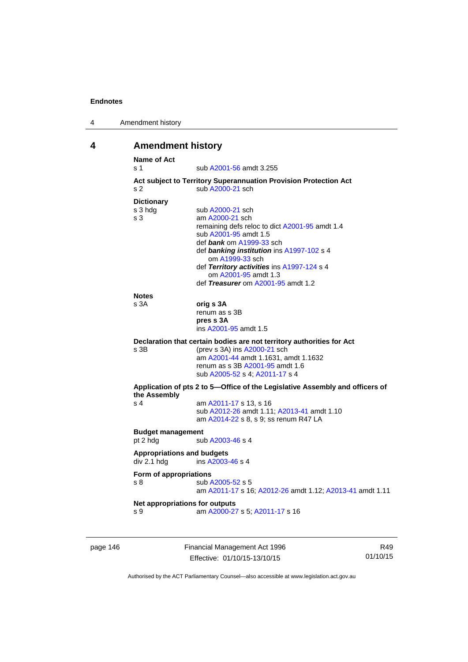| 4 | Amendment history |
|---|-------------------|
|---|-------------------|

# **4 Amendment history**

| <b>Name of Act</b><br>s <sub>1</sub> | sub A2001-56 amdt 3.255                                                                               |
|--------------------------------------|-------------------------------------------------------------------------------------------------------|
|                                      | Act subject to Territory Superannuation Provision Protection Act                                      |
| S <sub>2</sub>                       | sub A2000-21 sch                                                                                      |
| <b>Dictionary</b>                    |                                                                                                       |
| s 3 hdg                              | sub A2000-21 sch                                                                                      |
| s <sub>3</sub>                       | am A2000-21 sch                                                                                       |
|                                      | remaining defs reloc to dict A2001-95 amdt 1.4                                                        |
|                                      | sub A2001-95 amdt 1.5                                                                                 |
|                                      | def bank om A1999-33 sch                                                                              |
|                                      | def banking institution ins A1997-102 s 4                                                             |
|                                      | om A1999-33 sch<br>def Territory activities ins A1997-124 s 4                                         |
|                                      | om A2001-95 amdt 1.3                                                                                  |
|                                      | def Treasurer om A2001-95 amdt 1.2                                                                    |
|                                      |                                                                                                       |
| <b>Notes</b><br>s 3A                 | orig s 3A                                                                                             |
|                                      | renum as s 3B                                                                                         |
|                                      | pres s 3A                                                                                             |
|                                      | ins A2001-95 amdt 1.5                                                                                 |
|                                      |                                                                                                       |
| $s$ 3B                               | Declaration that certain bodies are not territory authorities for Act<br>(prev s 3A) ins A2000-21 sch |
|                                      | am A2001-44 amdt 1.1631, amdt 1.1632                                                                  |
|                                      | renum as s 3B A2001-95 amdt 1.6                                                                       |
|                                      | sub A2005-52 s 4; A2011-17 s 4                                                                        |
| the Assembly                         | Application of pts 2 to 5—Office of the Legislative Assembly and officers of                          |
| s <sub>4</sub>                       | am A2011-17 s 13, s 16                                                                                |
|                                      | sub A2012-26 amdt 1.11; A2013-41 amdt 1.10                                                            |
|                                      | am A2014-22 s 8, s 9; ss renum R47 LA                                                                 |
| <b>Budget management</b>             |                                                                                                       |
| pt 2 hdg                             | sub A2003-46 s 4                                                                                      |
| <b>Appropriations and budgets</b>    |                                                                                                       |
| div 2.1 hdg                          | ins A2003-46 s 4                                                                                      |
|                                      |                                                                                                       |
| Form of appropriations               |                                                                                                       |
| s <sub>8</sub>                       | sub A2005-52 s 5<br>am A2011-17 s 16; A2012-26 amdt 1.12; A2013-41 amdt 1.11                          |
|                                      |                                                                                                       |
|                                      | Net appropriations for outputs                                                                        |
| s 9                                  | am A2000-27 s 5; A2011-17 s 16                                                                        |

page 146 Financial Management Act 1996 Effective: 01/10/15-13/10/15

R49 01/10/15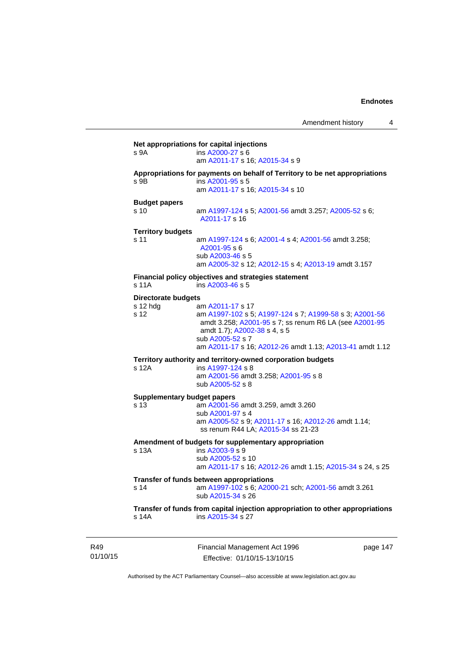| s 9A                         | ins A2000-27 s 6<br>am A2011-17 s 16; A2015-34 s 9                                                                                                                                        |
|------------------------------|-------------------------------------------------------------------------------------------------------------------------------------------------------------------------------------------|
| s 9B                         | Appropriations for payments on behalf of Territory to be net appropriations<br>ins A2001-95 s 5<br>am A2011-17 s 16; A2015-34 s 10                                                        |
| <b>Budget papers</b><br>s 10 |                                                                                                                                                                                           |
|                              | am A1997-124 s 5; A2001-56 amdt 3.257; A2005-52 s 6;<br>A2011-17 s 16                                                                                                                     |
| <b>Territory budgets</b>     |                                                                                                                                                                                           |
| s 11                         | am A1997-124 s 6; A2001-4 s 4; A2001-56 amdt 3.258;<br>A2001-95 s 6<br>sub A2003-46 s 5                                                                                                   |
|                              | am A2005-32 s 12; A2012-15 s 4; A2013-19 amdt 3.157                                                                                                                                       |
| s 11A                        | Financial policy objectives and strategies statement<br>ins A2003-46 s 5                                                                                                                  |
| <b>Directorate budgets</b>   |                                                                                                                                                                                           |
| $s$ 12 hdg<br>s 12           | am A2011-17 s 17<br>am A1997-102 s 5; A1997-124 s 7; A1999-58 s 3; A2001-56<br>amdt 3.258; A2001-95 s 7; ss renum R6 LA (see A2001-95<br>amdt 1.7); A2002-38 s 4, s 5<br>sub A2005-52 s 7 |
|                              | am A2011-17 s 16; A2012-26 amdt 1.13; A2013-41 amdt 1.12                                                                                                                                  |
|                              | Territory authority and territory-owned corporation budgets                                                                                                                               |
| s 12A                        | ins A1997-124 s 8<br>am A2001-56 amdt 3.258; A2001-95 s 8<br>sub A2005-52 s 8                                                                                                             |
|                              | <b>Supplementary budget papers</b>                                                                                                                                                        |
| s 13                         | am A2001-56 amdt 3.259, amdt 3.260<br>sub A2001-97 s 4                                                                                                                                    |
|                              | am A2005-52 s 9; A2011-17 s 16; A2012-26 amdt 1.14;<br>ss renum R44 LA; A2015-34 ss 21-23                                                                                                 |
| s 13A                        | Amendment of budgets for supplementary appropriation<br>ins A2003-9 s 9                                                                                                                   |
|                              | sub A2005-52 s 10<br>am A2011-17 s 16; A2012-26 amdt 1.15; A2015-34 s 24, s 25                                                                                                            |
|                              | Transfer of funds between appropriations                                                                                                                                                  |
| s 14                         | am A1997-102 s 6; A2000-21 sch; A2001-56 amdt 3.261<br>sub A2015-34 s 26                                                                                                                  |
|                              | Transfer of funds from capital injection appropriation to other appropriations                                                                                                            |

01/10/15

R49

Financial Management Act 1996 Effective: 01/10/15-13/10/15

page 147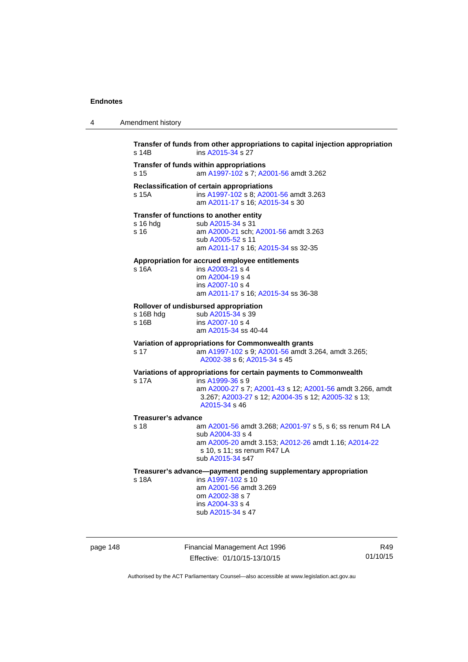4 Amendment history

| s 14B                      | ins A2015-34 s 27                                                                                                                                                                                                          |
|----------------------------|----------------------------------------------------------------------------------------------------------------------------------------------------------------------------------------------------------------------------|
| s 15                       | Transfer of funds within appropriations<br>am A1997-102 s 7; A2001-56 amdt 3.262                                                                                                                                           |
| s 15A                      | Reclassification of certain appropriations<br>ins A1997-102 s 8; A2001-56 amdt 3.263<br>am A2011-17 s 16; A2015-34 s 30                                                                                                    |
| s 16 hda<br>s 16           | Transfer of functions to another entity<br>sub A2015-34 s 31<br>am A2000-21 sch; A2001-56 amdt 3.263<br>sub A2005-52 s 11<br>am A2011-17 s 16; A2015-34 ss 32-35                                                           |
| s 16A                      | Appropriation for accrued employee entitlements<br>ins A2003-21 s 4<br>om A2004-19 s 4<br>ins A2007-10 s 4<br>am A2011-17 s 16; A2015-34 ss 36-38                                                                          |
| s 16B hdg<br>s 16B         | Rollover of undisbursed appropriation<br>sub A2015-34 s 39<br>ins A2007-10 s 4<br>am A2015-34 ss 40-44                                                                                                                     |
| s 17                       | Variation of appropriations for Commonwealth grants<br>am A1997-102 s 9; A2001-56 amdt 3.264, amdt 3.265;<br>A2002-38 s 6; A2015-34 s 45                                                                                   |
| s 17A                      | Variations of appropriations for certain payments to Commonwealth<br>ins A1999-36 s 9<br>am A2000-27 s 7; A2001-43 s 12; A2001-56 amdt 3.266, amdt<br>3.267; A2003-27 s 12; A2004-35 s 12; A2005-32 s 13;<br>A2015-34 s 46 |
| <b>Treasurer's advance</b> |                                                                                                                                                                                                                            |
| s 18                       | am A2001-56 amdt 3.268; A2001-97 s 5, s 6; ss renum R4 LA<br>sub A2004-33 s 4<br>am A2005-20 amdt 3.153; A2012-26 amdt 1.16; A2014-22<br>s 10, s 11; ss renum R47 LA<br>sub A2015-34 s47                                   |
| s 18A                      | Treasurer's advance-payment pending supplementary appropriation<br>ins A1997-102 s 10<br>am A2001-56 amdt 3.269<br>om A2002-38 s 7<br>ins A2004-33 s 4<br>sub A2015-34 s 47                                                |

page 148 Financial Management Act 1996 Effective: 01/10/15-13/10/15

R49 01/10/15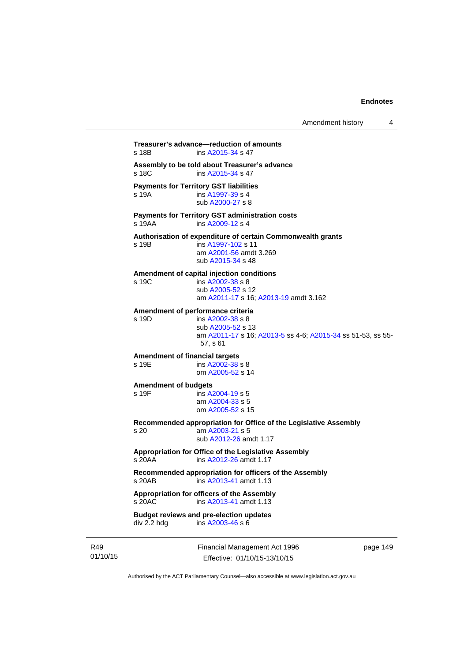```
Treasurer's advance—reduction of amounts 
A2015-34 s 47
Assembly to be told about Treasurer's advance 
A2015-34 s 47
Payments for Territory GST liabilities
s 19A ins A1997-39 s 4
                 sub A2000-27 s 8 
Payments for Territory GST administration costs 
s 19AA ins A2009-12 s 4
Authorisation of expenditure of certain Commonwealth grants 
s 19B ins A1997-102 s 11 
                 am A2001-56 amdt 3.269
                 sub A2015-34 s 48 
Amendment of capital injection conditions 
s 19C ins A2002-38 s 8
                 sub A2005-52 s 12 
                 am A2011-17 s 16; A2013-19 amdt 3.162 
Amendment of performance criteria 
s 19D ins A2002-38 s 8
                 sub A2005-52 s 13 
                 am A2011-17 s 16; A2013-5 ss 4-6; A2015-34 ss 51-53, ss 55-
                 57, s 61
Amendment of financial targets 
A2002-38 s 8
                 om A2005-52 s 14 
Amendment of budgets 
                insA2004-19 s 5
                 am A2004-33 s 5 
                 om A2005-52 s 15 
Recommended appropriation for Office of the Legislative Assembly 
s 20 am A2003-21 s 5 
                 sub A2012-26 amdt 1.17 
Appropriation for Office of the Legislative Assembly 
s 20AA ins A2012-26 amdt 1.17 
Recommended appropriation for officers of the Assembly 
s 20AB ins A2013-41 amdt 1.13 
Appropriation for officers of the Assembly 
s 20AC ins A2013-41 amdt 1.13 
Budget reviews and pre-election updates 
div 2.2 hdg ins A2003-46 s 6
```
R49 01/10/15 Financial Management Act 1996 Effective: 01/10/15-13/10/15

page 149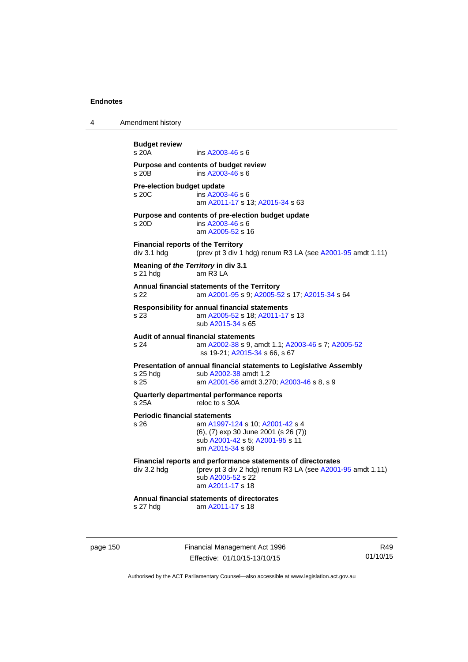| 4                                                                                                                      | Amendment history                                                                                                                  |                                                                                                                                                                                          |                 |
|------------------------------------------------------------------------------------------------------------------------|------------------------------------------------------------------------------------------------------------------------------------|------------------------------------------------------------------------------------------------------------------------------------------------------------------------------------------|-----------------|
|                                                                                                                        | <b>Budget review</b><br>s 20A                                                                                                      | ins A2003-46 s 6                                                                                                                                                                         |                 |
|                                                                                                                        | $s$ 20 $B$                                                                                                                         | Purpose and contents of budget review<br>ins A2003-46 s 6                                                                                                                                |                 |
|                                                                                                                        | Pre-election budget update<br>s 20C<br>ins A2003-46 s 6<br>am A2011-17 s 13; A2015-34 s 63                                         |                                                                                                                                                                                          |                 |
|                                                                                                                        | s 20D                                                                                                                              | Purpose and contents of pre-election budget update<br>ins A2003-46 s 6<br>am A2005-52 s 16                                                                                               |                 |
| <b>Financial reports of the Territory</b><br>div 3.1 hdg<br>(prev pt 3 div 1 hdg) renum R3 LA (see A2001-95 amdt 1.11) |                                                                                                                                    |                                                                                                                                                                                          |                 |
|                                                                                                                        | Meaning of the Territory in div 3.1<br>am R3 LA<br>s 21 hda                                                                        |                                                                                                                                                                                          |                 |
| Annual financial statements of the Territory<br>s 22<br>am A2001-95 s 9; A2005-52 s 17; A2015-34 s 64                  |                                                                                                                                    |                                                                                                                                                                                          |                 |
|                                                                                                                        | s 23                                                                                                                               | <b>Responsibility for annual financial statements</b><br>am A2005-52 s 18; A2011-17 s 13<br>sub A2015-34 s 65                                                                            |                 |
|                                                                                                                        | Audit of annual financial statements<br>s 24<br>am A2002-38 s 9, amdt 1.1, A2003-46 s 7, A2005-52<br>ss 19-21; A2015-34 s 66, s 67 |                                                                                                                                                                                          |                 |
|                                                                                                                        | $s$ 25 hdg<br>s 25                                                                                                                 | Presentation of annual financial statements to Legislative Assembly<br>sub A2002-38 amdt 1.2<br>am A2001-56 amdt 3.270; A2003-46 s 8, s 9                                                |                 |
|                                                                                                                        | Quarterly departmental performance reports<br>s 25A<br>reloc to s 30A                                                              |                                                                                                                                                                                          |                 |
|                                                                                                                        | <b>Periodic financial statements</b><br>s 26                                                                                       | am A1997-124 s 10; A2001-42 s 4<br>(6), (7) exp 30 June 2001 (s 26 (7))<br>sub A2001-42 s 5; A2001-95 s 11<br>am A2015-34 s 68                                                           |                 |
|                                                                                                                        |                                                                                                                                    | Financial reports and performance statements of directorates<br>div 3.2 hdg $(\text{prev pt 3 div 2 hdg})$ renum R3 LA (see A2001-95 amdt 1.11)<br>sub A2005-52 s 22<br>am A2011-17 s 18 |                 |
|                                                                                                                        | s 27 hdg                                                                                                                           | Annual financial statements of directorates<br>am A2011-17 s 18                                                                                                                          |                 |
| page 150                                                                                                               |                                                                                                                                    | Financial Management Act 1996<br>Effective: 01/10/15-13/10/15                                                                                                                            | R49<br>01/10/15 |

Authorised by the ACT Parliamentary Counsel—also accessible at www.legislation.act.gov.au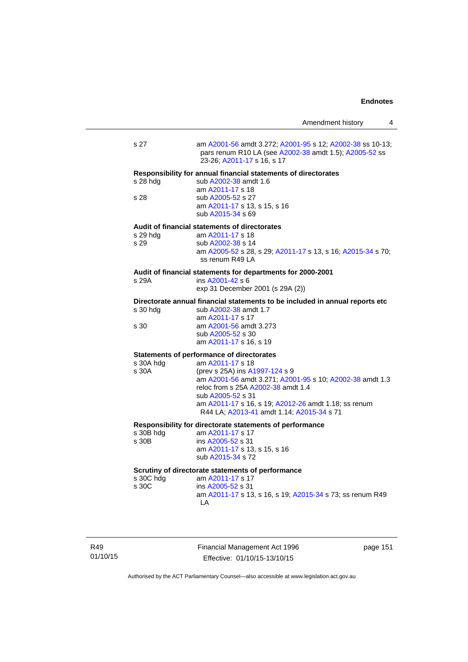|                    |                                                                                                                                                                                                                                                                                                                                    | Amendment history | 4 |
|--------------------|------------------------------------------------------------------------------------------------------------------------------------------------------------------------------------------------------------------------------------------------------------------------------------------------------------------------------------|-------------------|---|
| s 27               | am A2001-56 amdt 3.272; A2001-95 s 12; A2002-38 ss 10-13;<br>pars renum R10 LA (see A2002-38 amdt 1.5); A2005-52 ss<br>23-26; A2011-17 s 16, s 17                                                                                                                                                                                  |                   |   |
| s 28 hda<br>s 28   | Responsibility for annual financial statements of directorates<br>sub A2002-38 amdt 1.6<br>am A2011-17 s 18<br>sub A2005-52 s 27<br>am A2011-17 s 13, s 15, s 16<br>sub A2015-34 s 69                                                                                                                                              |                   |   |
| s 29 hdg<br>s 29   | Audit of financial statements of directorates<br>am A2011-17 s 18<br>sub A2002-38 s 14<br>am A2005-52 s 28, s 29; A2011-17 s 13, s 16; A2015-34 s 70;<br>ss renum R49 LA                                                                                                                                                           |                   |   |
| s 29A              | Audit of financial statements for departments for 2000-2001<br>ins A2001-42 s 6<br>exp 31 December 2001 (s 29A (2))                                                                                                                                                                                                                |                   |   |
| s 30 hdg<br>s 30   | Directorate annual financial statements to be included in annual reports etc<br>sub A2002-38 amdt 1.7<br>am A2011-17 s 17<br>am A2001-56 amdt 3.273<br>sub A2005-52 s 30<br>am A2011-17 s 16, s 19                                                                                                                                 |                   |   |
| s 30A hdg<br>s 30A | <b>Statements of performance of directorates</b><br>am A2011-17 s 18<br>(prev s 25A) ins A1997-124 s 9<br>am A2001-56 amdt 3.271; A2001-95 s 10; A2002-38 amdt 1.3<br>reloc from s 25A A2002-38 amdt 1.4<br>sub A2005-52 s 31<br>am A2011-17 s 16, s 19; A2012-26 amdt 1.18; ss renum<br>R44 LA; A2013-41 amdt 1.14; A2015-34 s 71 |                   |   |
| s 30B hdg<br>s 30B | Responsibility for directorate statements of performance<br>am A2011-17 s 17<br>ins A2005-52 s 31<br>am A2011-17 s 13, s 15, s 16<br>sub A2015-34 s 72                                                                                                                                                                             |                   |   |
| s 30C hdg<br>s 30C | Scrutiny of directorate statements of performance<br>am A2011-17 s 17<br>ins A2005-52 s 31<br>am A2011-17 s 13, s 16, s 19; A2015-34 s 73; ss renum R49<br>LA                                                                                                                                                                      |                   |   |

R49 01/10/15 Financial Management Act 1996 Effective: 01/10/15-13/10/15

page 151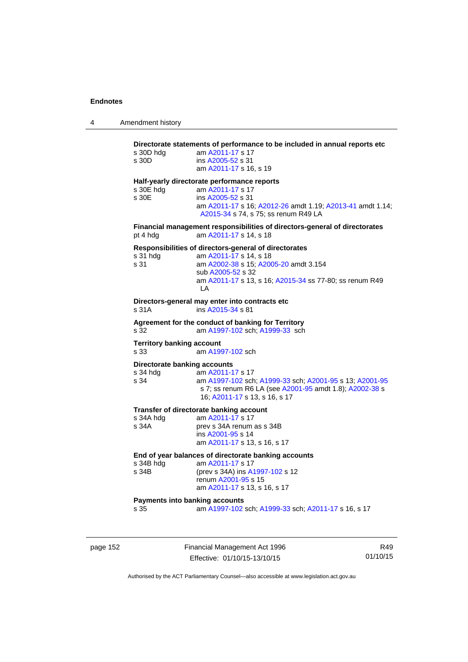| Amendment history |
|-------------------|
|                   |

# **Directorate statements of performance to be included in annual reports etc**  s 30D hdg am [A2011-17](http://www.legislation.act.gov.au/a/2011-17) s 17 s 30D ins [A2005-52](http://www.legislation.act.gov.au/a/2005-52) s 31 am [A2011-17](http://www.legislation.act.gov.au/a/2011-17) s 16, s 19 **Half-yearly directorate performance reports**  s 30E hdg am [A2011-17](http://www.legislation.act.gov.au/a/2011-17) s 17 s 30E ins [A2005-52](http://www.legislation.act.gov.au/a/2005-52) s 31 am [A2011-17](http://www.legislation.act.gov.au/a/2011-17) s 16; [A2012-26](http://www.legislation.act.gov.au/a/2012-26) amdt 1.19; [A2013-41](http://www.legislation.act.gov.au/a/2013-41/default.asp) amdt 1.14; [A2015-34](http://www.legislation.act.gov.au/a/2015-34/default.asp) s 74, s 75; ss renum R49 LA **Financial management responsibilities of directors-general of directorates**  pt 4 hdg am [A2011-17](http://www.legislation.act.gov.au/a/2011-17) s 14, s 18 **Responsibilities of directors-general of directorates**  s 31 hdg am [A2011-17](http://www.legislation.act.gov.au/a/2011-17) s 14, s 18 s 31 am [A2002-38](http://www.legislation.act.gov.au/a/2002-38) s 15; [A2005-20](http://www.legislation.act.gov.au/a/2005-20) amdt 3.154 sub [A2005-52](http://www.legislation.act.gov.au/a/2005-52) s 32 am [A2011-17](http://www.legislation.act.gov.au/a/2011-17) s 13, s 16; [A2015-34](http://www.legislation.act.gov.au/a/2015-34/default.asp) ss 77-80; ss renum R49 LA **Directors-general may enter into contracts etc**  s 31A ins [A2015-34](http://www.legislation.act.gov.au/a/2015-34/default.asp) s 81 **Agreement for the conduct of banking for Territory** s 32 am [A1997-102](http://www.legislation.act.gov.au/a/1997-102) sch; [A1999-33](http://www.legislation.act.gov.au/a/1999-33) sch **Territory banking account** s 33 am [A1997-102](http://www.legislation.act.gov.au/a/1997-102) sch **Directorate banking accounts**  s 34 hdg am [A2011-17](http://www.legislation.act.gov.au/a/2011-17) s 17 s 34 am [A1997-102](http://www.legislation.act.gov.au/a/1997-102) sch; [A1999-33](http://www.legislation.act.gov.au/a/1999-33) sch; [A2001-95](http://www.legislation.act.gov.au/a/2001-95) s 13; [A2001-95](http://www.legislation.act.gov.au/a/2001-95) s 7; ss renum R6 LA (see [A2001-95](http://www.legislation.act.gov.au/a/2001-95) amdt 1.8); [A2002-38](http://www.legislation.act.gov.au/a/2002-38) s 16; [A2011-17](http://www.legislation.act.gov.au/a/2011-17) s 13, s 16, s 17 **Transfer of directorate banking account**<br>s 34A hdq am A2011-17 s 17 s 34A hdg am  $A2011-17$  s 17<br>s 34A prev s 34A renum prev s 34A renum as s 34B ins [A2001-95](http://www.legislation.act.gov.au/a/2001-95) s 14 am [A2011-17](http://www.legislation.act.gov.au/a/2011-17) s 13, s 16, s 17 **End of year balances of directorate banking accounts** s 34B hdg am [A2011-17](http://www.legislation.act.gov.au/a/2011-17) s 17<br>s 34B (prev s 34A) ins A (prev s 34A) ins [A1997-102](http://www.legislation.act.gov.au/a/1997-102) s 12 renum [A2001-95](http://www.legislation.act.gov.au/a/2001-95) s 15 am [A2011-17](http://www.legislation.act.gov.au/a/2011-17) s 13, s 16, s 17 **Payments into banking accounts** s 35 am [A1997-102](http://www.legislation.act.gov.au/a/1997-102) sch; [A1999-33](http://www.legislation.act.gov.au/a/1999-33) sch; [A2011-17](http://www.legislation.act.gov.au/a/2011-17) s 16, s 17

page 152 Financial Management Act 1996 Effective: 01/10/15-13/10/15

R49 01/10/15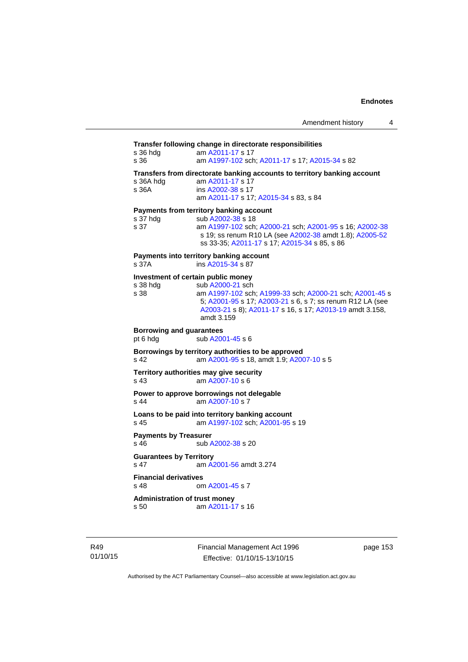# **Transfer following change in directorate responsibilities** s 36 hdg am [A2011-17](http://www.legislation.act.gov.au/a/2011-17) s 17 s 36 am [A1997-102](http://www.legislation.act.gov.au/a/1997-102) sch; [A2011-17](http://www.legislation.act.gov.au/a/2011-17) s 17; [A2015-34](http://www.legislation.act.gov.au/a/2015-34/default.asp) s 82 **Transfers from directorate banking accounts to territory banking account**  s 36A hdg am [A2011-17](http://www.legislation.act.gov.au/a/2011-17) s 17 s 36A ins [A2002-38](http://www.legislation.act.gov.au/a/2002-38) s 17 am [A2011-17](http://www.legislation.act.gov.au/a/2011-17) s 17; [A2015-34](http://www.legislation.act.gov.au/a/2015-34/default.asp) s 83, s 84 **Payments from territory banking account**  s 37 hdg sub [A2002-38](http://www.legislation.act.gov.au/a/2002-38) s 18 s 37 am [A1997-102](http://www.legislation.act.gov.au/a/1997-102) sch; [A2000-21](http://www.legislation.act.gov.au/a/2000-21) sch; [A2001-95](http://www.legislation.act.gov.au/a/2001-95) s 16; [A2002-38](http://www.legislation.act.gov.au/a/2002-38) s 19; ss renum R10 LA (see [A2002-38](http://www.legislation.act.gov.au/a/2002-38) amdt 1.8); [A2005-52](http://www.legislation.act.gov.au/a/2005-52) ss 33-35; [A2011-17](http://www.legislation.act.gov.au/a/2011-17) s 17; [A2015-34](http://www.legislation.act.gov.au/a/2015-34/default.asp) s 85, s 86 **Payments into territory banking account**  s 37A ins [A2015-34](http://www.legislation.act.gov.au/a/2015-34/default.asp) s 87 **Investment of certain public money**  s 38 hdg sub [A2000-21](http://www.legislation.act.gov.au/a/2000-21) sch s 38 am [A1997-102](http://www.legislation.act.gov.au/a/1997-102) sch; [A1999-33](http://www.legislation.act.gov.au/a/1999-33) sch; [A2000-21](http://www.legislation.act.gov.au/a/2000-21) sch; [A2001-45](http://www.legislation.act.gov.au/a/2001-45) s 5; [A2001-95](http://www.legislation.act.gov.au/a/2001-95) s 17; [A2003-21](http://www.legislation.act.gov.au/a/2003-21) s 6, s 7; ss renum R12 LA (see [A2003-21](http://www.legislation.act.gov.au/a/2003-21) s 8); [A2011-17](http://www.legislation.act.gov.au/a/2011-17) s 16, s 17; [A2013-19](http://www.legislation.act.gov.au/a/2013-19) amdt 3.158, amdt 3.159 **Borrowing and guarantees**  pt 6 hdg sub [A2001-45](http://www.legislation.act.gov.au/a/2001-45) s 6 **Borrowings by territory authorities to be approved**  s 42 am [A2001-95](http://www.legislation.act.gov.au/a/2001-95) s 18, amdt 1.9; [A2007-10](http://www.legislation.act.gov.au/a/2007-10) s 5 **Territory authorities may give security**  s 43 am [A2007-10](http://www.legislation.act.gov.au/a/2007-10) s 6 **Power to approve borrowings not delegable**  s 44 am [A2007-10](http://www.legislation.act.gov.au/a/2007-10) s 7 **Loans to be paid into territory banking account** s 45 am [A1997-102](http://www.legislation.act.gov.au/a/1997-102) sch; [A2001-95](http://www.legislation.act.gov.au/a/2001-95) s 19 **Payments by Treasurer**<br>**s** 46 **by** Treasurer sub [A2002-38](http://www.legislation.act.gov.au/a/2002-38) s 20 **Guarantees by Territory**  s 47 am [A2001-56](http://www.legislation.act.gov.au/a/2001-56) amdt 3.274 **Financial derivatives**<br>s 48 on om [A2001-45](http://www.legislation.act.gov.au/a/2001-45) s 7 **Administration of trust money**  s 50 am [A2011-17](http://www.legislation.act.gov.au/a/2011-17) s 16

R49 01/10/15 Financial Management Act 1996 Effective: 01/10/15-13/10/15

page 153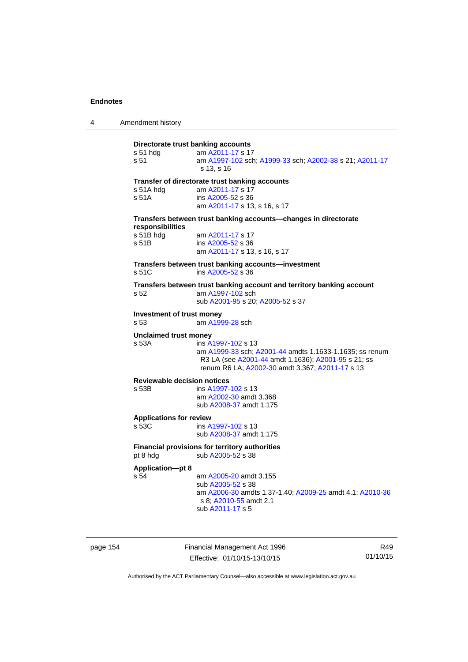| 4 | Amendment history |
|---|-------------------|
|---|-------------------|

# **Directorate trust banking accounts** s 51 hdg am [A2011-17](http://www.legislation.act.gov.au/a/2011-17) s 17 s 51 am [A1997-102](http://www.legislation.act.gov.au/a/1997-102) sch; [A1999-33](http://www.legislation.act.gov.au/a/1999-33) sch; [A2002-38](http://www.legislation.act.gov.au/a/2002-38) s 21; [A2011-17](http://www.legislation.act.gov.au/a/2011-17) s 13, s 16 **Transfer of directorate trust banking accounts**  s 51A hdg am [A2011-17](http://www.legislation.act.gov.au/a/2011-17) s 17 s 51A ins [A2005-52](http://www.legislation.act.gov.au/a/2005-52) s 36 am [A2011-17](http://www.legislation.act.gov.au/a/2011-17) s 13, s 16, s 17 **Transfers between trust banking accounts—changes in directorate responsibilities**  s 51B hdg am [A2011-17](http://www.legislation.act.gov.au/a/2011-17) s 17 s 51B ins [A2005-52](http://www.legislation.act.gov.au/a/2005-52) s 36 am [A2011-17](http://www.legislation.act.gov.au/a/2011-17) s 13, s 16, s 17 **Transfers between trust banking accounts—investment**  s 51C ins [A2005-52](http://www.legislation.act.gov.au/a/2005-52) s 36 **Transfers between trust banking account and territory banking account**  s 52 am [A1997-102](http://www.legislation.act.gov.au/a/1997-102) sch sub [A2001-95](http://www.legislation.act.gov.au/a/2001-95) s 20; [A2005-52](http://www.legislation.act.gov.au/a/2005-52) s 37 **Investment of trust money**<br>s 53 am A199 am [A1999-28](http://www.legislation.act.gov.au/a/1999-28) sch **Unclaimed trust money**  s 53A ins [A1997-102](http://www.legislation.act.gov.au/a/1997-102) s 13 am [A1999-33](http://www.legislation.act.gov.au/a/1999-33) sch; [A2001-44](http://www.legislation.act.gov.au/a/2001-44) amdts 1.1633-1.1635; ss renum R3 LA (see [A2001-44](http://www.legislation.act.gov.au/a/2001-44) amdt 1.1636); [A2001-95](http://www.legislation.act.gov.au/a/2001-95) s 21; ss renum R6 LA; [A2002-30](http://www.legislation.act.gov.au/a/2002-30) amdt 3.367; [A2011-17](http://www.legislation.act.gov.au/a/2011-17) s 13 **Reviewable decision notices**  s 53B ins [A1997-102](http://www.legislation.act.gov.au/a/1997-102) s 13 am [A2002-30](http://www.legislation.act.gov.au/a/2002-30) amdt 3.368 sub [A2008-37](http://www.legislation.act.gov.au/a/2008-37) amdt 1.175 **Applications for review**  ins [A1997-102](http://www.legislation.act.gov.au/a/1997-102) s 13 sub [A2008-37](http://www.legislation.act.gov.au/a/2008-37) amdt 1.175 **Financial provisions for territory authorities**  pt 8 hdg sub [A2005-52](http://www.legislation.act.gov.au/a/2005-52) s 38 **Application—pt 8**  s 54 am [A2005-20](http://www.legislation.act.gov.au/a/2005-20) amdt 3.155 sub [A2005-52](http://www.legislation.act.gov.au/a/2005-52) s 38 am [A2006-30](http://www.legislation.act.gov.au/a/2006-30) amdts 1.37-1.40; [A2009-25](http://www.legislation.act.gov.au/a/2009-25) amdt 4.1; [A2010-36](http://www.legislation.act.gov.au/a/2010-36) s 8; [A2010-55](http://www.legislation.act.gov.au/a/2010-55) amdt 2.1 sub [A2011-17](http://www.legislation.act.gov.au/a/2011-17) s 5

page 154 Financial Management Act 1996 Effective: 01/10/15-13/10/15

R49 01/10/15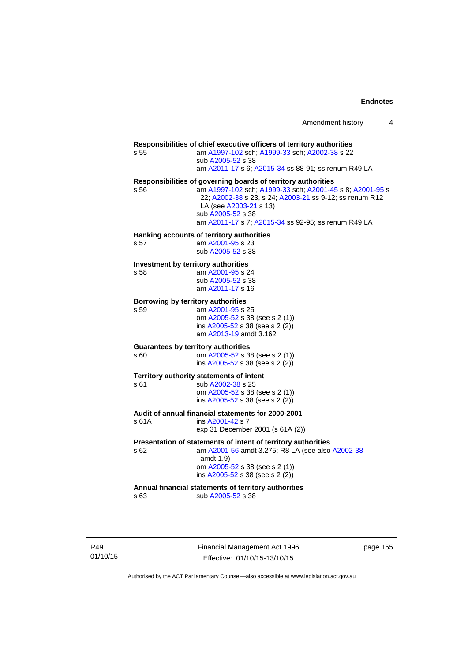| Amendment history |  |  |
|-------------------|--|--|
|-------------------|--|--|

### **Responsibilities of chief executive officers of territory authorities**

s 55 am [A1997-102](http://www.legislation.act.gov.au/a/1997-102) sch; [A1999-33](http://www.legislation.act.gov.au/a/1999-33) sch; [A2002-38](http://www.legislation.act.gov.au/a/2002-38) s 22 sub [A2005-52](http://www.legislation.act.gov.au/a/2005-52) s 38

am [A2011-17](http://www.legislation.act.gov.au/a/2011-17) s 6; [A2015-34](http://www.legislation.act.gov.au/a/2015-34/default.asp) ss 88-91; ss renum R49 LA

#### **Responsibilities of governing boards of territory authorities**

s 56 am [A1997-102](http://www.legislation.act.gov.au/a/1997-102) sch; [A1999-33](http://www.legislation.act.gov.au/a/1999-33) sch; [A2001-45](http://www.legislation.act.gov.au/a/2001-45) s 8; [A2001-95](http://www.legislation.act.gov.au/a/2001-95) s 22; [A2002-38](http://www.legislation.act.gov.au/a/2002-38) s 23, s 24; [A2003-21](http://www.legislation.act.gov.au/a/2003-21) ss 9-12; ss renum R12 LA (see [A2003-21](http://www.legislation.act.gov.au/a/2003-21) s 13) sub [A2005-52](http://www.legislation.act.gov.au/a/2005-52) s 38 am [A2011-17](http://www.legislation.act.gov.au/a/2011-17) s 7; [A2015-34](http://www.legislation.act.gov.au/a/2015-34/default.asp) ss 92-95; ss renum R49 LA

#### **Banking accounts of territory authorities**

s 57 am [A2001-95](http://www.legislation.act.gov.au/a/2001-95) s 23 sub [A2005-52](http://www.legislation.act.gov.au/a/2005-52) s 38

#### **Investment by territory authorities**

s 58 am [A2001-95](http://www.legislation.act.gov.au/a/2001-95) s 24 sub [A2005-52](http://www.legislation.act.gov.au/a/2005-52) s 38 am [A2011-17](http://www.legislation.act.gov.au/a/2011-17) s 16

#### **Borrowing by territory authorities**  s 59 am [A2001-95](http://www.legislation.act.gov.au/a/2001-95) s 25

 om [A2005-52](http://www.legislation.act.gov.au/a/2005-52) s 38 (see s 2 (1)) ins [A2005-52](http://www.legislation.act.gov.au/a/2005-52) s 38 (see s 2 (2)) am [A2013-19](http://www.legislation.act.gov.au/a/2013-19) amdt 3.162

#### **Guarantees by territory authorities**

s 60 om [A2005-52](http://www.legislation.act.gov.au/a/2005-52) s 38 (see s 2 (1)) ins [A2005-52](http://www.legislation.act.gov.au/a/2005-52) s 38 (see s 2 (2))

sub [A2002-38](http://www.legislation.act.gov.au/a/2002-38) s 25

# **Territory authority statements of intent**<br>s 61 sub A2002-38 s 25

 om [A2005-52](http://www.legislation.act.gov.au/a/2005-52) s 38 (see s 2 (1)) ins [A2005-52](http://www.legislation.act.gov.au/a/2005-52) s 38 (see s 2 (2))

## **Audit of annual financial statements for 2000-2001**

s 61A ins [A2001-42](http://www.legislation.act.gov.au/a/2001-42) s 7 exp 31 December 2001 (s 61A (2))

#### **Presentation of statements of intent of territory authorities**

s 62 am [A2001-56](http://www.legislation.act.gov.au/a/2001-56) amdt 3.275; R8 LA (see also [A2002-38](http://www.legislation.act.gov.au/a/2002-38) amdt 1.9)

> om [A2005-52](http://www.legislation.act.gov.au/a/2005-52) s 38 (see s 2 (1)) ins [A2005-52](http://www.legislation.act.gov.au/a/2005-52) s 38 (see s 2 (2))

#### **Annual financial statements of territory authorities**

s 63 sub [A2005-52](http://www.legislation.act.gov.au/a/2005-52) s 38

R49 01/10/15 Financial Management Act 1996 Effective: 01/10/15-13/10/15

page 155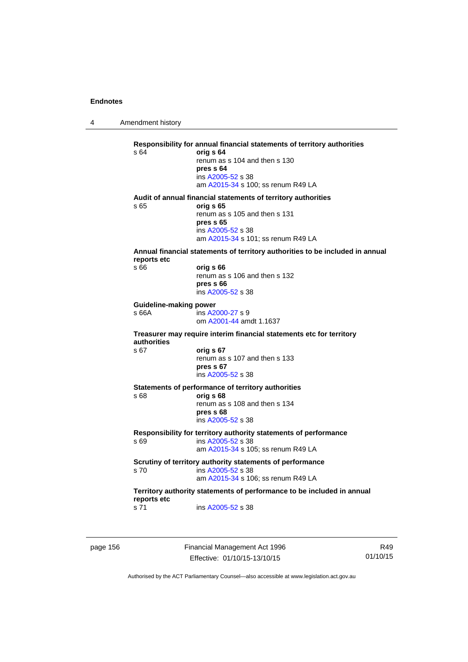4 Amendment history

**Responsibility for annual financial statements of territory authorities**  s 64 **orig s 64** renum as s 104 and then s 130 **pres s 64**  ins [A2005-52](http://www.legislation.act.gov.au/a/2005-52) s 38 am [A2015-34](http://www.legislation.act.gov.au/a/2015-34/default.asp) s 100; ss renum R49 LA **Audit of annual financial statements of territory authorities**  s 65 **orig s 65**  renum as s 105 and then s 131 **pres s 65**  ins [A2005-52](http://www.legislation.act.gov.au/a/2005-52) s 38 am [A2015-34](http://www.legislation.act.gov.au/a/2015-34/default.asp) s 101; ss renum R49 LA **Annual financial statements of territory authorities to be included in annual reports etc**  s 66 **orig s 66**  renum as s 106 and then s 132 **pres s 66**  ins [A2005-52](http://www.legislation.act.gov.au/a/2005-52) s 38 **Guideline-making power**  s 66A ins [A2000-27](http://www.legislation.act.gov.au/a/2000-27) s 9 om [A2001-44](http://www.legislation.act.gov.au/a/2001-44) amdt 1.1637 **Treasurer may require interim financial statements etc for territory authorities** s 67 **orig s 67**  renum as s 107 and then s 133 **pres s 67**  ins [A2005-52](http://www.legislation.act.gov.au/a/2005-52) s 38 **Statements of performance of territory authorities**  s 68 **orig s 68**  renum as s 108 and then s 134 **pres s 68**  ins [A2005-52](http://www.legislation.act.gov.au/a/2005-52) s 38 **Responsibility for territory authority statements of performance**  s 69 ins [A2005-52](http://www.legislation.act.gov.au/a/2005-52) s 38 am [A2015-34](http://www.legislation.act.gov.au/a/2015-34/default.asp) s 105; ss renum R49 LA **Scrutiny of territory authority statements of performance**  s 70 ins [A2005-52](http://www.legislation.act.gov.au/a/2005-52) s 38 am [A2015-34](http://www.legislation.act.gov.au/a/2015-34/default.asp) s 106; ss renum R49 LA **Territory authority statements of performance to be included in annual reports etc**  s 71 ins [A2005-52](http://www.legislation.act.gov.au/a/2005-52) s 38

page 156 Financial Management Act 1996 Effective: 01/10/15-13/10/15

R49 01/10/15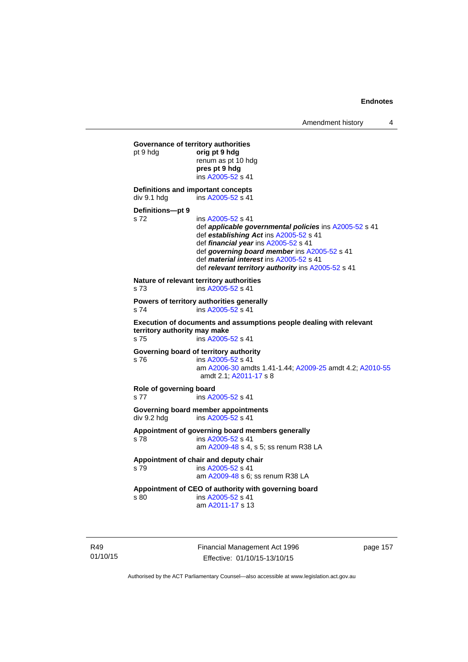```
Governance of territory authorities 
pt 9 hdg orig pt 9 hdg 
                 renum as pt 10 hdg 
                 pres pt 9 hdg 
                  ins A2005-52 s 41 
Definitions and important concepts 
A2005-52 s 41
Definitions—pt 9 
s 72 ins A2005-52 s 41 
                  def applicable governmental policies ins A2005-52 s 41 
                  def establishing Act ins A2005-52 s 41 
                  def financial year ins A2005-52 s 41 
                  def governing board member ins A2005-52 s 41 
                  def material interest ins A2005-52 s 41 
                  def relevant territory authority ins A2005-52 s 41 
Nature of relevant territory authorities 
s 73 ins A2005-52 s 41 
Powers of territory authorities generally 
s 74 ins A2005-52 s 41 
Execution of documents and assumptions people dealing with relevant 
territory authority may make 
s 75 ins A2005-52 s 41 
Governing board of territory authority 
s 76 ins A2005-52 s 41 
                  am A2006-30 amdts 1.41-1.44; A2009-25 amdt 4.2; A2010-55
                  amdt 2.1; A2011-17 s 8 
Role of governing board 
s 77 ins A2005-52 s 41 
Governing board member appointments<br>
div 9.2 hdq ins A2005-52 s 41
                 A2005-52 s 41
Appointment of governing board members generally 
s 78 ins A2005-52 s 41 
                  am A2009-48 s 4, s 5; ss renum R38 LA 
Appointment of chair and deputy chair 
s 79 ins A2005-52 s 41 
                  am A2009-48 s 6; ss renum R38 LA
Appointment of CEO of authority with governing board 
s 80 ins A2005-52 s 41 
                  am A2011-17 s 13
```
R49 01/10/15 Financial Management Act 1996 Effective: 01/10/15-13/10/15

page 157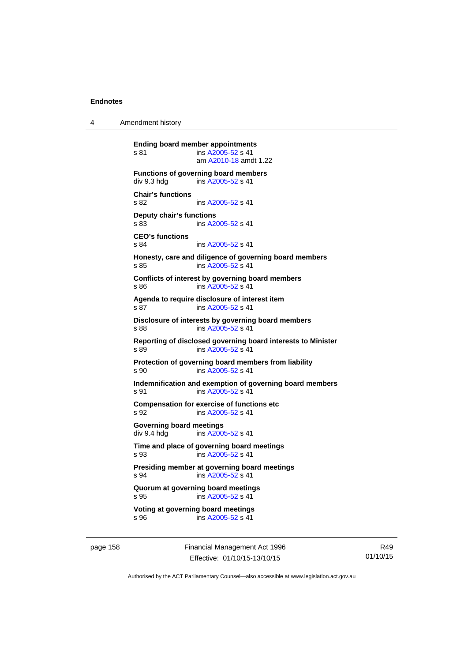4 Amendment history

**Ending board member appointments**  s 81 ins [A2005-52](http://www.legislation.act.gov.au/a/2005-52) s 41 am [A2010-18](http://www.legislation.act.gov.au/a/2010-18) amdt 1.22 **Functions of governing board members**<br>div 9.3 hdg ins A2005-52 s 41 ins [A2005-52](http://www.legislation.act.gov.au/a/2005-52) s 41 **Chair's functions**  s 82 ins [A2005-52](http://www.legislation.act.gov.au/a/2005-52) s 41 **Deputy chair's functions**  s 83 ins [A2005-52](http://www.legislation.act.gov.au/a/2005-52) s 41 **CEO's functions**  s 84 ins [A2005-52](http://www.legislation.act.gov.au/a/2005-52) s 41 **Honesty, care and diligence of governing board members**  s 85 ins [A2005-52](http://www.legislation.act.gov.au/a/2005-52) s 41 **Conflicts of interest by governing board members**  s 86 ins [A2005-52](http://www.legislation.act.gov.au/a/2005-52) s 41 **Agenda to require disclosure of interest item**  s 87 ins [A2005-52](http://www.legislation.act.gov.au/a/2005-52) s 41 **Disclosure of interests by governing board members**  s 88 ins [A2005-52](http://www.legislation.act.gov.au/a/2005-52) s 41 **Reporting of disclosed governing board interests to Minister**  s 89 ins [A2005-52](http://www.legislation.act.gov.au/a/2005-52) s 41 **Protection of governing board members from liability**  s 90 ins [A2005-52](http://www.legislation.act.gov.au/a/2005-52) s 41 **Indemnification and exemption of governing board members**  s 91 ins [A2005-52](http://www.legislation.act.gov.au/a/2005-52) s 41 **Compensation for exercise of functions etc**  s 92 ins [A2005-52](http://www.legislation.act.gov.au/a/2005-52) s 41 **Governing board meetings**  div 9.4 hdg ins [A2005-52](http://www.legislation.act.gov.au/a/2005-52) s 41 **Time and place of governing board meetings**  s 93 ins [A2005-52](http://www.legislation.act.gov.au/a/2005-52) s 41 **Presiding member at governing board meetings**  s 94 **ins [A2005-52](http://www.legislation.act.gov.au/a/2005-52) s 41 Quorum at governing board meetings**  s 95 ins [A2005-52](http://www.legislation.act.gov.au/a/2005-52) s 41 **Voting at governing board meetings**  s 96 ins [A2005-52](http://www.legislation.act.gov.au/a/2005-52) s 41

page 158 Financial Management Act 1996 Effective: 01/10/15-13/10/15

R49 01/10/15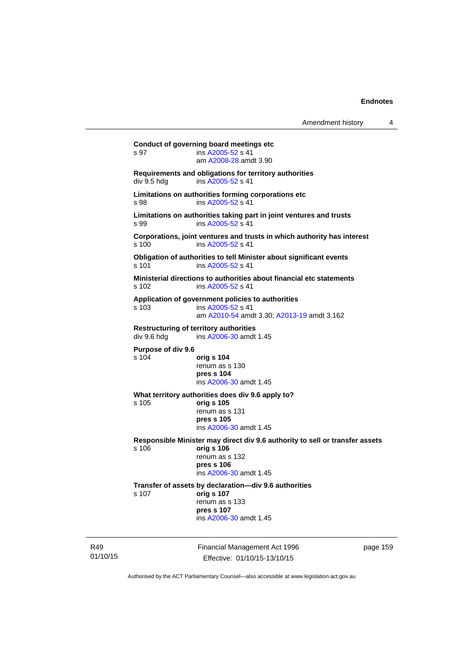**Conduct of governing board meetings etc**  s 97 ins [A2005-52](http://www.legislation.act.gov.au/a/2005-52) s 41 am [A2008-28](http://www.legislation.act.gov.au/a/2008-28) amdt 3.90 **Requirements and obligations for territory authorities**  div 9.5 hdg ins [A2005-52](http://www.legislation.act.gov.au/a/2005-52) s 41 **Limitations on authorities forming corporations etc**  s 98 ins [A2005-52](http://www.legislation.act.gov.au/a/2005-52) s 41 **Limitations on authorities taking part in joint ventures and trusts**  s 99 ins [A2005-52](http://www.legislation.act.gov.au/a/2005-52) s 41 **Corporations, joint ventures and trusts in which authority has interest**  s 100 ins [A2005-52](http://www.legislation.act.gov.au/a/2005-52) s 41 **Obligation of authorities to tell Minister about significant events**  s 101 ins [A2005-52](http://www.legislation.act.gov.au/a/2005-52) s 41 **Ministerial directions to authorities about financial etc statements**  s 102 ins [A2005-52](http://www.legislation.act.gov.au/a/2005-52) s 41 **Application of government policies to authorities**  s 103 ins [A2005-52](http://www.legislation.act.gov.au/a/2005-52) s 41 am [A2010-54](http://www.legislation.act.gov.au/a/2010-54) amdt 3.30; [A2013-19](http://www.legislation.act.gov.au/a/2013-19) amdt 3.162 **Restructuring of territory authorities**  div 9.6 hdg ins [A2006-30](http://www.legislation.act.gov.au/a/2006-30) amdt 1.45 **Purpose of div 9.6**  s 104 **orig s 104** renum as s 130 **pres s 104**  ins [A2006-30](http://www.legislation.act.gov.au/a/2006-30) amdt 1.45 **What territory authorities does div 9.6 apply to?**  s 105 **orig s 105** renum as s 131 **pres s 105**  ins [A2006-30](http://www.legislation.act.gov.au/a/2006-30) amdt 1.45 **Responsible Minister may direct div 9.6 authority to sell or transfer assets**  s 106 **orig s 106** renum as s 132 **pres s 106**  ins [A2006-30](http://www.legislation.act.gov.au/a/2006-30) amdt 1.45 **Transfer of assets by declaration—div 9.6 authorities**  s 107 **orig s 107** renum as s 133 **pres s 107**  ins [A2006-30](http://www.legislation.act.gov.au/a/2006-30) amdt 1.45

R49 01/10/15 Financial Management Act 1996 Effective: 01/10/15-13/10/15

page 159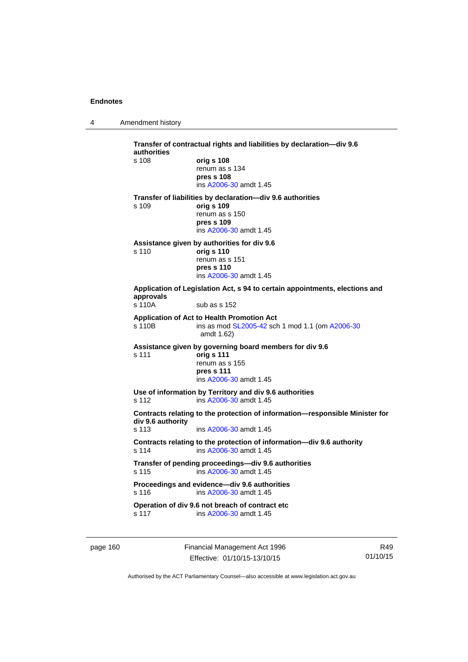4 Amendment history

**Transfer of contractual rights and liabilities by declaration—div 9.6 authorities**  s 108 **orig s 108** renum as s 134 **pres s 108**  ins [A2006-30](http://www.legislation.act.gov.au/a/2006-30) amdt 1.45 **Transfer of liabilities by declaration—div 9.6 authorities**  s 109 **orig s 109** renum as s 150 **pres s 109**  ins [A2006-30](http://www.legislation.act.gov.au/a/2006-30) amdt 1.45 **Assistance given by authorities for div 9.6**  s 110 **orig s 110** renum as s 151 **pres s 110**  ins [A2006-30](http://www.legislation.act.gov.au/a/2006-30) amdt 1.45 **Application of Legislation Act, s 94 to certain appointments, elections and approvals**  sub as s 152 **Application of Act to Health Promotion Act**  s 110B ins as mod [SL2005-42](http://www.legislation.act.gov.au/sl/2005-42) sch 1 mod 1.1 (om [A2006-30](http://www.legislation.act.gov.au/a/2006-30) amdt 1.62) **Assistance given by governing board members for div 9.6**  s 111 **orig s 111** renum as s 155 **pres s 111**  ins [A2006-30](http://www.legislation.act.gov.au/a/2006-30) amdt 1.45 **Use of information by Territory and div 9.6 authorities**  s 112 ins [A2006-30](http://www.legislation.act.gov.au/a/2006-30) amdt 1.45 **Contracts relating to the protection of information—responsible Minister for div 9.6 authority**  s 113 ins [A2006-30](http://www.legislation.act.gov.au/a/2006-30) amdt 1.45 **Contracts relating to the protection of information—div 9.6 authority**  s 114 ins [A2006-30](http://www.legislation.act.gov.au/a/2006-30) amdt 1.45 **Transfer of pending proceedings—div 9.6 authorities**  s 115 ins [A2006-30](http://www.legislation.act.gov.au/a/2006-30) amdt 1.45 **Proceedings and evidence—div 9.6 authorities**  s 116 ins [A2006-30](http://www.legislation.act.gov.au/a/2006-30) amdt 1.45 **Operation of div 9.6 not breach of contract etc**  s 117 ins [A2006-30](http://www.legislation.act.gov.au/a/2006-30) amdt 1.45

page 160 Financial Management Act 1996 Effective: 01/10/15-13/10/15

R49 01/10/15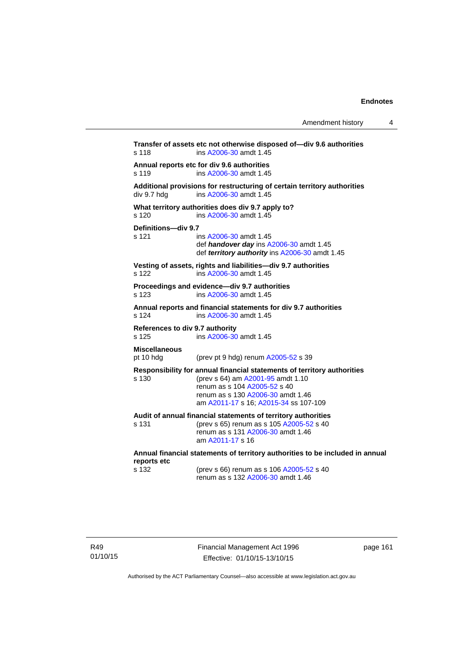| Amendment history |  |
|-------------------|--|
|-------------------|--|

**Transfer of assets etc not otherwise disposed of—div 9.6 authorities**  s 118 ins [A2006-30](http://www.legislation.act.gov.au/a/2006-30) amdt 1.45 **Annual reports etc for div 9.6 authorities**  s 119 ins [A2006-30](http://www.legislation.act.gov.au/a/2006-30) amdt 1.45 **Additional provisions for restructuring of certain territory authorities**   $div 9.7 hdg$  ins  $A2006-30$  amdt 1.45 **What territory authorities does div 9.7 apply to?**  s 120 ins [A2006-30](http://www.legislation.act.gov.au/a/2006-30) amdt 1.45 **Definitions—div 9.7**  ins [A2006-30](http://www.legislation.act.gov.au/a/2006-30) amdt 1.45 def *handover day* ins [A2006-30](http://www.legislation.act.gov.au/a/2006-30) amdt 1.45 def *territory authority* ins [A2006-30](http://www.legislation.act.gov.au/a/2006-30) amdt 1.45 **Vesting of assets, rights and liabilities—div 9.7 authorities**  s 122 ins [A2006-30](http://www.legislation.act.gov.au/a/2006-30) amdt 1.45 **Proceedings and evidence—div 9.7 authorities**  s 123 ins [A2006-30](http://www.legislation.act.gov.au/a/2006-30) amdt 1.45 **Annual reports and financial statements for div 9.7 authorities**  s 124 ins [A2006-30](http://www.legislation.act.gov.au/a/2006-30) amdt 1.45 **References to div 9.7 authority**  s 125 ins [A2006-30](http://www.legislation.act.gov.au/a/2006-30) amdt 1.45 **Miscellaneous**  (prev pt 9 hdg) renum  $A2005-52$  s 39 **Responsibility for annual financial statements of territory authorities**  s 130 (prev s 64) am [A2001-95](http://www.legislation.act.gov.au/a/2001-95) amdt 1.10 renum as s 104 [A2005-52](http://www.legislation.act.gov.au/a/2005-52) s 40 renum as s 130 [A2006-30](http://www.legislation.act.gov.au/a/2006-30) amdt 1.46 am [A2011-17](http://www.legislation.act.gov.au/a/2011-17) s 16; [A2015-34](http://www.legislation.act.gov.au/a/2015-34/default.asp) ss 107-109 **Audit of annual financial statements of territory authorities**  s 131 (prev s 65) renum as s 105 [A2005-52](http://www.legislation.act.gov.au/a/2005-52) s 40 renum as s 131 [A2006-30](http://www.legislation.act.gov.au/a/2006-30) amdt 1.46 am [A2011-17](http://www.legislation.act.gov.au/a/2011-17) s 16 **Annual financial statements of territory authorities to be included in annual reports etc**  s 132 (prev s 66) renum as s 106 [A2005-52](http://www.legislation.act.gov.au/a/2005-52) s 40  $r$ enum as s 132 [A2006-30](http://www.legislation.act.gov.au/a/2006-30) amdt 1.46

page 161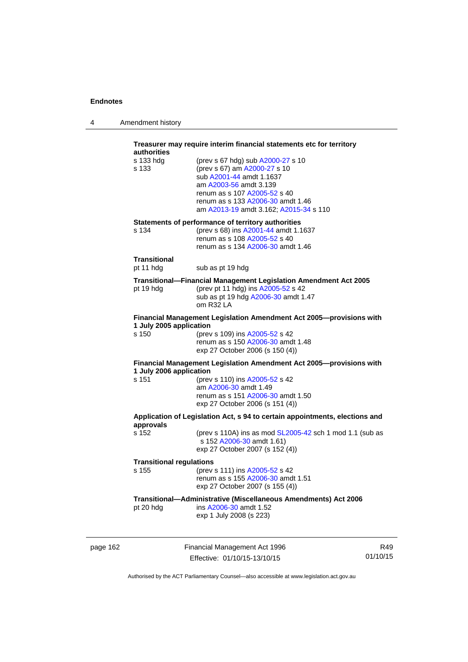| 4 | Amendment history |
|---|-------------------|
|---|-------------------|

| authorities                      | Treasurer may require interim financial statements etc for territory                                                                                                                                                                   |                 |
|----------------------------------|----------------------------------------------------------------------------------------------------------------------------------------------------------------------------------------------------------------------------------------|-----------------|
| s 133 hdg<br>s 133               | (prev s 67 hdg) sub A2000-27 s 10<br>(prev s 67) am A2000-27 s 10<br>sub A2001-44 amdt 1.1637<br>am A2003-56 amdt 3.139<br>renum as s 107 A2005-52 s 40<br>renum as s 133 A2006-30 amdt 1.46<br>am A2013-19 amdt 3.162; A2015-34 s 110 |                 |
| s 134                            | Statements of performance of territory authorities<br>(prev s 68) ins A2001-44 amdt 1.1637<br>renum as s 108 A2005-52 s 40<br>renum as s 134 A2006-30 amdt 1.46                                                                        |                 |
| Transitional<br>pt 11 hdg        | sub as pt 19 hdg                                                                                                                                                                                                                       |                 |
| pt 19 hdg                        | <b>Transitional--Financial Management Legislation Amendment Act 2005</b><br>(prev pt 11 hdg) ins A2005-52 s 42<br>sub as pt 19 hdg A2006-30 amdt 1.47<br>om R32 LA                                                                     |                 |
| 1 July 2005 application<br>s 150 | Financial Management Legislation Amendment Act 2005-provisions with<br>(prev s 109) ins A2005-52 s 42<br>renum as s 150 A2006-30 amdt 1.48<br>exp 27 October 2006 (s 150 (4))                                                          |                 |
| 1 July 2006 application          | Financial Management Legislation Amendment Act 2005-provisions with                                                                                                                                                                    |                 |
| s 151                            | (prev s 110) ins A2005-52 s 42<br>am A2006-30 amdt 1.49<br>renum as s 151 A2006-30 amdt 1.50<br>exp 27 October 2006 (s 151 (4))                                                                                                        |                 |
| approvals                        | Application of Legislation Act, s 94 to certain appointments, elections and                                                                                                                                                            |                 |
| s 152                            | (prev s 110A) ins as mod SL2005-42 sch 1 mod 1.1 (sub as<br>s 152 A2006-30 amdt 1.61)<br>exp 27 October 2007 (s 152 (4))                                                                                                               |                 |
|                                  | <b>Transitional regulations</b>                                                                                                                                                                                                        |                 |
| s 155                            | (prev s 111) ins A2005-52 s 42<br>renum as s 155 A2006-30 amdt 1.51<br>exp 27 October 2007 (s 155 (4))                                                                                                                                 |                 |
| pt 20 hdg                        | Transitional-Administrative (Miscellaneous Amendments) Act 2006<br>ins A2006-30 amdt 1.52<br>exp 1 July 2008 (s 223)                                                                                                                   |                 |
| page 162                         | Financial Management Act 1996<br>Effective: 01/10/15-13/10/15                                                                                                                                                                          | R49<br>01/10/15 |

Authorised by the ACT Parliamentary Counsel—also accessible at www.legislation.act.gov.au

Effective: 01/10/15-13/10/15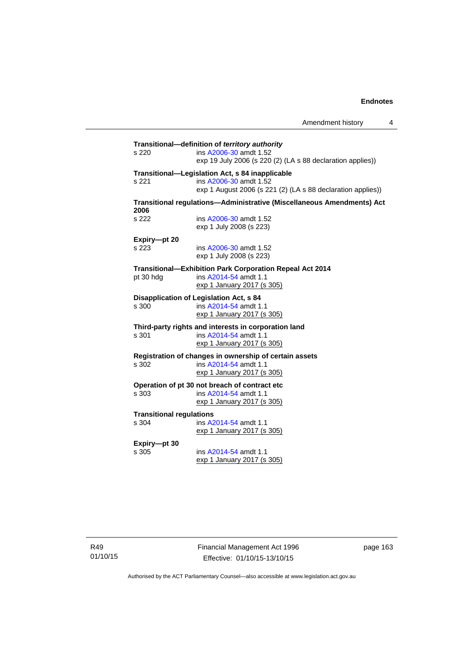| s 220                                    | Transitional-definition of territory authority<br>ins A2006-30 amdt 1.52<br>exp 19 July 2006 (s 220 (2) (LA s 88 declaration applies))   |
|------------------------------------------|------------------------------------------------------------------------------------------------------------------------------------------|
| s 221                                    | Transitional-Legislation Act, s 84 inapplicable<br>ins A2006-30 amdt 1.52<br>exp 1 August 2006 (s 221 (2) (LA s 88 declaration applies)) |
|                                          | Transitional regulations-Administrative (Miscellaneous Amendments) Act                                                                   |
| 2006<br>s 222                            | ins A2006-30 amdt 1.52<br>exp 1 July 2008 (s 223)                                                                                        |
| Expiry-pt 20<br>s 223                    | ins A2006-30 amdt 1.52<br>exp 1 July 2008 (s 223)                                                                                        |
| pt 30 hdg                                | <b>Transitional-Exhibition Park Corporation Repeal Act 2014</b><br>ins A2014-54 amdt 1.1<br>exp 1 January 2017 (s 305)                   |
| s 300                                    | Disapplication of Legislation Act, s 84<br>ins A2014-54 amdt 1.1<br>exp 1 January 2017 (s 305)                                           |
| s 301                                    | Third-party rights and interests in corporation land<br>ins A2014-54 amdt 1.1<br>exp 1 January 2017 (s 305)                              |
| s 302                                    | Registration of changes in ownership of certain assets<br>ins A2014-54 amdt 1.1<br>exp 1 January 2017 (s 305)                            |
| s 303                                    | Operation of pt 30 not breach of contract etc<br>ins A2014-54 amdt 1.1<br>exp 1 January 2017 (s 305)                                     |
| <b>Transitional regulations</b><br>s 304 | ins A2014-54 amdt 1.1<br>exp 1 January 2017 (s 305)                                                                                      |
| Expiry-pt 30<br>s 305                    | ins A2014-54 amdt 1.1<br>exp 1 January 2017 (s 305)                                                                                      |

R49 01/10/15 Financial Management Act 1996 Effective: 01/10/15-13/10/15

page 163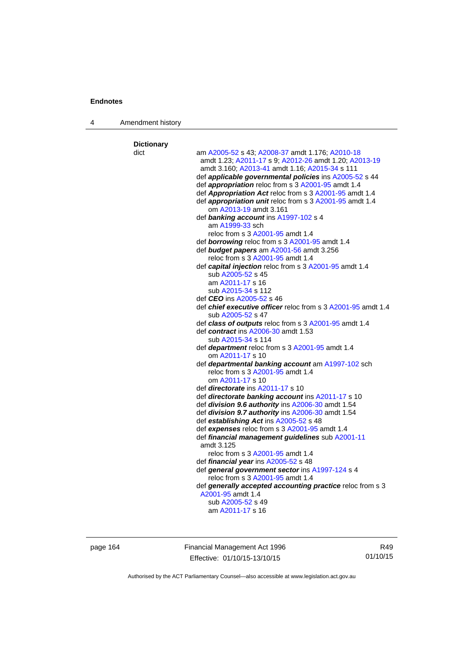4 Amendment history

| <b>Dictionary</b> |                                                                       |
|-------------------|-----------------------------------------------------------------------|
| dict              | am A2005-52 s 43; A2008-37 amdt 1.176; A2010-18                       |
|                   | amdt 1.23; A2011-17 s 9; A2012-26 amdt 1.20; A2013-19                 |
|                   | amdt 3.160; A2013-41 amdt 1.16; A2015-34 s 111                        |
|                   | def applicable governmental policies ins A2005-52 s 44                |
|                   | def appropriation reloc from s 3 A2001-95 amdt 1.4                    |
|                   | def Appropriation Act reloc from s 3 A2001-95 amdt 1.4                |
|                   | def appropriation unit reloc from s 3 A2001-95 amdt 1.4               |
|                   | om A2013-19 amdt 3.161                                                |
|                   | def banking account ins A1997-102 s 4                                 |
|                   | am A1999-33 sch                                                       |
|                   | reloc from s 3 A2001-95 amdt 1.4                                      |
|                   | def <b>borrowing</b> reloc from s 3 A2001-95 amdt 1.4                 |
|                   | def budget papers am A2001-56 amdt 3.256                              |
|                   | reloc from s 3 A2001-95 amdt 1.4                                      |
|                   | def capital injection reloc from s 3 A2001-95 amdt 1.4                |
|                   | sub A2005-52 s 45                                                     |
|                   | am A2011-17 s 16                                                      |
|                   | sub A2015-34 s 112                                                    |
|                   | def <i>CEO</i> ins A2005-52 s 46                                      |
|                   | def chief executive officer reloc from s 3 A2001-95 amdt 1.4          |
|                   | sub A2005-52 s 47                                                     |
|                   | def class of outputs reloc from s 3 A2001-95 amdt 1.4                 |
|                   | def contract ins A2006-30 amdt 1.53                                   |
|                   | sub A2015-34 s 114<br>def department reloc from s 3 A2001-95 amdt 1.4 |
|                   | om A2011-17 s 10                                                      |
|                   | def departmental banking account am A1997-102 sch                     |
|                   | reloc from s 3 A2001-95 amdt 1.4                                      |
|                   | om A2011-17 s 10                                                      |
|                   | def <i>directorate</i> ins A2011-17 s 10                              |
|                   | def directorate banking account ins A2011-17 s 10                     |
|                   | def division 9.6 authority ins A2006-30 amdt 1.54                     |
|                   | def division 9.7 authority ins A2006-30 amdt 1.54                     |
|                   | def establishing Act ins A2005-52 s 48                                |
|                   | def expenses reloc from s 3 A2001-95 amdt 1.4                         |
|                   | def financial management guidelines sub A2001-11                      |
|                   | amdt 3.125                                                            |
|                   | reloc from s 3 A2001-95 amdt 1.4                                      |
|                   | def financial year ins A2005-52 s 48                                  |
|                   | def general government sector ins A1997-124 s 4                       |
|                   | reloc from s 3 A2001-95 amdt 1.4                                      |
|                   | def generally accepted accounting practice reloc from s 3             |
|                   | A2001-95 amdt 1.4                                                     |
|                   | sub A2005-52 s 49                                                     |
|                   | am A2011-17 s 16                                                      |
|                   |                                                                       |

page 164 Financial Management Act 1996 Effective: 01/10/15-13/10/15

R49 01/10/15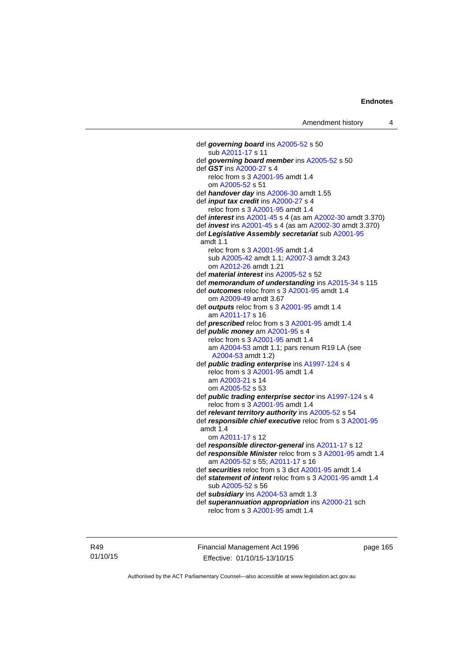def *governing board* ins [A2005-52](http://www.legislation.act.gov.au/a/2005-52) s 50 sub [A2011-17](http://www.legislation.act.gov.au/a/2011-17) s 11 def *governing board member* ins [A2005-52](http://www.legislation.act.gov.au/a/2005-52) s 50 def *GST* ins [A2000-27](http://www.legislation.act.gov.au/a/2000-27) s 4 reloc from s 3 [A2001-95](http://www.legislation.act.gov.au/a/2001-95) amdt 1.4 om [A2005-52](http://www.legislation.act.gov.au/a/2005-52) s 51 def *handover day* ins [A2006-30](http://www.legislation.act.gov.au/a/2006-30) amdt 1.55 def *input tax credit* ins [A2000-27](http://www.legislation.act.gov.au/a/2000-27) s 4 reloc from s 3 [A2001-95](http://www.legislation.act.gov.au/a/2001-95) amdt 1.4 def *interest* ins [A2001-45](http://www.legislation.act.gov.au/a/2001-45) s 4 (as am [A2002-30](http://www.legislation.act.gov.au/a/2002-30) amdt 3.370) def *invest* ins [A2001-45](http://www.legislation.act.gov.au/a/2001-45) s 4 (as am [A2002-30](http://www.legislation.act.gov.au/a/2002-30) amdt 3.370) def *Legislative Assembly secretariat* sub [A2001-95](http://www.legislation.act.gov.au/a/2001-95) amdt 1.1 reloc from s 3 [A2001-95](http://www.legislation.act.gov.au/a/2001-95) amdt 1.4 sub [A2005-42](http://www.legislation.act.gov.au/a/2005-42) amdt 1.1; [A2007-3](http://www.legislation.act.gov.au/a/2007-3) amdt 3.243 om [A2012-26](http://www.legislation.act.gov.au/a/2012-26) amdt 1.21 def *material interest* ins [A2005-52](http://www.legislation.act.gov.au/a/2005-52) s 52 def *memorandum of understanding* ins [A2015-34](http://www.legislation.act.gov.au/a/2015-34/default.asp) s 115 def *outcomes* reloc from s 3 [A2001-95](http://www.legislation.act.gov.au/a/2001-95) amdt 1.4 om [A2009-49](http://www.legislation.act.gov.au/a/2009-49) amdt 3.67 def *outputs* reloc from s 3 [A2001-95](http://www.legislation.act.gov.au/a/2001-95) amdt 1.4 am [A2011-17](http://www.legislation.act.gov.au/a/2011-17) s 16 def *prescribed* reloc from s 3 [A2001-95](http://www.legislation.act.gov.au/a/2001-95) amdt 1.4 def *public money* am [A2001-95](http://www.legislation.act.gov.au/a/2001-95) s 4 reloc from s 3 [A2001-95](http://www.legislation.act.gov.au/a/2001-95) amdt 1.4 am [A2004-53](http://www.legislation.act.gov.au/a/2004-53) amdt 1.1; pars renum R19 LA (see [A2004-53](http://www.legislation.act.gov.au/a/2004-53) amdt 1.2) def *public trading enterprise* ins [A1997-124](http://www.legislation.act.gov.au/a/1997-124) s 4 reloc from s 3 [A2001-95](http://www.legislation.act.gov.au/a/2001-95) amdt 1.4 am [A2003-21](http://www.legislation.act.gov.au/a/2003-21) s 14 om [A2005-52](http://www.legislation.act.gov.au/a/2005-52) s 53 def *public trading enterprise sector* ins [A1997-124](http://www.legislation.act.gov.au/a/1997-124) s 4 reloc from s 3 [A2001-95](http://www.legislation.act.gov.au/a/2001-95) amdt 1.4 def *relevant territory authority* ins [A2005-52](http://www.legislation.act.gov.au/a/2005-52) s 54 def *responsible chief executive* reloc from s 3 [A2001-95](http://www.legislation.act.gov.au/a/2001-95) amdt 1.4 om [A2011-17](http://www.legislation.act.gov.au/a/2011-17) s 12 def *responsible director-general* ins [A2011-17](http://www.legislation.act.gov.au/a/2011-17) s 12 def *responsible Minister* reloc from s 3 [A2001-95](http://www.legislation.act.gov.au/a/2001-95) amdt 1.4 am [A2005-52](http://www.legislation.act.gov.au/a/2005-52) s 55; [A2011-17](http://www.legislation.act.gov.au/a/2011-17) s 16 def *securities* reloc from s 3 dict [A2001-95](http://www.legislation.act.gov.au/a/2001-95) amdt 1.4 def *statement of intent* reloc from s 3 [A2001-95](http://www.legislation.act.gov.au/a/2001-95) amdt 1.4 sub [A2005-52](http://www.legislation.act.gov.au/a/2005-52) s 56 def *subsidiary* ins [A2004-53](http://www.legislation.act.gov.au/a/2004-53) amdt 1.3 def *superannuation appropriation* ins [A2000-21](http://www.legislation.act.gov.au/a/2000-21) sch reloc from s 3 [A2001-95](http://www.legislation.act.gov.au/a/2001-95) amdt 1.4

R49 01/10/15 Financial Management Act 1996 Effective: 01/10/15-13/10/15

page 165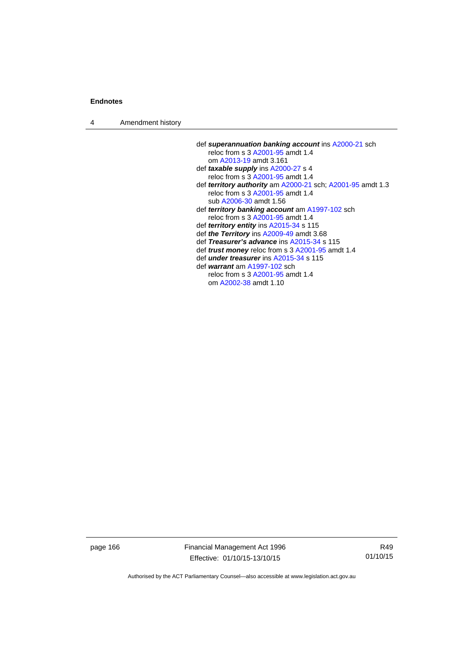4 Amendment history

| def superannuation banking account ins A2000-21 sch        |
|------------------------------------------------------------|
| reloc from s 3 A2001-95 amdt 1.4                           |
| om A2013-19 amdt 3.161                                     |
| def <i>taxable supply</i> ins A2000-27 s 4                 |
| reloc from s 3 A2001-95 amdt 1.4                           |
| def territory authority am A2000-21 sch; A2001-95 amdt 1.3 |
| reloc from s 3 A2001-95 amdt 1.4                           |
| sub A2006-30 amdt 1.56                                     |
| def <i>territory banking account</i> am A1997-102 sch      |
| reloc from s 3 A2001-95 amdt 1.4                           |
| def territory entity ins A2015-34 s 115                    |
| def the Territory ins A2009-49 amdt 3.68                   |
| def Treasurer's advance ins A2015-34 s 115                 |
| def <i>trust money</i> reloc from s 3 A2001-95 amdt 1.4    |
| def <i>under treasurer</i> ins A2015-34 s 115              |
| def warrant am A1997-102 sch                               |
| reloc from s 3 A2001-95 amdt 1.4                           |

om [A2002-38](http://www.legislation.act.gov.au/a/2002-38) amdt 1.10

page 166 Financial Management Act 1996 Effective: 01/10/15-13/10/15

R49 01/10/15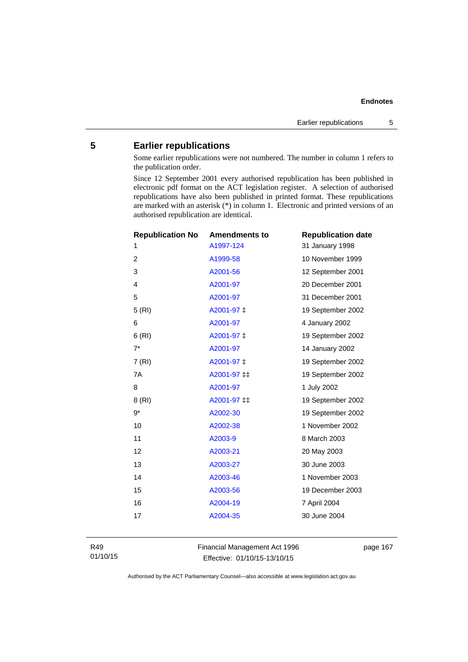# **5 Earlier republications**

Some earlier republications were not numbered. The number in column 1 refers to the publication order.

Since 12 September 2001 every authorised republication has been published in electronic pdf format on the ACT legislation register. A selection of authorised republications have also been published in printed format. These republications are marked with an asterisk (\*) in column 1. Electronic and printed versions of an authorised republication are identical.

| <b>Republication No</b> | <b>Amendments to</b> | <b>Republication date</b> |
|-------------------------|----------------------|---------------------------|
| 1                       | A1997-124            | 31 January 1998           |
| $\overline{2}$          | A1999-58             | 10 November 1999          |
| 3                       | A2001-56             | 12 September 2001         |
| 4                       | A2001-97             | 20 December 2001          |
| 5                       | A2001-97             | 31 December 2001          |
| 5(RI)                   | A2001-97 ‡           | 19 September 2002         |
| 6                       | A2001-97             | 4 January 2002            |
| 6(RI)                   | A2001-97 ‡           | 19 September 2002         |
| $7^*$                   | A2001-97             | 14 January 2002           |
| 7(RI)                   | A2001-97 ‡           | 19 September 2002         |
| 7A                      | A2001-97 ‡‡          | 19 September 2002         |
| 8                       | A2001-97             | 1 July 2002               |
| 8(RI)                   | A2001-97 ‡‡          | 19 September 2002         |
| $9*$                    | A2002-30             | 19 September 2002         |
| 10                      | A2002-38             | 1 November 2002           |
| 11                      | A2003-9              | 8 March 2003              |
| 12                      | A2003-21             | 20 May 2003               |
| 13                      | A2003-27             | 30 June 2003              |
| 14                      | A2003-46             | 1 November 2003           |
| 15                      | A2003-56             | 19 December 2003          |
| 16                      | A2004-19             | 7 April 2004              |
| 17                      | A2004-35             | 30 June 2004              |
|                         |                      |                           |

R49 01/10/15 Financial Management Act 1996 Effective: 01/10/15-13/10/15

page 167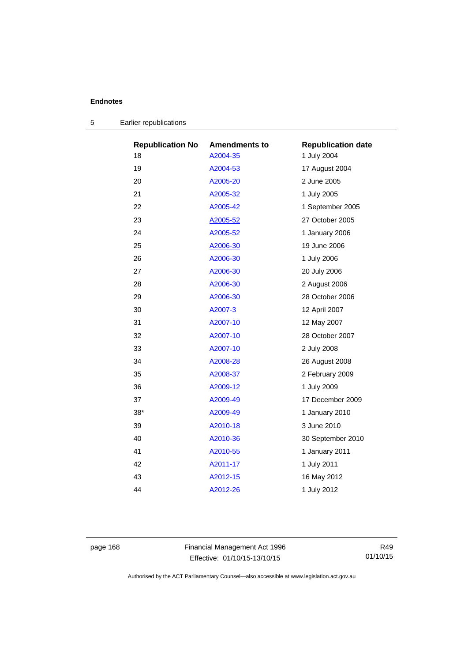| <b>Republication No</b> | <b>Amendments to</b> | <b>Republication date</b> |
|-------------------------|----------------------|---------------------------|
| 18                      | A2004-35             | 1 July 2004               |
| 19                      | A2004-53             | 17 August 2004            |
| 20                      | A2005-20             | 2 June 2005               |
| 21                      | A2005-32             | 1 July 2005               |
| 22                      | A2005-42             | 1 September 2005          |
| 23                      | A2005-52             | 27 October 2005           |
| 24                      | A2005-52             | 1 January 2006            |
| 25                      | A2006-30             | 19 June 2006              |
| 26                      | A2006-30             | 1 July 2006               |
| 27                      | A2006-30             | 20 July 2006              |
| 28                      | A2006-30             | 2 August 2006             |
| 29                      | A2006-30             | 28 October 2006           |
| 30                      | A2007-3              | 12 April 2007             |
| 31                      | A2007-10             | 12 May 2007               |
| 32                      | A2007-10             | 28 October 2007           |
| 33                      | A2007-10             | 2 July 2008               |
| 34                      | A2008-28             | 26 August 2008            |
| 35                      | A2008-37             | 2 February 2009           |
| 36                      | A2009-12             | 1 July 2009               |
| 37                      | A2009-49             | 17 December 2009          |
| $38*$                   | A2009-49             | 1 January 2010            |
| 39                      | A2010-18             | 3 June 2010               |
| 40                      | A2010-36             | 30 September 2010         |
| 41                      | A2010-55             | 1 January 2011            |
| 42                      | A2011-17             | 1 July 2011               |
| 43                      | A2012-15             | 16 May 2012               |
| 44                      | A2012-26             | 1 July 2012               |
|                         |                      |                           |

| Earlier republications |
|------------------------|
|                        |

page 168 Financial Management Act 1996 Effective: 01/10/15-13/10/15

R49 01/10/15